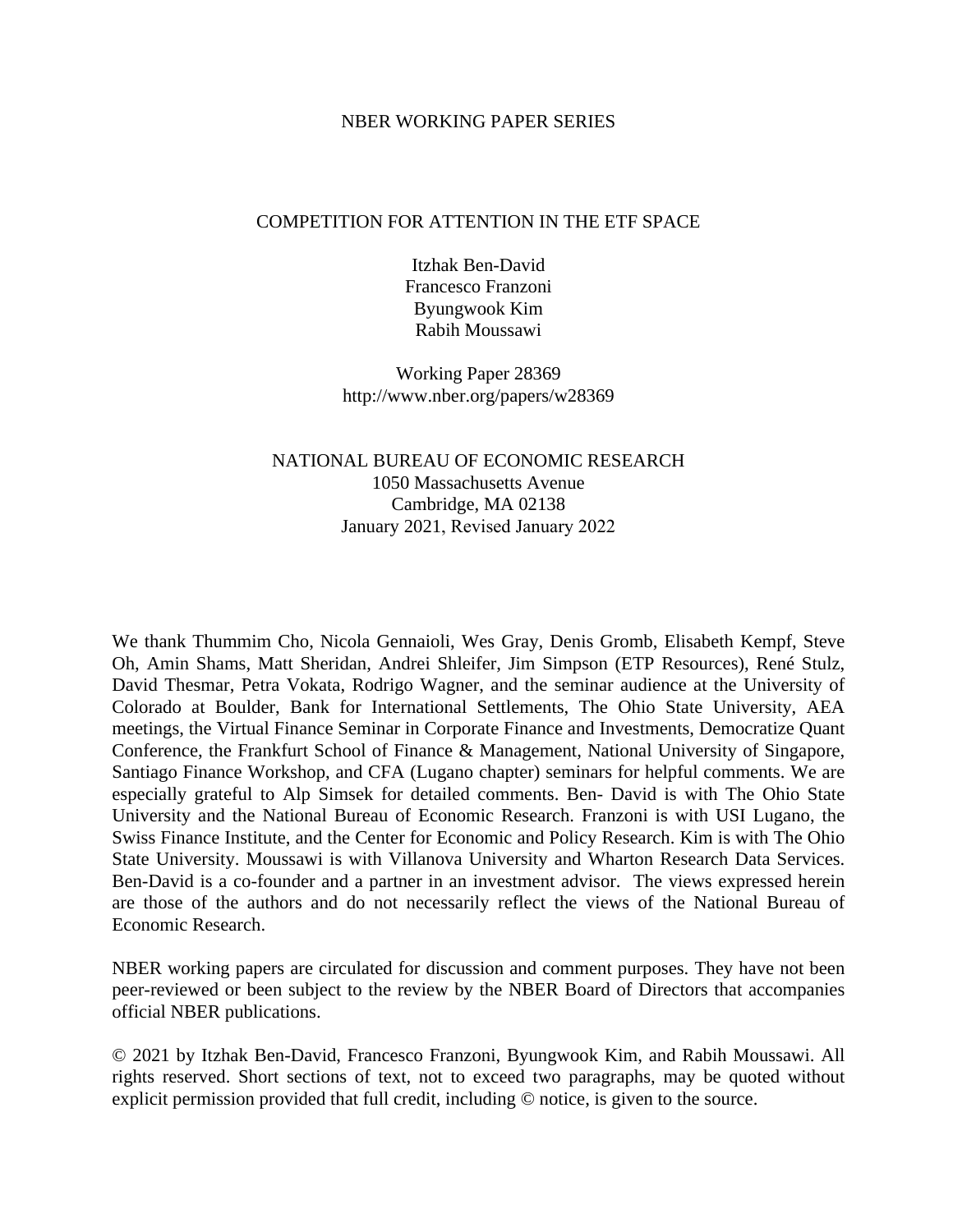### NBER WORKING PAPER SERIES

### COMPETITION FOR ATTENTION IN THE ETF SPACE

Itzhak Ben-David Francesco Franzoni Byungwook Kim Rabih Moussawi

Working Paper 28369 http://www.nber.org/papers/w28369

## NATIONAL BUREAU OF ECONOMIC RESEARCH 1050 Massachusetts Avenue Cambridge, MA 02138 January 2021, Revised January 2022

We thank Thummim Cho, Nicola Gennaioli, Wes Gray, Denis Gromb, Elisabeth Kempf, Steve Oh, Amin Shams, Matt Sheridan, Andrei Shleifer, Jim Simpson (ETP Resources), René Stulz, David Thesmar, Petra Vokata, Rodrigo Wagner, and the seminar audience at the University of Colorado at Boulder, Bank for International Settlements, The Ohio State University, AEA meetings, the Virtual Finance Seminar in Corporate Finance and Investments, Democratize Quant Conference, the Frankfurt School of Finance & Management, National University of Singapore, Santiago Finance Workshop, and CFA (Lugano chapter) seminars for helpful comments. We are especially grateful to Alp Simsek for detailed comments. Ben- David is with The Ohio State University and the National Bureau of Economic Research. Franzoni is with USI Lugano, the Swiss Finance Institute, and the Center for Economic and Policy Research. Kim is with The Ohio State University. Moussawi is with Villanova University and Wharton Research Data Services. Ben-David is a co-founder and a partner in an investment advisor. The views expressed herein are those of the authors and do not necessarily reflect the views of the National Bureau of Economic Research.

NBER working papers are circulated for discussion and comment purposes. They have not been peer-reviewed or been subject to the review by the NBER Board of Directors that accompanies official NBER publications.

© 2021 by Itzhak Ben-David, Francesco Franzoni, Byungwook Kim, and Rabih Moussawi. All rights reserved. Short sections of text, not to exceed two paragraphs, may be quoted without explicit permission provided that full credit, including © notice, is given to the source.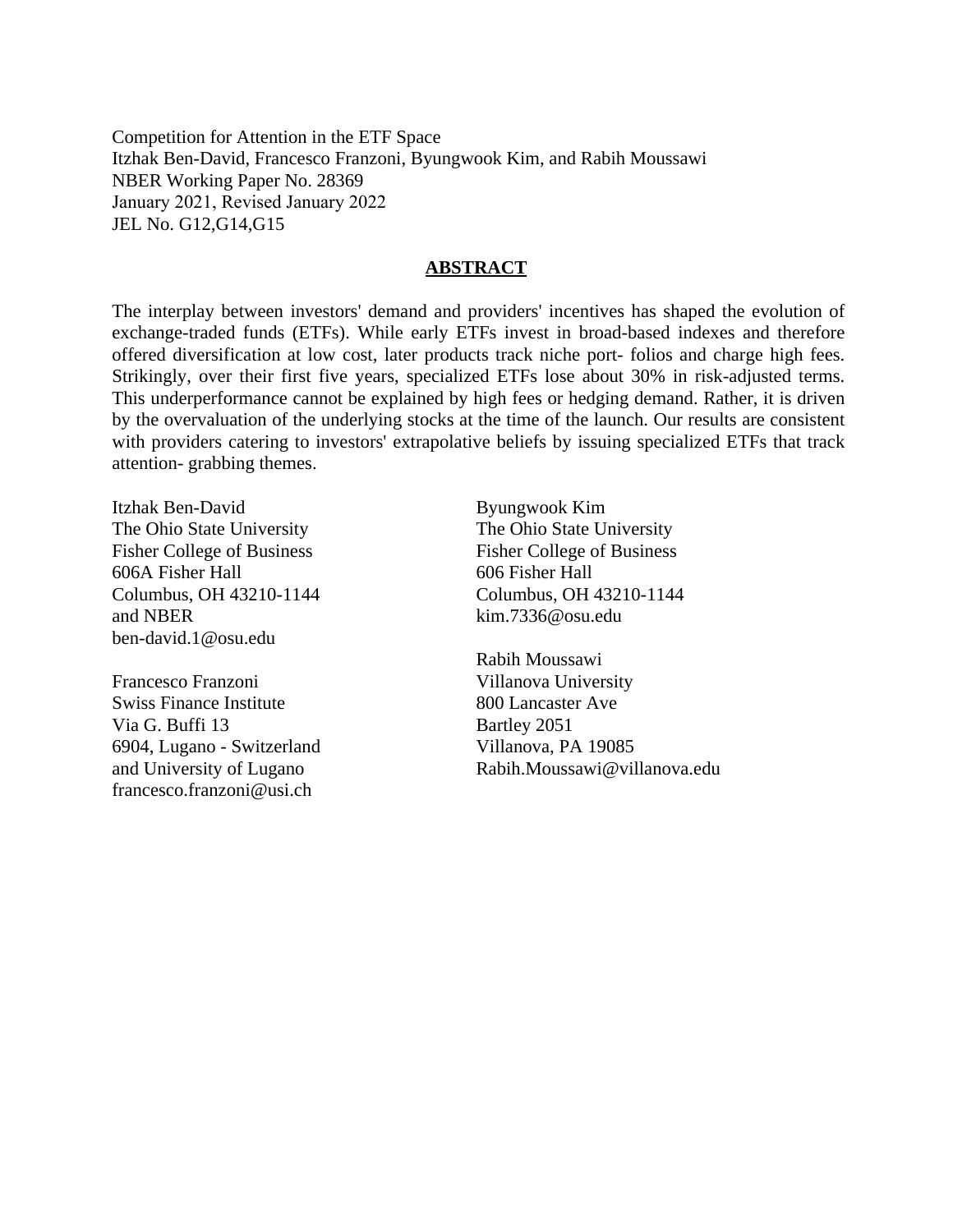Competition for Attention in the ETF Space Itzhak Ben-David, Francesco Franzoni, Byungwook Kim, and Rabih Moussawi NBER Working Paper No. 28369 January 2021, Revised January 2022 JEL No. G12,G14,G15

### **ABSTRACT**

The interplay between investors' demand and providers' incentives has shaped the evolution of exchange-traded funds (ETFs). While early ETFs invest in broad-based indexes and therefore offered diversification at low cost, later products track niche port- folios and charge high fees. Strikingly, over their first five years, specialized ETFs lose about 30% in risk-adjusted terms. This underperformance cannot be explained by high fees or hedging demand. Rather, it is driven by the overvaluation of the underlying stocks at the time of the launch. Our results are consistent with providers catering to investors' extrapolative beliefs by issuing specialized ETFs that track attention- grabbing themes.

Itzhak Ben-David The Ohio State University Fisher College of Business 606A Fisher Hall Columbus, OH 43210-1144 and NBER ben-david.1@osu.edu

Francesco Franzoni Swiss Finance Institute Via G. Buffi 13 6904, Lugano - Switzerland and University of Lugano francesco.franzoni@usi.ch

Byungwook Kim The Ohio State University Fisher College of Business 606 Fisher Hall Columbus, OH 43210-1144 kim.7336@osu.edu

Rabih Moussawi Villanova University 800 Lancaster Ave Bartley 2051 Villanova, PA 19085 Rabih.Moussawi@villanova.edu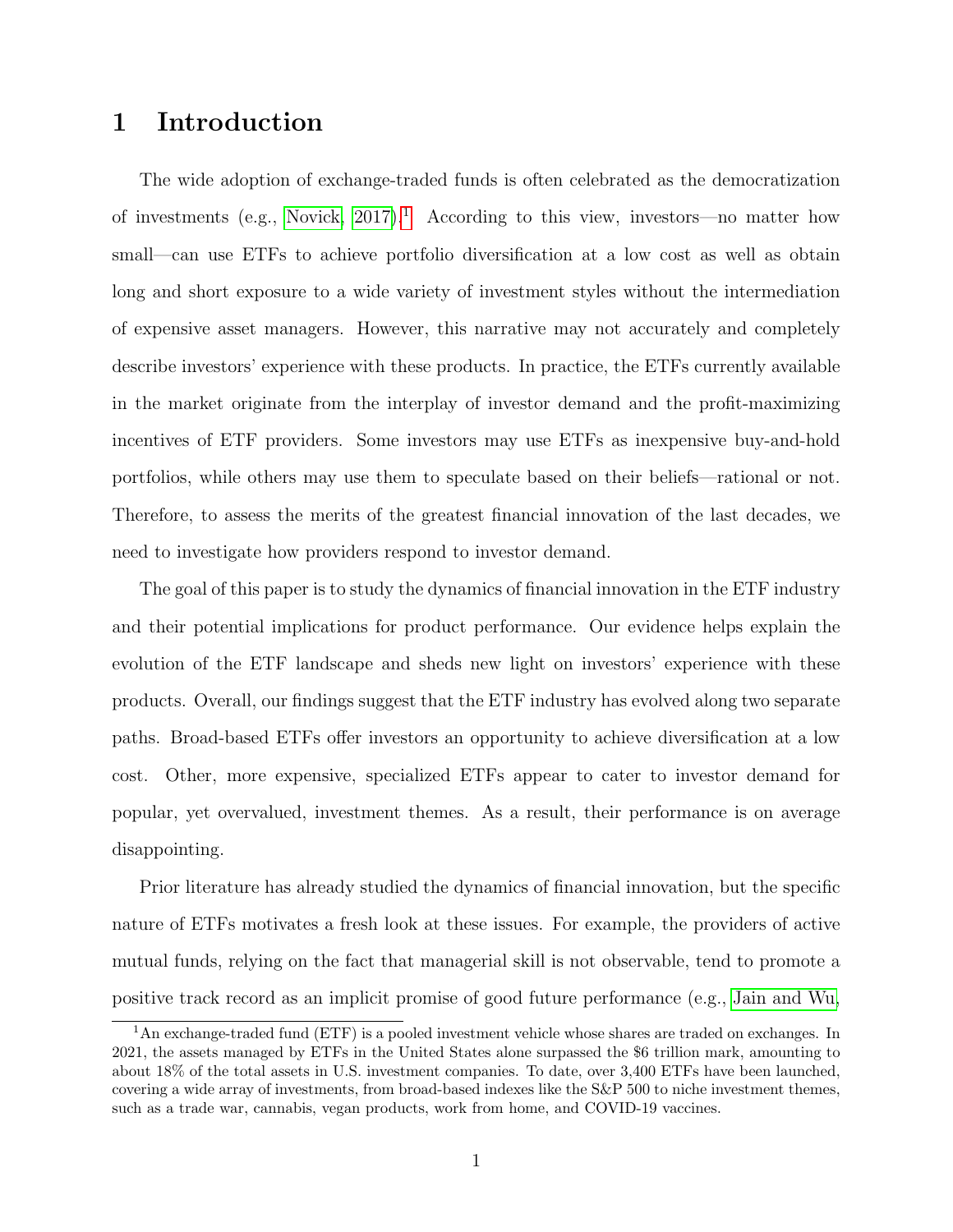# 1 Introduction

The wide adoption of exchange-traded funds is often celebrated as the democratization of investments (e.g., [Novick, 2017\)](#page-51-0).<sup>[1](#page-2-0)</sup> According to this view, investors—no matter how small—can use ETFs to achieve portfolio diversification at a low cost as well as obtain long and short exposure to a wide variety of investment styles without the intermediation of expensive asset managers. However, this narrative may not accurately and completely describe investors' experience with these products. In practice, the ETFs currently available in the market originate from the interplay of investor demand and the profit-maximizing incentives of ETF providers. Some investors may use ETFs as inexpensive buy-and-hold portfolios, while others may use them to speculate based on their beliefs—rational or not. Therefore, to assess the merits of the greatest financial innovation of the last decades, we need to investigate how providers respond to investor demand.

The goal of this paper is to study the dynamics of financial innovation in the ETF industry and their potential implications for product performance. Our evidence helps explain the evolution of the ETF landscape and sheds new light on investors' experience with these products. Overall, our findings suggest that the ETF industry has evolved along two separate paths. Broad-based ETFs offer investors an opportunity to achieve diversification at a low cost. Other, more expensive, specialized ETFs appear to cater to investor demand for popular, yet overvalued, investment themes. As a result, their performance is on average disappointing.

Prior literature has already studied the dynamics of financial innovation, but the specific nature of ETFs motivates a fresh look at these issues. For example, the providers of active mutual funds, relying on the fact that managerial skill is not observable, tend to promote a positive track record as an implicit promise of good future performance (e.g., [Jain and Wu,](#page-50-0)

<span id="page-2-0"></span><sup>&</sup>lt;sup>1</sup>An exchange-traded fund (ETF) is a pooled investment vehicle whose shares are traded on exchanges. In 2021, the assets managed by ETFs in the United States alone surpassed the \$6 trillion mark, amounting to about 18% of the total assets in U.S. investment companies. To date, over 3,400 ETFs have been launched, covering a wide array of investments, from broad-based indexes like the S&P 500 to niche investment themes, such as a trade war, cannabis, vegan products, work from home, and COVID-19 vaccines.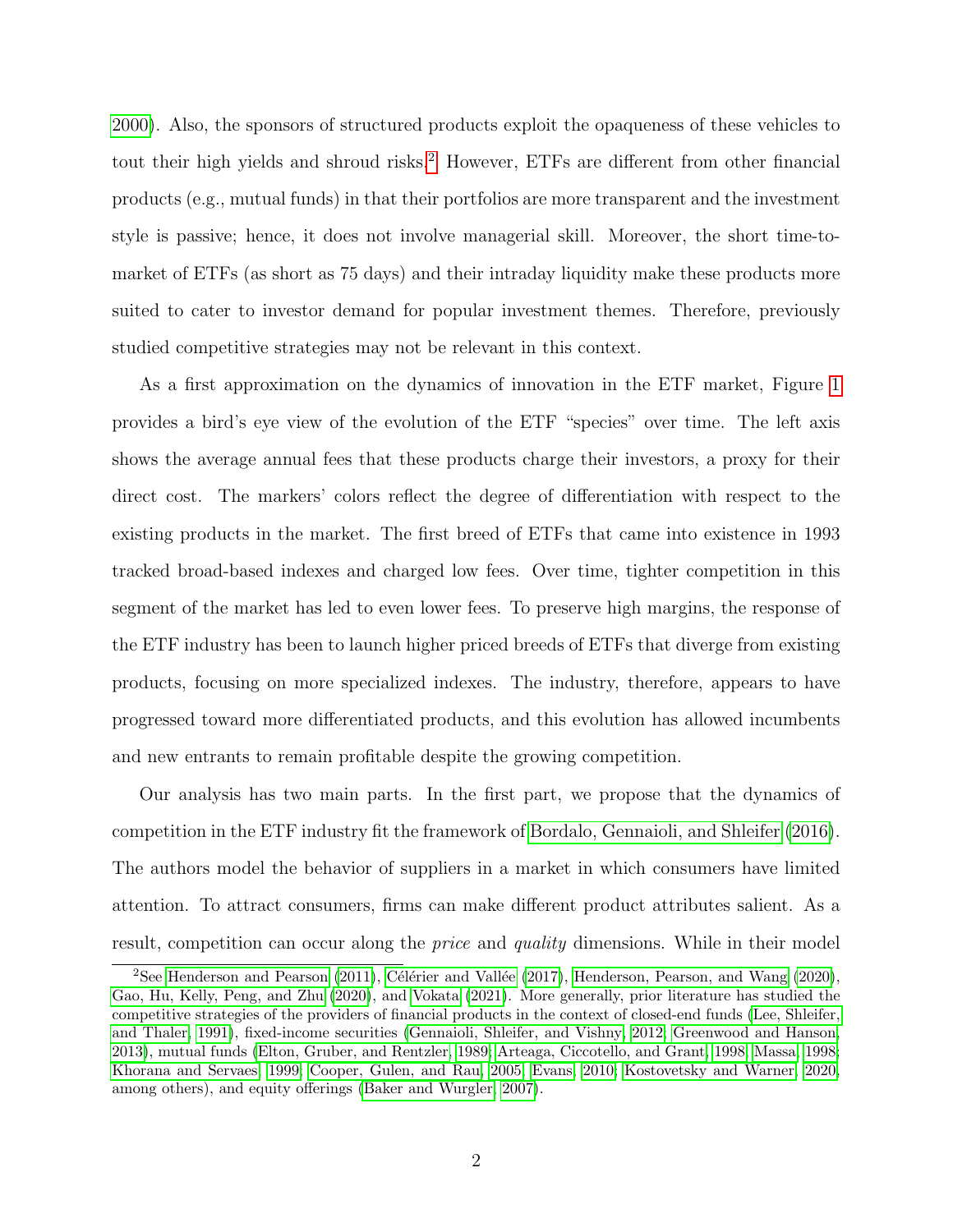[2000\)](#page-50-0). Also, the sponsors of structured products exploit the opaqueness of these vehicles to tout their high yields and shroud risks.<sup>[2](#page-3-0)</sup> However, ETFs are different from other financial products (e.g., mutual funds) in that their portfolios are more transparent and the investment style is passive; hence, it does not involve managerial skill. Moreover, the short time-tomarket of ETFs (as short as 75 days) and their intraday liquidity make these products more suited to cater to investor demand for popular investment themes. Therefore, previously studied competitive strategies may not be relevant in this context.

As a first approximation on the dynamics of innovation in the ETF market, Figure [1](#page-4-0) provides a bird's eye view of the evolution of the ETF "species" over time. The left axis shows the average annual fees that these products charge their investors, a proxy for their direct cost. The markers' colors reflect the degree of differentiation with respect to the existing products in the market. The first breed of ETFs that came into existence in 1993 tracked broad-based indexes and charged low fees. Over time, tighter competition in this segment of the market has led to even lower fees. To preserve high margins, the response of the ETF industry has been to launch higher priced breeds of ETFs that diverge from existing products, focusing on more specialized indexes. The industry, therefore, appears to have progressed toward more differentiated products, and this evolution has allowed incumbents and new entrants to remain profitable despite the growing competition.

Our analysis has two main parts. In the first part, we propose that the dynamics of competition in the ETF industry fit the framework of [Bordalo, Gennaioli, and Shleifer](#page-48-0) [\(2016\)](#page-48-0). The authors model the behavior of suppliers in a market in which consumers have limited attention. To attract consumers, firms can make different product attributes salient. As a result, competition can occur along the price and quality dimensions. While in their model

<span id="page-3-0"></span><sup>&</sup>lt;sup>2</sup>See [Henderson and Pearson](#page-50-1) [\(2011\)](#page-50-1), Célérier and Vallée [\(2017\)](#page-48-1), [Henderson, Pearson, and Wang](#page-50-2) [\(2020\)](#page-50-2), [Gao, Hu, Kelly, Peng, and Zhu](#page-49-0) [\(2020\)](#page-49-0), and [Vokata](#page-52-0) [\(2021\)](#page-52-0). More generally, prior literature has studied the competitive strategies of the providers of financial products in the context of closed-end funds [\(Lee, Shleifer,](#page-51-1) [and Thaler, 1991\)](#page-51-1), fixed-income securities [\(Gennaioli, Shleifer, and Vishny, 2012;](#page-50-3) [Greenwood and Hanson,](#page-50-4) [2013\)](#page-50-4), mutual funds [\(Elton, Gruber, and Rentzler, 1989;](#page-49-1) [Arteaga, Ciccotello, and Grant, 1998;](#page-47-0) [Massa, 1998;](#page-51-2) [Khorana and Servaes, 1999;](#page-51-3) [Cooper, Gulen, and Rau, 2005;](#page-48-2) [Evans, 2010;](#page-49-2) [Kostovetsky and Warner, 2020,](#page-51-4) among others), and equity offerings [\(Baker and Wurgler, 2007\)](#page-47-1).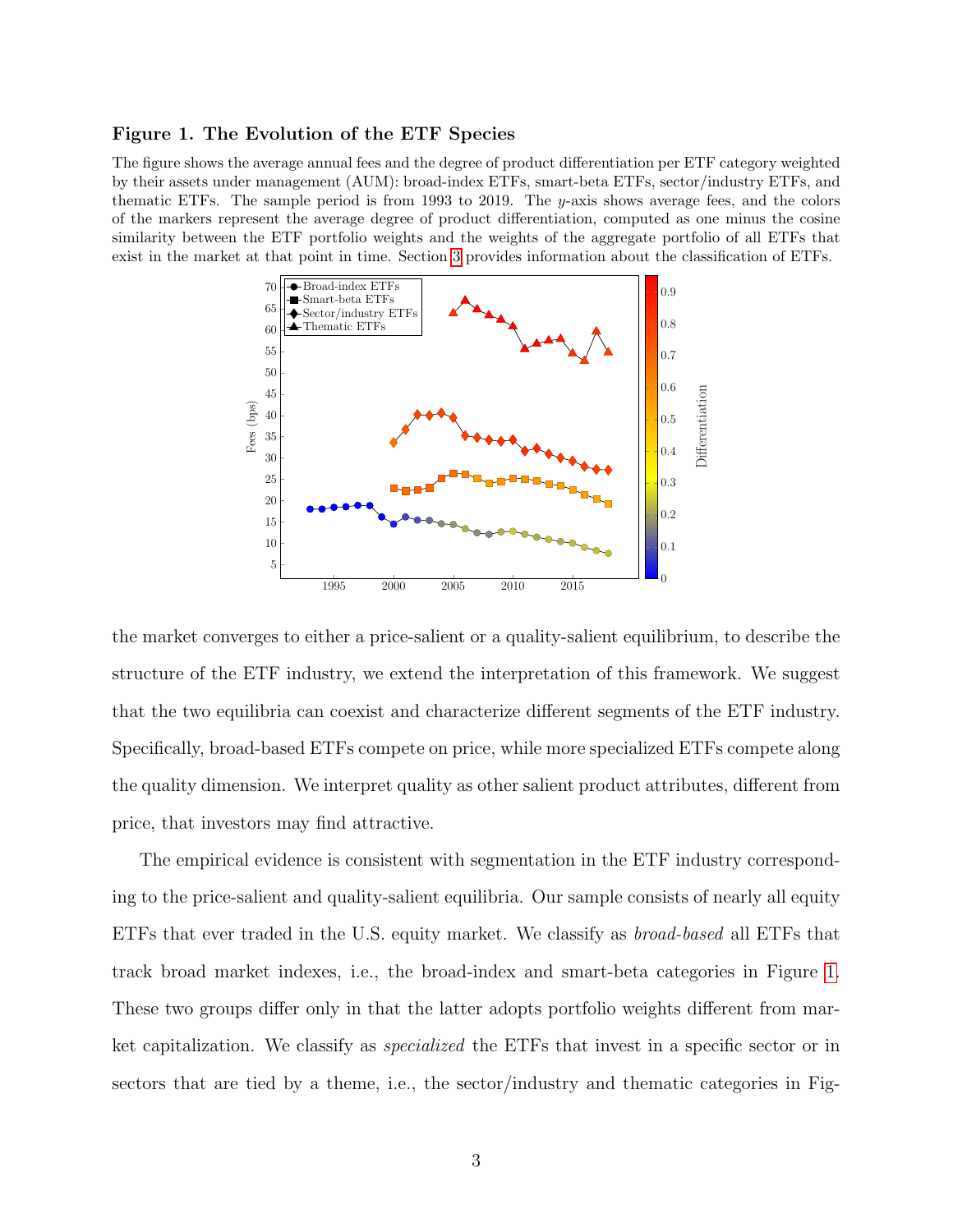#### <span id="page-4-0"></span>Figure 1. The Evolution of the ETF Species

The figure shows the average annual fees and the degree of product differentiation per ETF category weighted by their assets under management (AUM): broad-index ETFs, smart-beta ETFs, sector/industry ETFs, and thematic ETFs. The sample period is from 1993 to 2019. The y-axis shows average fees, and the colors of the markers represent the average degree of product differentiation, computed as one minus the cosine similarity between the ETF portfolio weights and the weights of the aggregate portfolio of all ETFs that exist in the market at that point in time. Section [3](#page-14-0) provides information about the classification of ETFs.



the market converges to either a price-salient or a quality-salient equilibrium, to describe the structure of the ETF industry, we extend the interpretation of this framework. We suggest that the two equilibria can coexist and characterize different segments of the ETF industry. Specifically, broad-based ETFs compete on price, while more specialized ETFs compete along the quality dimension. We interpret quality as other salient product attributes, different from price, that investors may find attractive.

The empirical evidence is consistent with segmentation in the ETF industry corresponding to the price-salient and quality-salient equilibria. Our sample consists of nearly all equity ETFs that ever traded in the U.S. equity market. We classify as broad-based all ETFs that track broad market indexes, i.e., the broad-index and smart-beta categories in Figure [1.](#page-4-0) These two groups differ only in that the latter adopts portfolio weights different from market capitalization. We classify as specialized the ETFs that invest in a specific sector or in sectors that are tied by a theme, i.e., the sector/industry and thematic categories in Fig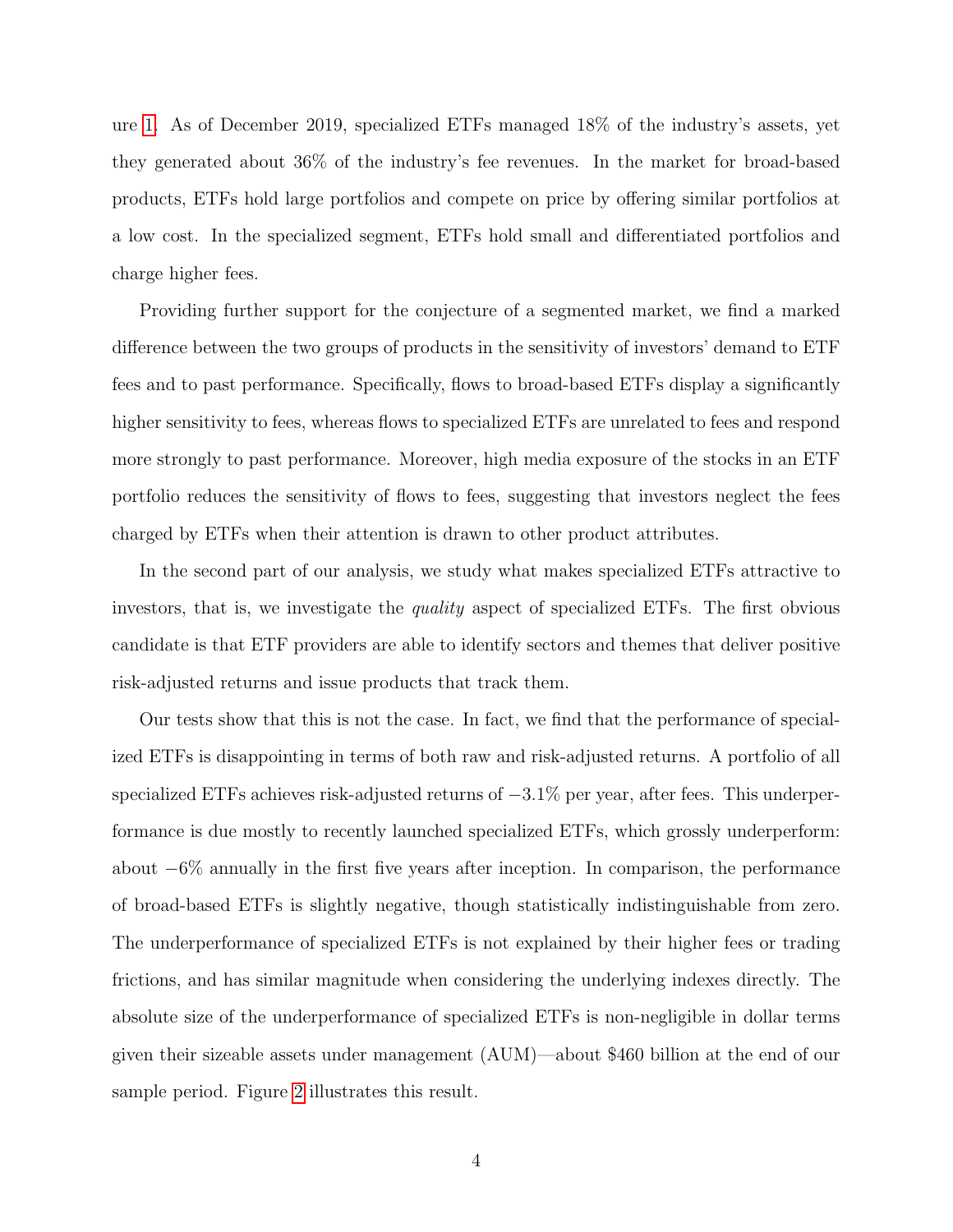ure [1.](#page-4-0) As of December 2019, specialized ETFs managed 18% of the industry's assets, yet they generated about 36% of the industry's fee revenues. In the market for broad-based products, ETFs hold large portfolios and compete on price by offering similar portfolios at a low cost. In the specialized segment, ETFs hold small and differentiated portfolios and charge higher fees.

Providing further support for the conjecture of a segmented market, we find a marked difference between the two groups of products in the sensitivity of investors' demand to ETF fees and to past performance. Specifically, flows to broad-based ETFs display a significantly higher sensitivity to fees, whereas flows to specialized ETFs are unrelated to fees and respond more strongly to past performance. Moreover, high media exposure of the stocks in an ETF portfolio reduces the sensitivity of flows to fees, suggesting that investors neglect the fees charged by ETFs when their attention is drawn to other product attributes.

In the second part of our analysis, we study what makes specialized ETFs attractive to investors, that is, we investigate the *quality* aspect of specialized ETFs. The first obvious candidate is that ETF providers are able to identify sectors and themes that deliver positive risk-adjusted returns and issue products that track them.

Our tests show that this is not the case. In fact, we find that the performance of specialized ETFs is disappointing in terms of both raw and risk-adjusted returns. A portfolio of all specialized ETFs achieves risk-adjusted returns of  $-3.1\%$  per year, after fees. This underperformance is due mostly to recently launched specialized ETFs, which grossly underperform: about −6% annually in the first five years after inception. In comparison, the performance of broad-based ETFs is slightly negative, though statistically indistinguishable from zero. The underperformance of specialized ETFs is not explained by their higher fees or trading frictions, and has similar magnitude when considering the underlying indexes directly. The absolute size of the underperformance of specialized ETFs is non-negligible in dollar terms given their sizeable assets under management (AUM)—about \$460 billion at the end of our sample period. Figure [2](#page-6-0) illustrates this result.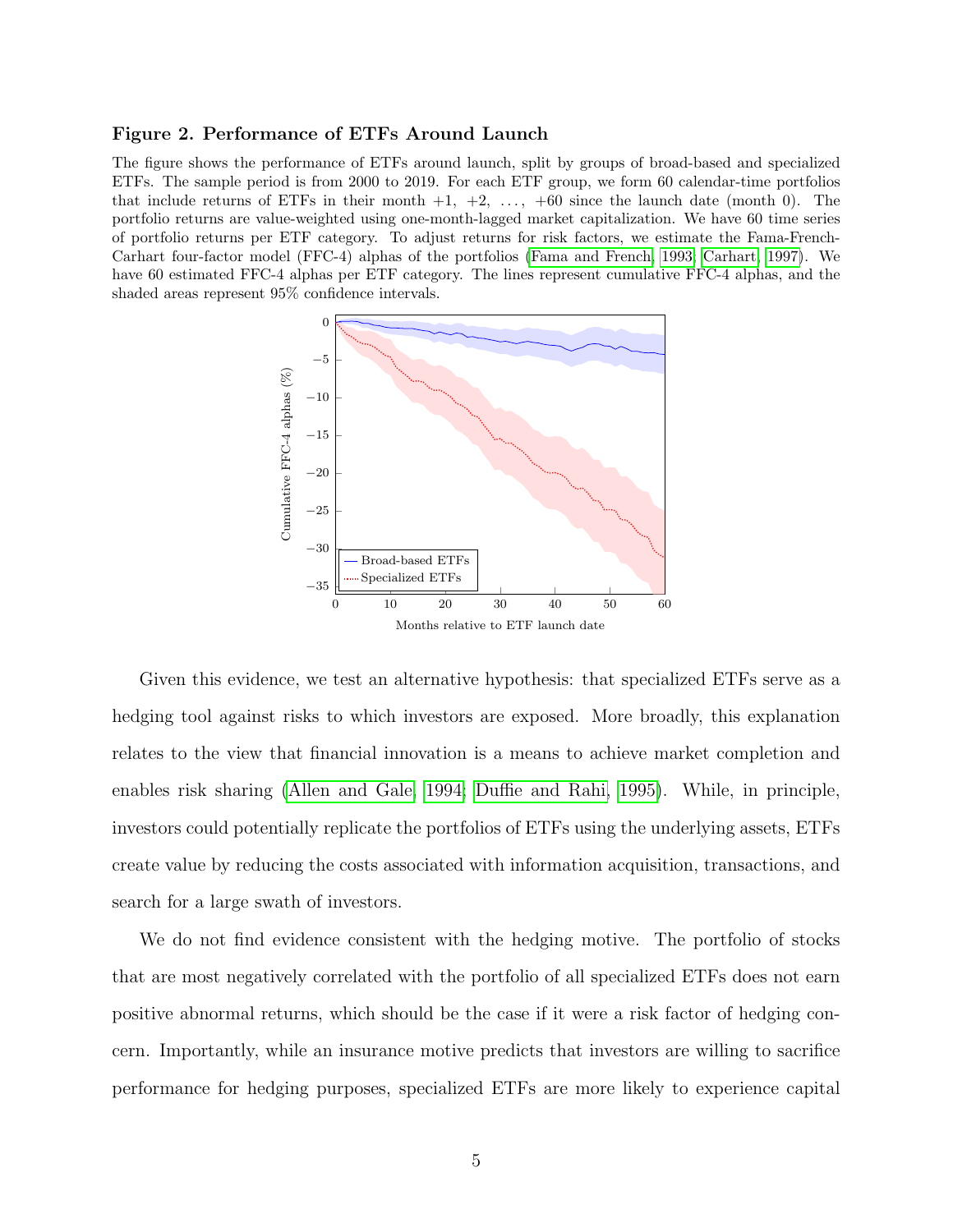### <span id="page-6-0"></span>Figure 2. Performance of ETFs Around Launch

The figure shows the performance of ETFs around launch, split by groups of broad-based and specialized ETFs. The sample period is from 2000 to 2019. For each ETF group, we form 60 calendar-time portfolios that include returns of ETFs in their month  $+1$ ,  $+2$ ,  $\ldots$ ,  $+60$  since the launch date (month 0). The portfolio returns are value-weighted using one-month-lagged market capitalization. We have 60 time series of portfolio returns per ETF category. To adjust returns for risk factors, we estimate the Fama-French-Carhart four-factor model (FFC-4) alphas of the portfolios [\(Fama and French, 1993;](#page-49-3) [Carhart, 1997\)](#page-48-3). We have 60 estimated FFC-4 alphas per ETF category. The lines represent cumulative FFC-4 alphas, and the shaded areas represent 95% confidence intervals.



Given this evidence, we test an alternative hypothesis: that specialized ETFs serve as a hedging tool against risks to which investors are exposed. More broadly, this explanation relates to the view that financial innovation is a means to achieve market completion and enables risk sharing [\(Allen and Gale, 1994;](#page-47-2) [Duffie and Rahi, 1995\)](#page-49-4). While, in principle, investors could potentially replicate the portfolios of ETFs using the underlying assets, ETFs create value by reducing the costs associated with information acquisition, transactions, and search for a large swath of investors.

We do not find evidence consistent with the hedging motive. The portfolio of stocks that are most negatively correlated with the portfolio of all specialized ETFs does not earn positive abnormal returns, which should be the case if it were a risk factor of hedging concern. Importantly, while an insurance motive predicts that investors are willing to sacrifice performance for hedging purposes, specialized ETFs are more likely to experience capital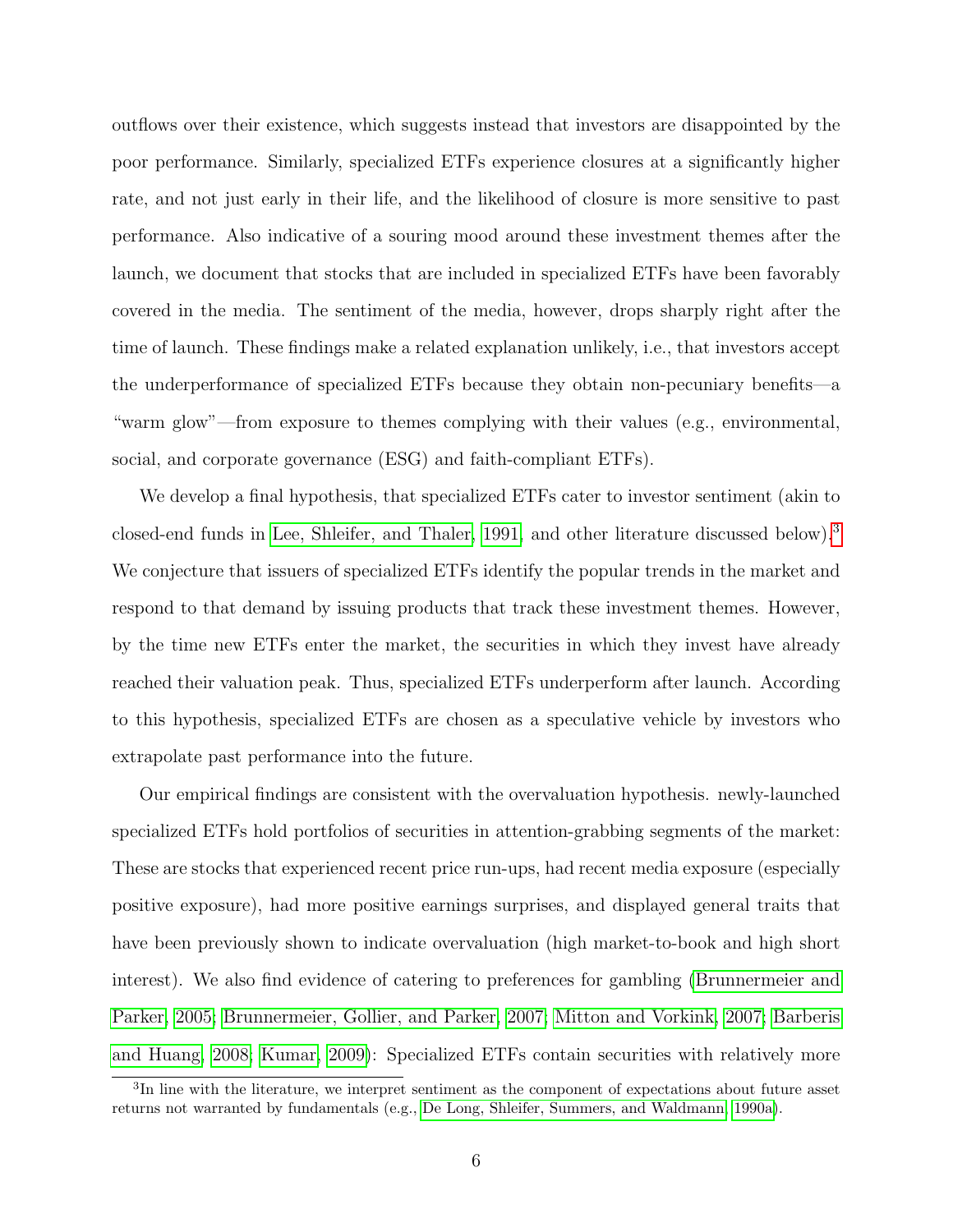outflows over their existence, which suggests instead that investors are disappointed by the poor performance. Similarly, specialized ETFs experience closures at a significantly higher rate, and not just early in their life, and the likelihood of closure is more sensitive to past performance. Also indicative of a souring mood around these investment themes after the launch, we document that stocks that are included in specialized ETFs have been favorably covered in the media. The sentiment of the media, however, drops sharply right after the time of launch. These findings make a related explanation unlikely, i.e., that investors accept the underperformance of specialized ETFs because they obtain non-pecuniary benefits—a "warm glow"—from exposure to themes complying with their values (e.g., environmental, social, and corporate governance (ESG) and faith-compliant ETFs).

We develop a final hypothesis, that specialized ETFs cater to investor sentiment (akin to closed-end funds in [Lee, Shleifer, and Thaler, 1991,](#page-51-1) and other literature discussed below).[3](#page-7-0) We conjecture that issuers of specialized ETFs identify the popular trends in the market and respond to that demand by issuing products that track these investment themes. However, by the time new ETFs enter the market, the securities in which they invest have already reached their valuation peak. Thus, specialized ETFs underperform after launch. According to this hypothesis, specialized ETFs are chosen as a speculative vehicle by investors who extrapolate past performance into the future.

Our empirical findings are consistent with the overvaluation hypothesis. newly-launched specialized ETFs hold portfolios of securities in attention-grabbing segments of the market: These are stocks that experienced recent price run-ups, had recent media exposure (especially positive exposure), had more positive earnings surprises, and displayed general traits that have been previously shown to indicate overvaluation (high market-to-book and high short interest). We also find evidence of catering to preferences for gambling [\(Brunnermeier and](#page-48-4) [Parker, 2005;](#page-48-4) [Brunnermeier, Gollier, and Parker, 2007;](#page-48-5) [Mitton and Vorkink, 2007;](#page-51-5) [Barberis](#page-47-3) [and Huang, 2008;](#page-47-3) [Kumar, 2009\)](#page-51-6): Specialized ETFs contain securities with relatively more

<span id="page-7-0"></span><sup>&</sup>lt;sup>3</sup>In line with the literature, we interpret sentiment as the component of expectations about future asset returns not warranted by fundamentals (e.g., [De Long, Shleifer, Summers, and Waldmann, 1990a\)](#page-48-6).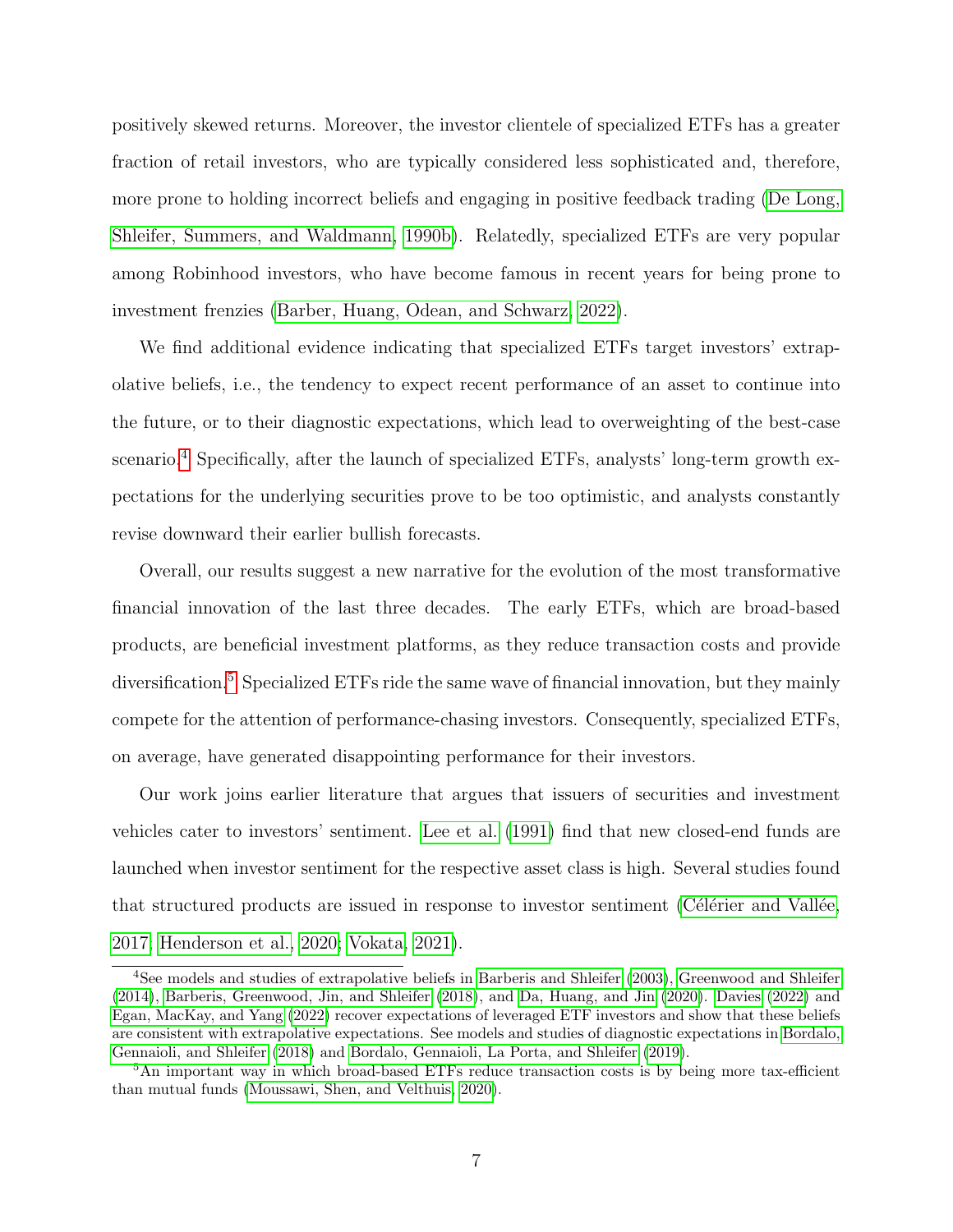positively skewed returns. Moreover, the investor clientele of specialized ETFs has a greater fraction of retail investors, who are typically considered less sophisticated and, therefore, more prone to holding incorrect beliefs and engaging in positive feedback trading [\(De Long,](#page-49-5) [Shleifer, Summers, and Waldmann, 1990b\)](#page-49-5). Relatedly, specialized ETFs are very popular among Robinhood investors, who have become famous in recent years for being prone to investment frenzies [\(Barber, Huang, Odean, and Schwarz, 2022\)](#page-47-4).

We find additional evidence indicating that specialized ETFs target investors' extrapolative beliefs, i.e., the tendency to expect recent performance of an asset to continue into the future, or to their diagnostic expectations, which lead to overweighting of the best-case scenario.<sup>[4](#page-8-0)</sup> Specifically, after the launch of specialized ETFs, analysts' long-term growth expectations for the underlying securities prove to be too optimistic, and analysts constantly revise downward their earlier bullish forecasts.

Overall, our results suggest a new narrative for the evolution of the most transformative financial innovation of the last three decades. The early ETFs, which are broad-based products, are beneficial investment platforms, as they reduce transaction costs and provide diversification.[5](#page-8-1) Specialized ETFs ride the same wave of financial innovation, but they mainly compete for the attention of performance-chasing investors. Consequently, specialized ETFs, on average, have generated disappointing performance for their investors.

Our work joins earlier literature that argues that issuers of securities and investment vehicles cater to investors' sentiment. [Lee et al.](#page-51-1) [\(1991\)](#page-51-1) find that new closed-end funds are launched when investor sentiment for the respective asset class is high. Several studies found that structured products are issued in response to investor sentiment (Célérier and Vallée, [2017;](#page-48-1) [Henderson et al., 2020;](#page-50-2) [Vokata, 2021\)](#page-52-0).

<span id="page-8-0"></span><sup>4</sup>See models and studies of extrapolative beliefs in [Barberis and Shleifer](#page-47-5) [\(2003\)](#page-47-5), [Greenwood and Shleifer](#page-50-5) [\(2014\)](#page-50-5), [Barberis, Greenwood, Jin, and Shleifer](#page-47-6) [\(2018\)](#page-47-6), and [Da, Huang, and Jin](#page-48-7) [\(2020\)](#page-48-7). [Davies](#page-48-8) [\(2022\)](#page-48-8) and [Egan, MacKay, and Yang](#page-49-6) [\(2022\)](#page-49-6) recover expectations of leveraged ETF investors and show that these beliefs are consistent with extrapolative expectations. See models and studies of diagnostic expectations in [Bordalo,](#page-48-9) [Gennaioli, and Shleifer](#page-48-9) [\(2018\)](#page-48-9) and [Bordalo, Gennaioli, La Porta, and Shleifer](#page-47-7) [\(2019\)](#page-47-7).

<span id="page-8-1"></span><sup>&</sup>lt;sup>5</sup>An important way in which broad-based ETFs reduce transaction costs is by being more tax-efficient than mutual funds [\(Moussawi, Shen, and Velthuis, 2020\)](#page-51-7).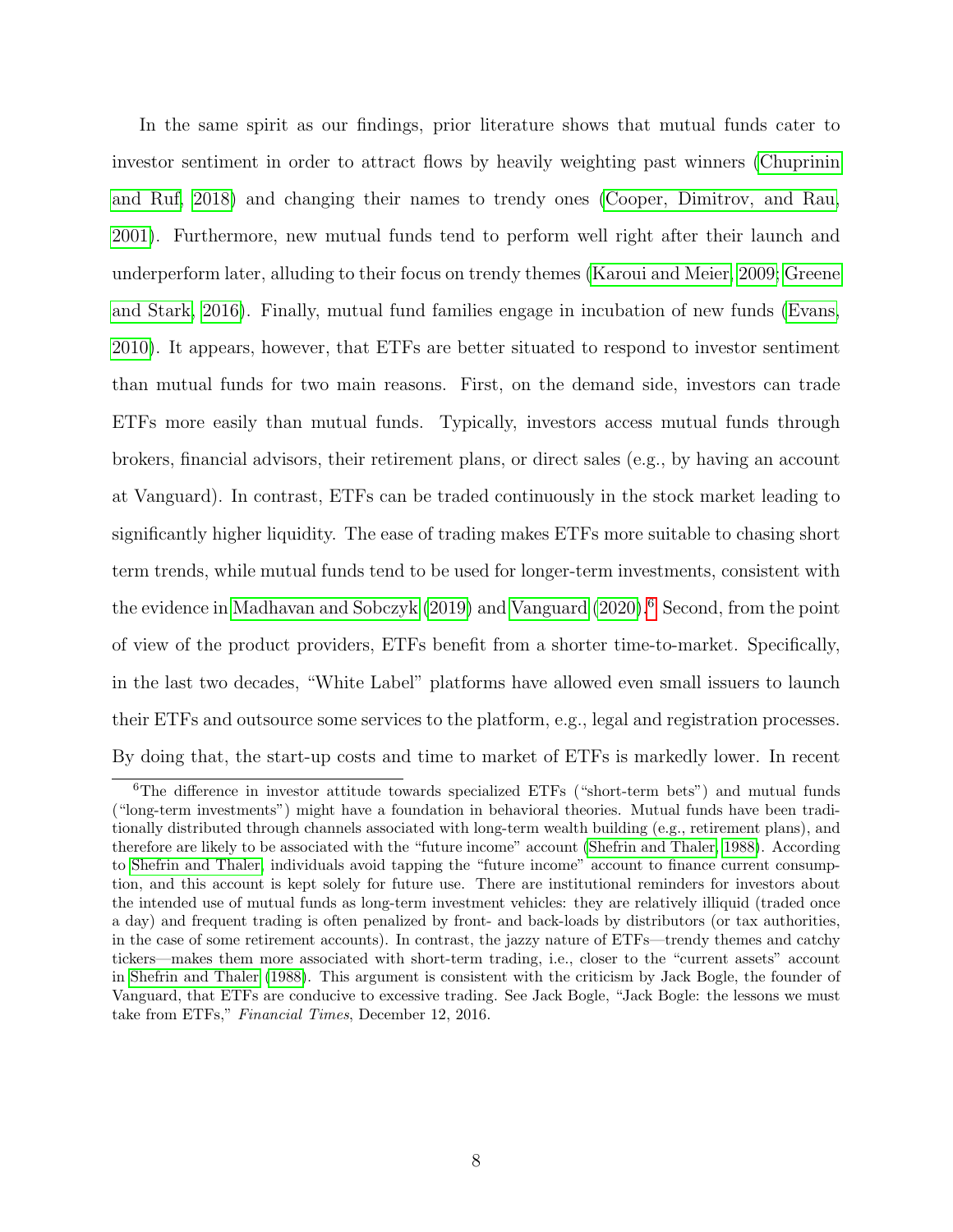In the same spirit as our findings, prior literature shows that mutual funds cater to investor sentiment in order to attract flows by heavily weighting past winners [\(Chuprinin](#page-48-10) [and Ruf, 2018\)](#page-48-10) and changing their names to trendy ones [\(Cooper, Dimitrov, and Rau,](#page-48-11) [2001\)](#page-48-11). Furthermore, new mutual funds tend to perform well right after their launch and underperform later, alluding to their focus on trendy themes [\(Karoui and Meier, 2009;](#page-50-6) [Greene](#page-50-7) [and Stark, 2016\)](#page-50-7). Finally, mutual fund families engage in incubation of new funds [\(Evans,](#page-49-2) [2010\)](#page-49-2). It appears, however, that ETFs are better situated to respond to investor sentiment than mutual funds for two main reasons. First, on the demand side, investors can trade ETFs more easily than mutual funds. Typically, investors access mutual funds through brokers, financial advisors, their retirement plans, or direct sales (e.g., by having an account at Vanguard). In contrast, ETFs can be traded continuously in the stock market leading to significantly higher liquidity. The ease of trading makes ETFs more suitable to chasing short term trends, while mutual funds tend to be used for longer-term investments, consistent with the evidence in [Madhavan and Sobczyk](#page-51-8) [\(2019\)](#page-51-8) and [Vanguard](#page-52-1) [\(2020\)](#page-52-1).<sup>[6](#page-9-0)</sup> Second, from the point of view of the product providers, ETFs benefit from a shorter time-to-market. Specifically, in the last two decades, "White Label" platforms have allowed even small issuers to launch their ETFs and outsource some services to the platform, e.g., legal and registration processes. By doing that, the start-up costs and time to market of ETFs is markedly lower. In recent

<span id="page-9-0"></span><sup>&</sup>lt;sup>6</sup>The difference in investor attitude towards specialized ETFs ("short-term bets") and mutual funds ("long-term investments") might have a foundation in behavioral theories. Mutual funds have been traditionally distributed through channels associated with long-term wealth building (e.g., retirement plans), and therefore are likely to be associated with the "future income" account [\(Shefrin and Thaler, 1988\)](#page-51-9). According to [Shefrin and Thaler,](#page-51-9) individuals avoid tapping the "future income" account to finance current consumption, and this account is kept solely for future use. There are institutional reminders for investors about the intended use of mutual funds as long-term investment vehicles: they are relatively illiquid (traded once a day) and frequent trading is often penalized by front- and back-loads by distributors (or tax authorities, in the case of some retirement accounts). In contrast, the jazzy nature of ETFs—trendy themes and catchy tickers—makes them more associated with short-term trading, i.e., closer to the "current assets" account in [Shefrin and Thaler](#page-51-9) [\(1988\)](#page-51-9). This argument is consistent with the criticism by Jack Bogle, the founder of Vanguard, that ETFs are conducive to excessive trading. See Jack Bogle, "Jack Bogle: the lessons we must take from ETFs," Financial Times, December 12, 2016.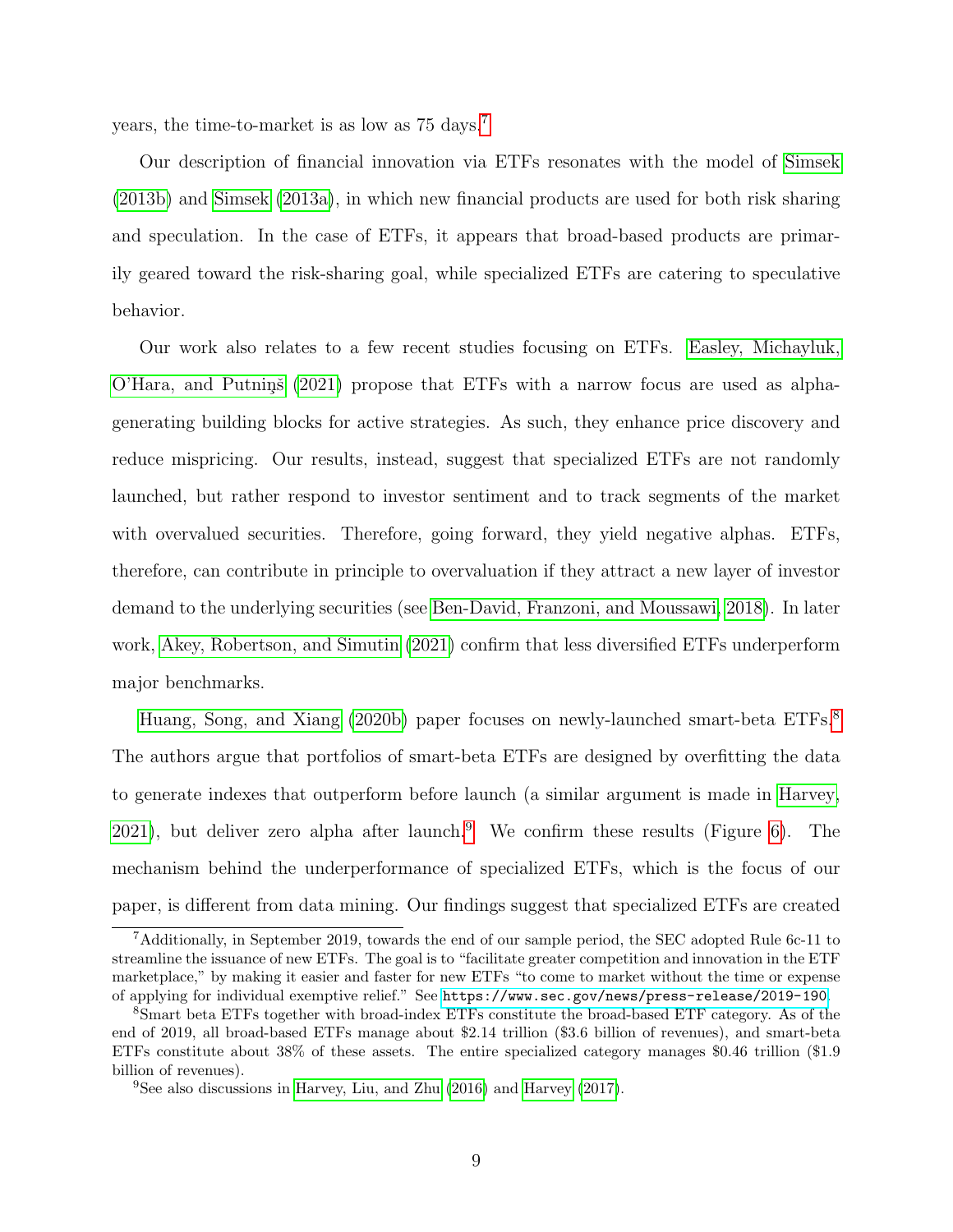years, the time-to-market is as low as 75 days.[7](#page-10-0)

Our description of financial innovation via ETFs resonates with the model of [Simsek](#page-52-2) [\(2013b\)](#page-52-2) and [Simsek](#page-52-3) [\(2013a\)](#page-52-3), in which new financial products are used for both risk sharing and speculation. In the case of ETFs, it appears that broad-based products are primarily geared toward the risk-sharing goal, while specialized ETFs are catering to speculative behavior.

Our work also relates to a few recent studies focusing on ETFs. [Easley, Michayluk,](#page-49-7)  $O'Hara$ , and Putnins [\(2021\)](#page-49-7) propose that ETFs with a narrow focus are used as alphagenerating building blocks for active strategies. As such, they enhance price discovery and reduce mispricing. Our results, instead, suggest that specialized ETFs are not randomly launched, but rather respond to investor sentiment and to track segments of the market with overvalued securities. Therefore, going forward, they yield negative alphas. ETFs, therefore, can contribute in principle to overvaluation if they attract a new layer of investor demand to the underlying securities (see [Ben-David, Franzoni, and Moussawi, 2018\)](#page-47-8). In later work, [Akey, Robertson, and Simutin](#page-47-9) [\(2021\)](#page-47-9) confirm that less diversified ETFs underperform major benchmarks.

[Huang, Song, and Xiang](#page-50-8) [\(2020b\)](#page-50-8) paper focuses on newly-launched smart-beta ETFs.<sup>[8](#page-10-1)</sup> The authors argue that portfolios of smart-beta ETFs are designed by overfitting the data to generate indexes that outperform before launch (a similar argument is made in [Harvey,](#page-50-9) [2021\)](#page-50-9), but deliver zero alpha after launch.<sup>[9](#page-10-2)</sup> We confirm these results (Figure [6\)](#page-28-0). The mechanism behind the underperformance of specialized ETFs, which is the focus of our paper, is different from data mining. Our findings suggest that specialized ETFs are created

<span id="page-10-0"></span><sup>7</sup>Additionally, in September 2019, towards the end of our sample period, the SEC adopted Rule 6c-11 to streamline the issuance of new ETFs. The goal is to "facilitate greater competition and innovation in the ETF marketplace," by making it easier and faster for new ETFs "to come to market without the time or expense of applying for individual exemptive relief." See <https://www.sec.gov/news/press-release/2019-190>.

<span id="page-10-1"></span><sup>8</sup>Smart beta ETFs together with broad-index ETFs constitute the broad-based ETF category. As of the end of 2019, all broad-based ETFs manage about \$2.14 trillion (\$3.6 billion of revenues), and smart-beta ETFs constitute about 38% of these assets. The entire specialized category manages \$0.46 trillion (\$1.9 billion of revenues).

<span id="page-10-2"></span><sup>&</sup>lt;sup>9</sup>See also discussions in [Harvey, Liu, and Zhu](#page-50-10)  $(2016)$  and [Harvey](#page-50-11)  $(2017)$ .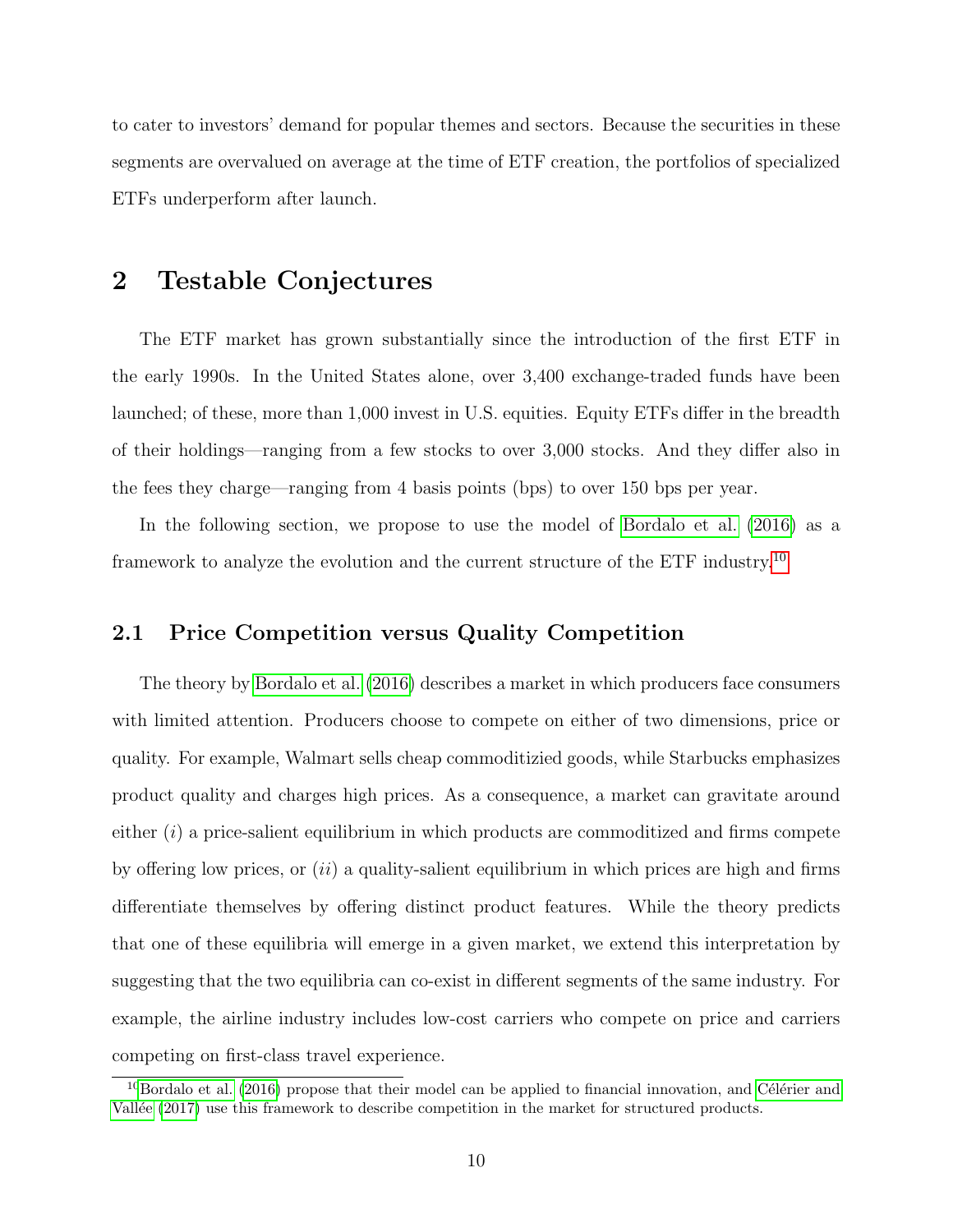to cater to investors' demand for popular themes and sectors. Because the securities in these segments are overvalued on average at the time of ETF creation, the portfolios of specialized ETFs underperform after launch.

# 2 Testable Conjectures

The ETF market has grown substantially since the introduction of the first ETF in the early 1990s. In the United States alone, over 3,400 exchange-traded funds have been launched; of these, more than 1,000 invest in U.S. equities. Equity ETFs differ in the breadth of their holdings—ranging from a few stocks to over 3,000 stocks. And they differ also in the fees they charge—ranging from 4 basis points (bps) to over 150 bps per year.

In the following section, we propose to use the model of [Bordalo et al.](#page-48-0) [\(2016\)](#page-48-0) as a framework to analyze the evolution and the current structure of the ETF industry.[10](#page-11-0)

## 2.1 Price Competition versus Quality Competition

The theory by [Bordalo et al.](#page-48-0) [\(2016\)](#page-48-0) describes a market in which producers face consumers with limited attention. Producers choose to compete on either of two dimensions, price or quality. For example, Walmart sells cheap commoditizied goods, while Starbucks emphasizes product quality and charges high prices. As a consequence, a market can gravitate around either  $(i)$  a price-salient equilibrium in which products are commoditized and firms compete by offering low prices, or  $(ii)$  a quality-salient equilibrium in which prices are high and firms differentiate themselves by offering distinct product features. While the theory predicts that one of these equilibria will emerge in a given market, we extend this interpretation by suggesting that the two equilibria can co-exist in different segments of the same industry. For example, the airline industry includes low-cost carriers who compete on price and carriers competing on first-class travel experience.

<span id="page-11-0"></span> $10$ [Bordalo et al.](#page-48-0) [\(2016\)](#page-48-0) propose that their model can be applied to financial innovation, and Célérier and Vallée [\(2017\)](#page-48-1) use this framework to describe competition in the market for structured products.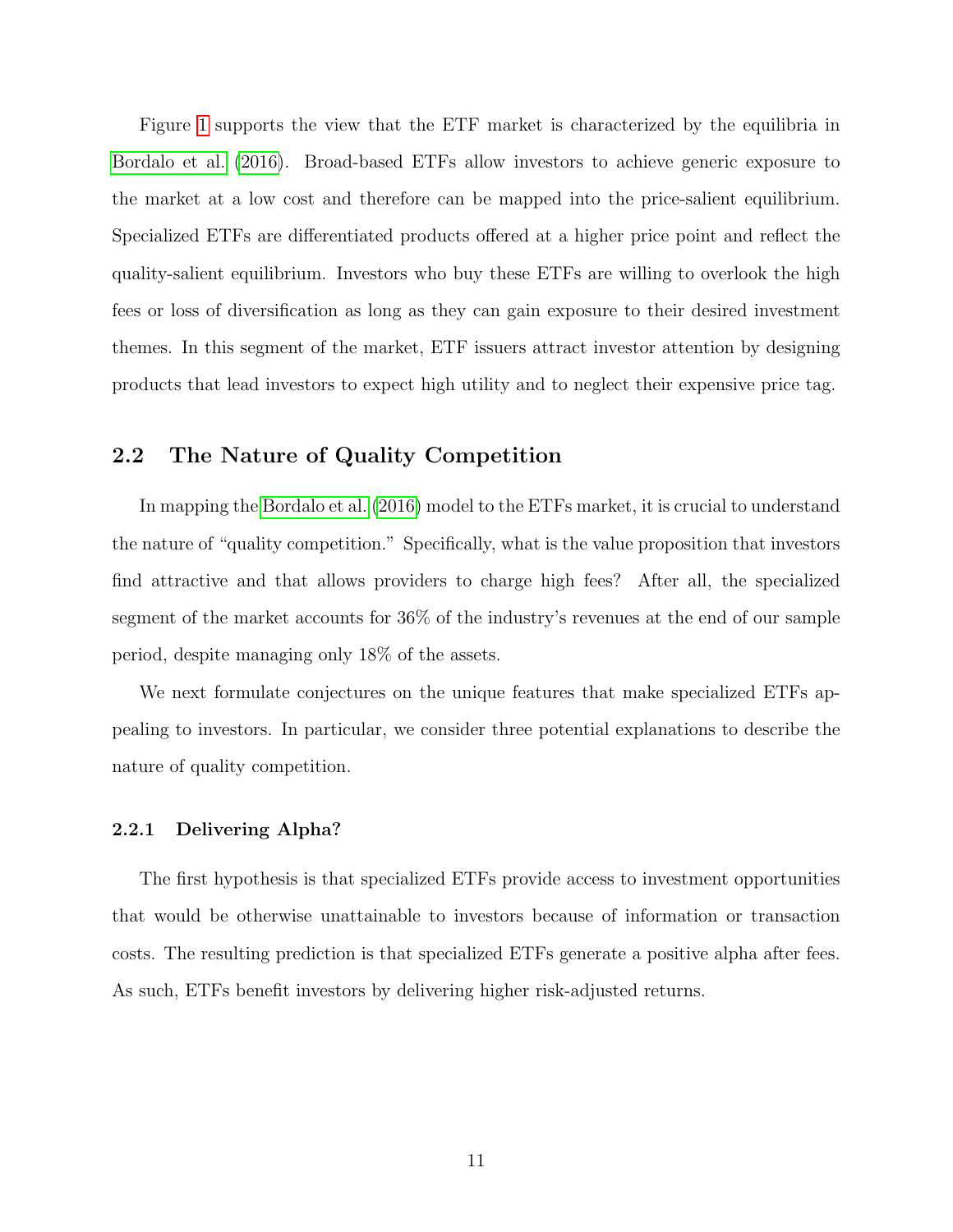Figure [1](#page-4-0) supports the view that the ETF market is characterized by the equilibria in [Bordalo et al.](#page-48-0) [\(2016\)](#page-48-0). Broad-based ETFs allow investors to achieve generic exposure to the market at a low cost and therefore can be mapped into the price-salient equilibrium. Specialized ETFs are differentiated products offered at a higher price point and reflect the quality-salient equilibrium. Investors who buy these ETFs are willing to overlook the high fees or loss of diversification as long as they can gain exposure to their desired investment themes. In this segment of the market, ETF issuers attract investor attention by designing products that lead investors to expect high utility and to neglect their expensive price tag.

## 2.2 The Nature of Quality Competition

In mapping the [Bordalo et al.](#page-48-0) [\(2016\)](#page-48-0) model to the ETFs market, it is crucial to understand the nature of "quality competition." Specifically, what is the value proposition that investors find attractive and that allows providers to charge high fees? After all, the specialized segment of the market accounts for 36% of the industry's revenues at the end of our sample period, despite managing only 18% of the assets.

We next formulate conjectures on the unique features that make specialized ETFs appealing to investors. In particular, we consider three potential explanations to describe the nature of quality competition.

### 2.2.1 Delivering Alpha?

The first hypothesis is that specialized ETFs provide access to investment opportunities that would be otherwise unattainable to investors because of information or transaction costs. The resulting prediction is that specialized ETFs generate a positive alpha after fees. As such, ETFs benefit investors by delivering higher risk-adjusted returns.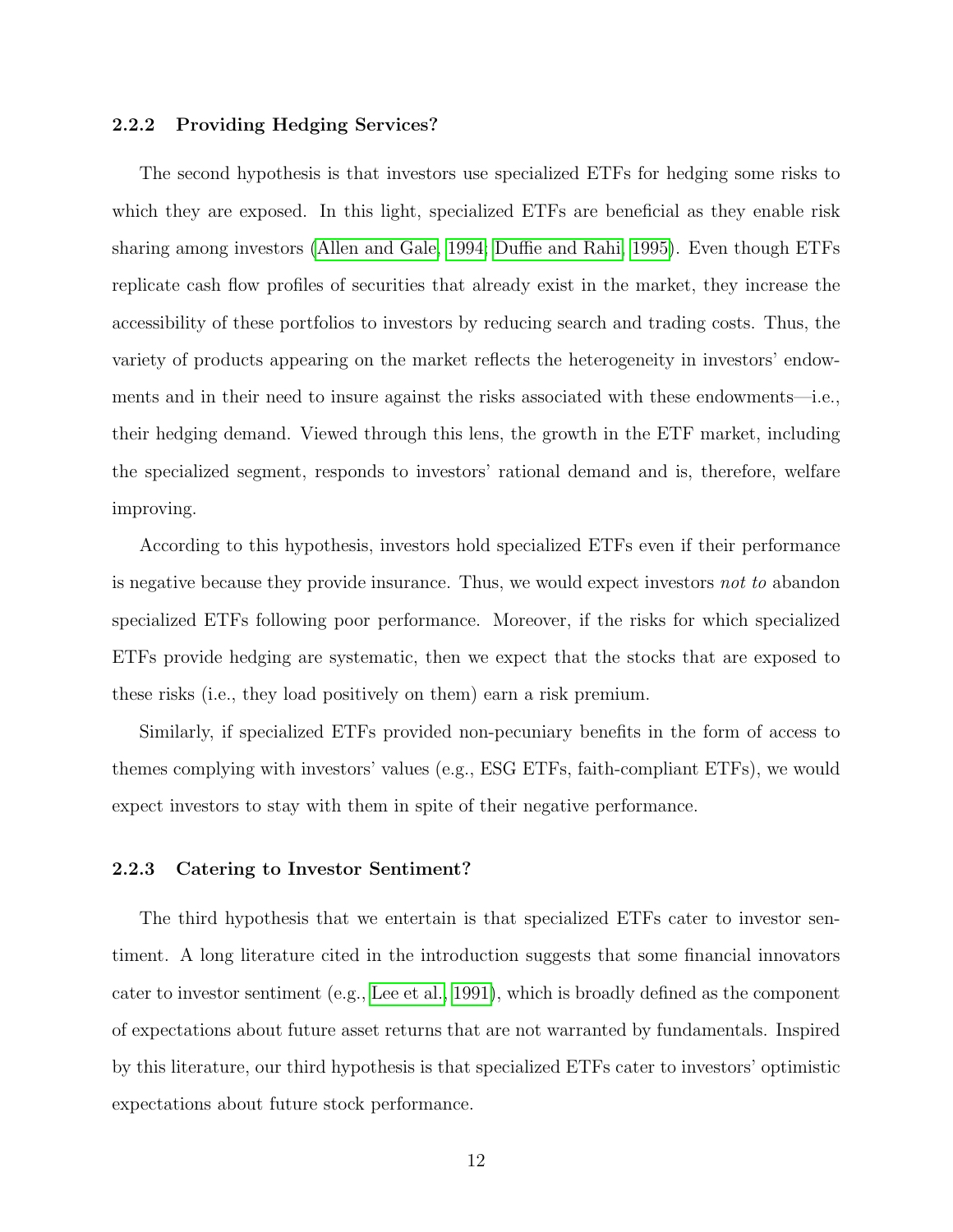### 2.2.2 Providing Hedging Services?

The second hypothesis is that investors use specialized ETFs for hedging some risks to which they are exposed. In this light, specialized ETFs are beneficial as they enable risk sharing among investors [\(Allen and Gale, 1994;](#page-47-2) [Duffie and Rahi, 1995\)](#page-49-4). Even though ETFs replicate cash flow profiles of securities that already exist in the market, they increase the accessibility of these portfolios to investors by reducing search and trading costs. Thus, the variety of products appearing on the market reflects the heterogeneity in investors' endowments and in their need to insure against the risks associated with these endowments—i.e., their hedging demand. Viewed through this lens, the growth in the ETF market, including the specialized segment, responds to investors' rational demand and is, therefore, welfare improving.

According to this hypothesis, investors hold specialized ETFs even if their performance is negative because they provide insurance. Thus, we would expect investors not to abandon specialized ETFs following poor performance. Moreover, if the risks for which specialized ETFs provide hedging are systematic, then we expect that the stocks that are exposed to these risks (i.e., they load positively on them) earn a risk premium.

Similarly, if specialized ETFs provided non-pecuniary benefits in the form of access to themes complying with investors' values (e.g., ESG ETFs, faith-compliant ETFs), we would expect investors to stay with them in spite of their negative performance.

### 2.2.3 Catering to Investor Sentiment?

The third hypothesis that we entertain is that specialized ETFs cater to investor sentiment. A long literature cited in the introduction suggests that some financial innovators cater to investor sentiment (e.g., [Lee et al., 1991\)](#page-51-1), which is broadly defined as the component of expectations about future asset returns that are not warranted by fundamentals. Inspired by this literature, our third hypothesis is that specialized ETFs cater to investors' optimistic expectations about future stock performance.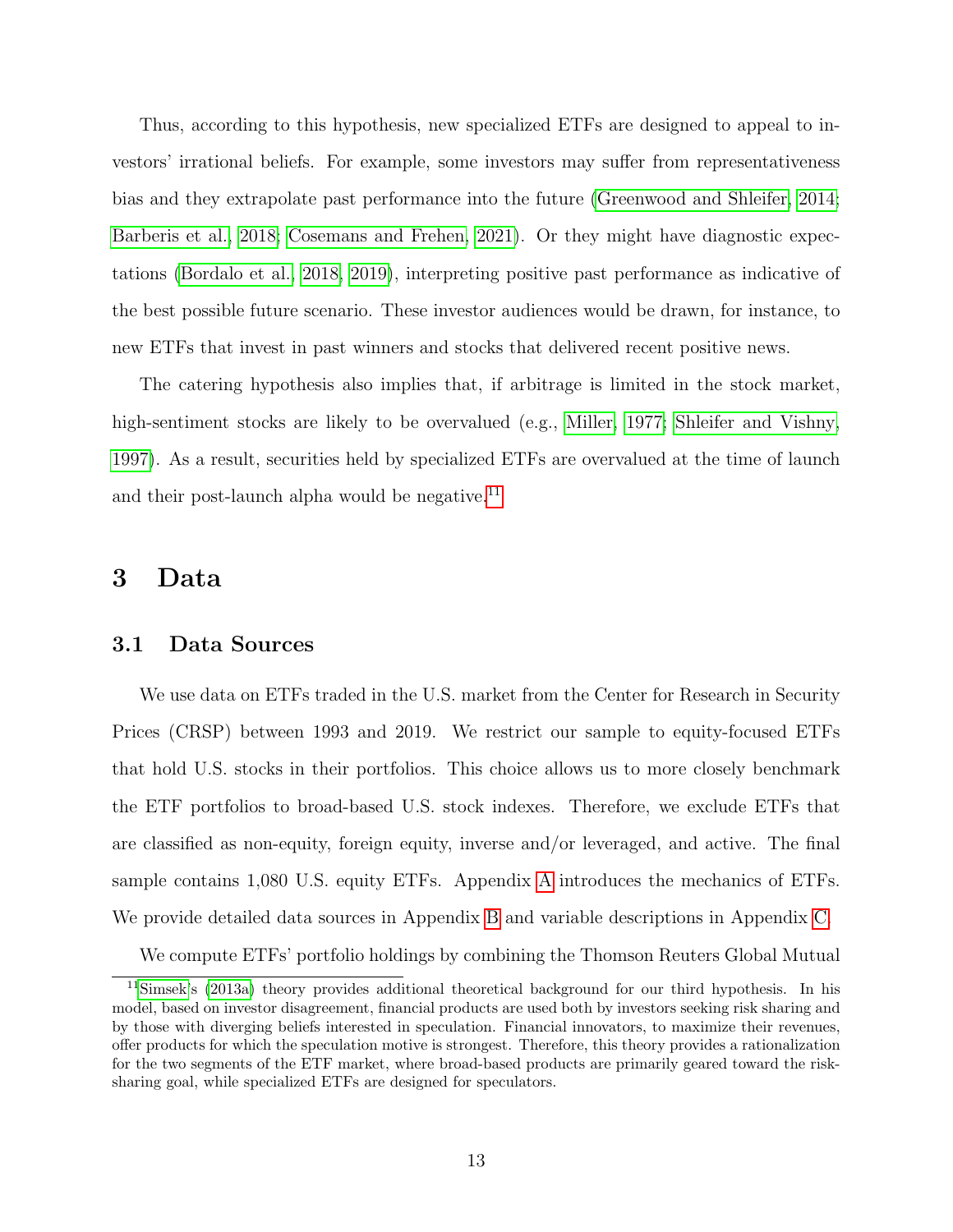Thus, according to this hypothesis, new specialized ETFs are designed to appeal to investors' irrational beliefs. For example, some investors may suffer from representativeness bias and they extrapolate past performance into the future [\(Greenwood and Shleifer, 2014;](#page-50-5) [Barberis et al., 2018;](#page-47-6) [Cosemans and Frehen, 2021\)](#page-48-12). Or they might have diagnostic expectations [\(Bordalo et al., 2018,](#page-48-9) [2019\)](#page-47-7), interpreting positive past performance as indicative of the best possible future scenario. These investor audiences would be drawn, for instance, to new ETFs that invest in past winners and stocks that delivered recent positive news.

The catering hypothesis also implies that, if arbitrage is limited in the stock market, high-sentiment stocks are likely to be overvalued (e.g., [Miller, 1977;](#page-51-10) [Shleifer and Vishny,](#page-52-4) [1997\)](#page-52-4). As a result, securities held by specialized ETFs are overvalued at the time of launch and their post-launch alpha would be negative.<sup>[11](#page-14-1)</sup>

## <span id="page-14-0"></span>3 Data

### 3.1 Data Sources

We use data on ETFs traded in the U.S. market from the Center for Research in Security Prices (CRSP) between 1993 and 2019. We restrict our sample to equity-focused ETFs that hold U.S. stocks in their portfolios. This choice allows us to more closely benchmark the ETF portfolios to broad-based U.S. stock indexes. Therefore, we exclude ETFs that are classified as non-equity, foreign equity, inverse and/or leveraged, and active. The final sample contains 1,080 U.S. equity ETFs. Appendix [A](#page-53-0) introduces the mechanics of ETFs. We provide detailed data sources in Appendix [B](#page-55-0) and variable descriptions in Appendix [C.](#page-57-0)

<span id="page-14-1"></span>We compute ETFs' portfolio holdings by combining the Thomson Reuters Global Mutual

<sup>11</sup>[Simsek'](#page-52-3)s [\(2013a\)](#page-52-3) theory provides additional theoretical background for our third hypothesis. In his model, based on investor disagreement, financial products are used both by investors seeking risk sharing and by those with diverging beliefs interested in speculation. Financial innovators, to maximize their revenues, offer products for which the speculation motive is strongest. Therefore, this theory provides a rationalization for the two segments of the ETF market, where broad-based products are primarily geared toward the risksharing goal, while specialized ETFs are designed for speculators.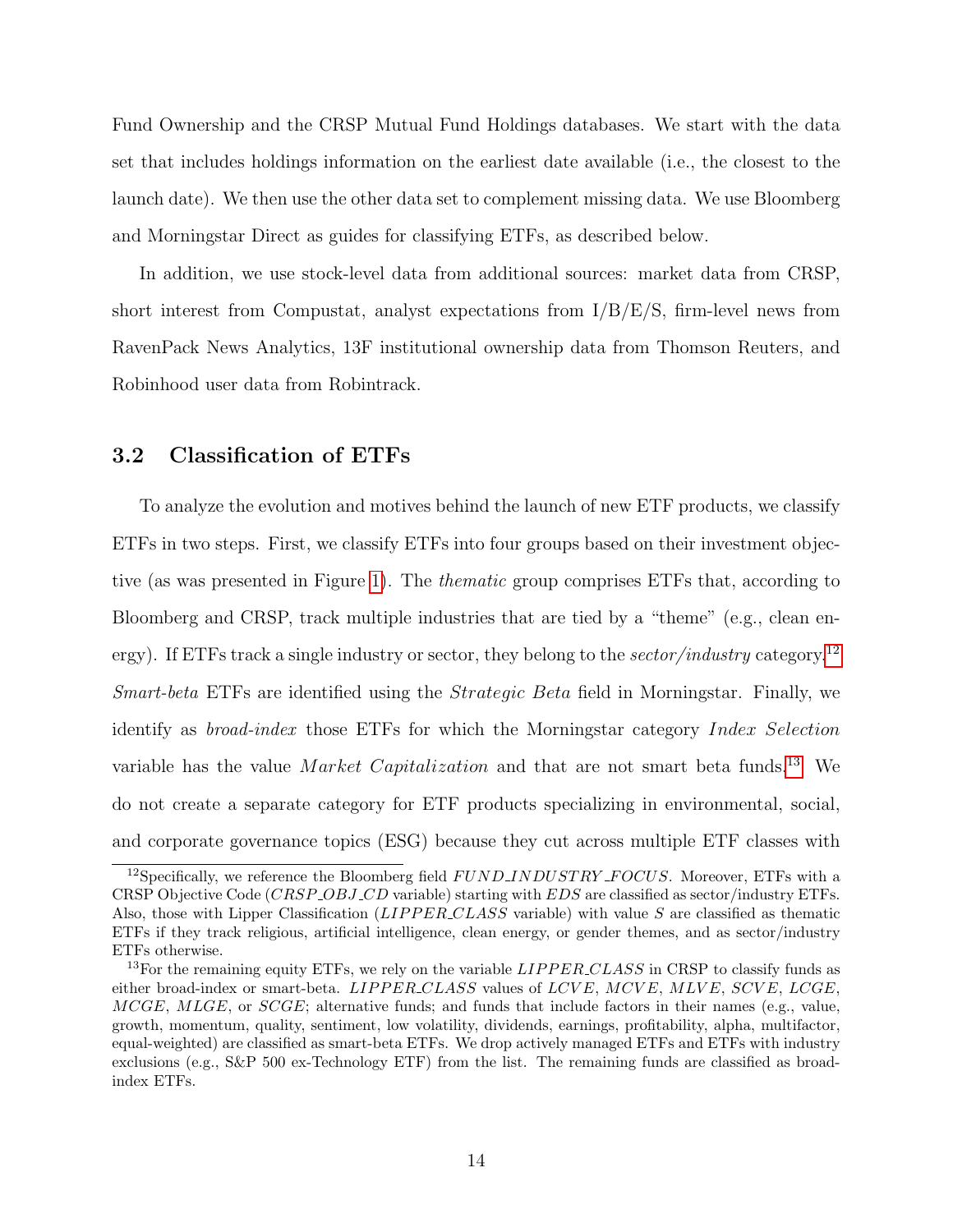Fund Ownership and the CRSP Mutual Fund Holdings databases. We start with the data set that includes holdings information on the earliest date available (i.e., the closest to the launch date). We then use the other data set to complement missing data. We use Bloomberg and Morningstar Direct as guides for classifying ETFs, as described below.

In addition, we use stock-level data from additional sources: market data from CRSP, short interest from Compustat, analyst expectations from I/B/E/S, firm-level news from RavenPack News Analytics, 13F institutional ownership data from Thomson Reuters, and Robinhood user data from Robintrack.

## 3.2 Classification of ETFs

To analyze the evolution and motives behind the launch of new ETF products, we classify ETFs in two steps. First, we classify ETFs into four groups based on their investment objective (as was presented in Figure [1\)](#page-4-0). The thematic group comprises ETFs that, according to Bloomberg and CRSP, track multiple industries that are tied by a "theme" (e.g., clean en-ergy). If ETFs track a single industry or sector, they belong to the sector/industry category.<sup>[12](#page-15-0)</sup> Smart-beta ETFs are identified using the Strategic Beta field in Morningstar. Finally, we identify as broad-index those ETFs for which the Morningstar category Index Selection variable has the value Market Capitalization and that are not smart beta funds.<sup>[13](#page-15-1)</sup> We do not create a separate category for ETF products specializing in environmental, social, and corporate governance topics (ESG) because they cut across multiple ETF classes with

<span id="page-15-0"></span><sup>&</sup>lt;sup>12</sup>Specifically, we reference the Bloomberg field  $FUNDINDUSTRY\_FOCUS$ . Moreover, ETFs with a CRSP Objective Code (CRSP OBJ CD variable) starting with EDS are classified as sector/industry ETFs. Also, those with Lipper Classification ( $LIPPER\_CLASS$  variable) with value S are classified as thematic ETFs if they track religious, artificial intelligence, clean energy, or gender themes, and as sector/industry ETFs otherwise.

<span id="page-15-1"></span><sup>&</sup>lt;sup>13</sup>For the remaining equity ETFs, we rely on the variable  $LIPPER\_CLASS$  in CRSP to classify funds as either broad-index or smart-beta.  $LIPPER\_CLASS$  values of  $LCVE$ ,  $MCVE$ ,  $MLVE$ ,  $SCVE$ ,  $LCGE$ ,  $MCGE, MLGE$ , or  $SCGE$ ; alternative funds; and funds that include factors in their names (e.g., value, growth, momentum, quality, sentiment, low volatility, dividends, earnings, profitability, alpha, multifactor, equal-weighted) are classified as smart-beta ETFs. We drop actively managed ETFs and ETFs with industry exclusions (e.g., S&P 500 ex-Technology ETF) from the list. The remaining funds are classified as broadindex ETFs.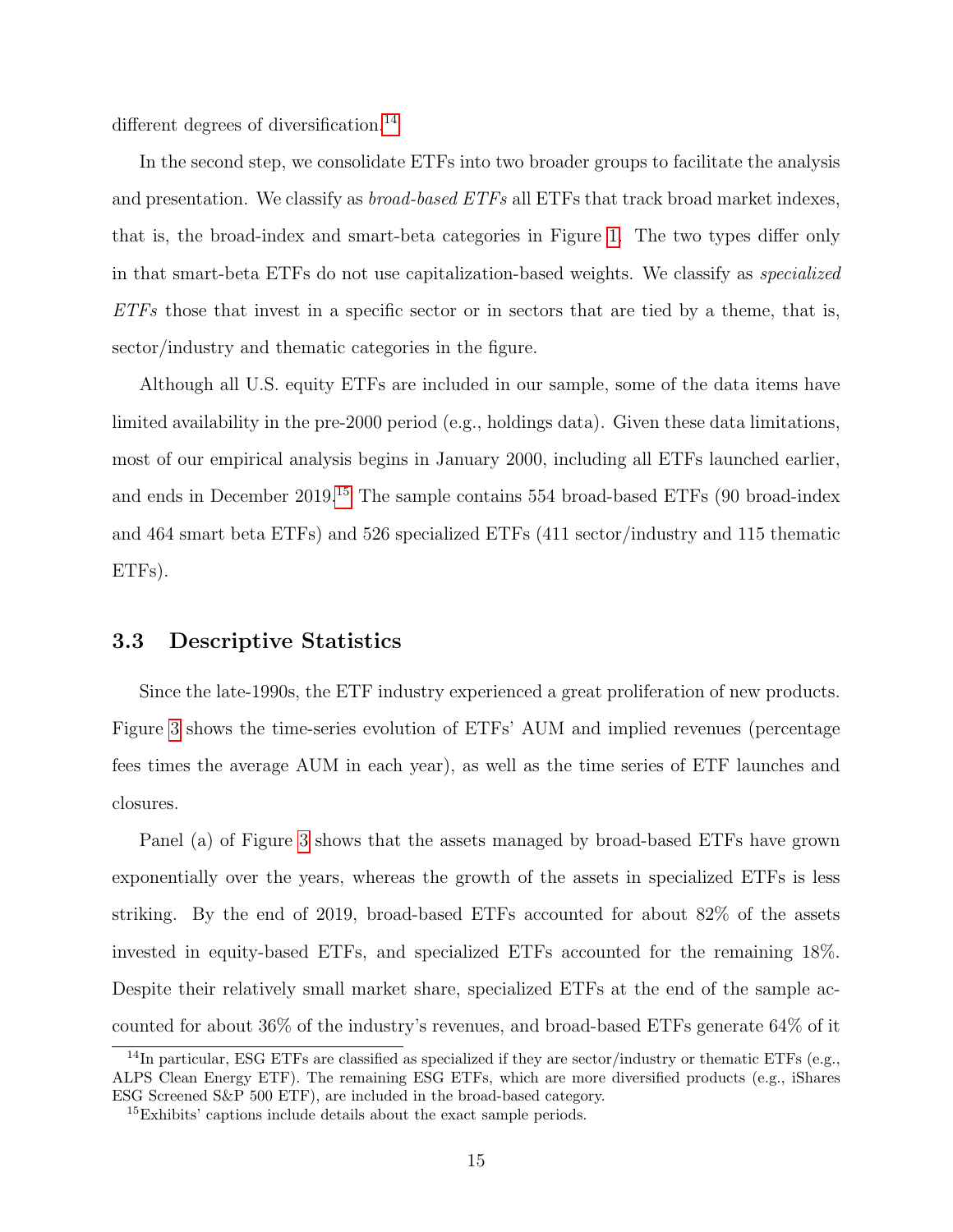different degrees of diversification.<sup>[14](#page-16-0)</sup>

In the second step, we consolidate ETFs into two broader groups to facilitate the analysis and presentation. We classify as broad-based ETFs all ETFs that track broad market indexes, that is, the broad-index and smart-beta categories in Figure [1.](#page-4-0) The two types differ only in that smart-beta ETFs do not use capitalization-based weights. We classify as specialized  $ETFs$  those that invest in a specific sector or in sectors that are tied by a theme, that is, sector/industry and thematic categories in the figure.

Although all U.S. equity ETFs are included in our sample, some of the data items have limited availability in the pre-2000 period (e.g., holdings data). Given these data limitations, most of our empirical analysis begins in January 2000, including all ETFs launched earlier, and ends in December 2019.[15](#page-16-1) The sample contains 554 broad-based ETFs (90 broad-index and 464 smart beta ETFs) and 526 specialized ETFs (411 sector/industry and 115 thematic ETFs).

### 3.3 Descriptive Statistics

Since the late-1990s, the ETF industry experienced a great proliferation of new products. Figure [3](#page-17-0) shows the time-series evolution of ETFs' AUM and implied revenues (percentage fees times the average AUM in each year), as well as the time series of ETF launches and closures.

Panel (a) of Figure [3](#page-17-0) shows that the assets managed by broad-based ETFs have grown exponentially over the years, whereas the growth of the assets in specialized ETFs is less striking. By the end of 2019, broad-based ETFs accounted for about 82% of the assets invested in equity-based ETFs, and specialized ETFs accounted for the remaining 18%. Despite their relatively small market share, specialized ETFs at the end of the sample accounted for about 36% of the industry's revenues, and broad-based ETFs generate 64% of it

<span id="page-16-0"></span> $14$ In particular, ESG ETFs are classified as specialized if they are sector/industry or thematic ETFs (e.g., ALPS Clean Energy ETF). The remaining ESG ETFs, which are more diversified products (e.g., iShares ESG Screened S&P 500 ETF), are included in the broad-based category.

<span id="page-16-1"></span><sup>&</sup>lt;sup>15</sup>Exhibits' captions include details about the exact sample periods.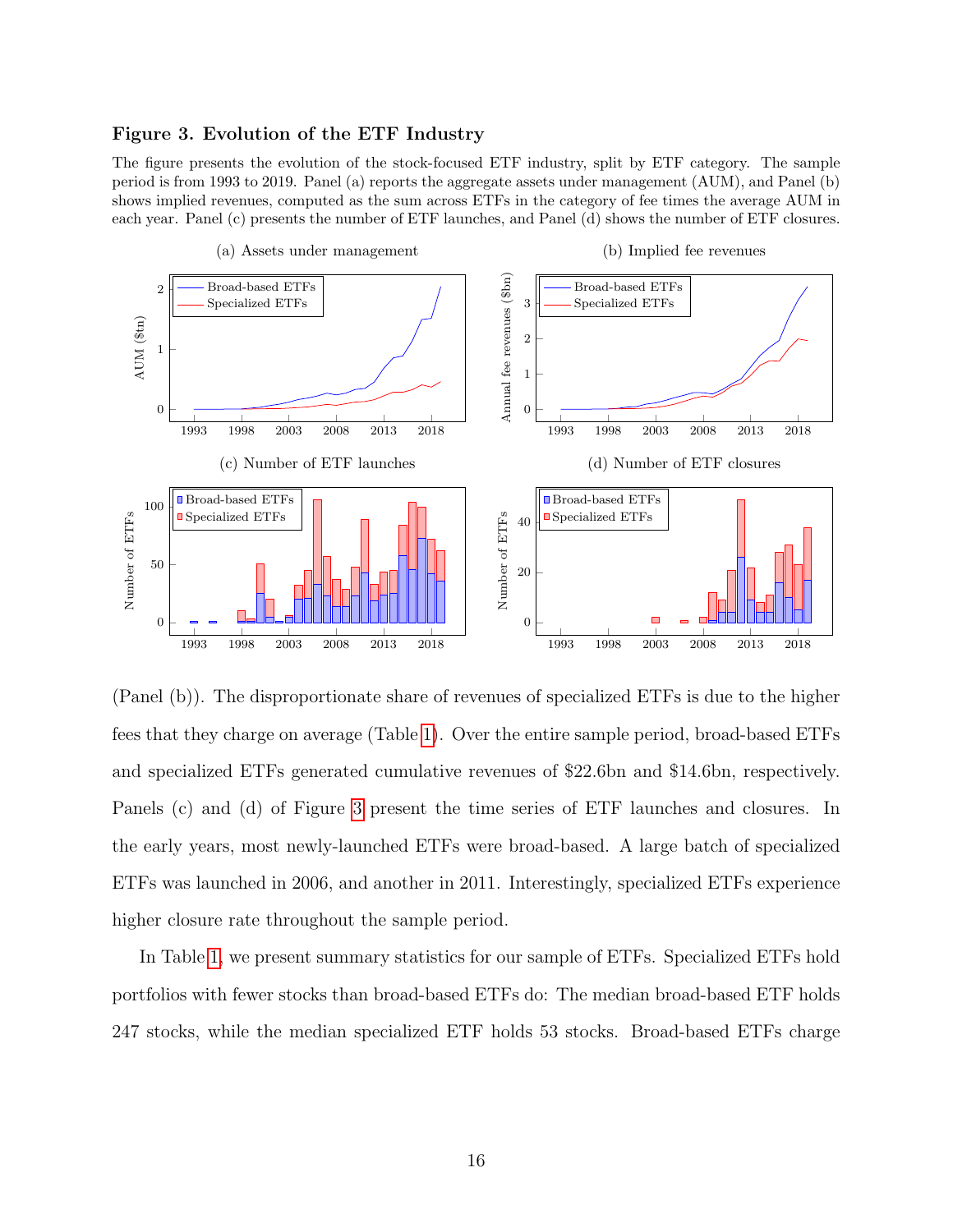### <span id="page-17-0"></span>Figure 3. Evolution of the ETF Industry

The figure presents the evolution of the stock-focused ETF industry, split by ETF category. The sample period is from 1993 to 2019. Panel (a) reports the aggregate assets under management (AUM), and Panel (b) shows implied revenues, computed as the sum across ETFs in the category of fee times the average AUM in each year. Panel (c) presents the number of ETF launches, and Panel (d) shows the number of ETF closures.



(Panel (b)). The disproportionate share of revenues of specialized ETFs is due to the higher fees that they charge on average (Table [1\)](#page-18-0). Over the entire sample period, broad-based ETFs and specialized ETFs generated cumulative revenues of \$22.6bn and \$14.6bn, respectively. Panels (c) and (d) of Figure [3](#page-17-0) present the time series of ETF launches and closures. In the early years, most newly-launched ETFs were broad-based. A large batch of specialized ETFs was launched in 2006, and another in 2011. Interestingly, specialized ETFs experience higher closure rate throughout the sample period.

In Table [1,](#page-18-0) we present summary statistics for our sample of ETFs. Specialized ETFs hold portfolios with fewer stocks than broad-based ETFs do: The median broad-based ETF holds 247 stocks, while the median specialized ETF holds 53 stocks. Broad-based ETFs charge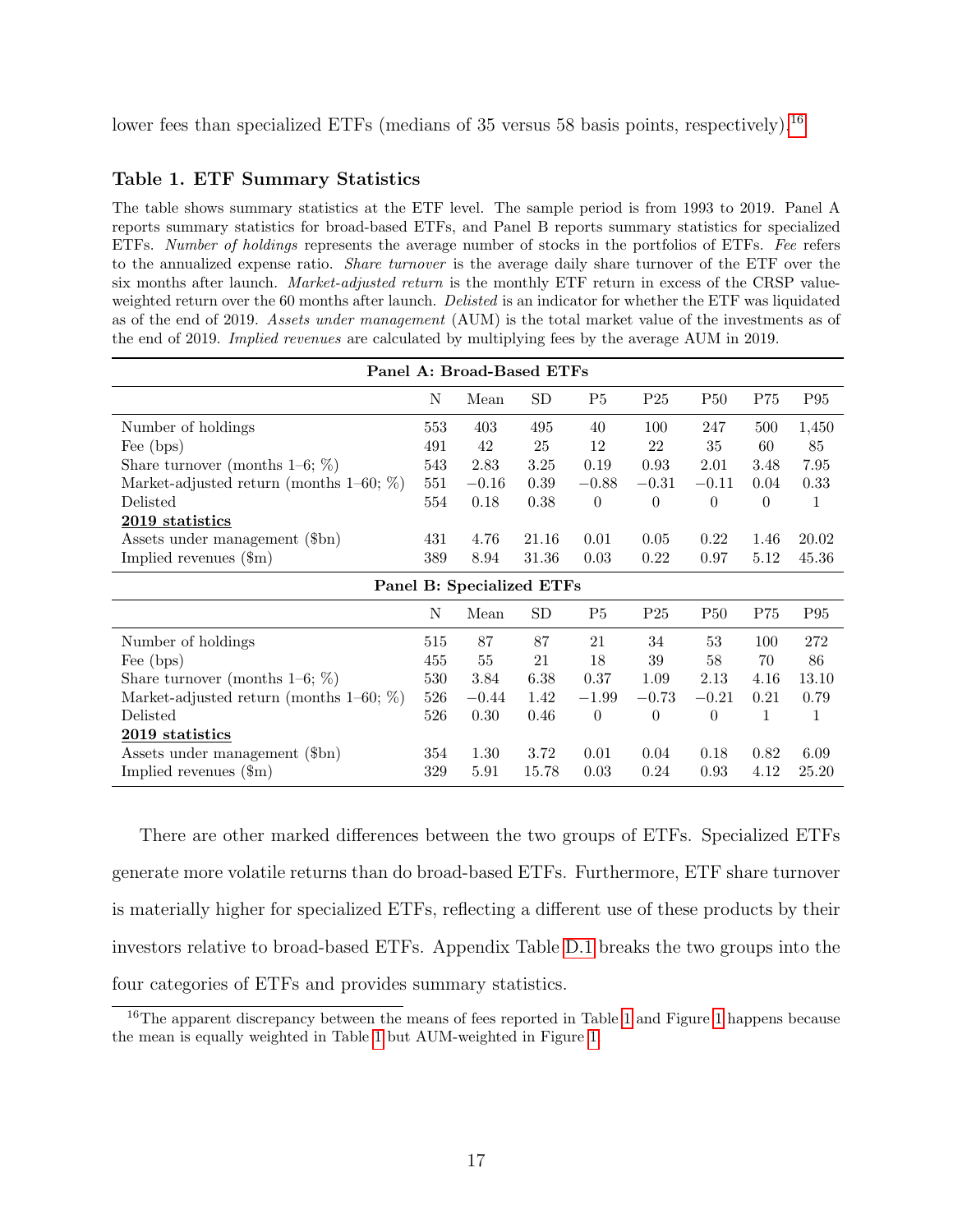lower fees than specialized ETFs (medians of 35 versus 58 basis points, respectively).<sup>[16](#page-18-1)</sup>

### <span id="page-18-0"></span>Table 1. ETF Summary Statistics

The table shows summary statistics at the ETF level. The sample period is from 1993 to 2019. Panel A reports summary statistics for broad-based ETFs, and Panel B reports summary statistics for specialized ETFs. Number of holdings represents the average number of stocks in the portfolios of ETFs. Fee refers to the annualized expense ratio. Share turnover is the average daily share turnover of the ETF over the six months after launch. *Market-adjusted return* is the monthly ETF return in excess of the CRSP valueweighted return over the 60 months after launch. Delisted is an indicator for whether the ETF was liquidated as of the end of 2019. Assets under management (AUM) is the total market value of the investments as of the end of 2019. Implied revenues are calculated by multiplying fees by the average AUM in 2019.

| Panel A: Broad-Based ETFs                   |     |         |                           |                  |                 |                |          |                 |  |  |
|---------------------------------------------|-----|---------|---------------------------|------------------|-----------------|----------------|----------|-----------------|--|--|
|                                             | N   | Mean    | SD                        | P <sub>5</sub>   | P <sub>25</sub> | <b>P50</b>     | P75      | P95             |  |  |
| Number of holdings                          | 553 | 403     | 495                       | 40               | 100             | 247            | 500      | 1,450           |  |  |
| Fee (bps)                                   | 491 | 42      | 25                        | 12               | 22              | 35             | 60       | 85              |  |  |
| Share turnover (months $1-6$ ; $\%$ )       | 543 | 2.83    | 3.25                      | 0.19             | 0.93            | 2.01           | 3.48     | 7.95            |  |  |
| Market-adjusted return (months $1-60; \%$ ) | 551 | $-0.16$ | 0.39                      | $-0.88$          | $-0.31$         | $-0.11$        | 0.04     | 0.33            |  |  |
| Delisted                                    | 554 | 0.18    | 0.38                      | $\theta$         | $\theta$        | $\theta$       | $\theta$ | 1               |  |  |
| 2019 statistics                             |     |         |                           |                  |                 |                |          |                 |  |  |
| Assets under management (\$bn)              | 431 | 4.76    | 21.16                     | 0.01             | 0.05            | 0.22           | 1.46     | 20.02           |  |  |
| Implied revenues $(\text{m})$               | 389 | 8.94    | 31.36                     | 0.03             | 0.22            | 0.97           | 5.12     | 45.36           |  |  |
|                                             |     |         | Panel B: Specialized ETFs |                  |                 |                |          |                 |  |  |
|                                             |     |         |                           |                  |                 |                |          |                 |  |  |
|                                             | N   | Mean    | SD                        | P <sub>5</sub>   | P <sub>25</sub> | <b>P50</b>     | P75      | P <sub>95</sub> |  |  |
| Number of holdings                          | 515 | 87      | 87                        | 21               | 34              | 53             | 100      | 272             |  |  |
| Fee (bps)                                   | 455 | 55      | 21                        | 18               | 39              | 58             | 70       | 86              |  |  |
| Share turnover (months $1-6$ ; $\%$ )       | 530 | 3.84    | 6.38                      | 0.37             | 1.09            | 2.13           | 4.16     | 13.10           |  |  |
| Market-adjusted return (months $1-60; \%$ ) | 526 | $-0.44$ | 1.42                      | $-1.99$          | $-0.73$         | $-0.21$        | 0.21     | 0.79            |  |  |
| Delisted                                    | 526 | 0.30    | 0.46                      | $\boldsymbol{0}$ | $\theta$        | $\overline{0}$ | 1        | 1               |  |  |
| 2019 statistics                             |     |         |                           |                  |                 |                |          |                 |  |  |
| Assets under management (\$bn)              | 354 | 1.30    | 3.72                      | 0.01             | 0.04            | 0.18           | 0.82     | 6.09            |  |  |

There are other marked differences between the two groups of ETFs. Specialized ETFs generate more volatile returns than do broad-based ETFs. Furthermore, ETF share turnover is materially higher for specialized ETFs, reflecting a different use of these products by their investors relative to broad-based ETFs. Appendix Table [D.1](#page-58-0) breaks the two groups into the four categories of ETFs and provides summary statistics.

<span id="page-18-1"></span><sup>&</sup>lt;sup>16</sup>The apparent discrepancy between the means of fees reported in Table [1](#page-4-0) and Figure 1 happens because the mean is equally weighted in Table [1](#page-18-0) but AUM-weighted in Figure [1.](#page-4-0)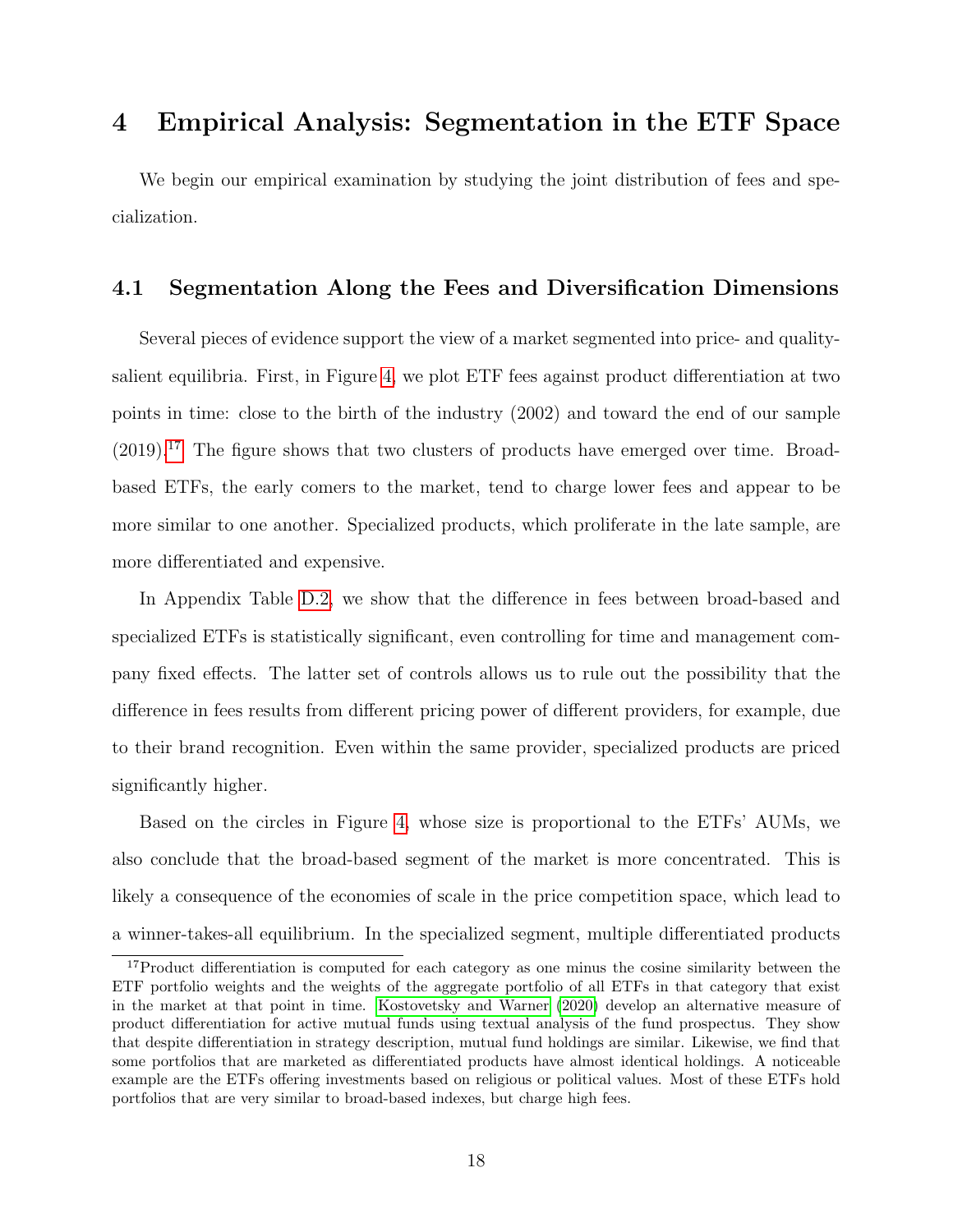# 4 Empirical Analysis: Segmentation in the ETF Space

We begin our empirical examination by studying the joint distribution of fees and specialization.

## 4.1 Segmentation Along the Fees and Diversification Dimensions

Several pieces of evidence support the view of a market segmented into price- and qualitysalient equilibria. First, in Figure [4,](#page-20-0) we plot ETF fees against product differentiation at two points in time: close to the birth of the industry (2002) and toward the end of our sample  $(2019).$ <sup>[17](#page-19-0)</sup> The figure shows that two clusters of products have emerged over time. Broadbased ETFs, the early comers to the market, tend to charge lower fees and appear to be more similar to one another. Specialized products, which proliferate in the late sample, are more differentiated and expensive.

In Appendix Table [D.2,](#page-59-0) we show that the difference in fees between broad-based and specialized ETFs is statistically significant, even controlling for time and management company fixed effects. The latter set of controls allows us to rule out the possibility that the difference in fees results from different pricing power of different providers, for example, due to their brand recognition. Even within the same provider, specialized products are priced significantly higher.

Based on the circles in Figure [4,](#page-20-0) whose size is proportional to the ETFs' AUMs, we also conclude that the broad-based segment of the market is more concentrated. This is likely a consequence of the economies of scale in the price competition space, which lead to a winner-takes-all equilibrium. In the specialized segment, multiple differentiated products

<span id="page-19-0"></span><sup>&</sup>lt;sup>17</sup>Product differentiation is computed for each category as one minus the cosine similarity between the ETF portfolio weights and the weights of the aggregate portfolio of all ETFs in that category that exist in the market at that point in time. [Kostovetsky and Warner](#page-51-4) [\(2020\)](#page-51-4) develop an alternative measure of product differentiation for active mutual funds using textual analysis of the fund prospectus. They show that despite differentiation in strategy description, mutual fund holdings are similar. Likewise, we find that some portfolios that are marketed as differentiated products have almost identical holdings. A noticeable example are the ETFs offering investments based on religious or political values. Most of these ETFs hold portfolios that are very similar to broad-based indexes, but charge high fees.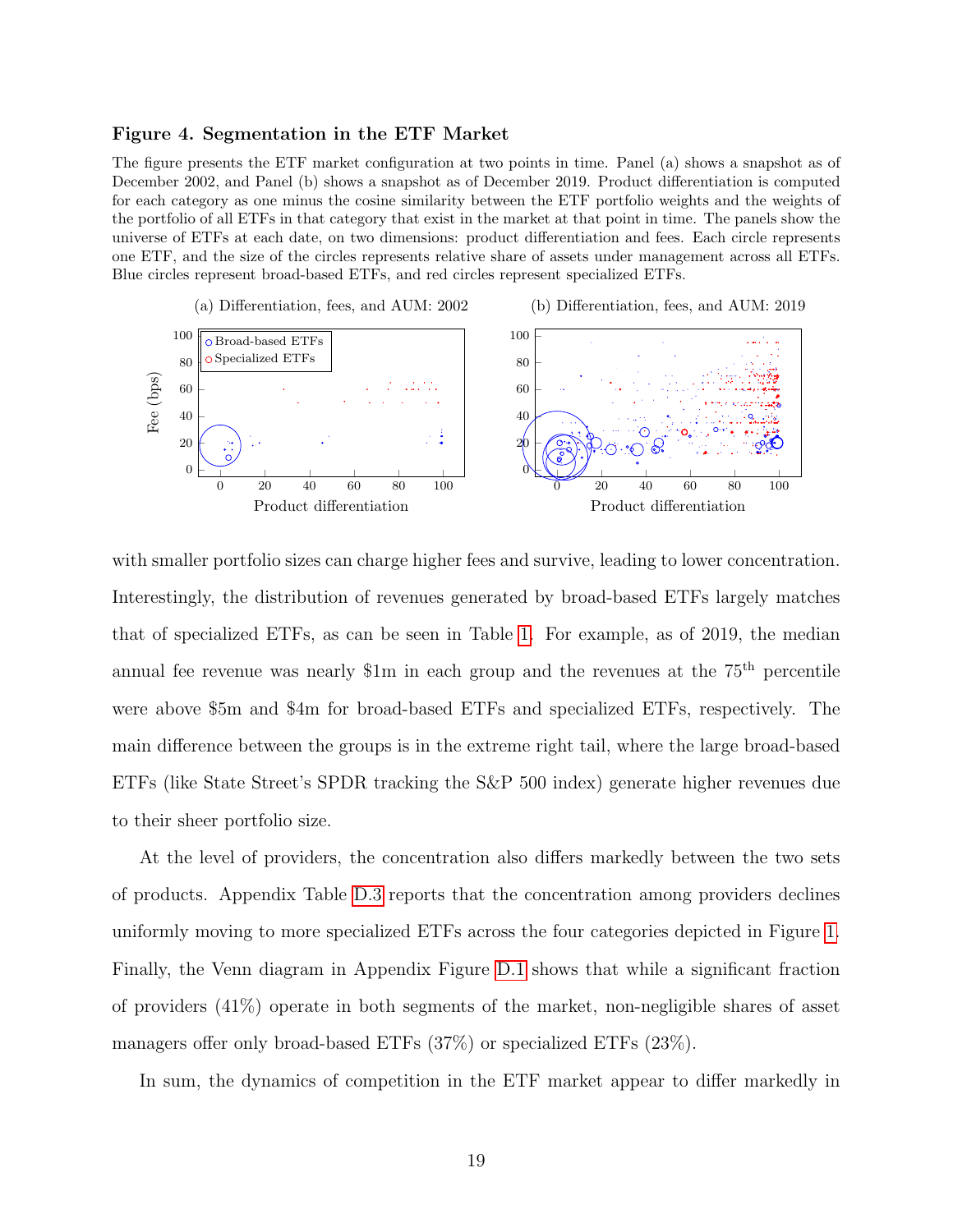#### <span id="page-20-0"></span>Figure 4. Segmentation in the ETF Market

The figure presents the ETF market configuration at two points in time. Panel (a) shows a snapshot as of December 2002, and Panel (b) shows a snapshot as of December 2019. Product differentiation is computed for each category as one minus the cosine similarity between the ETF portfolio weights and the weights of the portfolio of all ETFs in that category that exist in the market at that point in time. The panels show the universe of ETFs at each date, on two dimensions: product differentiation and fees. Each circle represents one ETF, and the size of the circles represents relative share of assets under management across all ETFs. Blue circles represent broad-based ETFs, and red circles represent specialized ETFs.



with smaller portfolio sizes can charge higher fees and survive, leading to lower concentration. Interestingly, the distribution of revenues generated by broad-based ETFs largely matches that of specialized ETFs, as can be seen in Table [1.](#page-18-0) For example, as of 2019, the median annual fee revenue was nearly \$1m in each group and the revenues at the  $75<sup>th</sup>$  percentile were above \$5m and \$4m for broad-based ETFs and specialized ETFs, respectively. The main difference between the groups is in the extreme right tail, where the large broad-based ETFs (like State Street's SPDR tracking the S&P 500 index) generate higher revenues due to their sheer portfolio size.

At the level of providers, the concentration also differs markedly between the two sets of products. Appendix Table [D.3](#page-60-0) reports that the concentration among providers declines uniformly moving to more specialized ETFs across the four categories depicted in Figure [1.](#page-4-0) Finally, the Venn diagram in Appendix Figure [D.1](#page-61-0) shows that while a significant fraction of providers (41%) operate in both segments of the market, non-negligible shares of asset managers offer only broad-based ETFs (37%) or specialized ETFs (23%).

In sum, the dynamics of competition in the ETF market appear to differ markedly in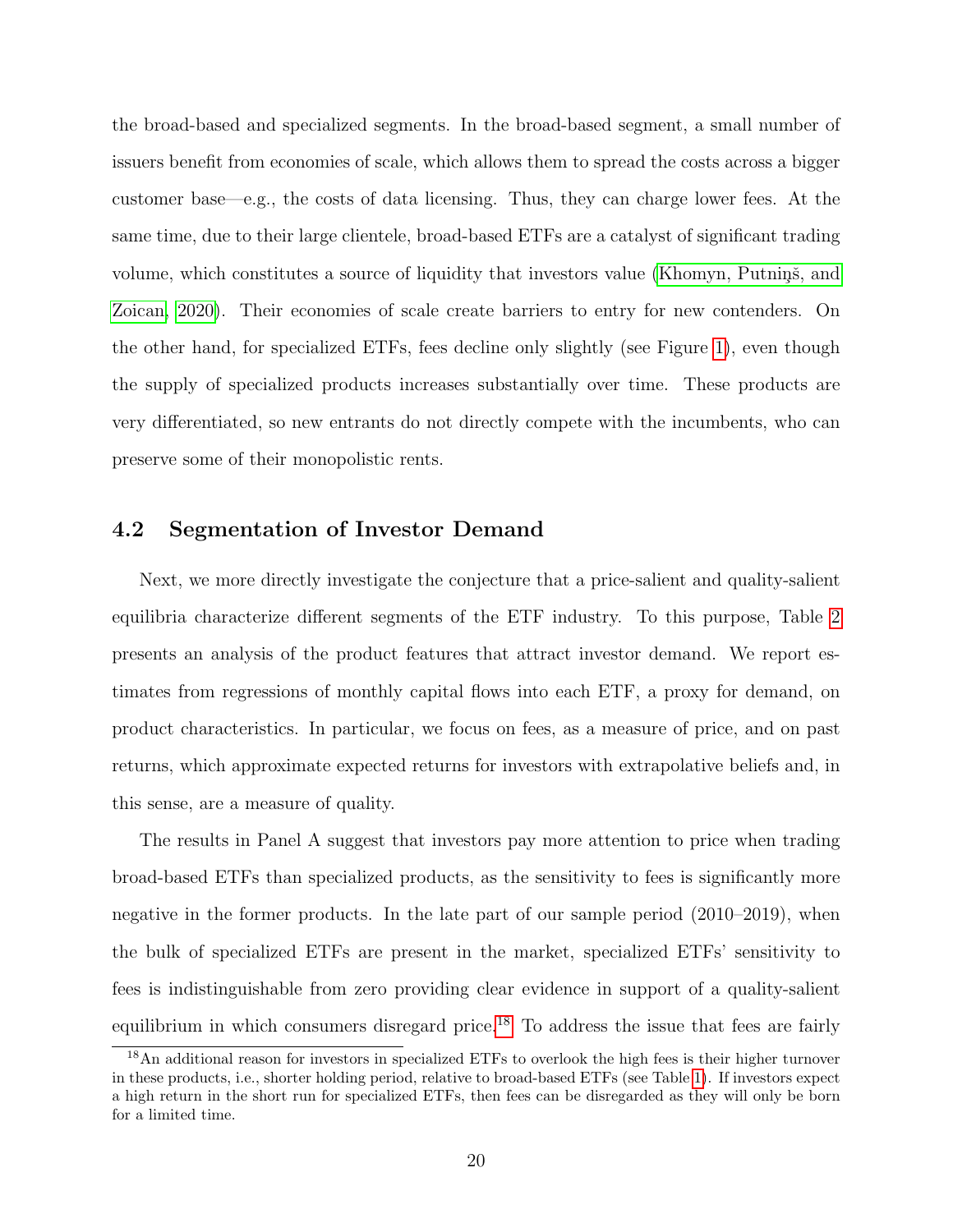the broad-based and specialized segments. In the broad-based segment, a small number of issuers benefit from economies of scale, which allows them to spread the costs across a bigger customer base—e.g., the costs of data licensing. Thus, they can charge lower fees. At the same time, due to their large clientele, broad-based ETFs are a catalyst of significant trading volume, which constitutes a source of liquidity that investors value (Khomyn, Putnins̆, and [Zoican, 2020\)](#page-50-12). Their economies of scale create barriers to entry for new contenders. On the other hand, for specialized ETFs, fees decline only slightly (see Figure [1\)](#page-4-0), even though the supply of specialized products increases substantially over time. These products are very differentiated, so new entrants do not directly compete with the incumbents, who can preserve some of their monopolistic rents.

## 4.2 Segmentation of Investor Demand

Next, we more directly investigate the conjecture that a price-salient and quality-salient equilibria characterize different segments of the ETF industry. To this purpose, Table [2](#page-22-0) presents an analysis of the product features that attract investor demand. We report estimates from regressions of monthly capital flows into each ETF, a proxy for demand, on product characteristics. In particular, we focus on fees, as a measure of price, and on past returns, which approximate expected returns for investors with extrapolative beliefs and, in this sense, are a measure of quality.

The results in Panel A suggest that investors pay more attention to price when trading broad-based ETFs than specialized products, as the sensitivity to fees is significantly more negative in the former products. In the late part of our sample period (2010–2019), when the bulk of specialized ETFs are present in the market, specialized ETFs' sensitivity to fees is indistinguishable from zero providing clear evidence in support of a quality-salient equilibrium in which consumers disregard price.[18](#page-21-0) To address the issue that fees are fairly

<span id="page-21-0"></span><sup>18</sup>An additional reason for investors in specialized ETFs to overlook the high fees is their higher turnover in these products, i.e., shorter holding period, relative to broad-based ETFs (see Table [1\)](#page-18-0). If investors expect a high return in the short run for specialized ETFs, then fees can be disregarded as they will only be born for a limited time.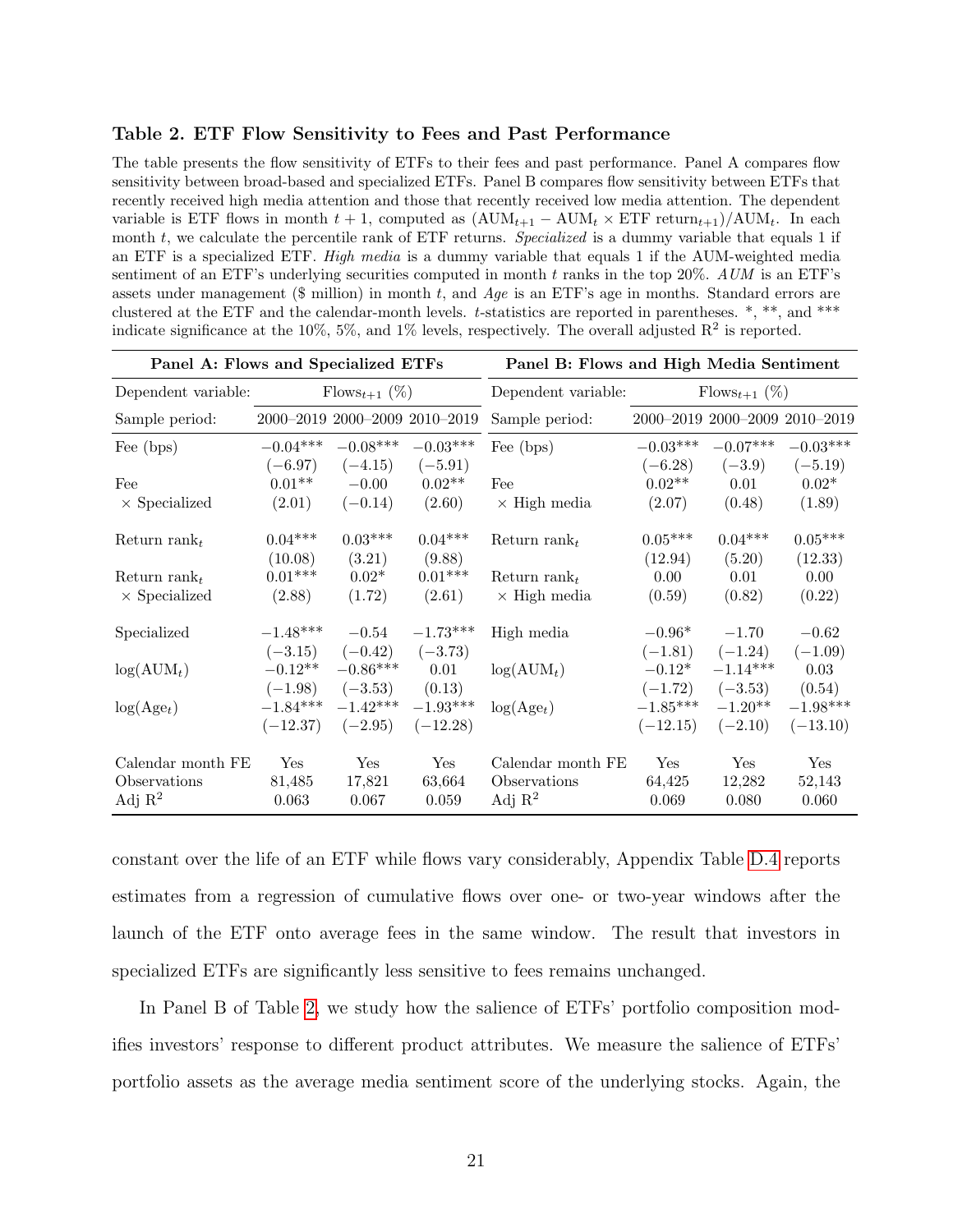### <span id="page-22-0"></span>Table 2. ETF Flow Sensitivity to Fees and Past Performance

The table presents the flow sensitivity of ETFs to their fees and past performance. Panel A compares flow sensitivity between broad-based and specialized ETFs. Panel B compares flow sensitivity between ETFs that recently received high media attention and those that recently received low media attention. The dependent variable is ETF flows in month  $t + 1$ , computed as  $(AUM_{t+1} - AUM_t \times ETF$  return $_{t+1})/AUM_t$ . In each month  $t$ , we calculate the percentile rank of ETF returns. *Specialized* is a dummy variable that equals 1 if an ETF is a specialized ETF. High media is a dummy variable that equals 1 if the AUM-weighted media sentiment of an ETF's underlying securities computed in month  $t$  ranks in the top 20%. AUM is an ETF's assets under management ( $\text{\$ million}$ ) in month t, and Age is an ETF's age in months. Standard errors are clustered at the ETF and the calendar-month levels. t-statistics are reported in parentheses. \*, \*\*, and \*\*\* indicate significance at the 10%, 5%, and 1% levels, respectively. The overall adjusted  $\mathbb{R}^2$  is reported.

| Panel A: Flows and Specialized ETFs |            |                           | Panel B: Flows and High Media Sentiment |                          |            |                               |            |
|-------------------------------------|------------|---------------------------|-----------------------------------------|--------------------------|------------|-------------------------------|------------|
| Dependent variable:                 |            | $\text{Flows}_{t+1} (\%)$ |                                         | Dependent variable:      |            | $\text{Flows}_{t+1} (\%)$     |            |
| Sample period:                      |            |                           | 2000-2019 2000-2009 2010-2019           | Sample period:           |            | 2000-2019 2000-2009 2010-2019 |            |
| Fee (bps)                           | $-0.04***$ | $-0.08***$                | $-0.03***$                              | Fee (bps)                | $-0.03***$ | $-0.07***$                    | $-0.03***$ |
|                                     | $(-6.97)$  | $(-4.15)$                 | $(-5.91)$                               |                          | $(-6.28)$  | $(-3.9)$                      | $(-5.19)$  |
| Fee                                 | $0.01**$   | $-0.00$                   | $0.02**$                                | Fee                      | $0.02**$   | 0.01                          | $0.02*$    |
| $\times$ Specialized                | (2.01)     | $(-0.14)$                 | (2.60)                                  | $\times$ High media      | (2.07)     | (0.48)                        | (1.89)     |
| Return rank <sub>t</sub>            | $0.04***$  | $0.03***$                 | $0.04***$                               | Return rank <sub>t</sub> | $0.05***$  | $0.04***$                     | $0.05***$  |
|                                     | (10.08)    | (3.21)                    | (9.88)                                  |                          | (12.94)    | (5.20)                        | (12.33)    |
| Return rank                         | $0.01***$  | $0.02*$                   | $0.01***$                               | Return rank $_t$         | 0.00       | 0.01                          | 0.00       |
| $\times$ Specialized                | (2.88)     | (1.72)                    | (2.61)                                  | $\times$ High media      | (0.59)     | (0.82)                        | (0.22)     |
| Specialized                         | $-1.48***$ | $-0.54$                   | $-1.73***$                              | High media               | $-0.96*$   | $-1.70$                       | $-0.62$    |
|                                     | $(-3.15)$  | $(-0.42)$                 | $(-3.73)$                               |                          | $(-1.81)$  | $(-1.24)$                     | $(-1.09)$  |
| $log(AUM_t)$                        | $-0.12**$  | $-0.86***$                | 0.01                                    | $log(AUM_t)$             | $-0.12*$   | $-1.14***$                    | 0.03       |
|                                     | $(-1.98)$  | $(-3.53)$                 | (0.13)                                  |                          | $(-1.72)$  | $(-3.53)$                     | (0.54)     |
| $log(Age_t)$                        | $-1.84***$ | $-1.42***$                | $-1.93***$                              | $log(Age_t)$             | $-1.85***$ | $-1.20**$                     | $-1.98***$ |
|                                     | $(-12.37)$ | $(-2.95)$                 | $(-12.28)$                              |                          | $(-12.15)$ | $(-2.10)$                     | $(-13.10)$ |
| Calendar month FE                   | Yes        | Yes                       | Yes                                     | Calendar month FE        | Yes        | Yes                           | Yes        |
| Observations                        | 81,485     | 17,821                    | 63,664                                  | Observations             | 64,425     | 12,282                        | 52,143     |
| Adj $\mathbb{R}^2$                  | 0.063      | 0.067                     | 0.059                                   | Adj $\mathbb{R}^2$       | 0.069      | 0.080                         | 0.060      |

constant over the life of an ETF while flows vary considerably, Appendix Table [D.4](#page-60-1) reports estimates from a regression of cumulative flows over one- or two-year windows after the launch of the ETF onto average fees in the same window. The result that investors in specialized ETFs are significantly less sensitive to fees remains unchanged.

In Panel B of Table [2,](#page-22-0) we study how the salience of ETFs' portfolio composition modifies investors' response to different product attributes. We measure the salience of ETFs' portfolio assets as the average media sentiment score of the underlying stocks. Again, the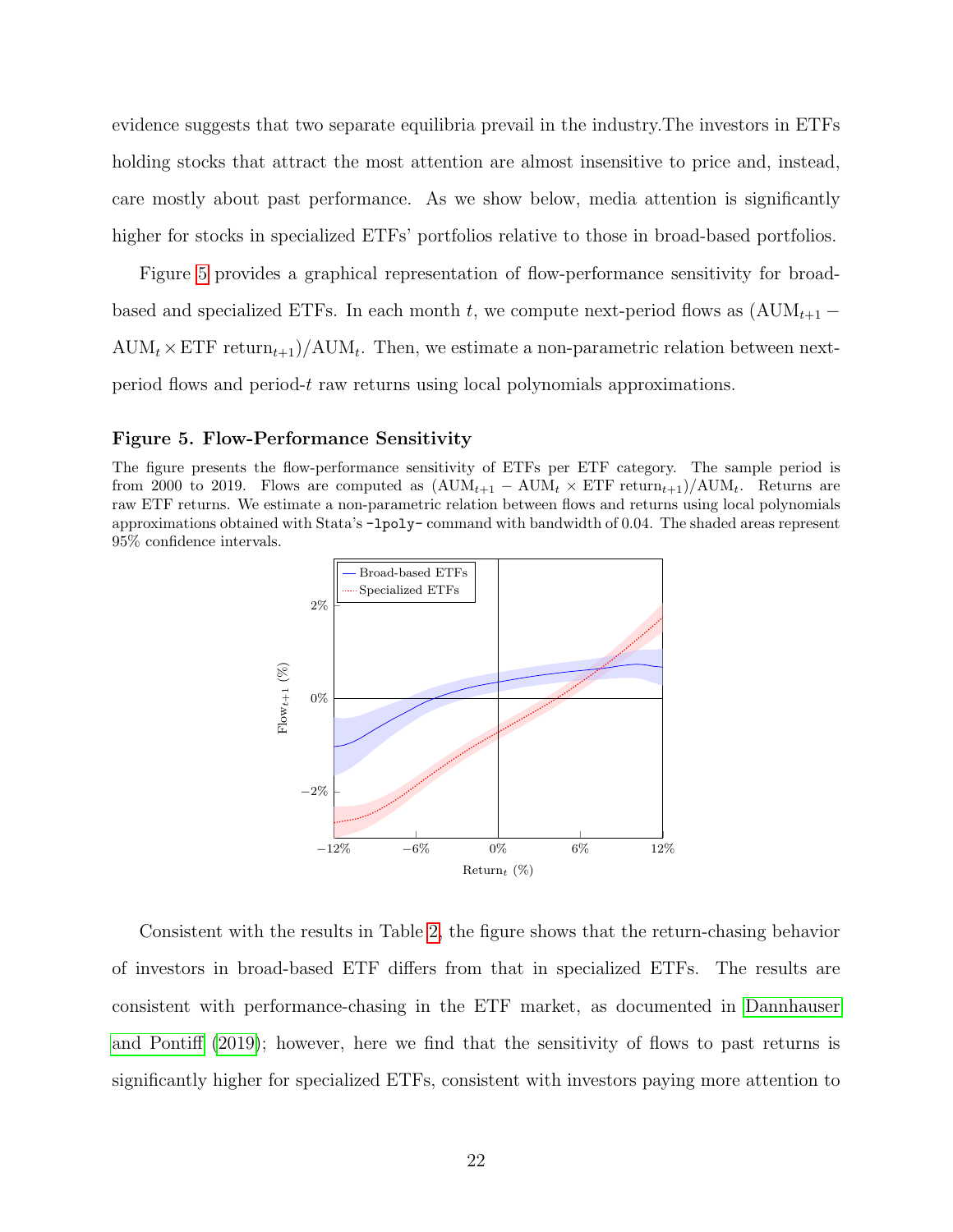evidence suggests that two separate equilibria prevail in the industry.The investors in ETFs holding stocks that attract the most attention are almost insensitive to price and, instead, care mostly about past performance. As we show below, media attention is significantly higher for stocks in specialized ETFs' portfolios relative to those in broad-based portfolios.

Figure [5](#page-23-0) provides a graphical representation of flow-performance sensitivity for broadbased and specialized ETFs. In each month t, we compute next-period flows as  $(AUM_{t+1} \text{AUM}_t \times \text{ETF return}_{t+1}$  /  $\text{AUM}_t$ . Then, we estimate a non-parametric relation between nextperiod flows and period-t raw returns using local polynomials approximations.

### <span id="page-23-0"></span>Figure 5. Flow-Performance Sensitivity

The figure presents the flow-performance sensitivity of ETFs per ETF category. The sample period is from 2000 to 2019. Flows are computed as  $(AUM_{t+1} - AUM_t \times ETF$  return $_{t+1})/AUM_t$ . Returns are raw ETF returns. We estimate a non-parametric relation between flows and returns using local polynomials approximations obtained with Stata's -lpoly- command with bandwidth of 0.04. The shaded areas represent 95% confidence intervals.



Consistent with the results in Table [2,](#page-22-0) the figure shows that the return-chasing behavior of investors in broad-based ETF differs from that in specialized ETFs. The results are consistent with performance-chasing in the ETF market, as documented in [Dannhauser](#page-48-13) [and Pontiff](#page-48-13) [\(2019\)](#page-48-13); however, here we find that the sensitivity of flows to past returns is significantly higher for specialized ETFs, consistent with investors paying more attention to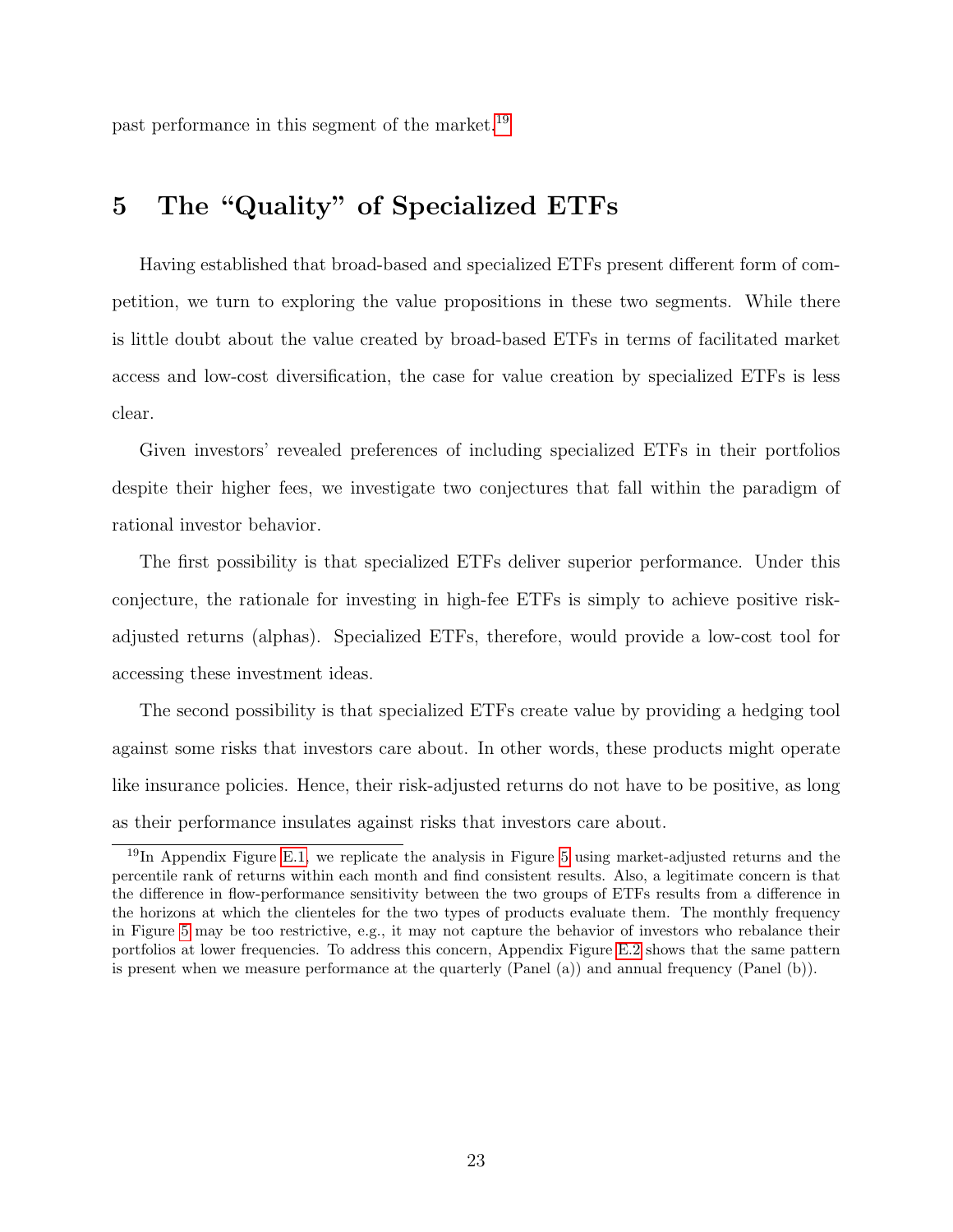past performance in this segment of the market.<sup>[19](#page-24-0)</sup>

# 5 The "Quality" of Specialized ETFs

Having established that broad-based and specialized ETFs present different form of competition, we turn to exploring the value propositions in these two segments. While there is little doubt about the value created by broad-based ETFs in terms of facilitated market access and low-cost diversification, the case for value creation by specialized ETFs is less clear.

Given investors' revealed preferences of including specialized ETFs in their portfolios despite their higher fees, we investigate two conjectures that fall within the paradigm of rational investor behavior.

The first possibility is that specialized ETFs deliver superior performance. Under this conjecture, the rationale for investing in high-fee ETFs is simply to achieve positive riskadjusted returns (alphas). Specialized ETFs, therefore, would provide a low-cost tool for accessing these investment ideas.

The second possibility is that specialized ETFs create value by providing a hedging tool against some risks that investors care about. In other words, these products might operate like insurance policies. Hence, their risk-adjusted returns do not have to be positive, as long as their performance insulates against risks that investors care about.

<span id="page-24-0"></span><sup>19</sup>In Appendix Figure [E.1,](#page-62-0) we replicate the analysis in Figure [5](#page-23-0) using market-adjusted returns and the percentile rank of returns within each month and find consistent results. Also, a legitimate concern is that the difference in flow-performance sensitivity between the two groups of ETFs results from a difference in the horizons at which the clienteles for the two types of products evaluate them. The monthly frequency in Figure [5](#page-23-0) may be too restrictive, e.g., it may not capture the behavior of investors who rebalance their portfolios at lower frequencies. To address this concern, Appendix Figure [E.2](#page-63-0) shows that the same pattern is present when we measure performance at the quarterly (Panel (a)) and annual frequency (Panel (b)).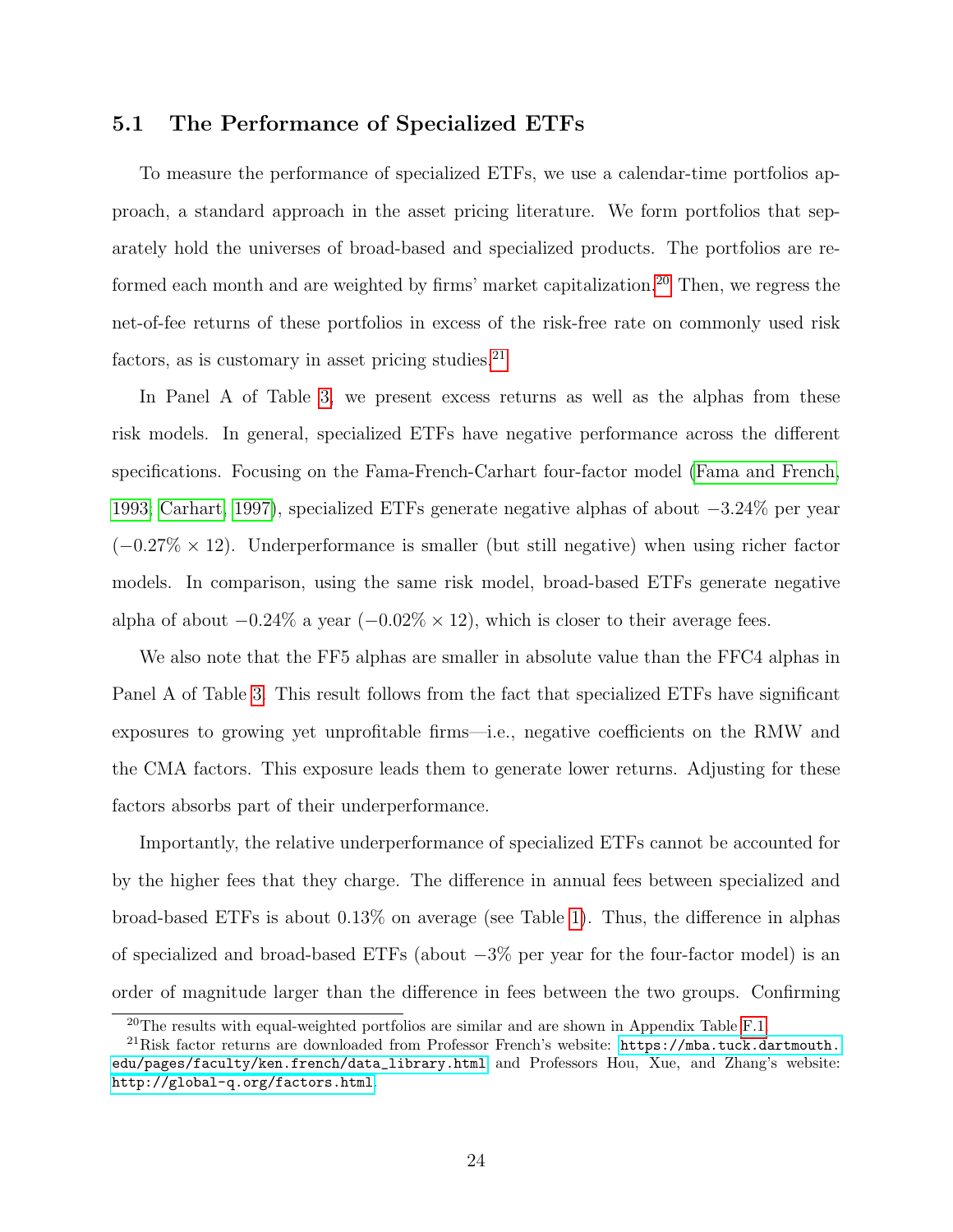## <span id="page-25-2"></span>5.1 The Performance of Specialized ETFs

To measure the performance of specialized ETFs, we use a calendar-time portfolios approach, a standard approach in the asset pricing literature. We form portfolios that separately hold the universes of broad-based and specialized products. The portfolios are re-formed each month and are weighted by firms' market capitalization.<sup>[20](#page-25-0)</sup> Then, we regress the net-of-fee returns of these portfolios in excess of the risk-free rate on commonly used risk factors, as is customary in asset pricing studies. $21$ 

In Panel A of Table [3,](#page-26-0) we present excess returns as well as the alphas from these risk models. In general, specialized ETFs have negative performance across the different specifications. Focusing on the Fama-French-Carhart four-factor model [\(Fama and French,](#page-49-3) [1993;](#page-49-3) [Carhart, 1997\)](#page-48-3), specialized ETFs generate negative alphas of about −3.24% per year  $(-0.27\% \times 12)$ . Underperformance is smaller (but still negative) when using richer factor models. In comparison, using the same risk model, broad-based ETFs generate negative alpha of about  $-0.24\%$  a year  $(-0.02\% \times 12)$ , which is closer to their average fees.

We also note that the FF5 alphas are smaller in absolute value than the FFC4 alphas in Panel A of Table [3.](#page-26-0) This result follows from the fact that specialized ETFs have significant exposures to growing yet unprofitable firms—i.e., negative coefficients on the RMW and the CMA factors. This exposure leads them to generate lower returns. Adjusting for these factors absorbs part of their underperformance.

Importantly, the relative underperformance of specialized ETFs cannot be accounted for by the higher fees that they charge. The difference in annual fees between specialized and broad-based ETFs is about 0.13% on average (see Table [1\)](#page-18-0). Thus, the difference in alphas of specialized and broad-based ETFs (about −3% per year for the four-factor model) is an order of magnitude larger than the difference in fees between the two groups. Confirming

<span id="page-25-1"></span><span id="page-25-0"></span><sup>&</sup>lt;sup>20</sup>The results with equal-weighted portfolios are similar and are shown in Appendix Table [F.1.](#page-64-0)

 $^{21}$ Risk factor returns are downloaded from Professor French's website: [https://mba.tuck.dartmouth.](https://mba.tuck.dartmouth.edu/pages/faculty/ken.french/data_library.html) [edu/pages/faculty/ken.french/data\\_library.html](https://mba.tuck.dartmouth.edu/pages/faculty/ken.french/data_library.html) and Professors Hou, Xue, and Zhang's website: <http://global-q.org/factors.html>.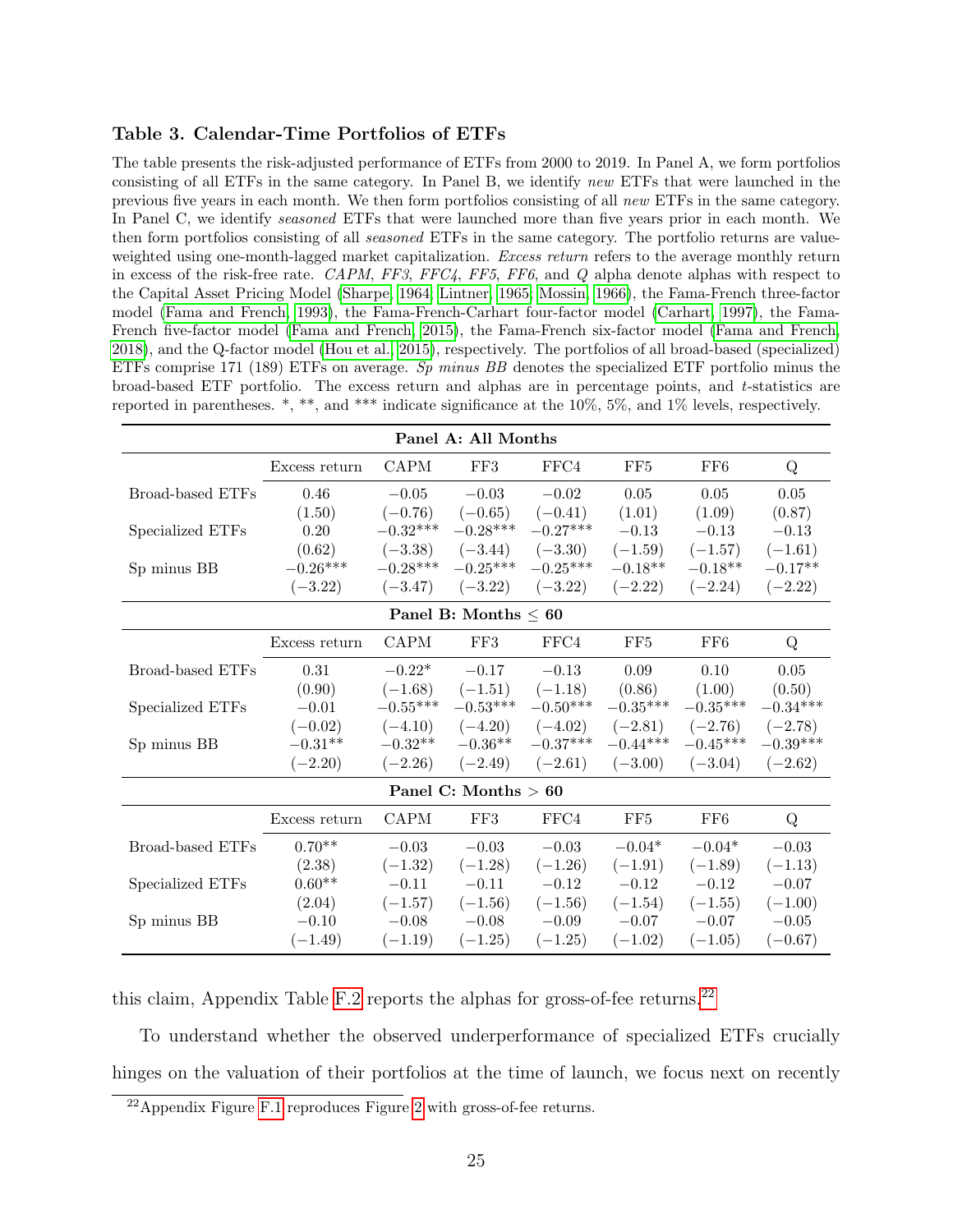### <span id="page-26-0"></span>Table 3. Calendar-Time Portfolios of ETFs

The table presents the risk-adjusted performance of ETFs from 2000 to 2019. In Panel A, we form portfolios consisting of all ETFs in the same category. In Panel B, we identify new ETFs that were launched in the previous five years in each month. We then form portfolios consisting of all new ETFs in the same category. In Panel C, we identify *seasoned* ETFs that were launched more than five years prior in each month. We then form portfolios consisting of all *seasoned* ETFs in the same category. The portfolio returns are valueweighted using one-month-lagged market capitalization. Excess return refers to the average monthly return in excess of the risk-free rate. CAPM, FF3, FFC4, FF5, FF6, and Q alpha denote alphas with respect to the Capital Asset Pricing Model [\(Sharpe, 1964;](#page-51-11) [Lintner, 1965;](#page-51-12) [Mossin, 1966\)](#page-51-13), the Fama-French three-factor model [\(Fama and French, 1993\)](#page-49-3), the Fama-French-Carhart four-factor model [\(Carhart, 1997\)](#page-48-3), the Fama-French five-factor model [\(Fama and French, 2015\)](#page-49-8), the Fama-French six-factor model [\(Fama and French,](#page-49-9) [2018\)](#page-49-9), and the Q-factor model [\(Hou et al., 2015\)](#page-50-13), respectively. The portfolios of all broad-based (specialized) ETFs comprise 171 (189) ETFs on average. Sp minus BB denotes the specialized ETF portfolio minus the broad-based ETF portfolio. The excess return and alphas are in percentage points, and t-statistics are reported in parentheses.  $*, **$ , and  $***$  indicate significance at the 10%, 5%, and 1% levels, respectively.

| Panel A: All Months    |               |             |                           |            |            |            |            |
|------------------------|---------------|-------------|---------------------------|------------|------------|------------|------------|
|                        | Excess return | <b>CAPM</b> | FF3                       | FFC4       | FF5        | FF6        | Q          |
| Broad-based ETFs       | 0.46          | $-0.05$     | $-0.03$                   | $-0.02$    | $0.05\,$   | 0.05       | 0.05       |
|                        | (1.50)        | $(-0.76)$   | $(-0.65)$                 | $(-0.41)$  | (1.01)     | (1.09)     | (0.87)     |
| Specialized ETFs       | 0.20          | $-0.32***$  | $-0.28***$                | $-0.27***$ | $-0.13$    | $-0.13$    | $-0.13$    |
|                        | (0.62)        | $(-3.38)$   | $(-3.44)$                 | $(-3.30)$  | $(-1.59)$  | $(-1.57)$  | $(-1.61)$  |
| Sp minus BB            | $-0.26***$    | $-0.28***$  | $-0.25***$                | $-0.25***$ | $-0.18**$  | $-0.18**$  | $-0.17**$  |
|                        | $(-3.22)$     | $(-3.47)$   | $(-3.22)$                 | $(-3.22)$  | $(-2.22)$  | $(-2.24)$  | $(-2.22)$  |
|                        |               |             | Panel B: Months $\leq 60$ |            |            |            |            |
|                        | Excess return | <b>CAPM</b> | FF3                       | FFC4       | FF5        | FF6        | Q          |
| Broad-based ETFs       | 0.31          | $-0.22*$    | $-0.17$                   | $-0.13$    | 0.09       | 0.10       | 0.05       |
|                        | (0.90)        | $(-1.68)$   | $(-1.51)$                 | $(-1.18)$  | (0.86)     | (1.00)     | (0.50)     |
| Specialized ETFs       | $-0.01$       | $-0.55***$  | $-0.53***$                | $-0.50***$ | $-0.35***$ | $-0.35***$ | $-0.34***$ |
|                        | $(-0.02)$     | $(-4.10)$   | $(-4.20)$                 | $(-4.02)$  | $(-2.81)$  | $(-2.76)$  | $(-2.78)$  |
| Sp minus BB            | $-0.31**$     | $-0.32**$   | $-0.36**$                 | $-0.37***$ | $-0.44***$ | $-0.45***$ | $-0.39***$ |
|                        | $(-2.20)$     | $(-2.26)$   | $(-2.49)$                 | $(-2.61)$  | $(-3.00)$  | $(-3.04)$  | $(-2.62)$  |
| Panel C: Months $> 60$ |               |             |                           |            |            |            |            |
|                        | Excess return | <b>CAPM</b> | FF3                       | FFC4       | FF5        | FF6        | Q          |
| Broad-based ETFs       | $0.70**$      | $-0.03$     | $-0.03$                   | $-0.03$    | $-0.04*$   | $-0.04*$   | $-0.03$    |
|                        | (2.38)        | $(-1.32)$   | $(-1.28)$                 | $(-1.26)$  | $(-1.91)$  | $(-1.89)$  | $(-1.13)$  |
| Specialized ETFs       | $0.60**$      | $-0.11$     | $-0.11$                   | $-0.12$    | $-0.12$    | $-0.12$    | $-0.07$    |
|                        | (2.04)        | $(-1.57)$   | $(-1.56)$                 | $(-1.56)$  | $(-1.54)$  | $(-1.55)$  | $(-1.00)$  |
| Sp minus BB            | $-0.10$       | $-0.08$     | $-0.08$                   | $-0.09$    | $-0.07$    | $-0.07$    | $-0.05$    |
|                        | $(-1.49)$     | $(-1.19)$   | $(-1.25)$                 | $(-1.25)$  | $(-1.02)$  | $(-1.05)$  | $(-0.67)$  |

this claim, Appendix Table [F.2](#page-66-0) reports the alphas for gross-of-fee returns.<sup>[22](#page-26-1)</sup>

To understand whether the observed underperformance of specialized ETFs crucially hinges on the valuation of their portfolios at the time of launch, we focus next on recently

<span id="page-26-1"></span> $^{22}$ Appendix Figure [F.1](#page-65-0) reproduces Figure [2](#page-6-0) with gross-of-fee returns.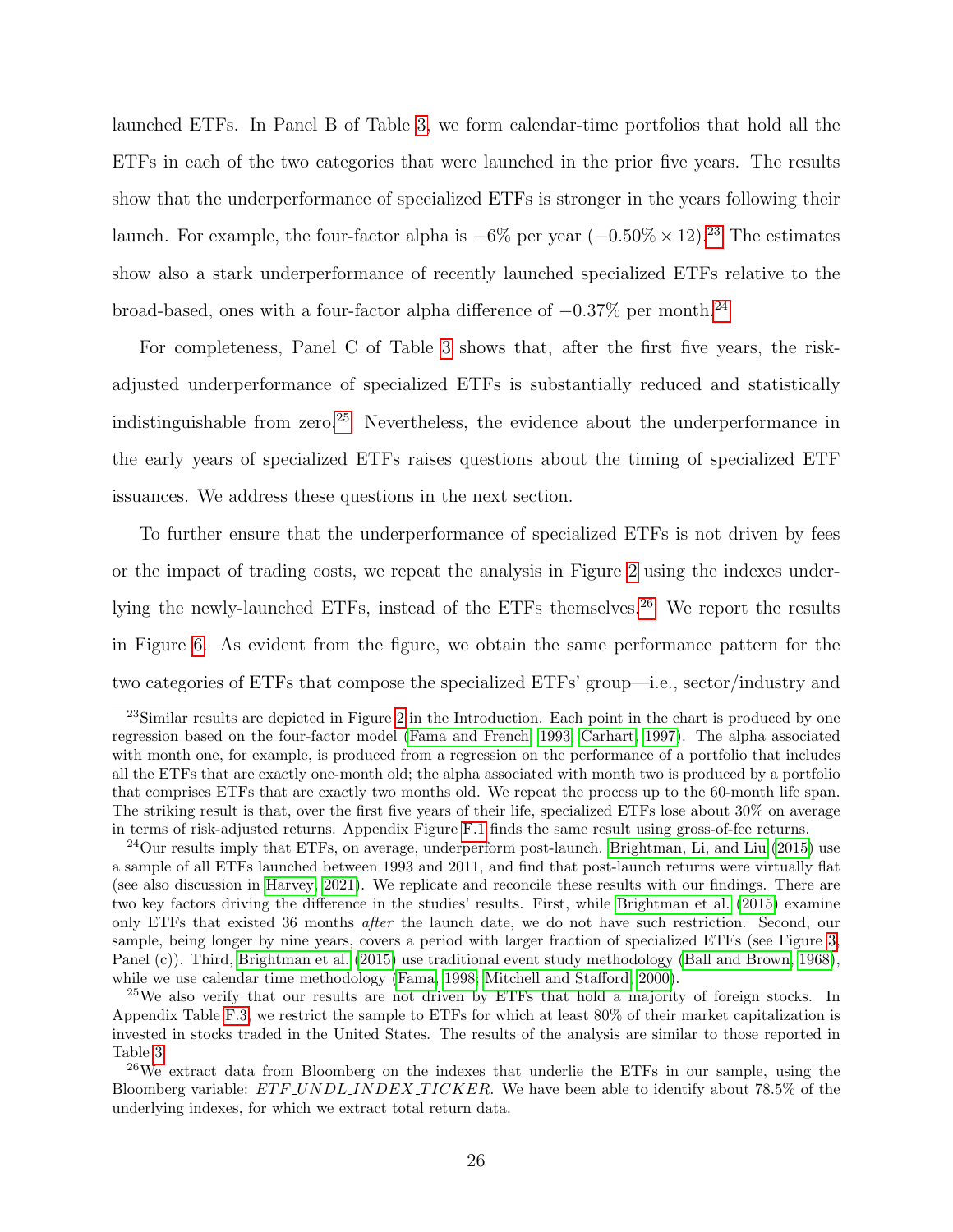launched ETFs. In Panel B of Table [3,](#page-26-0) we form calendar-time portfolios that hold all the ETFs in each of the two categories that were launched in the prior five years. The results show that the underperformance of specialized ETFs is stronger in the years following their launch. For example, the four-factor alpha is  $-6\%$  per year  $(-0.50\% \times 12).^{23}$  $(-0.50\% \times 12).^{23}$  $(-0.50\% \times 12).^{23}$  The estimates show also a stark underperformance of recently launched specialized ETFs relative to the broad-based, ones with a four-factor alpha difference of  $-0.37\%$  per month.<sup>[24](#page-27-1)</sup>

For completeness, Panel C of Table [3](#page-26-0) shows that, after the first five years, the riskadjusted underperformance of specialized ETFs is substantially reduced and statistically indistinguishable from zero.<sup>[25](#page-27-2)</sup> Nevertheless, the evidence about the underperformance in the early years of specialized ETFs raises questions about the timing of specialized ETF issuances. We address these questions in the next section.

To further ensure that the underperformance of specialized ETFs is not driven by fees or the impact of trading costs, we repeat the analysis in Figure [2](#page-6-0) using the indexes under-lying the newly-launched ETFs, instead of the ETFs themselves.<sup>[26](#page-27-3)</sup> We report the results in Figure [6.](#page-28-0) As evident from the figure, we obtain the same performance pattern for the two categories of ETFs that compose the specialized ETFs' group—i.e., sector/industry and

<span id="page-27-0"></span><sup>&</sup>lt;sup>23</sup>Similar results are depicted in Figure [2](#page-6-0) in the Introduction. Each point in the chart is produced by one regression based on the four-factor model [\(Fama and French, 1993;](#page-49-3) [Carhart, 1997\)](#page-48-3). The alpha associated with month one, for example, is produced from a regression on the performance of a portfolio that includes all the ETFs that are exactly one-month old; the alpha associated with month two is produced by a portfolio that comprises ETFs that are exactly two months old. We repeat the process up to the 60-month life span. The striking result is that, over the first five years of their life, specialized ETFs lose about 30% on average in terms of risk-adjusted returns. Appendix Figure [F.1](#page-65-0) finds the same result using gross-of-fee returns.

<span id="page-27-1"></span><sup>&</sup>lt;sup>24</sup>Our results imply that ETFs, on average, underperform post-launch. [Brightman, Li, and Liu](#page-48-14) [\(2015\)](#page-48-14) use a sample of all ETFs launched between 1993 and 2011, and find that post-launch returns were virtually flat (see also discussion in [Harvey, 2021\)](#page-50-9). We replicate and reconcile these results with our findings. There are two key factors driving the difference in the studies' results. First, while [Brightman et al.](#page-48-14) [\(2015\)](#page-48-14) examine only ETFs that existed 36 months after the launch date, we do not have such restriction. Second, our sample, being longer by nine years, covers a period with larger fraction of specialized ETFs (see Figure [3,](#page-17-0) Panel (c)). Third, [Brightman et al.](#page-48-14) [\(2015\)](#page-48-14) use traditional event study methodology [\(Ball and Brown, 1968\)](#page-47-10), while we use calendar time methodology [\(Fama, 1998;](#page-49-10) [Mitchell and Stafford, 2000\)](#page-51-14).

<span id="page-27-2"></span><sup>&</sup>lt;sup>25</sup>We also verify that our results are not driven by ETFs that hold a majority of foreign stocks. In Appendix Table [F.3,](#page-67-0) we restrict the sample to ETFs for which at least 80% of their market capitalization is invested in stocks traded in the United States. The results of the analysis are similar to those reported in Table [3.](#page-26-0)

<span id="page-27-3"></span> $26$ We extract data from Bloomberg on the indexes that underlie the ETFs in our sample, using the Bloomberg variable: ETF\_UNDL\_INDEX\_TICKER. We have been able to identify about 78.5% of the underlying indexes, for which we extract total return data.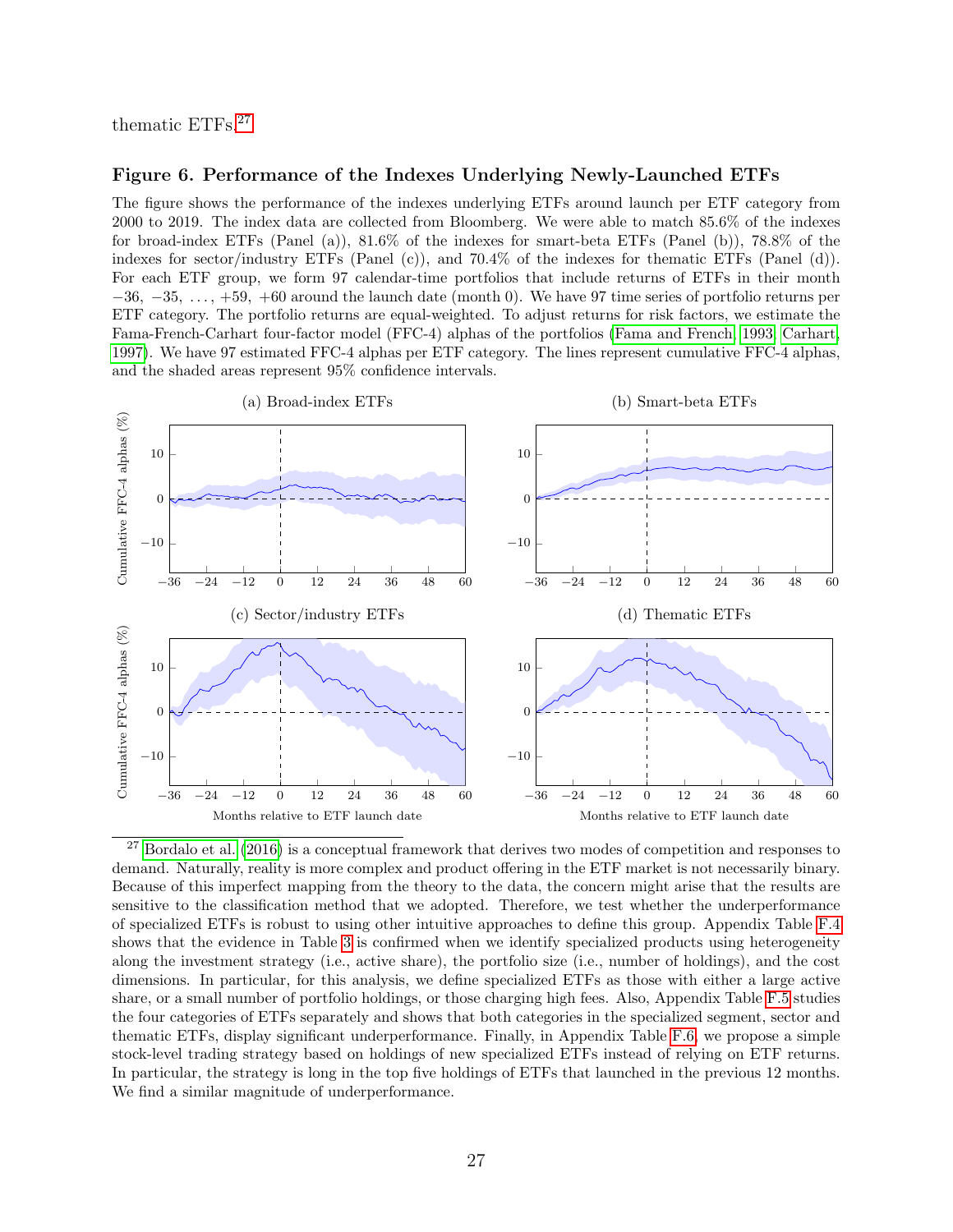<span id="page-28-0"></span>thematic ETFs.[27](#page-28-1)

#### Figure 6. Performance of the Indexes Underlying Newly-Launched ETFs

The figure shows the performance of the indexes underlying ETFs around launch per ETF category from 2000 to 2019. The index data are collected from Bloomberg. We were able to match 85.6% of the indexes for broad-index ETFs (Panel (a)), 81.6% of the indexes for smart-beta ETFs (Panel (b)), 78.8% of the indexes for sector/industry ETFs (Panel (c)), and 70.4% of the indexes for thematic ETFs (Panel (d)). For each ETF group, we form 97 calendar-time portfolios that include returns of ETFs in their month  $-36, -35, \ldots, +59, +60$  around the launch date (month 0). We have 97 time series of portfolio returns per ETF category. The portfolio returns are equal-weighted. To adjust returns for risk factors, we estimate the Fama-French-Carhart four-factor model (FFC-4) alphas of the portfolios [\(Fama and French, 1993;](#page-49-3) [Carhart,](#page-48-3) [1997\)](#page-48-3). We have 97 estimated FFC-4 alphas per ETF category. The lines represent cumulative FFC-4 alphas, and the shaded areas represent 95% confidence intervals.



<span id="page-28-1"></span> $27$  [Bordalo et al.](#page-48-0) [\(2016\)](#page-48-0) is a conceptual framework that derives two modes of competition and responses to demand. Naturally, reality is more complex and product offering in the ETF market is not necessarily binary. Because of this imperfect mapping from the theory to the data, the concern might arise that the results are sensitive to the classification method that we adopted. Therefore, we test whether the underperformance of specialized ETFs is robust to using other intuitive approaches to define this group. Appendix Table [F.4](#page-68-0) shows that the evidence in Table [3](#page-26-0) is confirmed when we identify specialized products using heterogeneity along the investment strategy (i.e., active share), the portfolio size (i.e., number of holdings), and the cost dimensions. In particular, for this analysis, we define specialized ETFs as those with either a large active share, or a small number of portfolio holdings, or those charging high fees. Also, Appendix Table [F.5](#page-70-0) studies the four categories of ETFs separately and shows that both categories in the specialized segment, sector and thematic ETFs, display significant underperformance. Finally, in Appendix Table [F.6,](#page-71-0) we propose a simple stock-level trading strategy based on holdings of new specialized ETFs instead of relying on ETF returns. In particular, the strategy is long in the top five holdings of ETFs that launched in the previous 12 months. We find a similar magnitude of underperformance.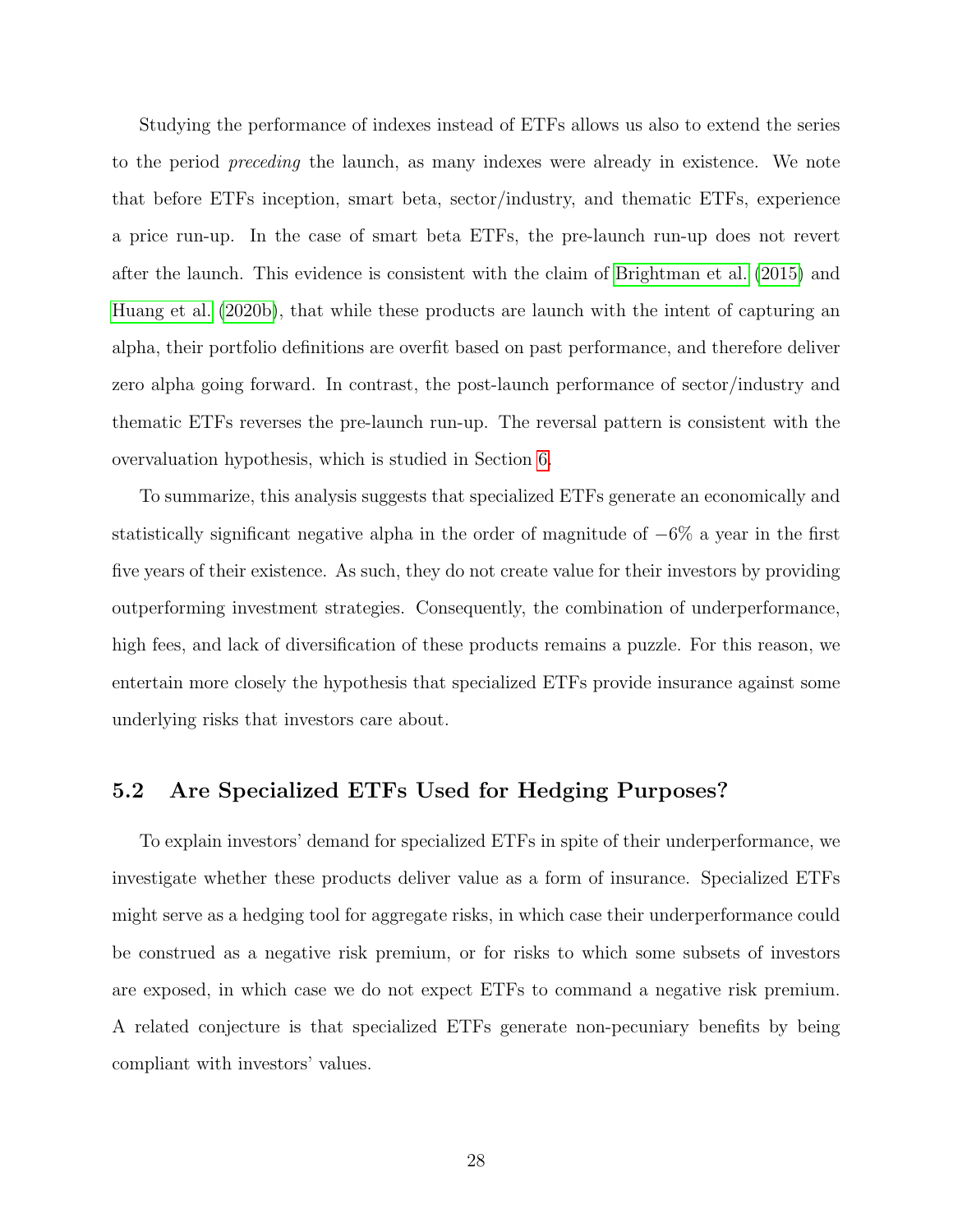Studying the performance of indexes instead of ETFs allows us also to extend the series to the period preceding the launch, as many indexes were already in existence. We note that before ETFs inception, smart beta, sector/industry, and thematic ETFs, experience a price run-up. In the case of smart beta ETFs, the pre-launch run-up does not revert after the launch. This evidence is consistent with the claim of [Brightman et al.](#page-48-14) [\(2015\)](#page-48-14) and [Huang et al.](#page-50-8) [\(2020b\)](#page-50-8), that while these products are launch with the intent of capturing an alpha, their portfolio definitions are overfit based on past performance, and therefore deliver zero alpha going forward. In contrast, the post-launch performance of sector/industry and thematic ETFs reverses the pre-launch run-up. The reversal pattern is consistent with the overvaluation hypothesis, which is studied in Section [6.](#page-34-0)

To summarize, this analysis suggests that specialized ETFs generate an economically and statistically significant negative alpha in the order of magnitude of −6% a year in the first five years of their existence. As such, they do not create value for their investors by providing outperforming investment strategies. Consequently, the combination of underperformance, high fees, and lack of diversification of these products remains a puzzle. For this reason, we entertain more closely the hypothesis that specialized ETFs provide insurance against some underlying risks that investors care about.

## 5.2 Are Specialized ETFs Used for Hedging Purposes?

To explain investors' demand for specialized ETFs in spite of their underperformance, we investigate whether these products deliver value as a form of insurance. Specialized ETFs might serve as a hedging tool for aggregate risks, in which case their underperformance could be construed as a negative risk premium, or for risks to which some subsets of investors are exposed, in which case we do not expect ETFs to command a negative risk premium. A related conjecture is that specialized ETFs generate non-pecuniary benefits by being compliant with investors' values.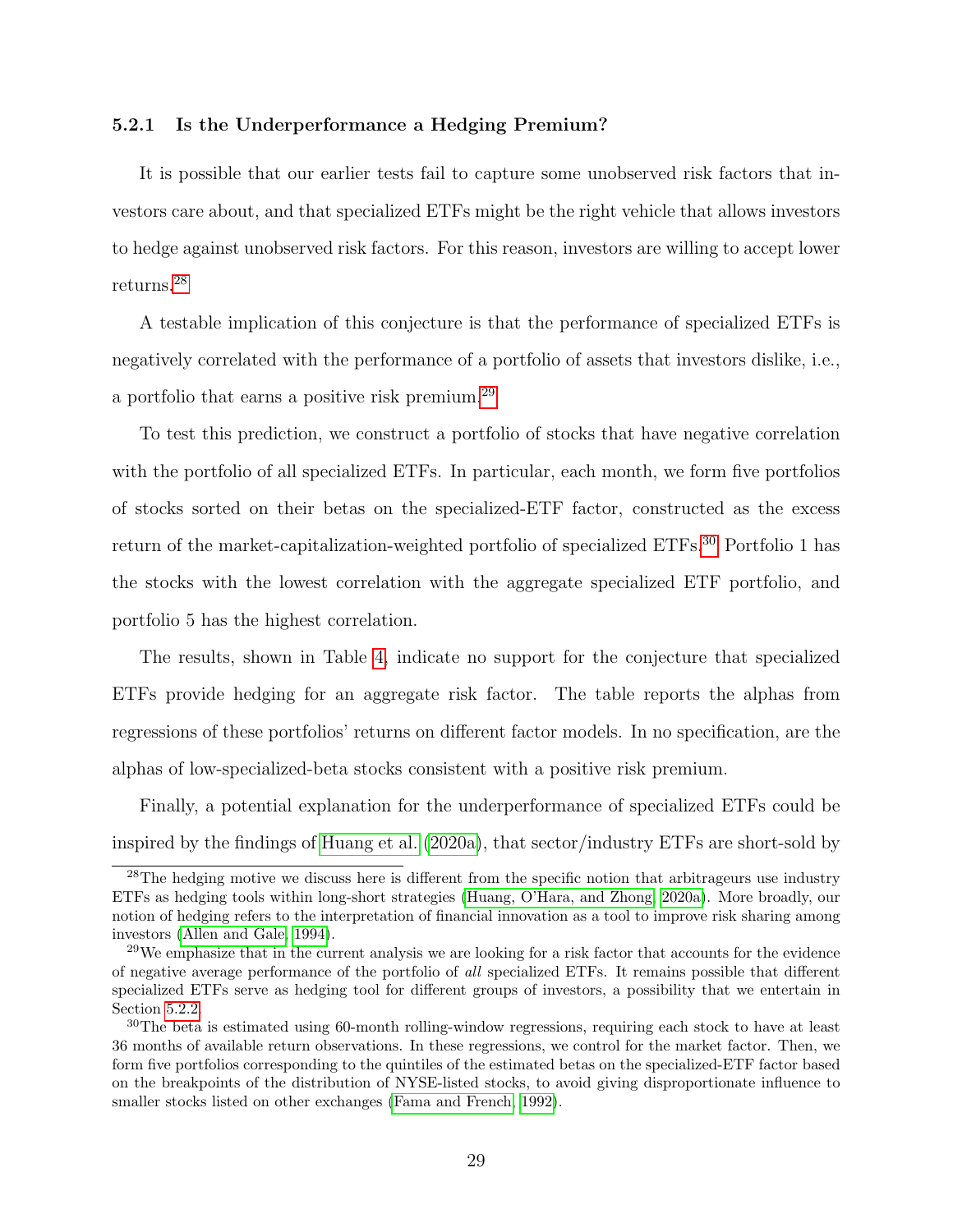### 5.2.1 Is the Underperformance a Hedging Premium?

It is possible that our earlier tests fail to capture some unobserved risk factors that investors care about, and that specialized ETFs might be the right vehicle that allows investors to hedge against unobserved risk factors. For this reason, investors are willing to accept lower returns.[28](#page-30-0)

A testable implication of this conjecture is that the performance of specialized ETFs is negatively correlated with the performance of a portfolio of assets that investors dislike, i.e., a portfolio that earns a positive risk premium.[29](#page-30-1)

To test this prediction, we construct a portfolio of stocks that have negative correlation with the portfolio of all specialized ETFs. In particular, each month, we form five portfolios of stocks sorted on their betas on the specialized-ETF factor, constructed as the excess return of the market-capitalization-weighted portfolio of specialized ETFs.<sup>[30](#page-30-2)</sup> Portfolio 1 has the stocks with the lowest correlation with the aggregate specialized ETF portfolio, and portfolio 5 has the highest correlation.

The results, shown in Table [4,](#page-31-0) indicate no support for the conjecture that specialized ETFs provide hedging for an aggregate risk factor. The table reports the alphas from regressions of these portfolios' returns on different factor models. In no specification, are the alphas of low-specialized-beta stocks consistent with a positive risk premium.

Finally, a potential explanation for the underperformance of specialized ETFs could be inspired by the findings of [Huang et al.](#page-50-14) [\(2020a\)](#page-50-14), that sector/industry ETFs are short-sold by

<span id="page-30-0"></span><sup>&</sup>lt;sup>28</sup>The hedging motive we discuss here is different from the specific notion that arbitrageurs use industry ETFs as hedging tools within long-short strategies [\(Huang, O'Hara, and Zhong, 2020a\)](#page-50-14). More broadly, our notion of hedging refers to the interpretation of financial innovation as a tool to improve risk sharing among investors [\(Allen and Gale, 1994\)](#page-47-2).

<span id="page-30-1"></span><sup>&</sup>lt;sup>29</sup>We emphasize that in the current analysis we are looking for a risk factor that accounts for the evidence of negative average performance of the portfolio of all specialized ETFs. It remains possible that different specialized ETFs serve as hedging tool for different groups of investors, a possibility that we entertain in Section [5.2.2.](#page-31-1)

<span id="page-30-2"></span><sup>&</sup>lt;sup>30</sup>The beta is estimated using 60-month rolling-window regressions, requiring each stock to have at least 36 months of available return observations. In these regressions, we control for the market factor. Then, we form five portfolios corresponding to the quintiles of the estimated betas on the specialized-ETF factor based on the breakpoints of the distribution of NYSE-listed stocks, to avoid giving disproportionate influence to smaller stocks listed on other exchanges [\(Fama and French, 1992\)](#page-49-11).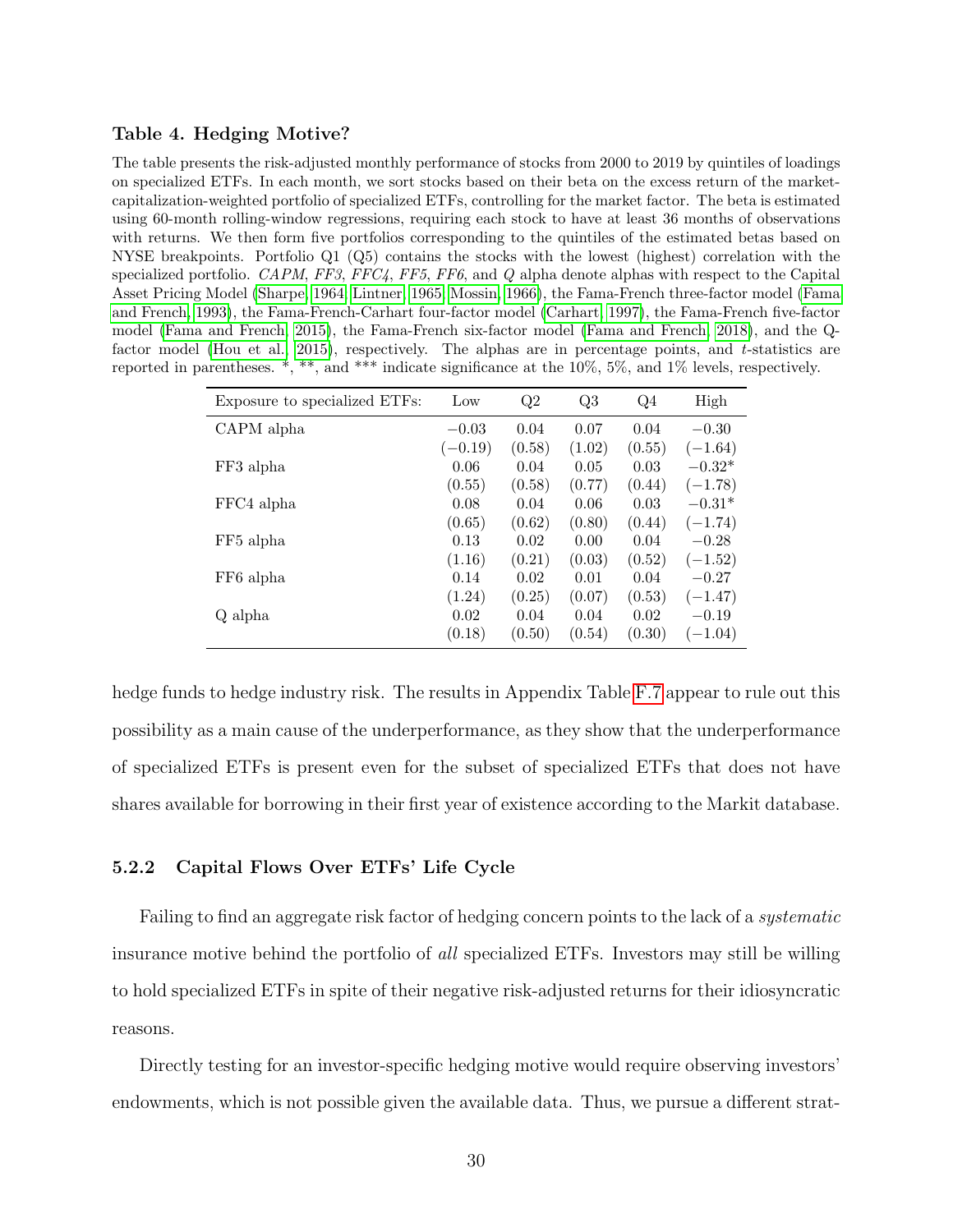### <span id="page-31-0"></span>Table 4. Hedging Motive?

The table presents the risk-adjusted monthly performance of stocks from 2000 to 2019 by quintiles of loadings on specialized ETFs. In each month, we sort stocks based on their beta on the excess return of the marketcapitalization-weighted portfolio of specialized ETFs, controlling for the market factor. The beta is estimated using 60-month rolling-window regressions, requiring each stock to have at least 36 months of observations with returns. We then form five portfolios corresponding to the quintiles of the estimated betas based on NYSE breakpoints. Portfolio Q1 (Q5) contains the stocks with the lowest (highest) correlation with the specialized portfolio. CAPM, FF3, FFC4, FF5, FF6, and Q alpha denote alphas with respect to the Capital Asset Pricing Model [\(Sharpe, 1964;](#page-51-11) [Lintner, 1965;](#page-51-12) [Mossin, 1966\)](#page-51-13), the Fama-French three-factor model [\(Fama](#page-49-3) [and French, 1993\)](#page-49-3), the Fama-French-Carhart four-factor model [\(Carhart, 1997\)](#page-48-3), the Fama-French five-factor model [\(Fama and French, 2015\)](#page-49-8), the Fama-French six-factor model [\(Fama and French, 2018\)](#page-49-9), and the Qfactor model [\(Hou et al., 2015\)](#page-50-13), respectively. The alphas are in percentage points, and t-statistics are reported in parentheses. \*, \*\*, and \*\*\* indicate significance at the 10%, 5%, and 1% levels, respectively.

| Exposure to specialized ETFs: | Low       | Q2     | Q3     | Q4     | High      |
|-------------------------------|-----------|--------|--------|--------|-----------|
| CAPM alpha                    | $-0.03$   | 0.04   | 0.07   | 0.04   | $-0.30$   |
|                               | $(-0.19)$ | (0.58) | (1.02) | (0.55) | $(-1.64)$ |
| FF3 alpha                     | 0.06      | 0.04   | 0.05   | 0.03   | $-0.32*$  |
|                               | (0.55)    | (0.58) | (0.77) | (0.44) | $(-1.78)$ |
| FFC4 alpha                    | 0.08      | 0.04   | 0.06   | 0.03   | $-0.31*$  |
|                               | (0.65)    | (0.62) | (0.80) | (0.44) | $(-1.74)$ |
| FF5 alpha                     | 0.13      | 0.02   | 0.00   | 0.04   | $-0.28$   |
|                               | (1.16)    | (0.21) | (0.03) | (0.52) | $(-1.52)$ |
| FF6 alpha                     | 0.14      | 0.02   | 0.01   | 0.04   | $-0.27$   |
|                               | (1.24)    | (0.25) | (0.07) | (0.53) | $(-1.47)$ |
| Q alpha                       | 0.02      | 0.04   | 0.04   | 0.02   | $-0.19$   |
|                               | (0.18)    | (0.50) | (0.54) | (0.30) | $(-1.04)$ |

hedge funds to hedge industry risk. The results in Appendix Table [F.7](#page-72-0) appear to rule out this possibility as a main cause of the underperformance, as they show that the underperformance of specialized ETFs is present even for the subset of specialized ETFs that does not have shares available for borrowing in their first year of existence according to the Markit database.

### <span id="page-31-1"></span>5.2.2 Capital Flows Over ETFs' Life Cycle

Failing to find an aggregate risk factor of hedging concern points to the lack of a *systematic* insurance motive behind the portfolio of all specialized ETFs. Investors may still be willing to hold specialized ETFs in spite of their negative risk-adjusted returns for their idiosyncratic reasons.

Directly testing for an investor-specific hedging motive would require observing investors' endowments, which is not possible given the available data. Thus, we pursue a different strat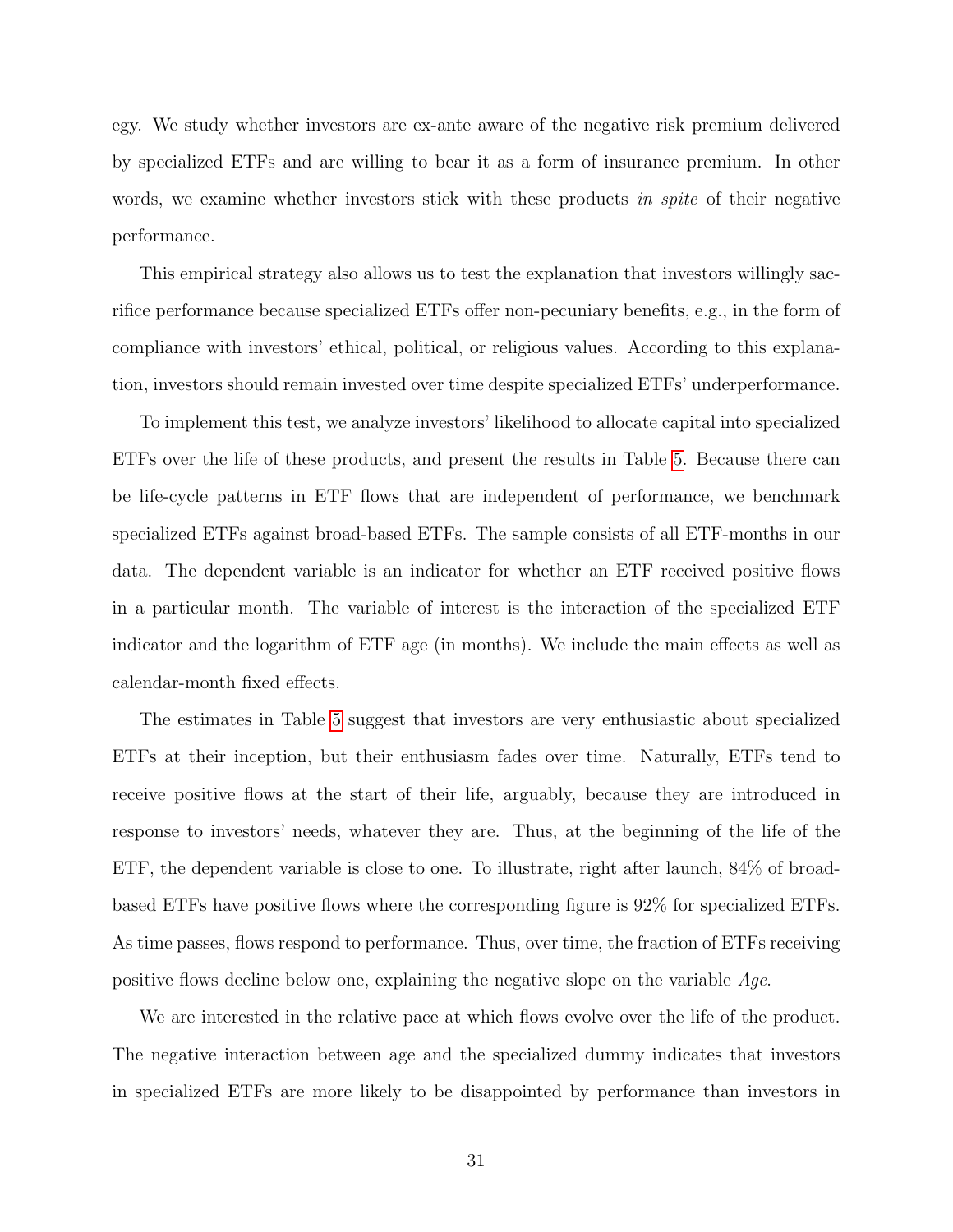egy. We study whether investors are ex-ante aware of the negative risk premium delivered by specialized ETFs and are willing to bear it as a form of insurance premium. In other words, we examine whether investors stick with these products in spite of their negative performance.

This empirical strategy also allows us to test the explanation that investors willingly sacrifice performance because specialized ETFs offer non-pecuniary benefits, e.g., in the form of compliance with investors' ethical, political, or religious values. According to this explanation, investors should remain invested over time despite specialized ETFs' underperformance.

To implement this test, we analyze investors' likelihood to allocate capital into specialized ETFs over the life of these products, and present the results in Table [5.](#page-33-0) Because there can be life-cycle patterns in ETF flows that are independent of performance, we benchmark specialized ETFs against broad-based ETFs. The sample consists of all ETF-months in our data. The dependent variable is an indicator for whether an ETF received positive flows in a particular month. The variable of interest is the interaction of the specialized ETF indicator and the logarithm of ETF age (in months). We include the main effects as well as calendar-month fixed effects.

The estimates in Table [5](#page-33-0) suggest that investors are very enthusiastic about specialized ETFs at their inception, but their enthusiasm fades over time. Naturally, ETFs tend to receive positive flows at the start of their life, arguably, because they are introduced in response to investors' needs, whatever they are. Thus, at the beginning of the life of the ETF, the dependent variable is close to one. To illustrate, right after launch, 84% of broadbased ETFs have positive flows where the corresponding figure is 92% for specialized ETFs. As time passes, flows respond to performance. Thus, over time, the fraction of ETFs receiving positive flows decline below one, explaining the negative slope on the variable Age.

We are interested in the relative pace at which flows evolve over the life of the product. The negative interaction between age and the specialized dummy indicates that investors in specialized ETFs are more likely to be disappointed by performance than investors in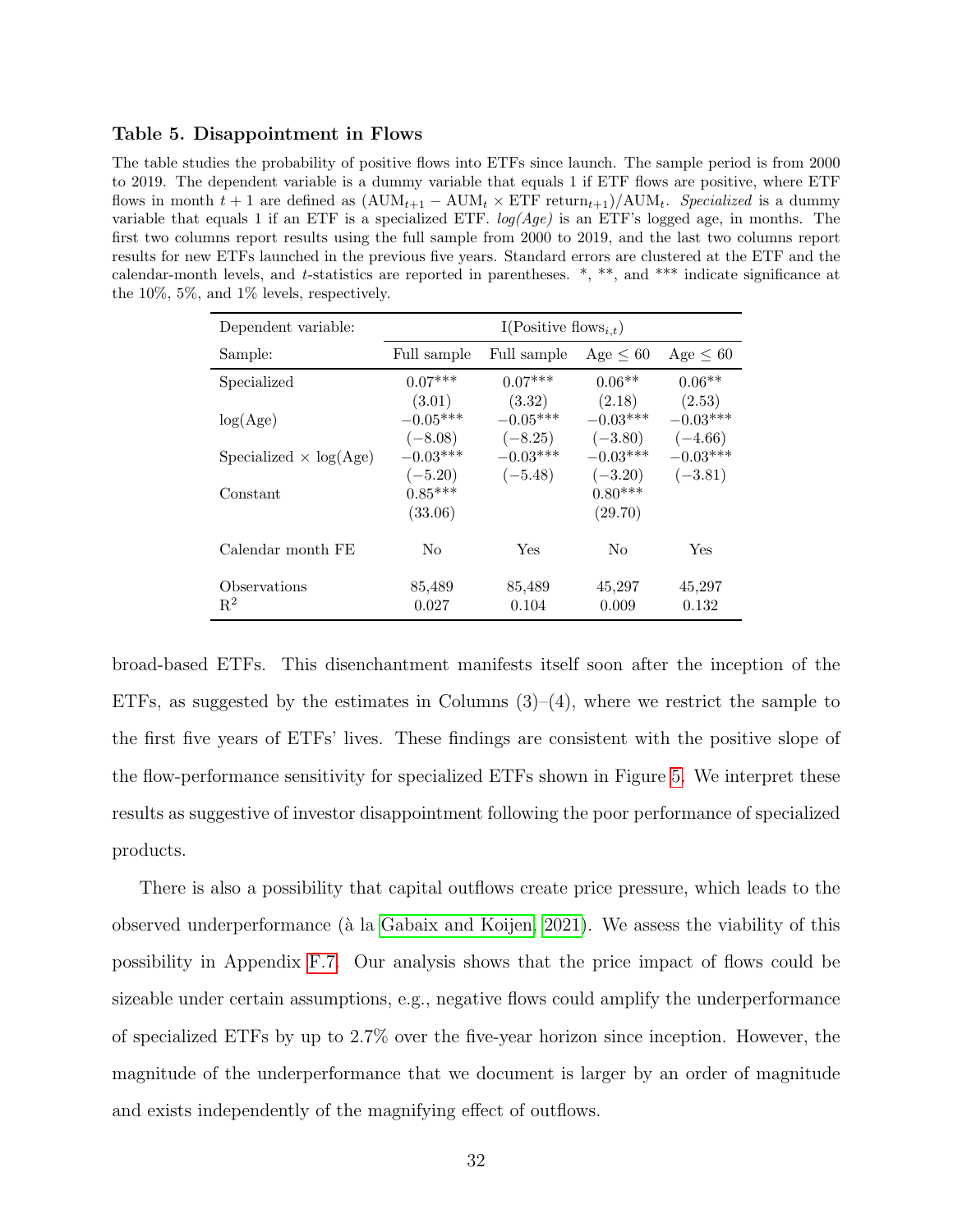### <span id="page-33-0"></span>Table 5. Disappointment in Flows

The table studies the probability of positive flows into ETFs since launch. The sample period is from 2000 to 2019. The dependent variable is a dummy variable that equals 1 if ETF flows are positive, where ETF flows in month  $t + 1$  are defined as  $(AUM_{t+1} - AUM_t \times ETF$  return $_{t+1})/AUM_t$ . Specialized is a dummy variable that equals 1 if an ETF is a specialized ETF.  $log(Age)$  is an ETF's logged age, in months. The first two columns report results using the full sample from 2000 to 2019, and the last two columns report results for new ETFs launched in the previous five years. Standard errors are clustered at the ETF and the calendar-month levels, and t-statistics are reported in parentheses. \*, \*\*, and \*\*\* indicate significance at the 10%, 5%, and 1% levels, respectively.

| Dependent variable:           | I(Positive flows <sub>i,t</sub> ) |                                   |                                   |                                   |  |  |
|-------------------------------|-----------------------------------|-----------------------------------|-----------------------------------|-----------------------------------|--|--|
| Sample:                       | Full sample                       | Full sample                       | $Age \leq 60$                     | $Age \leq 60$                     |  |  |
| Specialized                   | $0.07***$                         | $0.07***$                         | $0.06**$                          | $0.06**$                          |  |  |
| log(Age)                      | (3.01)<br>$-0.05***$<br>$(-8.08)$ | (3.32)<br>$-0.05***$<br>$(-8.25)$ | (2.18)<br>$-0.03***$<br>$(-3.80)$ | (2.53)<br>$-0.03***$<br>$(-4.66)$ |  |  |
| Specialized $\times$ log(Age) | $-0.03***$                        | $-0.03***$                        | $-0.03***$                        | $-0.03***$                        |  |  |
| Constant                      | $(-5.20)$<br>$0.85***$<br>(33.06) | $(-5.48)$                         | $(-3.20)$<br>$0.80***$<br>(29.70) | $(-3.81)$                         |  |  |
| Calendar month FE             | No                                | Yes                               | No                                | Yes                               |  |  |
| Observations<br>$R^2$         | 85,489<br>0.027                   | 85,489<br>0.104                   | 45,297<br>0.009                   | 45,297<br>0.132                   |  |  |

broad-based ETFs. This disenchantment manifests itself soon after the inception of the ETFs, as suggested by the estimates in Columns  $(3)-(4)$ , where we restrict the sample to the first five years of ETFs' lives. These findings are consistent with the positive slope of the flow-performance sensitivity for specialized ETFs shown in Figure [5.](#page-23-0) We interpret these results as suggestive of investor disappointment following the poor performance of specialized products.

There is also a possibility that capital outflows create price pressure, which leads to the observed underperformance ( $\hat{a}$  la [Gabaix and Koijen, 2021\)](#page-49-12). We assess the viability of this possibility in Appendix [F.7.](#page-73-0) Our analysis shows that the price impact of flows could be sizeable under certain assumptions, e.g., negative flows could amplify the underperformance of specialized ETFs by up to 2.7% over the five-year horizon since inception. However, the magnitude of the underperformance that we document is larger by an order of magnitude and exists independently of the magnifying effect of outflows.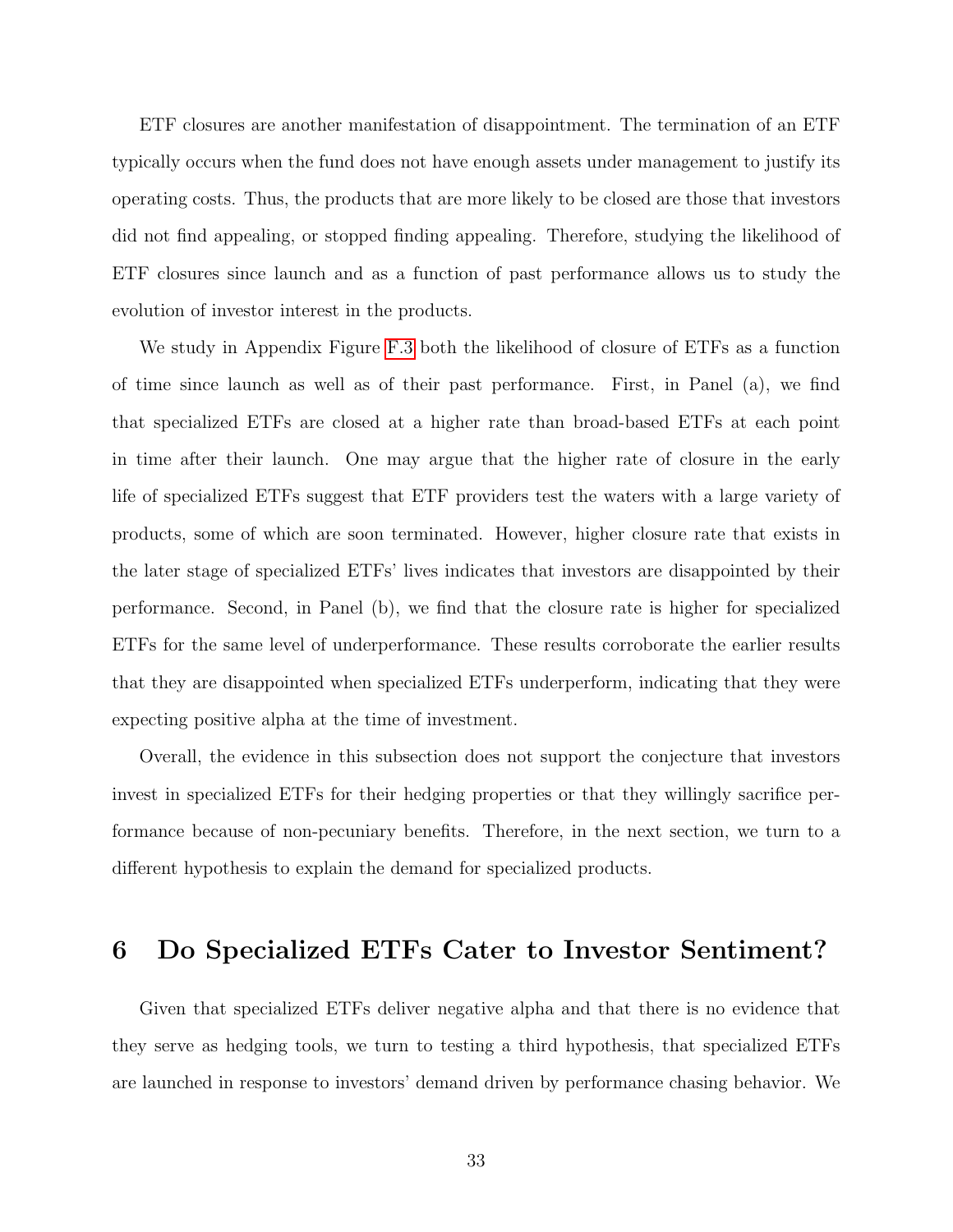ETF closures are another manifestation of disappointment. The termination of an ETF typically occurs when the fund does not have enough assets under management to justify its operating costs. Thus, the products that are more likely to be closed are those that investors did not find appealing, or stopped finding appealing. Therefore, studying the likelihood of ETF closures since launch and as a function of past performance allows us to study the evolution of investor interest in the products.

We study in Appendix Figure [F.3](#page-77-0) both the likelihood of closure of ETFs as a function of time since launch as well as of their past performance. First, in Panel (a), we find that specialized ETFs are closed at a higher rate than broad-based ETFs at each point in time after their launch. One may argue that the higher rate of closure in the early life of specialized ETFs suggest that ETF providers test the waters with a large variety of products, some of which are soon terminated. However, higher closure rate that exists in the later stage of specialized ETFs' lives indicates that investors are disappointed by their performance. Second, in Panel (b), we find that the closure rate is higher for specialized ETFs for the same level of underperformance. These results corroborate the earlier results that they are disappointed when specialized ETFs underperform, indicating that they were expecting positive alpha at the time of investment.

Overall, the evidence in this subsection does not support the conjecture that investors invest in specialized ETFs for their hedging properties or that they willingly sacrifice performance because of non-pecuniary benefits. Therefore, in the next section, we turn to a different hypothesis to explain the demand for specialized products.

## <span id="page-34-0"></span>6 Do Specialized ETFs Cater to Investor Sentiment?

Given that specialized ETFs deliver negative alpha and that there is no evidence that they serve as hedging tools, we turn to testing a third hypothesis, that specialized ETFs are launched in response to investors' demand driven by performance chasing behavior. We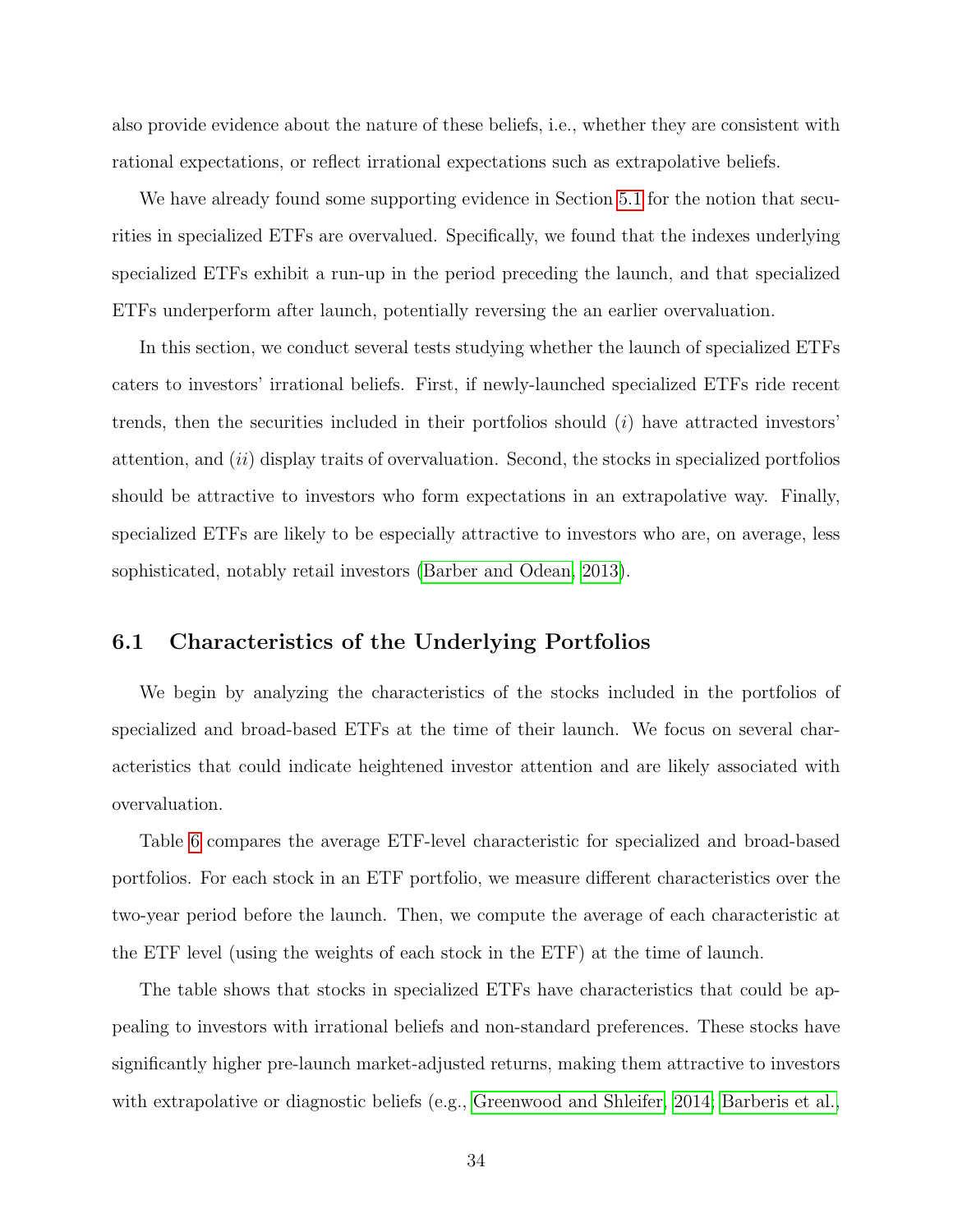also provide evidence about the nature of these beliefs, i.e., whether they are consistent with rational expectations, or reflect irrational expectations such as extrapolative beliefs.

We have already found some supporting evidence in Section [5.1](#page-25-2) for the notion that securities in specialized ETFs are overvalued. Specifically, we found that the indexes underlying specialized ETFs exhibit a run-up in the period preceding the launch, and that specialized ETFs underperform after launch, potentially reversing the an earlier overvaluation.

In this section, we conduct several tests studying whether the launch of specialized ETFs caters to investors' irrational beliefs. First, if newly-launched specialized ETFs ride recent trends, then the securities included in their portfolios should  $(i)$  have attracted investors' attention, and  $(ii)$  display traits of overvaluation. Second, the stocks in specialized portfolios should be attractive to investors who form expectations in an extrapolative way. Finally, specialized ETFs are likely to be especially attractive to investors who are, on average, less sophisticated, notably retail investors [\(Barber and Odean, 2013\)](#page-47-11).

## 6.1 Characteristics of the Underlying Portfolios

We begin by analyzing the characteristics of the stocks included in the portfolios of specialized and broad-based ETFs at the time of their launch. We focus on several characteristics that could indicate heightened investor attention and are likely associated with overvaluation.

Table [6](#page-36-0) compares the average ETF-level characteristic for specialized and broad-based portfolios. For each stock in an ETF portfolio, we measure different characteristics over the two-year period before the launch. Then, we compute the average of each characteristic at the ETF level (using the weights of each stock in the ETF) at the time of launch.

The table shows that stocks in specialized ETFs have characteristics that could be appealing to investors with irrational beliefs and non-standard preferences. These stocks have significantly higher pre-launch market-adjusted returns, making them attractive to investors with extrapolative or diagnostic beliefs (e.g., [Greenwood and Shleifer, 2014;](#page-50-5) [Barberis et al.,](#page-47-6)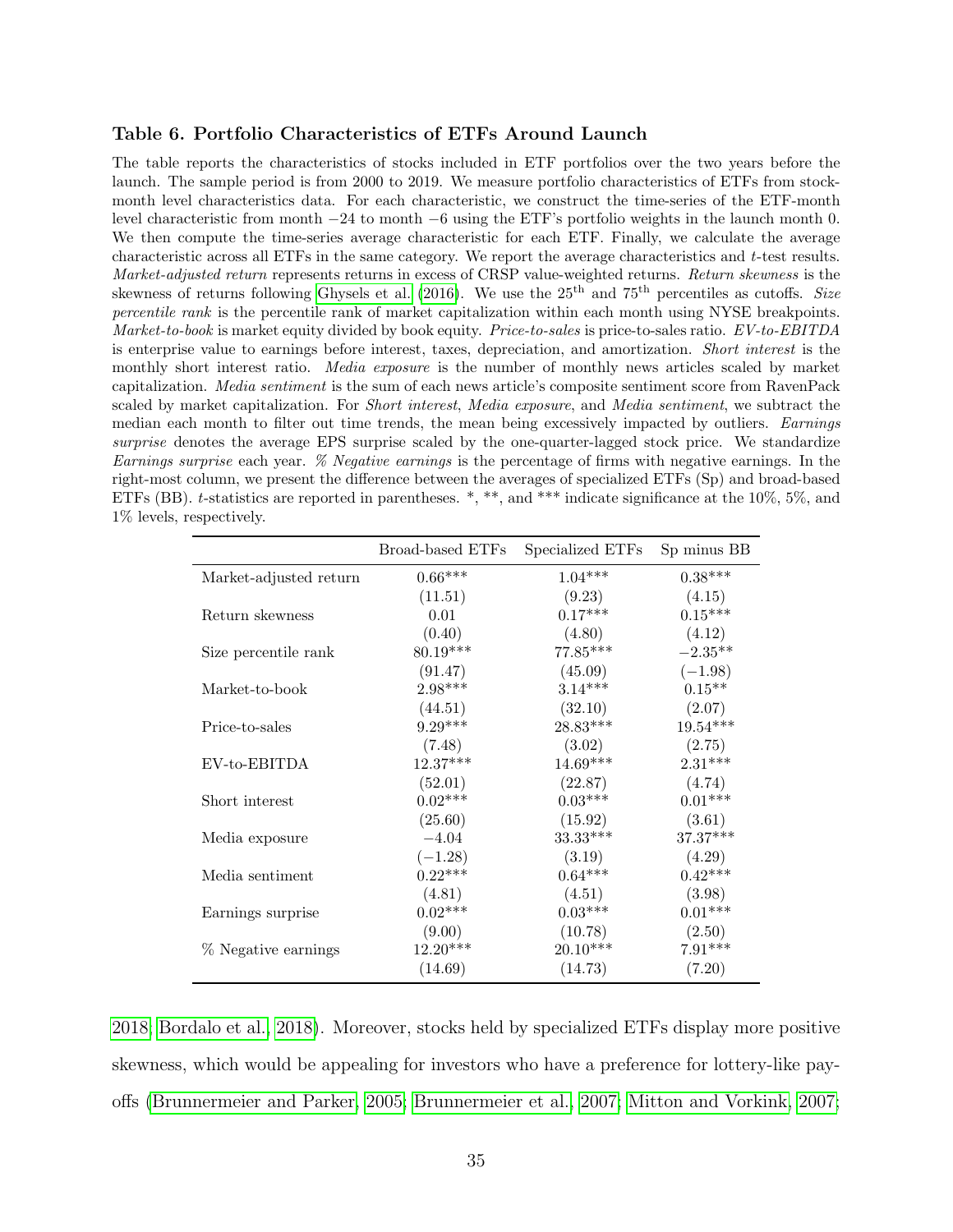#### <span id="page-36-0"></span>Table 6. Portfolio Characteristics of ETFs Around Launch

The table reports the characteristics of stocks included in ETF portfolios over the two years before the launch. The sample period is from 2000 to 2019. We measure portfolio characteristics of ETFs from stockmonth level characteristics data. For each characteristic, we construct the time-series of the ETF-month level characteristic from month −24 to month −6 using the ETF's portfolio weights in the launch month 0. We then compute the time-series average characteristic for each ETF. Finally, we calculate the average characteristic across all ETFs in the same category. We report the average characteristics and t-test results. Market-adjusted return represents returns in excess of CRSP value-weighted returns. Return skewness is the skewness of returns following [Ghysels et al.](#page-50-0) [\(2016\)](#page-50-0). We use the  $25<sup>th</sup>$  and  $75<sup>th</sup>$  percentiles as cutoffs. Size percentile rank is the percentile rank of market capitalization within each month using NYSE breakpoints. Market-to-book is market equity divided by book equity. Price-to-sales is price-to-sales ratio. EV-to-EBITDA is enterprise value to earnings before interest, taxes, depreciation, and amortization. Short interest is the monthly short interest ratio. *Media exposure* is the number of monthly news articles scaled by market capitalization. Media sentiment is the sum of each news article's composite sentiment score from RavenPack scaled by market capitalization. For Short interest, Media exposure, and Media sentiment, we subtract the median each month to filter out time trends, the mean being excessively impacted by outliers. Earnings surprise denotes the average EPS surprise scaled by the one-quarter-lagged stock price. We standardize Earnings surprise each year. % Negative earnings is the percentage of firms with negative earnings. In the right-most column, we present the difference between the averages of specialized ETFs (Sp) and broad-based ETFs (BB). t-statistics are reported in parentheses. \*, \*\*, and \*\*\* indicate significance at the 10%, 5%, and 1% levels, respectively.

|                        | Broad-based ETFs | Specialized ETFs | Sp minus BB |
|------------------------|------------------|------------------|-------------|
| Market-adjusted return | $0.66***$        | $1.04***$        | $0.38***$   |
|                        | (11.51)          | (9.23)           | (4.15)      |
| Return skewness        | 0.01             | $0.17***$        | $0.15***$   |
|                        | (0.40)           | (4.80)           | (4.12)      |
| Size percentile rank   | $80.19***$       | $77.85***$       | $-2.35**$   |
|                        | (91.47)          | (45.09)          | $(-1.98)$   |
| Market-to-book         | $2.98***$        | $3.14***$        | $0.15**$    |
|                        | (44.51)          | (32.10)          | (2.07)      |
| Price-to-sales         | $9.29***$        | $28.83***$       | $19.54***$  |
|                        | (7.48)           | (3.02)           | (2.75)      |
| $EV$ -to-EBITDA        | $12.37***$       | $14.69***$       | $2.31***$   |
|                        | (52.01)          | (22.87)          | (4.74)      |
| Short interest         | $0.02***$        | $0.03***$        | $0.01***$   |
|                        | (25.60)          | (15.92)          | (3.61)      |
| Media exposure         | $-4.04$          | $33.33***$       | 37.37***    |
|                        | $(-1.28)$        | (3.19)           | (4.29)      |
| Media sentiment        | $0.22***$        | $0.64***$        | $0.42***$   |
|                        | (4.81)           | (4.51)           | (3.98)      |
| Earnings surprise      | $0.02***$        | $0.03***$        | $0.01***$   |
|                        | (9.00)           | (10.78)          | (2.50)      |
| % Negative earnings    | $12.20***$       | $20.10***$       | $7.91***$   |
|                        | (14.69)          | (14.73)          | (7.20)      |

[2018;](#page-47-0) [Bordalo et al., 2018\)](#page-48-0). Moreover, stocks held by specialized ETFs display more positive skewness, which would be appealing for investors who have a preference for lottery-like payoffs [\(Brunnermeier and Parker, 2005;](#page-48-1) [Brunnermeier et al., 2007;](#page-48-2) [Mitton and Vorkink, 2007;](#page-51-0)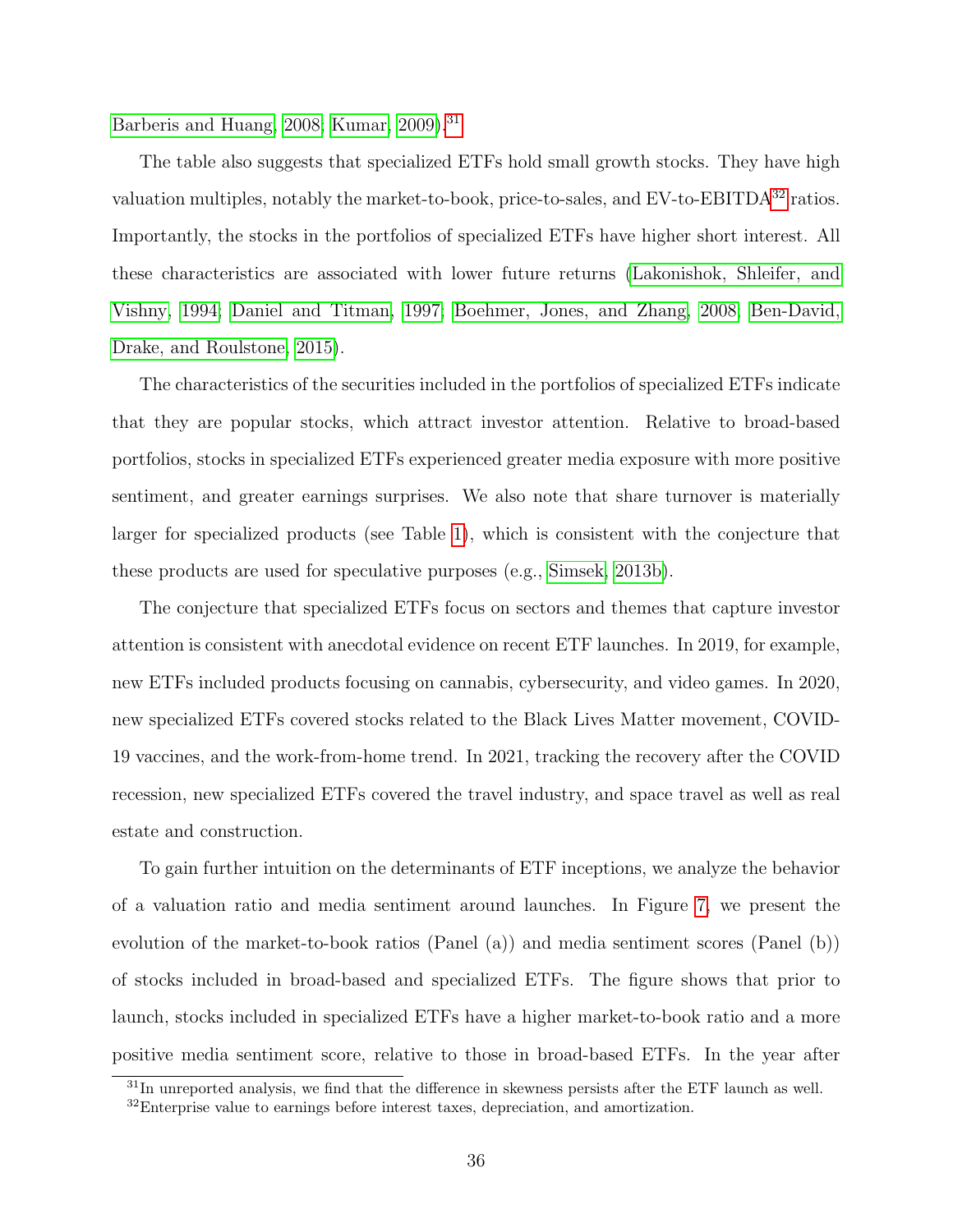[Barberis and Huang, 2008;](#page-47-1) [Kumar, 2009\)](#page-51-1).<sup>[31](#page-37-0)</sup>

The table also suggests that specialized ETFs hold small growth stocks. They have high valuation multiples, notably the market-to-book, price-to-sales, and EV-to-EBITDA<sup>[32](#page-37-1)</sup> ratios. Importantly, the stocks in the portfolios of specialized ETFs have higher short interest. All these characteristics are associated with lower future returns [\(Lakonishok, Shleifer, and](#page-51-2) [Vishny, 1994;](#page-51-2) [Daniel and Titman, 1997;](#page-48-3) [Boehmer, Jones, and Zhang, 2008;](#page-47-2) [Ben-David,](#page-47-3) [Drake, and Roulstone, 2015\)](#page-47-3).

The characteristics of the securities included in the portfolios of specialized ETFs indicate that they are popular stocks, which attract investor attention. Relative to broad-based portfolios, stocks in specialized ETFs experienced greater media exposure with more positive sentiment, and greater earnings surprises. We also note that share turnover is materially larger for specialized products (see Table [1\)](#page-18-0), which is consistent with the conjecture that these products are used for speculative purposes (e.g., [Simsek, 2013b\)](#page-52-0).

The conjecture that specialized ETFs focus on sectors and themes that capture investor attention is consistent with anecdotal evidence on recent ETF launches. In 2019, for example, new ETFs included products focusing on cannabis, cybersecurity, and video games. In 2020, new specialized ETFs covered stocks related to the Black Lives Matter movement, COVID-19 vaccines, and the work-from-home trend. In 2021, tracking the recovery after the COVID recession, new specialized ETFs covered the travel industry, and space travel as well as real estate and construction.

To gain further intuition on the determinants of ETF inceptions, we analyze the behavior of a valuation ratio and media sentiment around launches. In Figure [7,](#page-38-0) we present the evolution of the market-to-book ratios (Panel (a)) and media sentiment scores (Panel (b)) of stocks included in broad-based and specialized ETFs. The figure shows that prior to launch, stocks included in specialized ETFs have a higher market-to-book ratio and a more positive media sentiment score, relative to those in broad-based ETFs. In the year after

<span id="page-37-0"></span> $31$ In unreported analysis, we find that the difference in skewness persists after the ETF launch as well.

<span id="page-37-1"></span><sup>&</sup>lt;sup>32</sup>Enterprise value to earnings before interest taxes, depreciation, and amortization.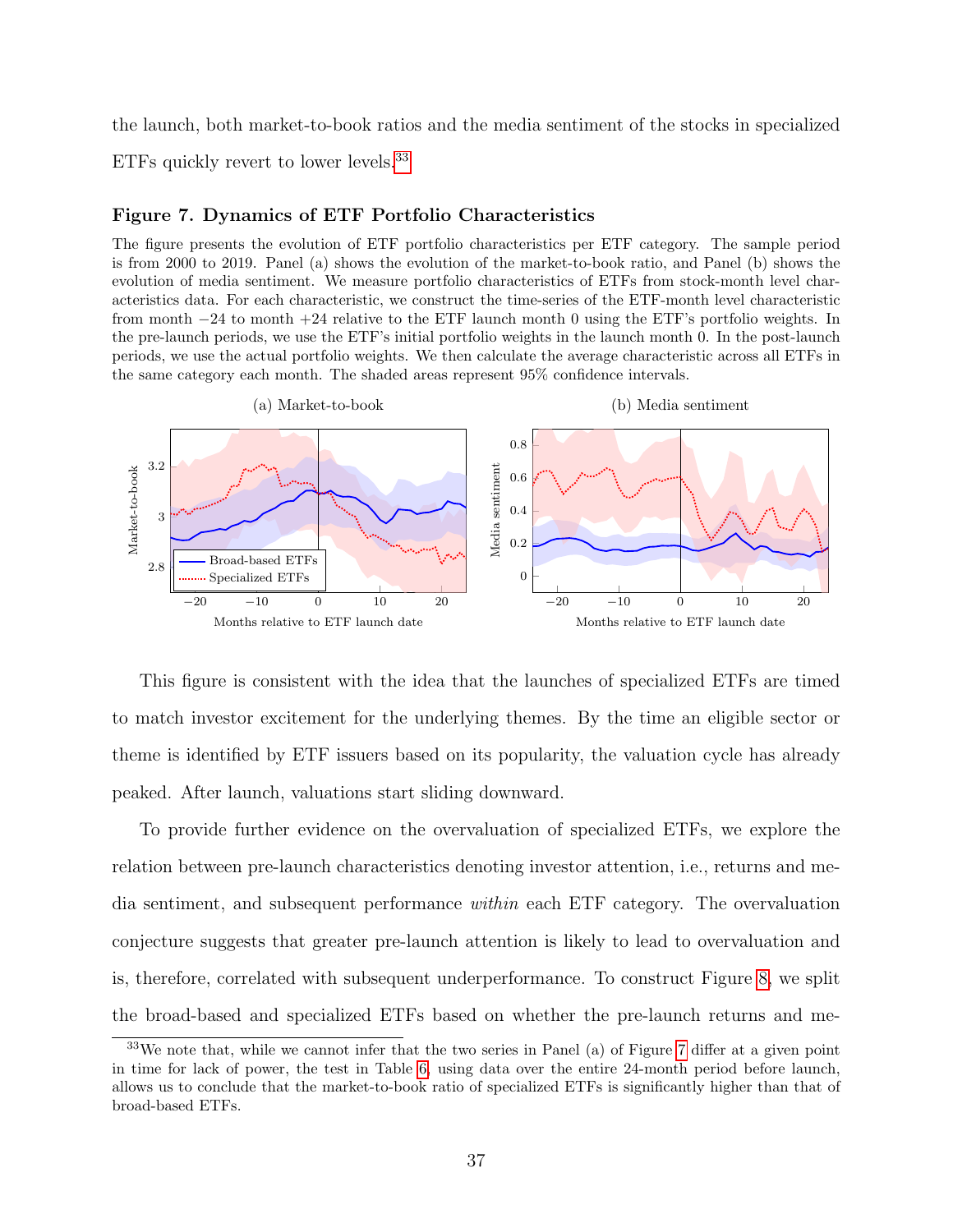the launch, both market-to-book ratios and the media sentiment of the stocks in specialized

ETFs quickly revert to lower levels.<sup>[33](#page-38-1)</sup>

## <span id="page-38-0"></span>Figure 7. Dynamics of ETF Portfolio Characteristics

The figure presents the evolution of ETF portfolio characteristics per ETF category. The sample period is from 2000 to 2019. Panel (a) shows the evolution of the market-to-book ratio, and Panel (b) shows the evolution of media sentiment. We measure portfolio characteristics of ETFs from stock-month level characteristics data. For each characteristic, we construct the time-series of the ETF-month level characteristic from month −24 to month +24 relative to the ETF launch month 0 using the ETF's portfolio weights. In the pre-launch periods, we use the ETF's initial portfolio weights in the launch month 0. In the post-launch periods, we use the actual portfolio weights. We then calculate the average characteristic across all ETFs in the same category each month. The shaded areas represent 95% confidence intervals.



This figure is consistent with the idea that the launches of specialized ETFs are timed to match investor excitement for the underlying themes. By the time an eligible sector or theme is identified by ETF issuers based on its popularity, the valuation cycle has already peaked. After launch, valuations start sliding downward.

To provide further evidence on the overvaluation of specialized ETFs, we explore the relation between pre-launch characteristics denoting investor attention, i.e., returns and media sentiment, and subsequent performance within each ETF category. The overvaluation conjecture suggests that greater pre-launch attention is likely to lead to overvaluation and is, therefore, correlated with subsequent underperformance. To construct Figure [8,](#page-39-0) we split the broad-based and specialized ETFs based on whether the pre-launch returns and me-

<span id="page-38-1"></span><sup>33</sup>We note that, while we cannot infer that the two series in Panel (a) of Figure [7](#page-38-0) differ at a given point in time for lack of power, the test in Table [6,](#page-36-0) using data over the entire 24-month period before launch, allows us to conclude that the market-to-book ratio of specialized ETFs is significantly higher than that of broad-based ETFs.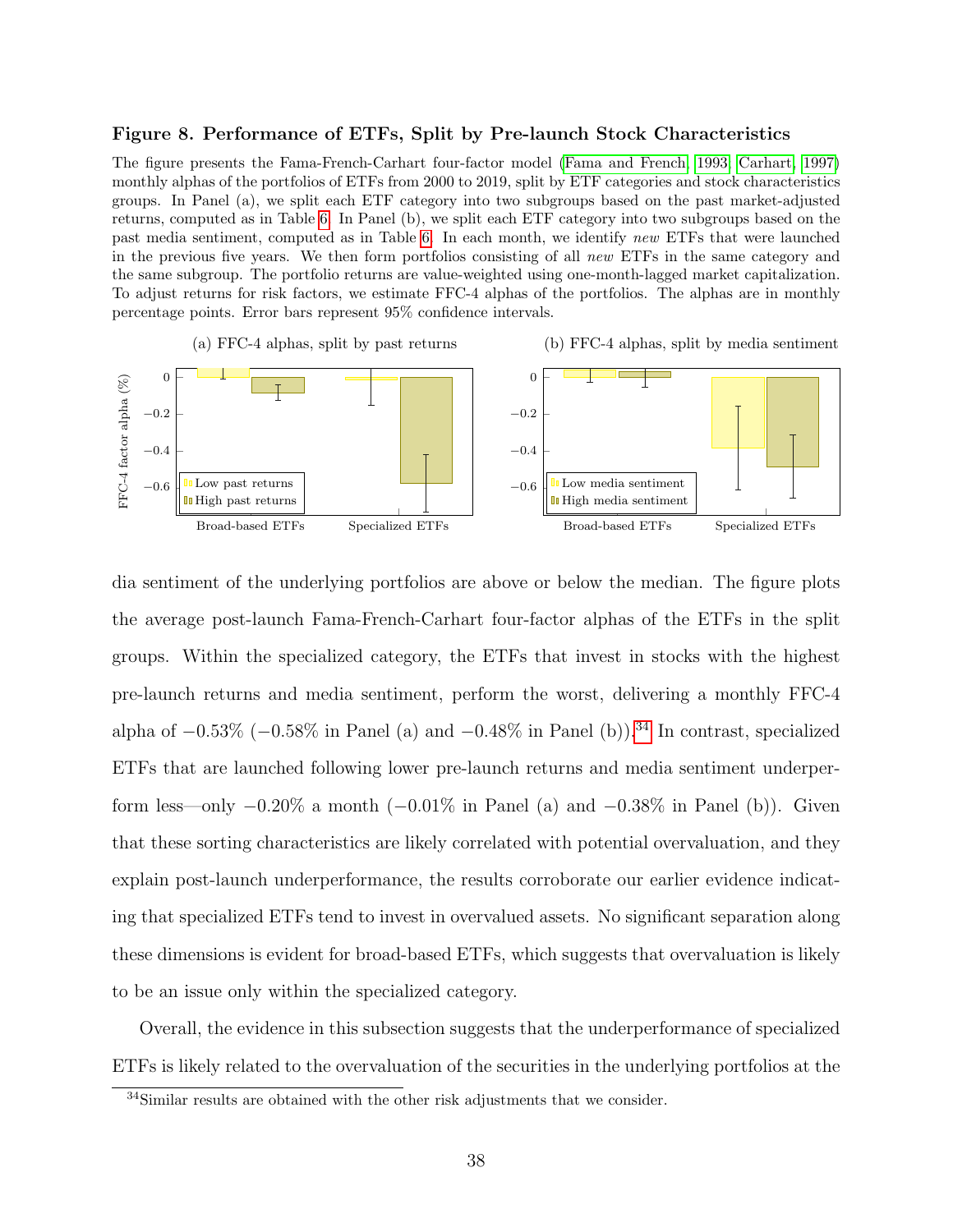#### <span id="page-39-0"></span>Figure 8. Performance of ETFs, Split by Pre-launch Stock Characteristics

The figure presents the Fama-French-Carhart four-factor model [\(Fama and French, 1993;](#page-49-0) [Carhart, 1997\)](#page-48-4) monthly alphas of the portfolios of ETFs from 2000 to 2019, split by ETF categories and stock characteristics groups. In Panel (a), we split each ETF category into two subgroups based on the past market-adjusted returns, computed as in Table [6.](#page-36-0) In Panel (b), we split each ETF category into two subgroups based on the past media sentiment, computed as in Table [6.](#page-36-0) In each month, we identify new ETFs that were launched in the previous five years. We then form portfolios consisting of all new ETFs in the same category and the same subgroup. The portfolio returns are value-weighted using one-month-lagged market capitalization. To adjust returns for risk factors, we estimate FFC-4 alphas of the portfolios. The alphas are in monthly percentage points. Error bars represent 95% confidence intervals.



dia sentiment of the underlying portfolios are above or below the median. The figure plots the average post-launch Fama-French-Carhart four-factor alphas of the ETFs in the split groups. Within the specialized category, the ETFs that invest in stocks with the highest pre-launch returns and media sentiment, perform the worst, delivering a monthly FFC-4 alpha of  $-0.53\%$  ( $-0.58\%$  in Panel (a) and  $-0.48\%$  in Panel (b)).<sup>[34](#page-39-1)</sup> In contrast, specialized ETFs that are launched following lower pre-launch returns and media sentiment underperform less—only  $-0.20\%$  a month  $(-0.01\%$  in Panel (a) and  $-0.38\%$  in Panel (b)). Given that these sorting characteristics are likely correlated with potential overvaluation, and they explain post-launch underperformance, the results corroborate our earlier evidence indicating that specialized ETFs tend to invest in overvalued assets. No significant separation along these dimensions is evident for broad-based ETFs, which suggests that overvaluation is likely to be an issue only within the specialized category.

Overall, the evidence in this subsection suggests that the underperformance of specialized ETFs is likely related to the overvaluation of the securities in the underlying portfolios at the

<span id="page-39-1"></span><sup>&</sup>lt;sup>34</sup>Similar results are obtained with the other risk adjustments that we consider.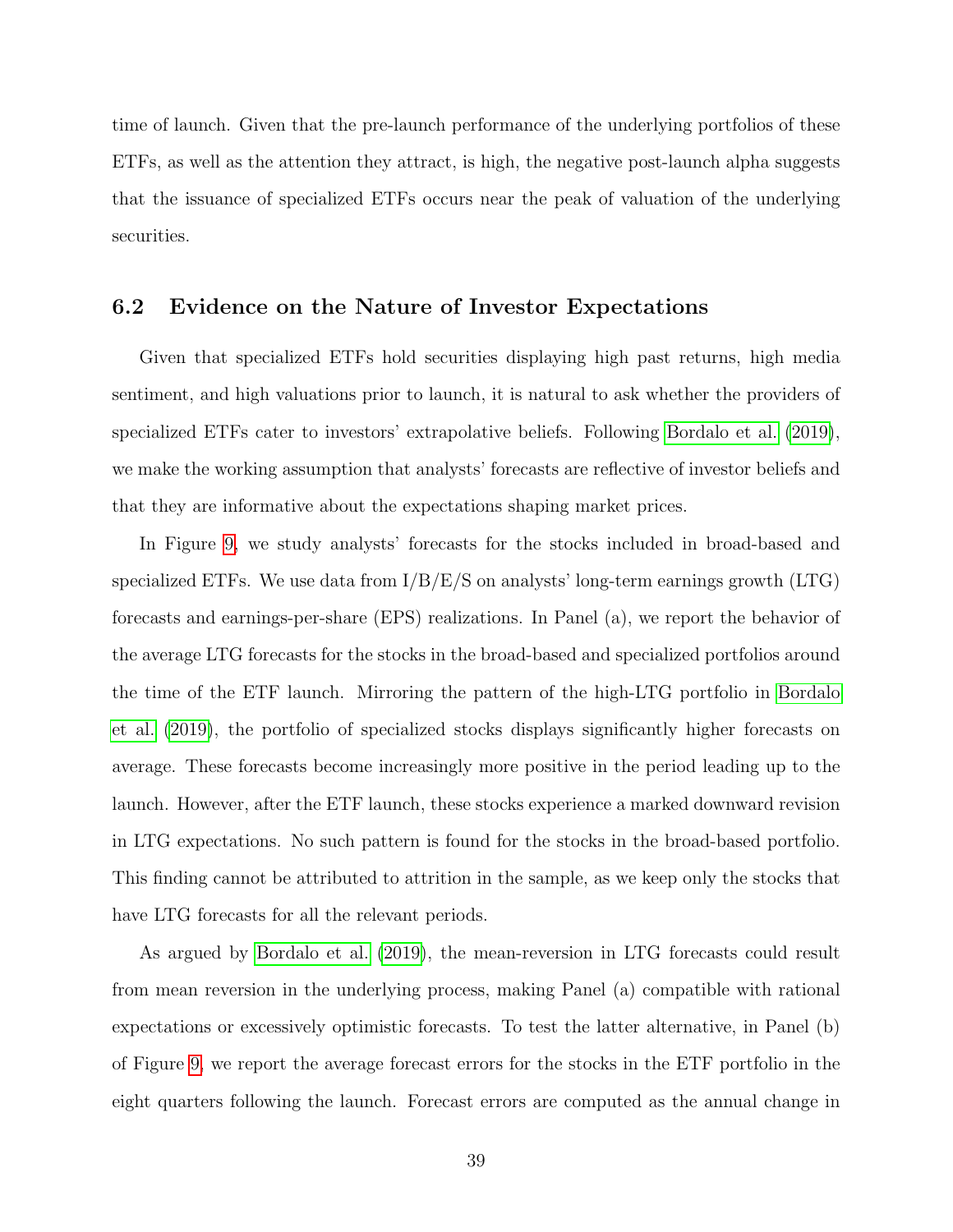time of launch. Given that the pre-launch performance of the underlying portfolios of these ETFs, as well as the attention they attract, is high, the negative post-launch alpha suggests that the issuance of specialized ETFs occurs near the peak of valuation of the underlying securities.

## 6.2 Evidence on the Nature of Investor Expectations

Given that specialized ETFs hold securities displaying high past returns, high media sentiment, and high valuations prior to launch, it is natural to ask whether the providers of specialized ETFs cater to investors' extrapolative beliefs. Following [Bordalo et al.](#page-47-4) [\(2019\)](#page-47-4), we make the working assumption that analysts' forecasts are reflective of investor beliefs and that they are informative about the expectations shaping market prices.

In Figure [9,](#page-41-0) we study analysts' forecasts for the stocks included in broad-based and specialized ETFs. We use data from  $I/B/E/S$  on analysts' long-term earnings growth (LTG) forecasts and earnings-per-share (EPS) realizations. In Panel (a), we report the behavior of the average LTG forecasts for the stocks in the broad-based and specialized portfolios around the time of the ETF launch. Mirroring the pattern of the high-LTG portfolio in [Bordalo](#page-47-4) [et al.](#page-47-4) [\(2019\)](#page-47-4), the portfolio of specialized stocks displays significantly higher forecasts on average. These forecasts become increasingly more positive in the period leading up to the launch. However, after the ETF launch, these stocks experience a marked downward revision in LTG expectations. No such pattern is found for the stocks in the broad-based portfolio. This finding cannot be attributed to attrition in the sample, as we keep only the stocks that have LTG forecasts for all the relevant periods.

As argued by [Bordalo et al.](#page-47-4) [\(2019\)](#page-47-4), the mean-reversion in LTG forecasts could result from mean reversion in the underlying process, making Panel (a) compatible with rational expectations or excessively optimistic forecasts. To test the latter alternative, in Panel (b) of Figure [9,](#page-41-0) we report the average forecast errors for the stocks in the ETF portfolio in the eight quarters following the launch. Forecast errors are computed as the annual change in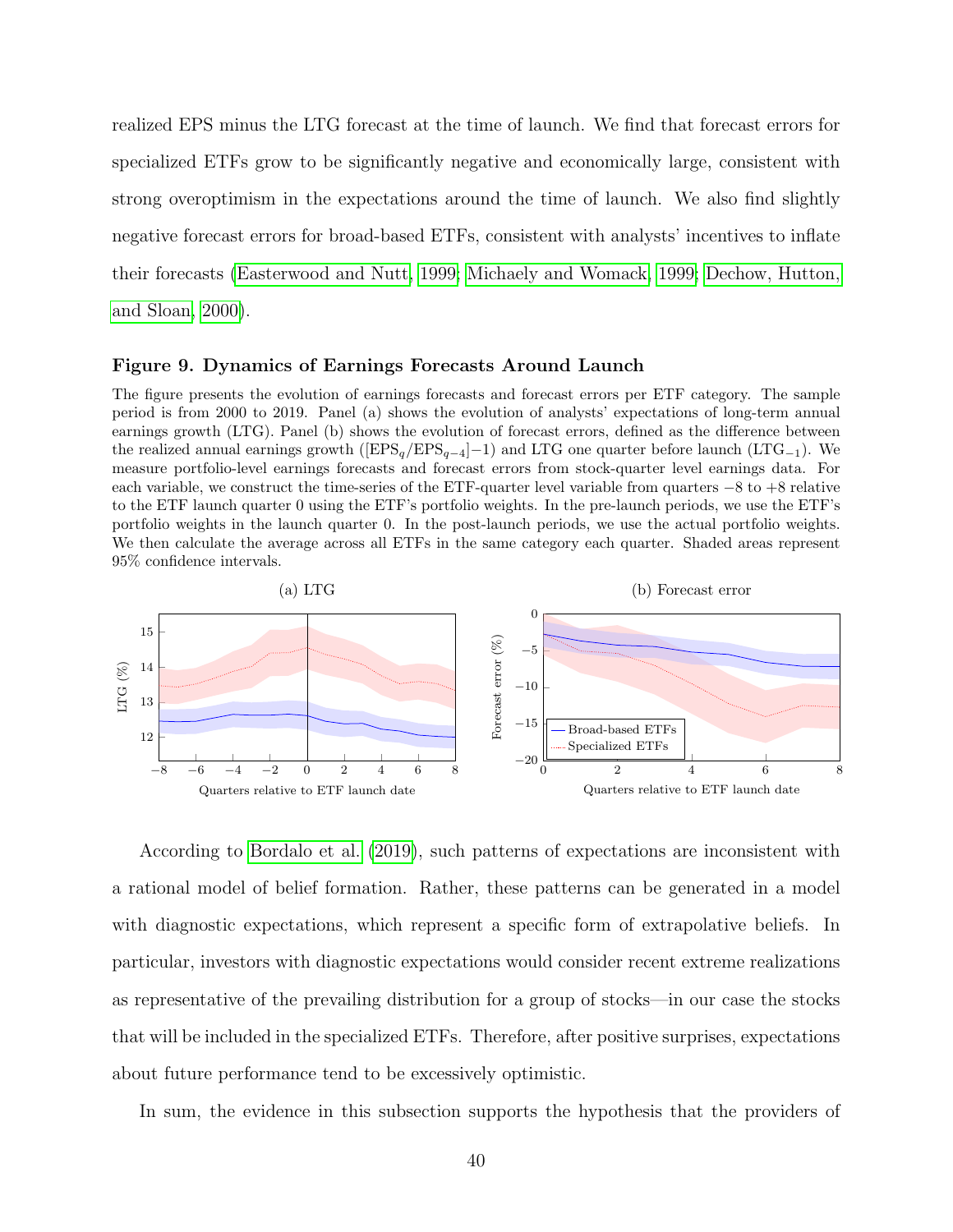realized EPS minus the LTG forecast at the time of launch. We find that forecast errors for specialized ETFs grow to be significantly negative and economically large, consistent with strong overoptimism in the expectations around the time of launch. We also find slightly negative forecast errors for broad-based ETFs, consistent with analysts' incentives to inflate their forecasts [\(Easterwood and Nutt, 1999;](#page-49-1) [Michaely and Womack, 1999;](#page-51-3) [Dechow, Hutton,](#page-49-2) [and Sloan, 2000\)](#page-49-2).

#### <span id="page-41-0"></span>Figure 9. Dynamics of Earnings Forecasts Around Launch

The figure presents the evolution of earnings forecasts and forecast errors per ETF category. The sample period is from 2000 to 2019. Panel (a) shows the evolution of analysts' expectations of long-term annual earnings growth (LTG). Panel (b) shows the evolution of forecast errors, defined as the difference between the realized annual earnings growth ( $[EPS_q/EPS_{q-4}]-1$ ) and LTG one quarter before launch (LTG<sub>−1</sub>). We measure portfolio-level earnings forecasts and forecast errors from stock-quarter level earnings data. For each variable, we construct the time-series of the ETF-quarter level variable from quarters −8 to +8 relative to the ETF launch quarter 0 using the ETF's portfolio weights. In the pre-launch periods, we use the ETF's portfolio weights in the launch quarter 0. In the post-launch periods, we use the actual portfolio weights. We then calculate the average across all ETFs in the same category each quarter. Shaded areas represent 95% confidence intervals.



According to [Bordalo et al.](#page-47-4) [\(2019\)](#page-47-4), such patterns of expectations are inconsistent with a rational model of belief formation. Rather, these patterns can be generated in a model with diagnostic expectations, which represent a specific form of extrapolative beliefs. In particular, investors with diagnostic expectations would consider recent extreme realizations as representative of the prevailing distribution for a group of stocks—in our case the stocks that will be included in the specialized ETFs. Therefore, after positive surprises, expectations about future performance tend to be excessively optimistic.

In sum, the evidence in this subsection supports the hypothesis that the providers of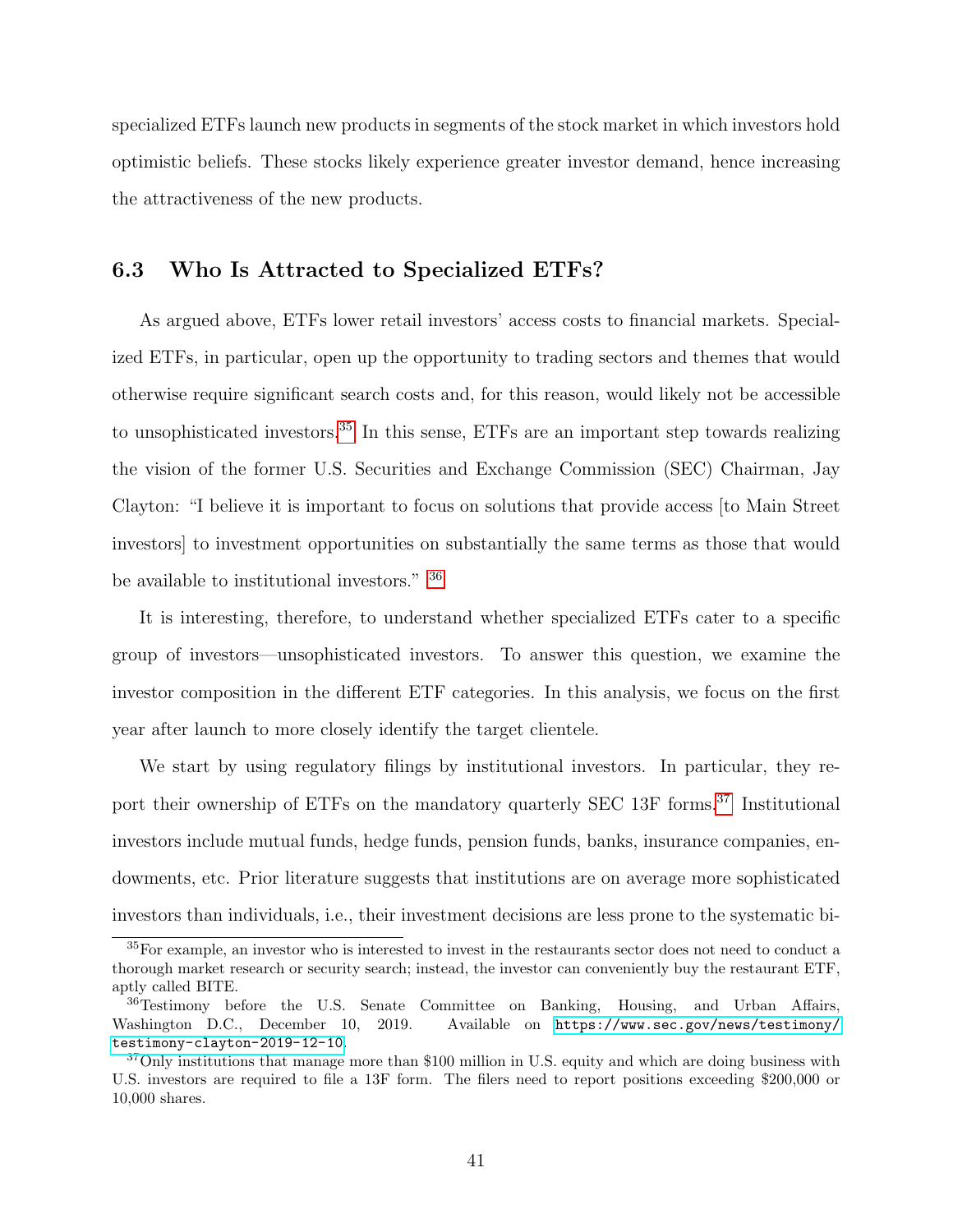specialized ETFs launch new products in segments of the stock market in which investors hold optimistic beliefs. These stocks likely experience greater investor demand, hence increasing the attractiveness of the new products.

## 6.3 Who Is Attracted to Specialized ETFs?

As argued above, ETFs lower retail investors' access costs to financial markets. Specialized ETFs, in particular, open up the opportunity to trading sectors and themes that would otherwise require significant search costs and, for this reason, would likely not be accessible to unsophisticated investors.<sup>[35](#page-42-0)</sup> In this sense, ETFs are an important step towards realizing the vision of the former U.S. Securities and Exchange Commission (SEC) Chairman, Jay Clayton: "I believe it is important to focus on solutions that provide access [to Main Street investors] to investment opportunities on substantially the same terms as those that would be available to institutional investors." [36](#page-42-1)

It is interesting, therefore, to understand whether specialized ETFs cater to a specific group of investors—unsophisticated investors. To answer this question, we examine the investor composition in the different ETF categories. In this analysis, we focus on the first year after launch to more closely identify the target clientele.

We start by using regulatory filings by institutional investors. In particular, they re-port their ownership of ETFs on the mandatory quarterly SEC 13F forms.<sup>[37](#page-42-2)</sup> Institutional investors include mutual funds, hedge funds, pension funds, banks, insurance companies, endowments, etc. Prior literature suggests that institutions are on average more sophisticated investors than individuals, i.e., their investment decisions are less prone to the systematic bi-

<span id="page-42-0"></span><sup>&</sup>lt;sup>35</sup>For example, an investor who is interested to invest in the restaurants sector does not need to conduct a thorough market research or security search; instead, the investor can conveniently buy the restaurant ETF, aptly called BITE.

<span id="page-42-1"></span><sup>36</sup>Testimony before the U.S. Senate Committee on Banking, Housing, and Urban Affairs, Washington D.C., December 10, 2019. Available on [https://www.sec.gov/news/testimony/](https://www.sec.gov/news/testimony/testimony-clayton-2019-12-10) [testimony-clayton-2019-12-10](https://www.sec.gov/news/testimony/testimony-clayton-2019-12-10).

<span id="page-42-2"></span><sup>&</sup>lt;sup>37</sup>Only institutions that manage more than \$100 million in U.S. equity and which are doing business with U.S. investors are required to file a 13F form. The filers need to report positions exceeding \$200,000 or 10,000 shares.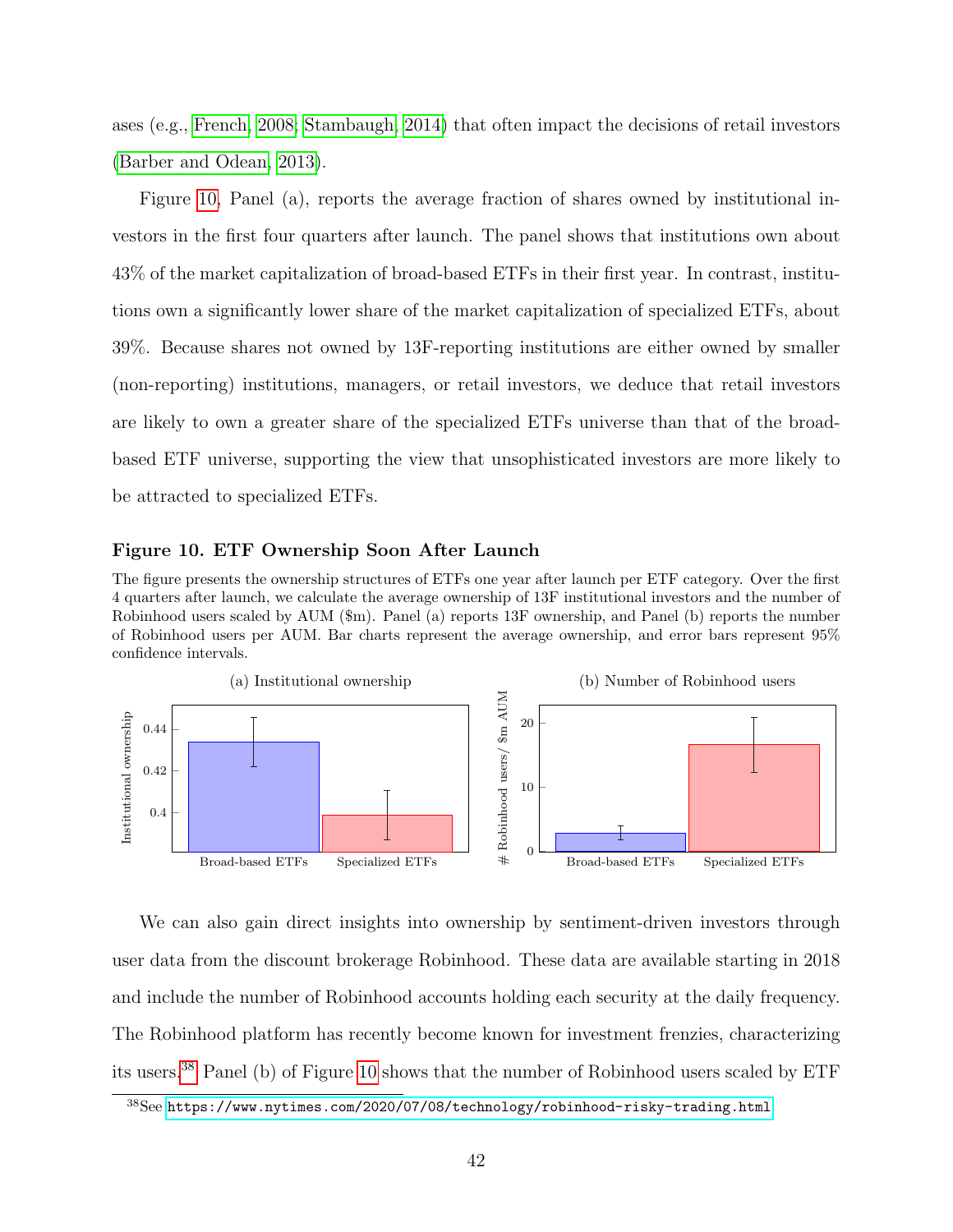ases (e.g., [French, 2008;](#page-49-3) [Stambaugh, 2014\)](#page-52-1) that often impact the decisions of retail investors [\(Barber and Odean, 2013\)](#page-47-5).

Figure [10,](#page-43-0) Panel (a), reports the average fraction of shares owned by institutional investors in the first four quarters after launch. The panel shows that institutions own about 43% of the market capitalization of broad-based ETFs in their first year. In contrast, institutions own a significantly lower share of the market capitalization of specialized ETFs, about 39%. Because shares not owned by 13F-reporting institutions are either owned by smaller (non-reporting) institutions, managers, or retail investors, we deduce that retail investors are likely to own a greater share of the specialized ETFs universe than that of the broadbased ETF universe, supporting the view that unsophisticated investors are more likely to be attracted to specialized ETFs.

#### <span id="page-43-0"></span>Figure 10. ETF Ownership Soon After Launch

The figure presents the ownership structures of ETFs one year after launch per ETF category. Over the first 4 quarters after launch, we calculate the average ownership of 13F institutional investors and the number of Robinhood users scaled by AUM (\$m). Panel (a) reports 13F ownership, and Panel (b) reports the number of Robinhood users per AUM. Bar charts represent the average ownership, and error bars represent 95% confidence intervals.



We can also gain direct insights into ownership by sentiment-driven investors through user data from the discount brokerage Robinhood. These data are available starting in 2018 and include the number of Robinhood accounts holding each security at the daily frequency. The Robinhood platform has recently become known for investment frenzies, characterizing its users.[38](#page-43-1) Panel (b) of Figure [10](#page-43-0) shows that the number of Robinhood users scaled by ETF

<span id="page-43-1"></span><sup>38</sup>See <https://www.nytimes.com/2020/07/08/technology/robinhood-risky-trading.html>.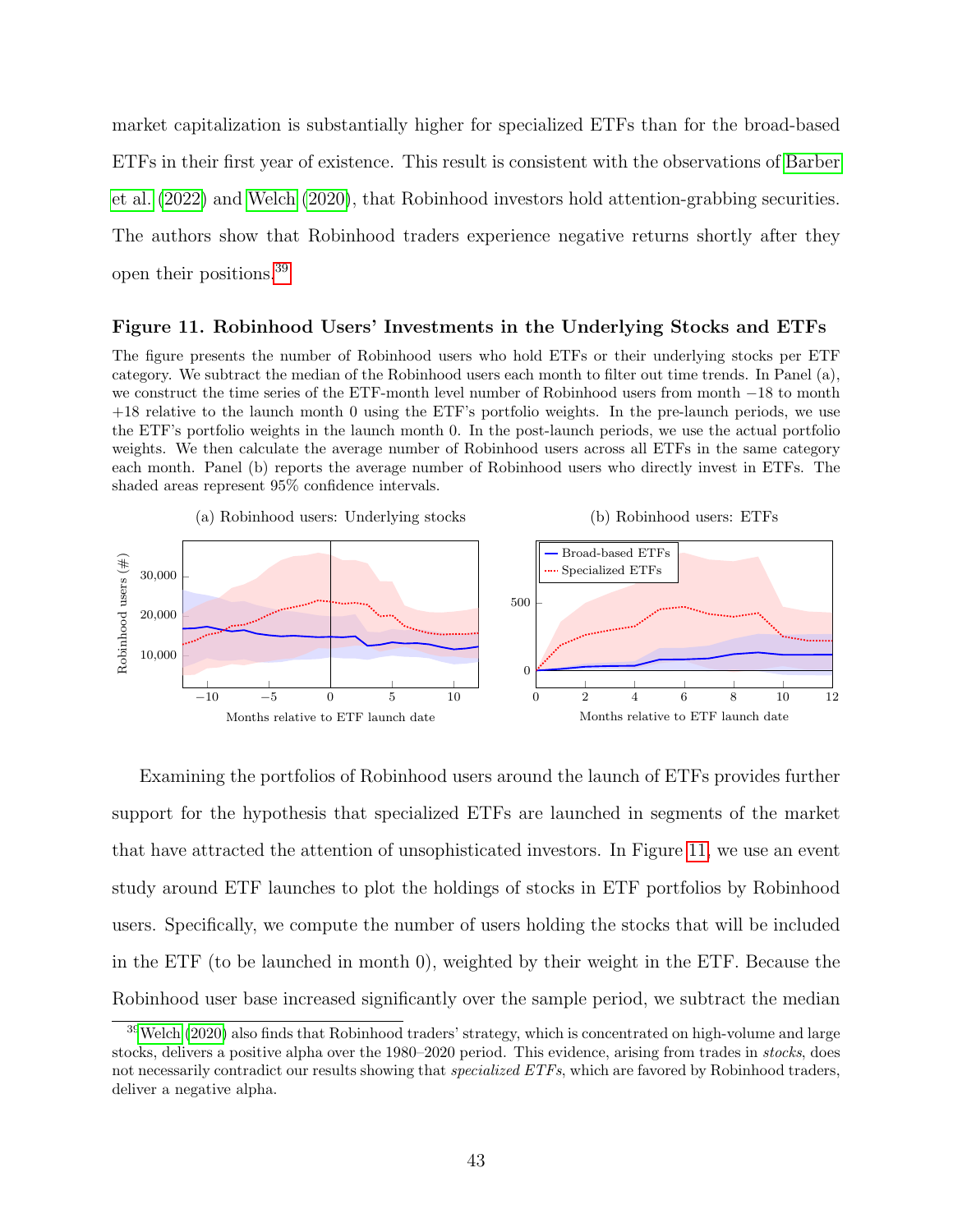market capitalization is substantially higher for specialized ETFs than for the broad-based ETFs in their first year of existence. This result is consistent with the observations of [Barber](#page-47-6) [et al.](#page-47-6) [\(2022\)](#page-47-6) and [Welch](#page-52-2) [\(2020\)](#page-52-2), that Robinhood investors hold attention-grabbing securities. The authors show that Robinhood traders experience negative returns shortly after they open their positions.[39](#page-44-0)

#### <span id="page-44-1"></span>Figure 11. Robinhood Users' Investments in the Underlying Stocks and ETFs

The figure presents the number of Robinhood users who hold ETFs or their underlying stocks per ETF category. We subtract the median of the Robinhood users each month to filter out time trends. In Panel (a), we construct the time series of the ETF-month level number of Robinhood users from month −18 to month +18 relative to the launch month 0 using the ETF's portfolio weights. In the pre-launch periods, we use the ETF's portfolio weights in the launch month 0. In the post-launch periods, we use the actual portfolio weights. We then calculate the average number of Robinhood users across all ETFs in the same category each month. Panel (b) reports the average number of Robinhood users who directly invest in ETFs. The shaded areas represent 95% confidence intervals.



Examining the portfolios of Robinhood users around the launch of ETFs provides further support for the hypothesis that specialized ETFs are launched in segments of the market that have attracted the attention of unsophisticated investors. In Figure [11,](#page-44-1) we use an event study around ETF launches to plot the holdings of stocks in ETF portfolios by Robinhood users. Specifically, we compute the number of users holding the stocks that will be included in the ETF (to be launched in month 0), weighted by their weight in the ETF. Because the Robinhood user base increased significantly over the sample period, we subtract the median

<span id="page-44-0"></span><sup>39</sup>[Welch](#page-52-2) [\(2020\)](#page-52-2) also finds that Robinhood traders' strategy, which is concentrated on high-volume and large stocks, delivers a positive alpha over the 1980–2020 period. This evidence, arising from trades in stocks, does not necessarily contradict our results showing that *specialized ETFs*, which are favored by Robinhood traders, deliver a negative alpha.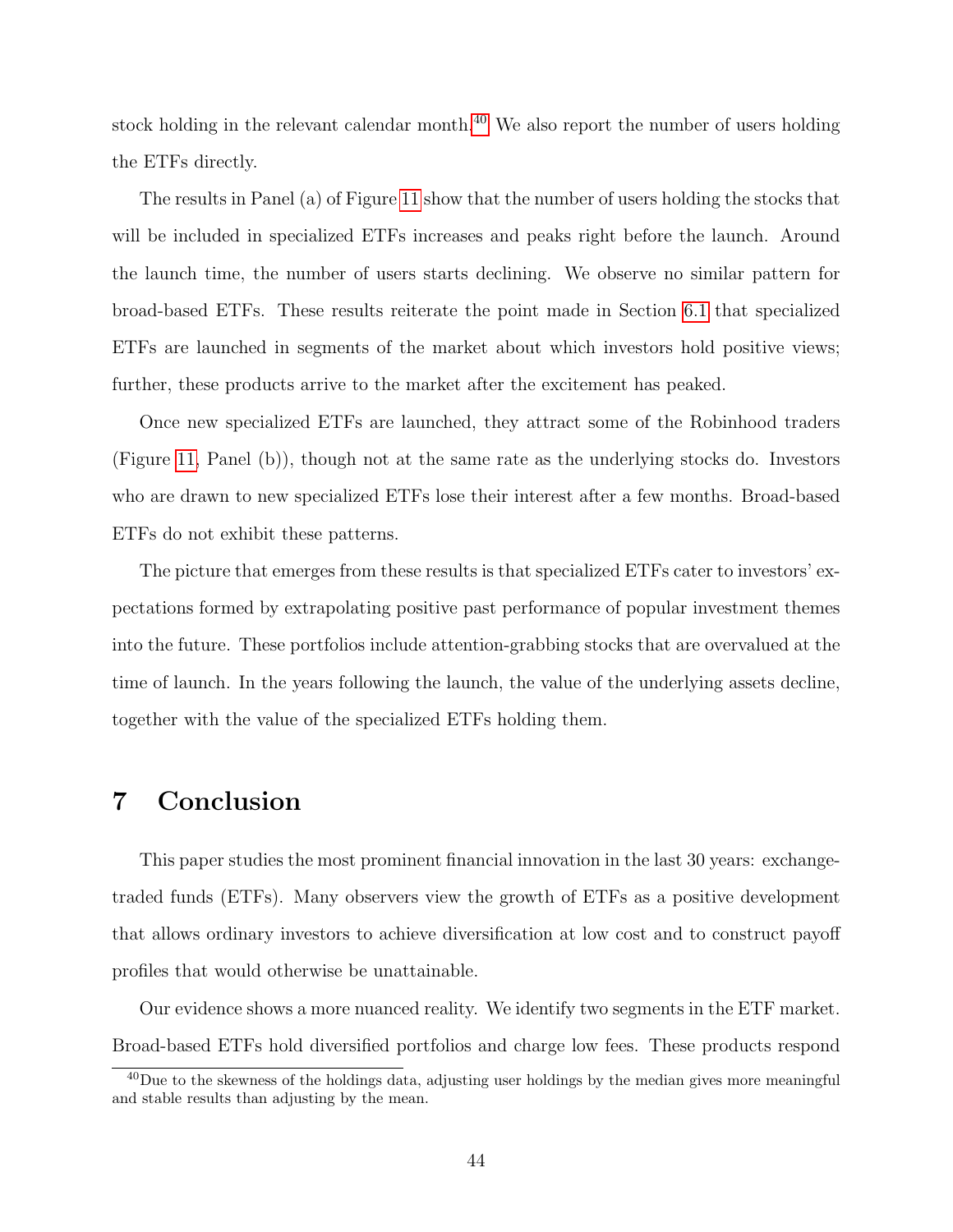stock holding in the relevant calendar month.<sup>[40](#page-45-0)</sup> We also report the number of users holding the ETFs directly.

The results in Panel (a) of Figure [11](#page-44-1) show that the number of users holding the stocks that will be included in specialized ETFs increases and peaks right before the launch. Around the launch time, the number of users starts declining. We observe no similar pattern for broad-based ETFs. These results reiterate the point made in Section [6.1](#page-35-0) that specialized ETFs are launched in segments of the market about which investors hold positive views; further, these products arrive to the market after the excitement has peaked.

Once new specialized ETFs are launched, they attract some of the Robinhood traders (Figure [11,](#page-44-1) Panel (b)), though not at the same rate as the underlying stocks do. Investors who are drawn to new specialized ETFs lose their interest after a few months. Broad-based ETFs do not exhibit these patterns.

The picture that emerges from these results is that specialized ETFs cater to investors' expectations formed by extrapolating positive past performance of popular investment themes into the future. These portfolios include attention-grabbing stocks that are overvalued at the time of launch. In the years following the launch, the value of the underlying assets decline, together with the value of the specialized ETFs holding them.

# 7 Conclusion

This paper studies the most prominent financial innovation in the last 30 years: exchangetraded funds (ETFs). Many observers view the growth of ETFs as a positive development that allows ordinary investors to achieve diversification at low cost and to construct payoff profiles that would otherwise be unattainable.

Our evidence shows a more nuanced reality. We identify two segments in the ETF market. Broad-based ETFs hold diversified portfolios and charge low fees. These products respond

<span id="page-45-0"></span><sup>&</sup>lt;sup>40</sup>Due to the skewness of the holdings data, adjusting user holdings by the median gives more meaningful and stable results than adjusting by the mean.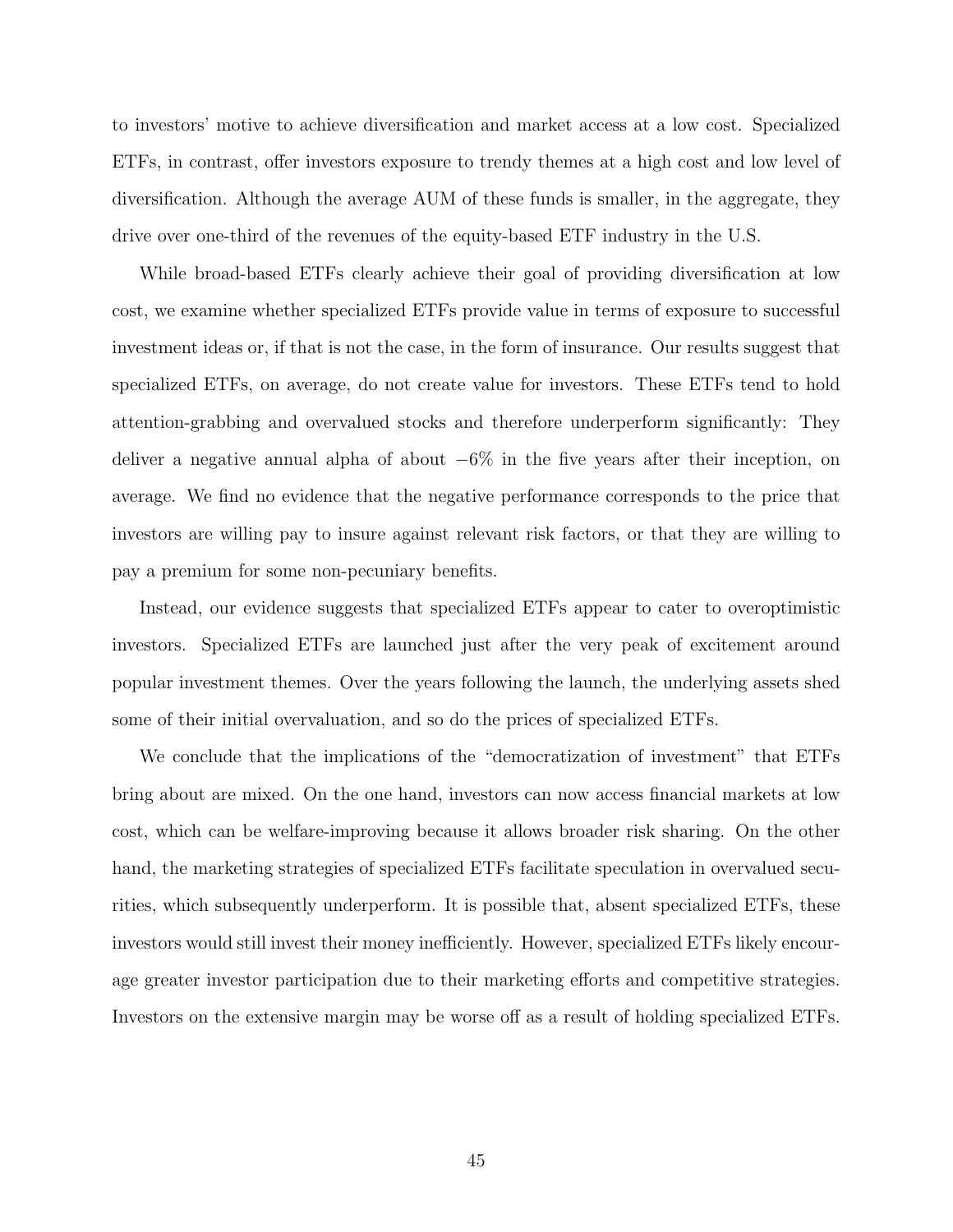to investors' motive to achieve diversification and market access at a low cost. Specialized ETFs, in contrast, offer investors exposure to trendy themes at a high cost and low level of diversification. Although the average AUM of these funds is smaller, in the aggregate, they drive over one-third of the revenues of the equity-based ETF industry in the U.S.

While broad-based ETFs clearly achieve their goal of providing diversification at low cost, we examine whether specialized ETFs provide value in terms of exposure to successful investment ideas or, if that is not the case, in the form of insurance. Our results suggest that specialized ETFs, on average, do not create value for investors. These ETFs tend to hold attention-grabbing and overvalued stocks and therefore underperform significantly: They deliver a negative annual alpha of about −6% in the five years after their inception, on average. We find no evidence that the negative performance corresponds to the price that investors are willing pay to insure against relevant risk factors, or that they are willing to pay a premium for some non-pecuniary benefits.

Instead, our evidence suggests that specialized ETFs appear to cater to overoptimistic investors. Specialized ETFs are launched just after the very peak of excitement around popular investment themes. Over the years following the launch, the underlying assets shed some of their initial overvaluation, and so do the prices of specialized ETFs.

We conclude that the implications of the "democratization of investment" that ETFs bring about are mixed. On the one hand, investors can now access financial markets at low cost, which can be welfare-improving because it allows broader risk sharing. On the other hand, the marketing strategies of specialized ETFs facilitate speculation in overvalued securities, which subsequently underperform. It is possible that, absent specialized ETFs, these investors would still invest their money inefficiently. However, specialized ETFs likely encourage greater investor participation due to their marketing efforts and competitive strategies. Investors on the extensive margin may be worse off as a result of holding specialized ETFs.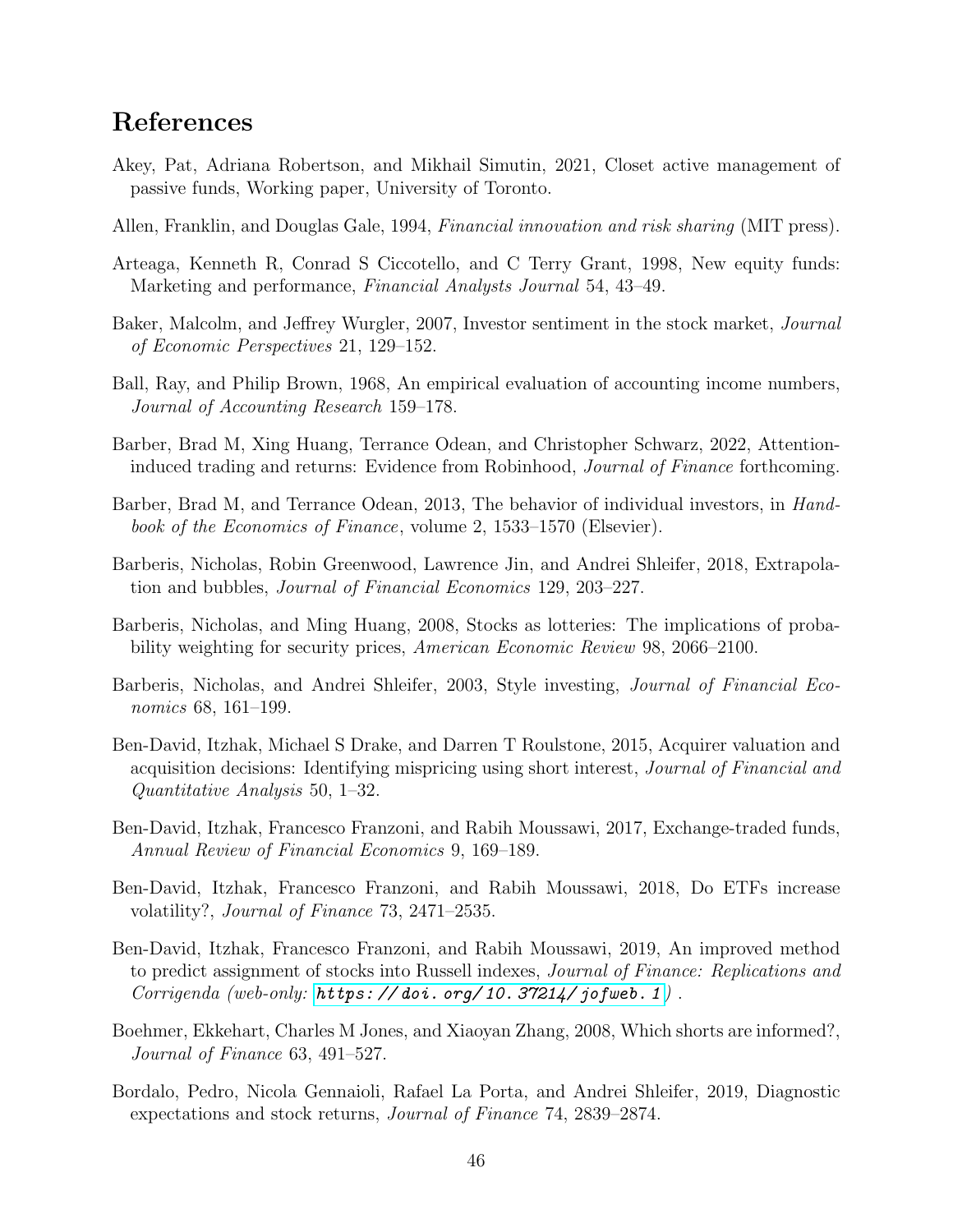# References

- Akey, Pat, Adriana Robertson, and Mikhail Simutin, 2021, Closet active management of passive funds, Working paper, University of Toronto.
- Allen, Franklin, and Douglas Gale, 1994, Financial innovation and risk sharing (MIT press).
- Arteaga, Kenneth R, Conrad S Ciccotello, and C Terry Grant, 1998, New equity funds: Marketing and performance, Financial Analysts Journal 54, 43–49.
- Baker, Malcolm, and Jeffrey Wurgler, 2007, Investor sentiment in the stock market, Journal of Economic Perspectives 21, 129–152.
- Ball, Ray, and Philip Brown, 1968, An empirical evaluation of accounting income numbers, Journal of Accounting Research 159–178.
- <span id="page-47-6"></span>Barber, Brad M, Xing Huang, Terrance Odean, and Christopher Schwarz, 2022, Attentioninduced trading and returns: Evidence from Robinhood, Journal of Finance forthcoming.
- <span id="page-47-5"></span>Barber, Brad M, and Terrance Odean, 2013, The behavior of individual investors, in *Hand*book of the Economics of Finance, volume 2, 1533–1570 (Elsevier).
- <span id="page-47-0"></span>Barberis, Nicholas, Robin Greenwood, Lawrence Jin, and Andrei Shleifer, 2018, Extrapolation and bubbles, Journal of Financial Economics 129, 203–227.
- <span id="page-47-1"></span>Barberis, Nicholas, and Ming Huang, 2008, Stocks as lotteries: The implications of probability weighting for security prices, American Economic Review 98, 2066–2100.
- Barberis, Nicholas, and Andrei Shleifer, 2003, Style investing, Journal of Financial Economics 68, 161–199.
- <span id="page-47-3"></span>Ben-David, Itzhak, Michael S Drake, and Darren T Roulstone, 2015, Acquirer valuation and acquisition decisions: Identifying mispricing using short interest, Journal of Financial and Quantitative Analysis 50, 1–32.
- <span id="page-47-7"></span>Ben-David, Itzhak, Francesco Franzoni, and Rabih Moussawi, 2017, Exchange-traded funds, Annual Review of Financial Economics 9, 169–189.
- <span id="page-47-8"></span>Ben-David, Itzhak, Francesco Franzoni, and Rabih Moussawi, 2018, Do ETFs increase volatility?, Journal of Finance 73, 2471–2535.
- <span id="page-47-9"></span>Ben-David, Itzhak, Francesco Franzoni, and Rabih Moussawi, 2019, An improved method to predict assignment of stocks into Russell indexes, Journal of Finance: Replications and Corrigenda (web-only:  $https://doi.org/10.37214/jofweb.1)$ .
- <span id="page-47-2"></span>Boehmer, Ekkehart, Charles M Jones, and Xiaoyan Zhang, 2008, Which shorts are informed?, Journal of Finance 63, 491–527.
- <span id="page-47-4"></span>Bordalo, Pedro, Nicola Gennaioli, Rafael La Porta, and Andrei Shleifer, 2019, Diagnostic expectations and stock returns, Journal of Finance 74, 2839–2874.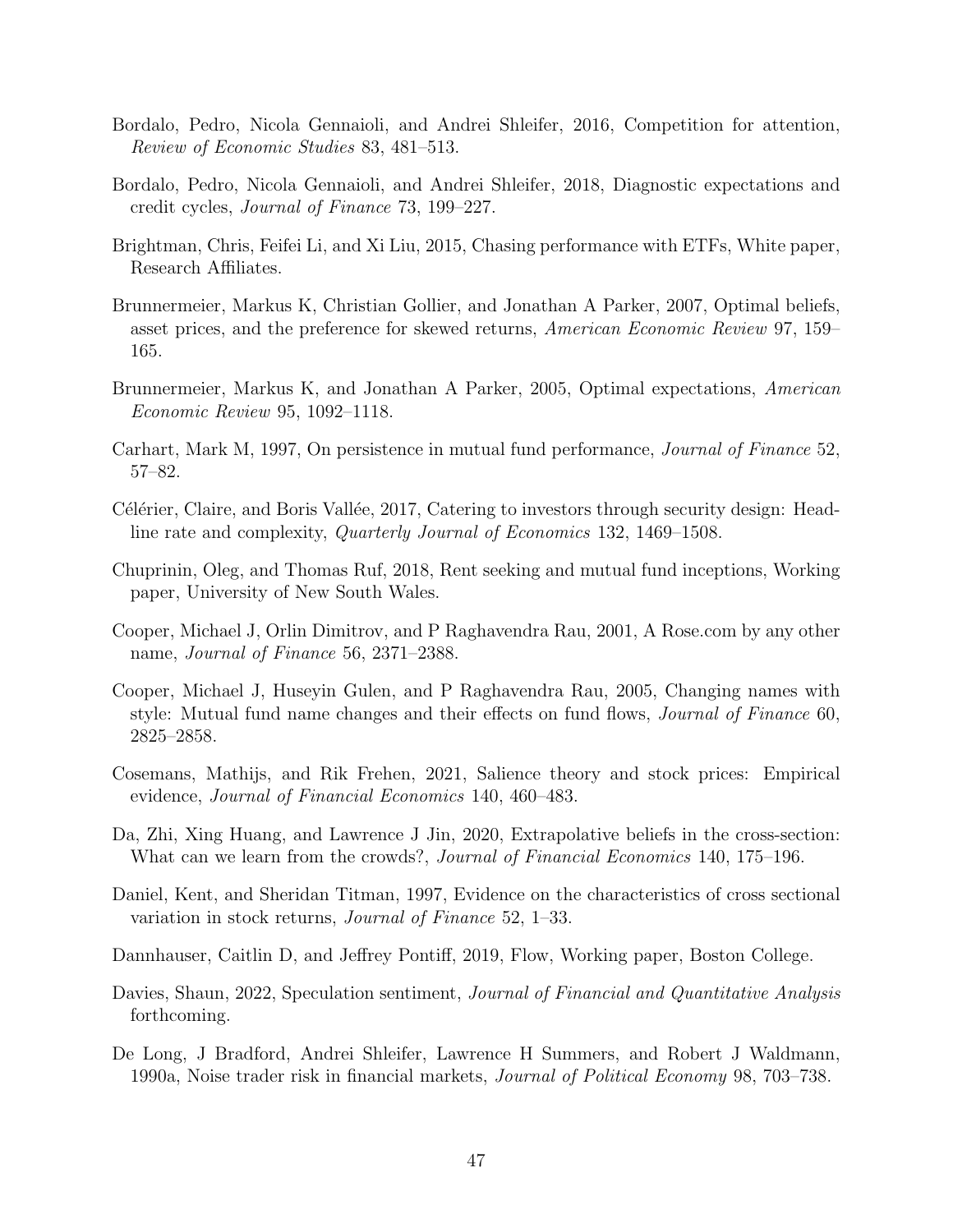- Bordalo, Pedro, Nicola Gennaioli, and Andrei Shleifer, 2016, Competition for attention, Review of Economic Studies 83, 481–513.
- <span id="page-48-0"></span>Bordalo, Pedro, Nicola Gennaioli, and Andrei Shleifer, 2018, Diagnostic expectations and credit cycles, Journal of Finance 73, 199–227.
- Brightman, Chris, Feifei Li, and Xi Liu, 2015, Chasing performance with ETFs, White paper, Research Affiliates.
- <span id="page-48-2"></span>Brunnermeier, Markus K, Christian Gollier, and Jonathan A Parker, 2007, Optimal beliefs, asset prices, and the preference for skewed returns, American Economic Review 97, 159– 165.
- <span id="page-48-1"></span>Brunnermeier, Markus K, and Jonathan A Parker, 2005, Optimal expectations, American Economic Review 95, 1092–1118.
- <span id="page-48-4"></span>Carhart, Mark M, 1997, On persistence in mutual fund performance, Journal of Finance 52, 57–82.
- C'élérier, Claire, and Boris Vallée, 2017, Catering to investors through security design: Headline rate and complexity, Quarterly Journal of Economics 132, 1469–1508.
- Chuprinin, Oleg, and Thomas Ruf, 2018, Rent seeking and mutual fund inceptions, Working paper, University of New South Wales.
- Cooper, Michael J, Orlin Dimitrov, and P Raghavendra Rau, 2001, A Rose.com by any other name, Journal of Finance 56, 2371–2388.
- Cooper, Michael J, Huseyin Gulen, and P Raghavendra Rau, 2005, Changing names with style: Mutual fund name changes and their effects on fund flows, *Journal of Finance* 60, 2825–2858.
- Cosemans, Mathijs, and Rik Frehen, 2021, Salience theory and stock prices: Empirical evidence, Journal of Financial Economics 140, 460–483.
- Da, Zhi, Xing Huang, and Lawrence J Jin, 2020, Extrapolative beliefs in the cross-section: What can we learn from the crowds?, *Journal of Financial Economics* 140, 175–196.
- <span id="page-48-3"></span>Daniel, Kent, and Sheridan Titman, 1997, Evidence on the characteristics of cross sectional variation in stock returns, Journal of Finance 52, 1–33.
- Dannhauser, Caitlin D, and Jeffrey Pontiff, 2019, Flow, Working paper, Boston College.
- Davies, Shaun, 2022, Speculation sentiment, *Journal of Financial and Quantitative Analysis* forthcoming.
- De Long, J Bradford, Andrei Shleifer, Lawrence H Summers, and Robert J Waldmann, 1990a, Noise trader risk in financial markets, Journal of Political Economy 98, 703–738.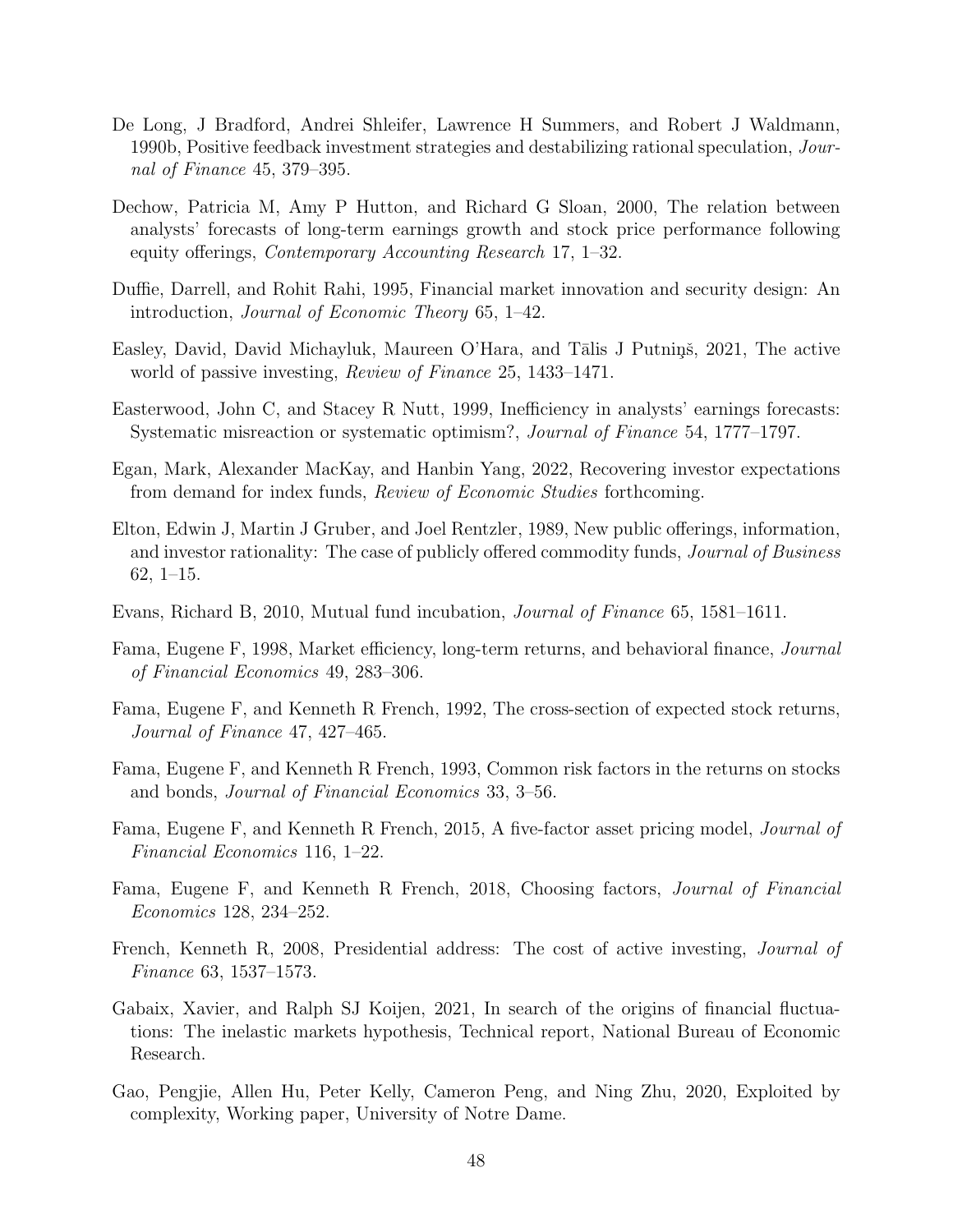- De Long, J Bradford, Andrei Shleifer, Lawrence H Summers, and Robert J Waldmann, 1990b, Positive feedback investment strategies and destabilizing rational speculation, Journal of Finance 45, 379–395.
- <span id="page-49-2"></span>Dechow, Patricia M, Amy P Hutton, and Richard G Sloan, 2000, The relation between analysts' forecasts of long-term earnings growth and stock price performance following equity offerings, Contemporary Accounting Research 17, 1–32.
- Duffie, Darrell, and Rohit Rahi, 1995, Financial market innovation and security design: An introduction, Journal of Economic Theory 65, 1–42.
- Easley, David, David Michayluk, Maureen O'Hara, and Tālis J Putniņš, 2021, The active world of passive investing, *Review of Finance* 25, 1433–1471.
- <span id="page-49-1"></span>Easterwood, John C, and Stacey R Nutt, 1999, Inefficiency in analysts' earnings forecasts: Systematic misreaction or systematic optimism?, Journal of Finance 54, 1777–1797.
- Egan, Mark, Alexander MacKay, and Hanbin Yang, 2022, Recovering investor expectations from demand for index funds, Review of Economic Studies forthcoming.
- Elton, Edwin J, Martin J Gruber, and Joel Rentzler, 1989, New public offerings, information, and investor rationality: The case of publicly offered commodity funds, Journal of Business 62, 1–15.
- Evans, Richard B, 2010, Mutual fund incubation, Journal of Finance 65, 1581–1611.
- Fama, Eugene F, 1998, Market efficiency, long-term returns, and behavioral finance, Journal of Financial Economics 49, 283–306.
- Fama, Eugene F, and Kenneth R French, 1992, The cross-section of expected stock returns, Journal of Finance 47, 427–465.
- <span id="page-49-0"></span>Fama, Eugene F, and Kenneth R French, 1993, Common risk factors in the returns on stocks and bonds, Journal of Financial Economics 33, 3–56.
- <span id="page-49-4"></span>Fama, Eugene F, and Kenneth R French, 2015, A five-factor asset pricing model, Journal of Financial Economics 116, 1–22.
- <span id="page-49-5"></span>Fama, Eugene F, and Kenneth R French, 2018, Choosing factors, Journal of Financial Economics 128, 234–252.
- <span id="page-49-3"></span>French, Kenneth R, 2008, Presidential address: The cost of active investing, Journal of Finance 63, 1537–1573.
- Gabaix, Xavier, and Ralph SJ Koijen, 2021, In search of the origins of financial fluctuations: The inelastic markets hypothesis, Technical report, National Bureau of Economic Research.
- Gao, Pengjie, Allen Hu, Peter Kelly, Cameron Peng, and Ning Zhu, 2020, Exploited by complexity, Working paper, University of Notre Dame.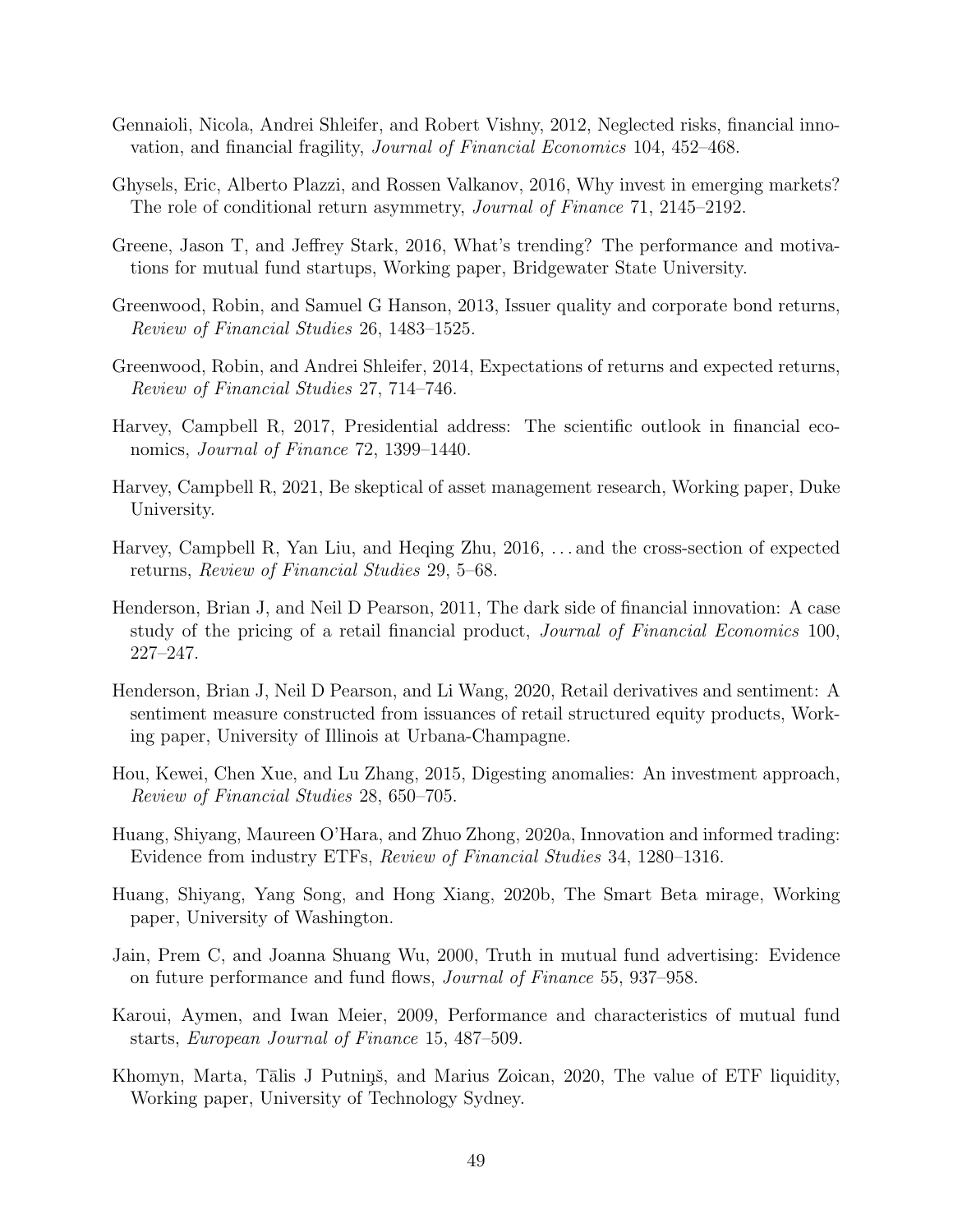- Gennaioli, Nicola, Andrei Shleifer, and Robert Vishny, 2012, Neglected risks, financial innovation, and financial fragility, Journal of Financial Economics 104, 452–468.
- <span id="page-50-0"></span>Ghysels, Eric, Alberto Plazzi, and Rossen Valkanov, 2016, Why invest in emerging markets? The role of conditional return asymmetry, Journal of Finance 71, 2145–2192.
- Greene, Jason T, and Jeffrey Stark, 2016, What's trending? The performance and motivations for mutual fund startups, Working paper, Bridgewater State University.
- Greenwood, Robin, and Samuel G Hanson, 2013, Issuer quality and corporate bond returns, Review of Financial Studies 26, 1483–1525.
- Greenwood, Robin, and Andrei Shleifer, 2014, Expectations of returns and expected returns, Review of Financial Studies 27, 714–746.
- Harvey, Campbell R, 2017, Presidential address: The scientific outlook in financial economics, *Journal of Finance* 72, 1399–1440.
- Harvey, Campbell R, 2021, Be skeptical of asset management research, Working paper, Duke University.
- Harvey, Campbell R, Yan Liu, and Heqing Zhu, 2016, . . . and the cross-section of expected returns, Review of Financial Studies 29, 5–68.
- Henderson, Brian J, and Neil D Pearson, 2011, The dark side of financial innovation: A case study of the pricing of a retail financial product, Journal of Financial Economics 100, 227–247.
- Henderson, Brian J, Neil D Pearson, and Li Wang, 2020, Retail derivatives and sentiment: A sentiment measure constructed from issuances of retail structured equity products, Working paper, University of Illinois at Urbana-Champagne.
- <span id="page-50-1"></span>Hou, Kewei, Chen Xue, and Lu Zhang, 2015, Digesting anomalies: An investment approach, Review of Financial Studies 28, 650–705.
- Huang, Shiyang, Maureen O'Hara, and Zhuo Zhong, 2020a, Innovation and informed trading: Evidence from industry ETFs, Review of Financial Studies 34, 1280–1316.
- Huang, Shiyang, Yang Song, and Hong Xiang, 2020b, The Smart Beta mirage, Working paper, University of Washington.
- Jain, Prem C, and Joanna Shuang Wu, 2000, Truth in mutual fund advertising: Evidence on future performance and fund flows, Journal of Finance 55, 937–958.
- Karoui, Aymen, and Iwan Meier, 2009, Performance and characteristics of mutual fund starts, European Journal of Finance 15, 487–509.
- Khomyn, Marta, Tālis J Putniņš, and Marius Zoican, 2020, The value of ETF liquidity, Working paper, University of Technology Sydney.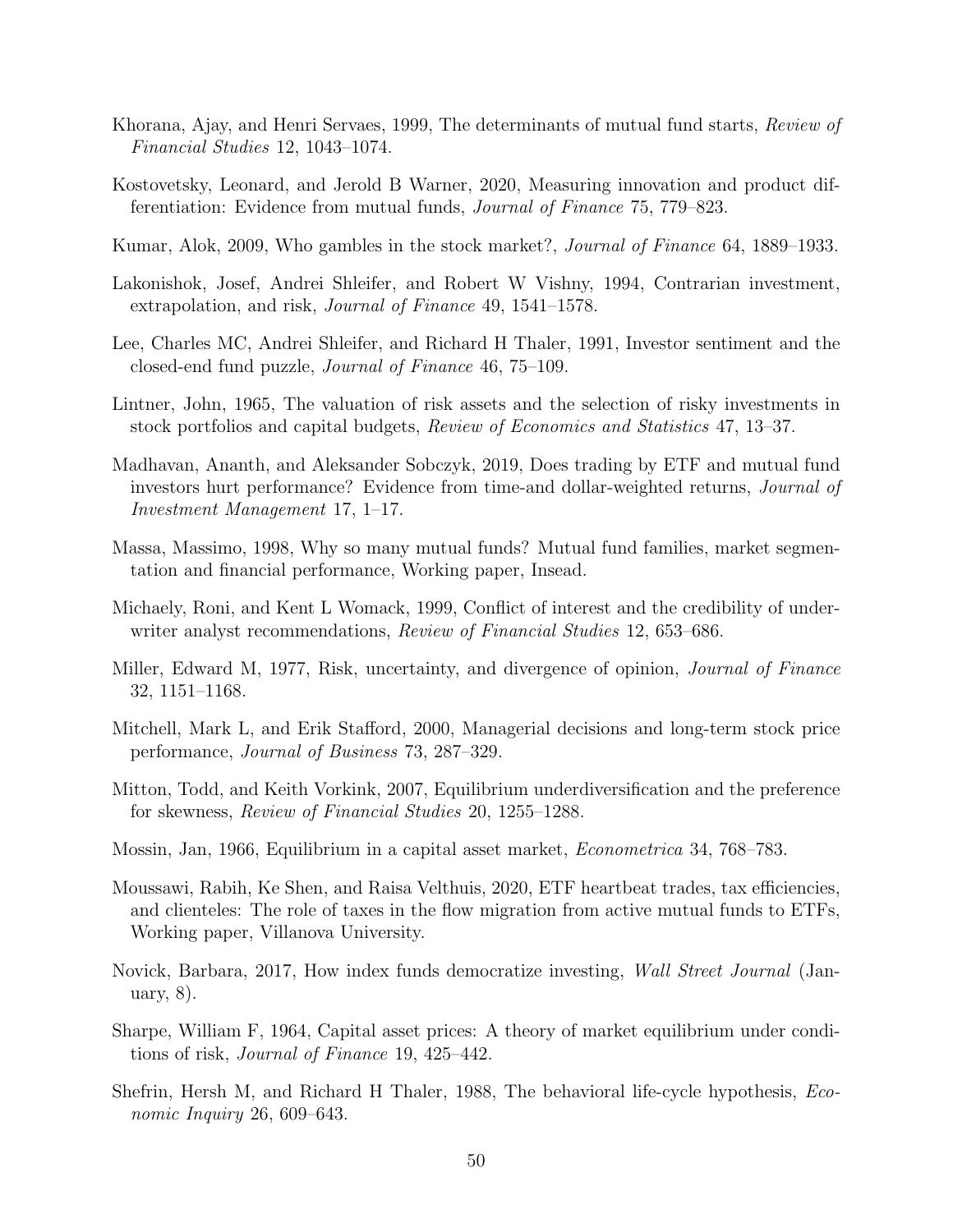- Khorana, Ajay, and Henri Servaes, 1999, The determinants of mutual fund starts, Review of Financial Studies 12, 1043–1074.
- Kostovetsky, Leonard, and Jerold B Warner, 2020, Measuring innovation and product differentiation: Evidence from mutual funds, Journal of Finance 75, 779–823.
- <span id="page-51-1"></span>Kumar, Alok, 2009, Who gambles in the stock market?, Journal of Finance 64, 1889–1933.
- <span id="page-51-2"></span>Lakonishok, Josef, Andrei Shleifer, and Robert W Vishny, 1994, Contrarian investment, extrapolation, and risk, Journal of Finance 49, 1541–1578.
- Lee, Charles MC, Andrei Shleifer, and Richard H Thaler, 1991, Investor sentiment and the closed-end fund puzzle, Journal of Finance 46, 75–109.
- <span id="page-51-5"></span>Lintner, John, 1965, The valuation of risk assets and the selection of risky investments in stock portfolios and capital budgets, Review of Economics and Statistics 47, 13–37.
- Madhavan, Ananth, and Aleksander Sobczyk, 2019, Does trading by ETF and mutual fund investors hurt performance? Evidence from time-and dollar-weighted returns, Journal of Investment Management 17, 1–17.
- Massa, Massimo, 1998, Why so many mutual funds? Mutual fund families, market segmentation and financial performance, Working paper, Insead.
- <span id="page-51-3"></span>Michaely, Roni, and Kent L Womack, 1999, Conflict of interest and the credibility of underwriter analyst recommendations, *Review of Financial Studies* 12, 653–686.
- Miller, Edward M, 1977, Risk, uncertainty, and divergence of opinion, Journal of Finance 32, 1151–1168.
- Mitchell, Mark L, and Erik Stafford, 2000, Managerial decisions and long-term stock price performance, Journal of Business 73, 287–329.
- <span id="page-51-0"></span>Mitton, Todd, and Keith Vorkink, 2007, Equilibrium underdiversification and the preference for skewness, Review of Financial Studies 20, 1255–1288.
- <span id="page-51-6"></span>Mossin, Jan, 1966, Equilibrium in a capital asset market, Econometrica 34, 768–783.
- Moussawi, Rabih, Ke Shen, and Raisa Velthuis, 2020, ETF heartbeat trades, tax efficiencies, and clienteles: The role of taxes in the flow migration from active mutual funds to ETFs, Working paper, Villanova University.
- Novick, Barbara, 2017, How index funds democratize investing, Wall Street Journal (January, 8).
- <span id="page-51-4"></span>Sharpe, William F, 1964, Capital asset prices: A theory of market equilibrium under conditions of risk, Journal of Finance 19, 425–442.
- Shefrin, Hersh M, and Richard H Thaler, 1988, The behavioral life-cycle hypothesis, Economic Inquiry 26, 609–643.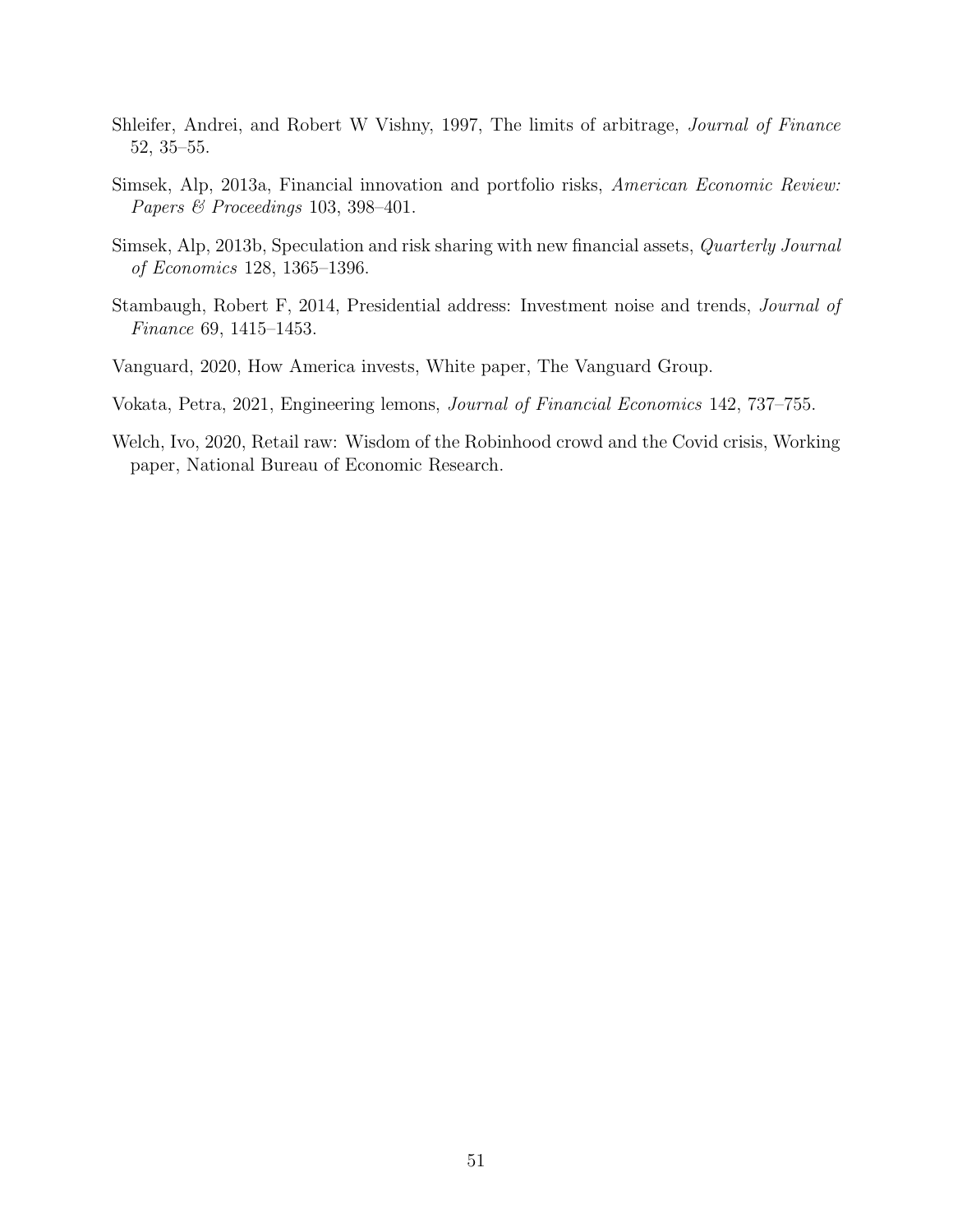- Shleifer, Andrei, and Robert W Vishny, 1997, The limits of arbitrage, Journal of Finance 52, 35–55.
- Simsek, Alp, 2013a, Financial innovation and portfolio risks, American Economic Review: Papers & Proceedings 103, 398–401.
- <span id="page-52-0"></span>Simsek, Alp, 2013b, Speculation and risk sharing with new financial assets, Quarterly Journal of Economics 128, 1365–1396.
- <span id="page-52-1"></span>Stambaugh, Robert F, 2014, Presidential address: Investment noise and trends, Journal of Finance 69, 1415–1453.
- Vanguard, 2020, How America invests, White paper, The Vanguard Group.
- Vokata, Petra, 2021, Engineering lemons, Journal of Financial Economics 142, 737–755.
- <span id="page-52-2"></span>Welch, Ivo, 2020, Retail raw: Wisdom of the Robinhood crowd and the Covid crisis, Working paper, National Bureau of Economic Research.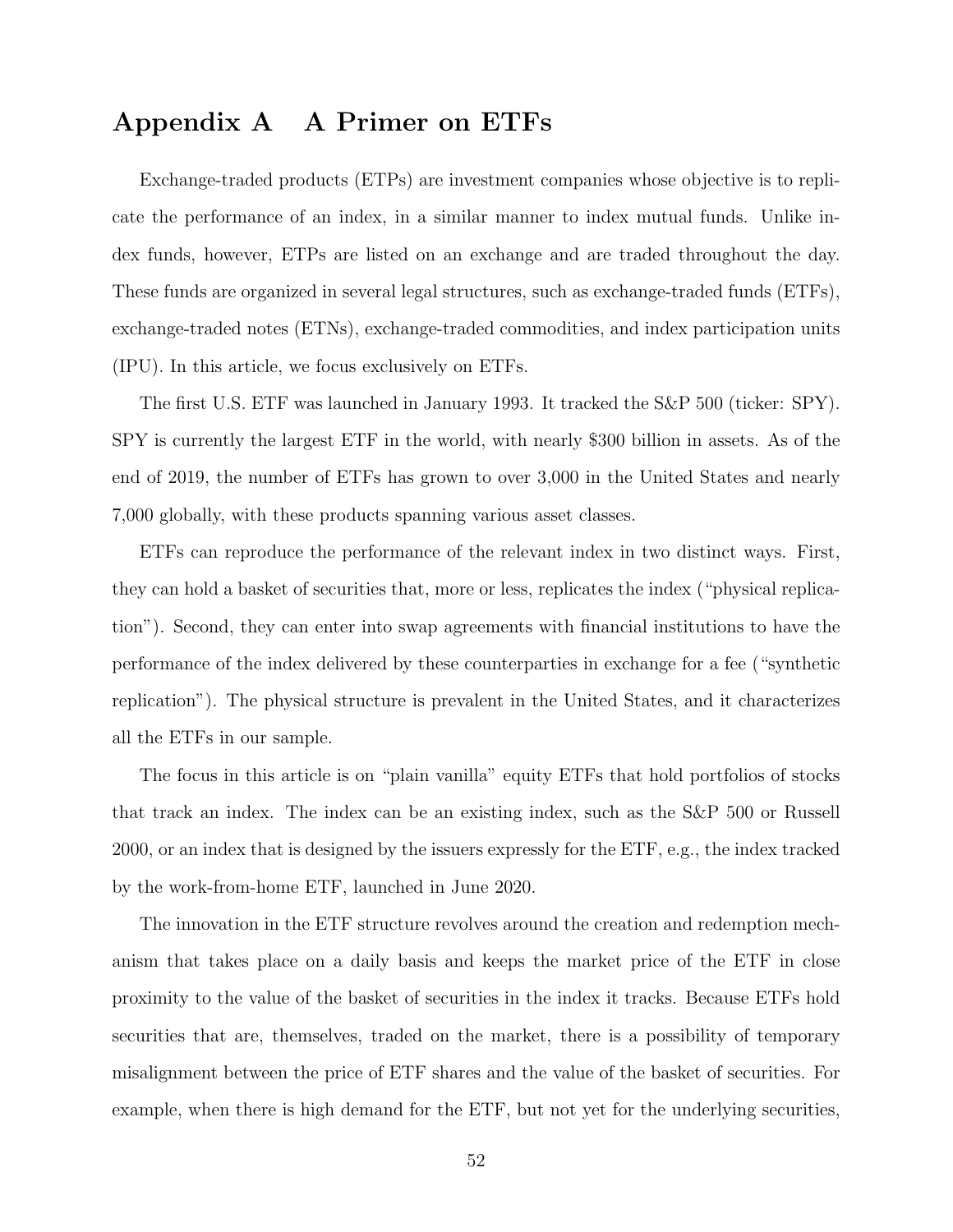# Appendix A A Primer on ETFs

Exchange-traded products (ETPs) are investment companies whose objective is to replicate the performance of an index, in a similar manner to index mutual funds. Unlike index funds, however, ETPs are listed on an exchange and are traded throughout the day. These funds are organized in several legal structures, such as exchange-traded funds (ETFs), exchange-traded notes (ETNs), exchange-traded commodities, and index participation units (IPU). In this article, we focus exclusively on ETFs.

The first U.S. ETF was launched in January 1993. It tracked the S&P 500 (ticker: SPY). SPY is currently the largest ETF in the world, with nearly \$300 billion in assets. As of the end of 2019, the number of ETFs has grown to over 3,000 in the United States and nearly 7,000 globally, with these products spanning various asset classes.

ETFs can reproduce the performance of the relevant index in two distinct ways. First, they can hold a basket of securities that, more or less, replicates the index ("physical replication"). Second, they can enter into swap agreements with financial institutions to have the performance of the index delivered by these counterparties in exchange for a fee ("synthetic replication"). The physical structure is prevalent in the United States, and it characterizes all the ETFs in our sample.

The focus in this article is on "plain vanilla" equity ETFs that hold portfolios of stocks that track an index. The index can be an existing index, such as the S&P 500 or Russell 2000, or an index that is designed by the issuers expressly for the ETF, e.g., the index tracked by the work-from-home ETF, launched in June 2020.

The innovation in the ETF structure revolves around the creation and redemption mechanism that takes place on a daily basis and keeps the market price of the ETF in close proximity to the value of the basket of securities in the index it tracks. Because ETFs hold securities that are, themselves, traded on the market, there is a possibility of temporary misalignment between the price of ETF shares and the value of the basket of securities. For example, when there is high demand for the ETF, but not yet for the underlying securities,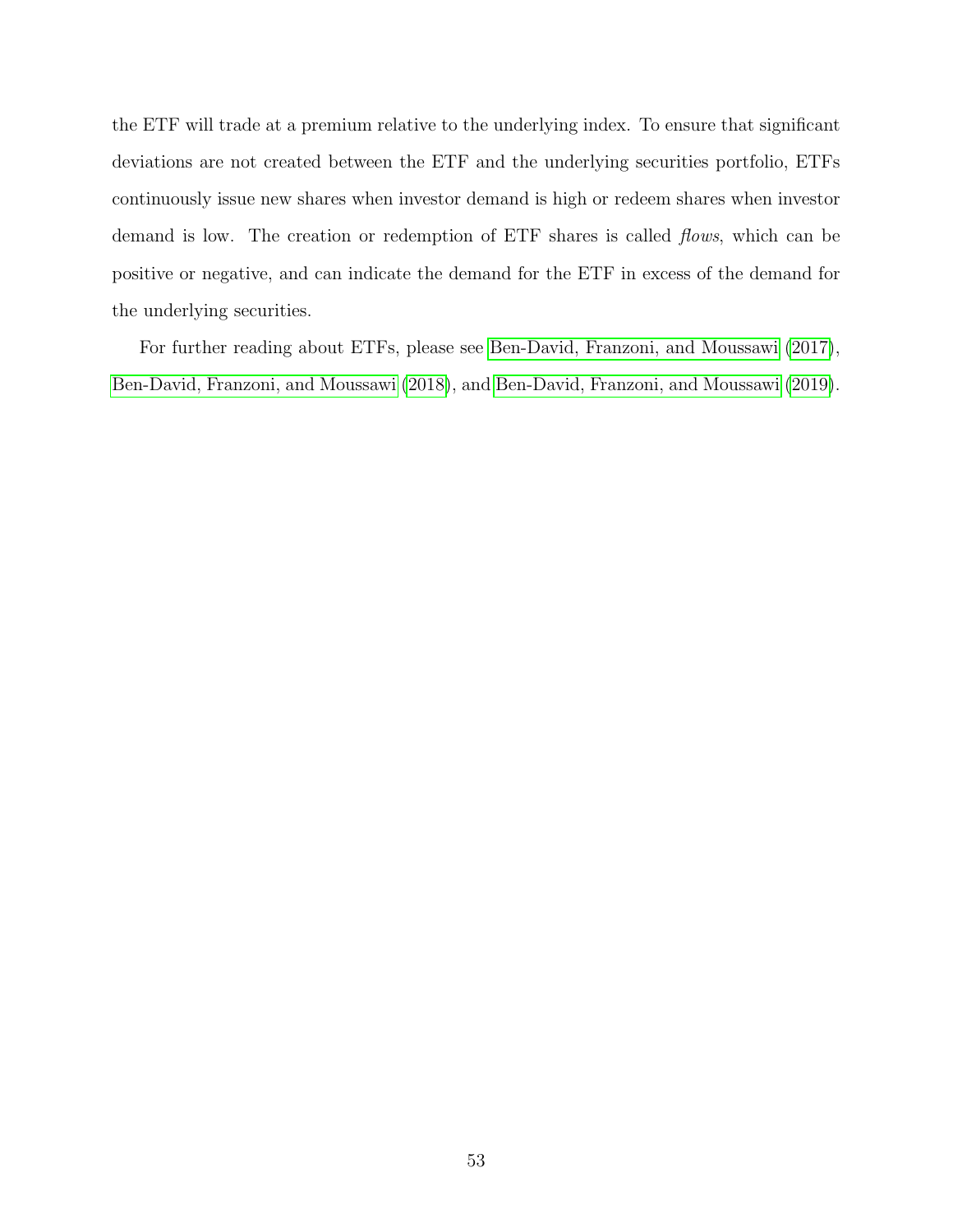the ETF will trade at a premium relative to the underlying index. To ensure that significant deviations are not created between the ETF and the underlying securities portfolio, ETFs continuously issue new shares when investor demand is high or redeem shares when investor demand is low. The creation or redemption of ETF shares is called *flows*, which can be positive or negative, and can indicate the demand for the ETF in excess of the demand for the underlying securities.

For further reading about ETFs, please see [Ben-David, Franzoni, and Moussawi](#page-47-7) [\(2017\)](#page-47-7), [Ben-David, Franzoni, and Moussawi](#page-47-8) [\(2018\)](#page-47-8), and [Ben-David, Franzoni, and Moussawi](#page-47-9) [\(2019\)](#page-47-9).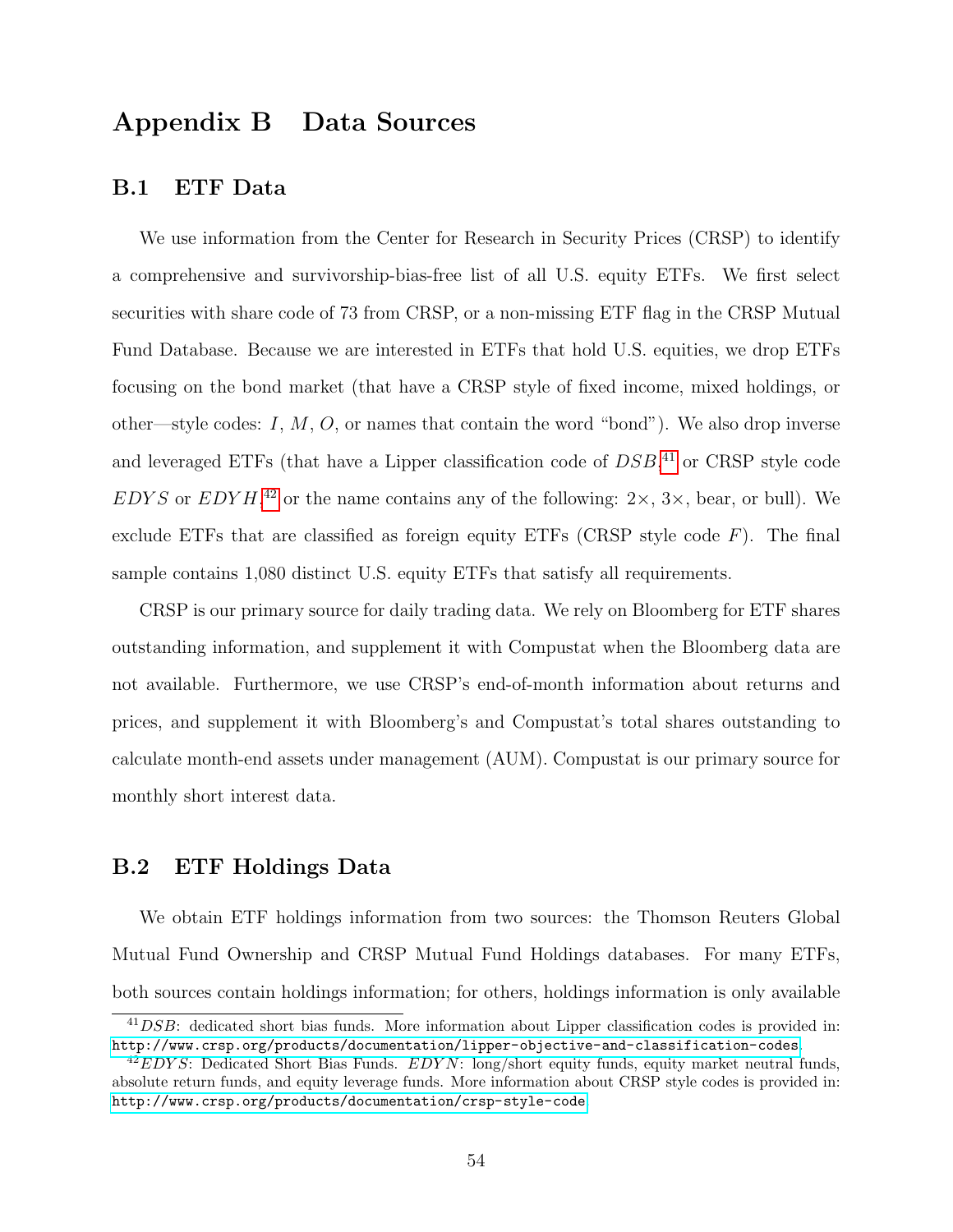# Appendix B Data Sources

## B.1 ETF Data

We use information from the Center for Research in Security Prices (CRSP) to identify a comprehensive and survivorship-bias-free list of all U.S. equity ETFs. We first select securities with share code of 73 from CRSP, or a non-missing ETF flag in the CRSP Mutual Fund Database. Because we are interested in ETFs that hold U.S. equities, we drop ETFs focusing on the bond market (that have a CRSP style of fixed income, mixed holdings, or other—style codes: I,  $M$ ,  $O$ , or names that contain the word "bond"). We also drop inverse and leveraged ETFs (that have a Lipper classification code of  $DSB$ ,<sup>[41](#page-55-0)</sup> or CRSP style code EDYS or EDYH,<sup>[42](#page-55-1)</sup> or the name contains any of the following:  $2 \times$ ,  $3 \times$ , bear, or bull). We exclude ETFs that are classified as foreign equity ETFs (CRSP style code  $F$ ). The final sample contains 1,080 distinct U.S. equity ETFs that satisfy all requirements.

CRSP is our primary source for daily trading data. We rely on Bloomberg for ETF shares outstanding information, and supplement it with Compustat when the Bloomberg data are not available. Furthermore, we use CRSP's end-of-month information about returns and prices, and supplement it with Bloomberg's and Compustat's total shares outstanding to calculate month-end assets under management (AUM). Compustat is our primary source for monthly short interest data.

## B.2 ETF Holdings Data

We obtain ETF holdings information from two sources: the Thomson Reuters Global Mutual Fund Ownership and CRSP Mutual Fund Holdings databases. For many ETFs, both sources contain holdings information; for others, holdings information is only available

<span id="page-55-0"></span> $^{41}DSB$ : dedicated short bias funds. More information about Lipper classification codes is provided in: <http://www.crsp.org/products/documentation/lipper-objective-and-classification-codes>.

<span id="page-55-1"></span> $^{42}EDYS$ : Dedicated Short Bias Funds.  $EDYN$ : long/short equity funds, equity market neutral funds, absolute return funds, and equity leverage funds. More information about CRSP style codes is provided in: <http://www.crsp.org/products/documentation/crsp-style-code>.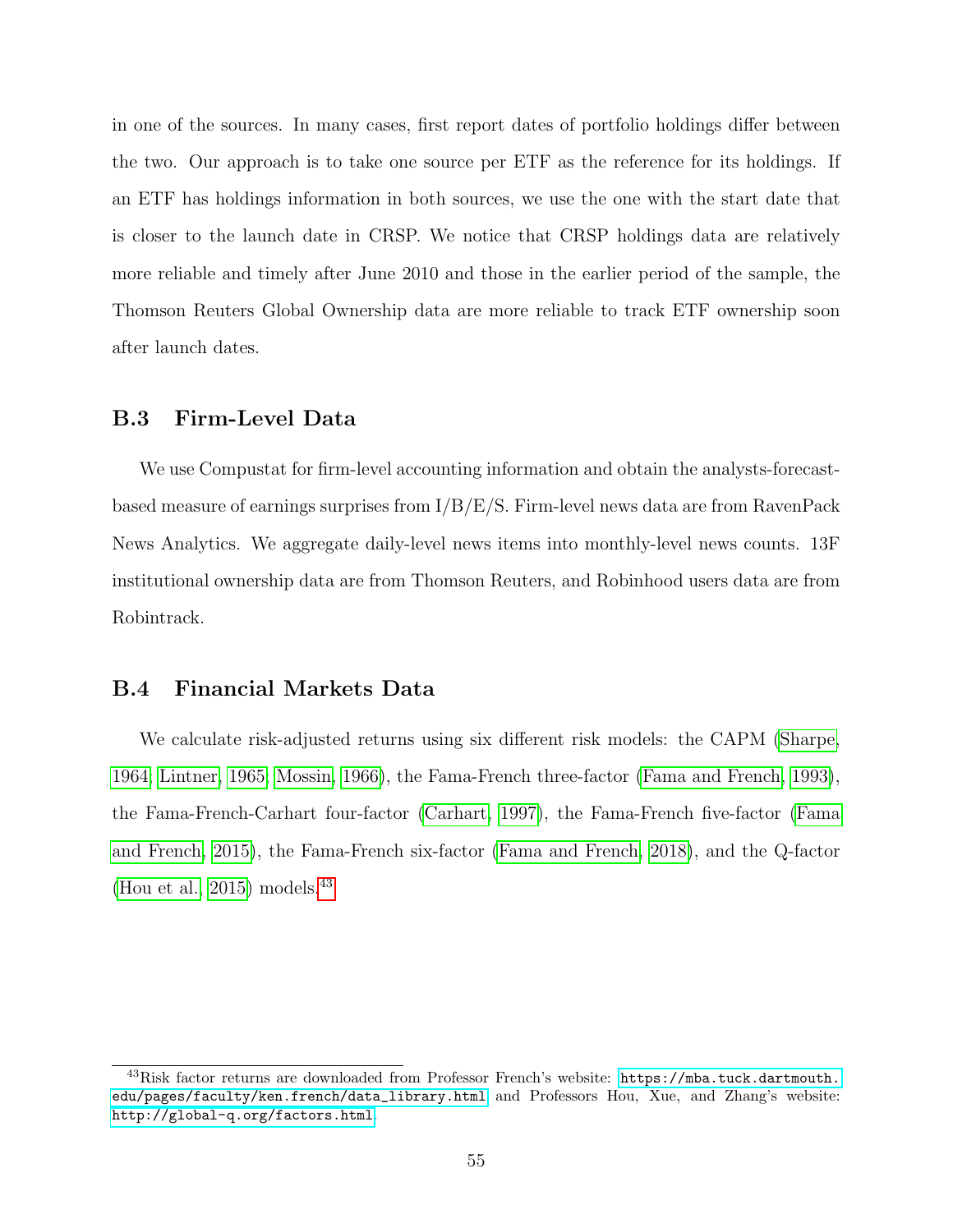in one of the sources. In many cases, first report dates of portfolio holdings differ between the two. Our approach is to take one source per ETF as the reference for its holdings. If an ETF has holdings information in both sources, we use the one with the start date that is closer to the launch date in CRSP. We notice that CRSP holdings data are relatively more reliable and timely after June 2010 and those in the earlier period of the sample, the Thomson Reuters Global Ownership data are more reliable to track ETF ownership soon after launch dates.

## B.3 Firm-Level Data

We use Compustat for firm-level accounting information and obtain the analysts-forecastbased measure of earnings surprises from  $I/B/E/S$ . Firm-level news data are from RavenPack News Analytics. We aggregate daily-level news items into monthly-level news counts. 13F institutional ownership data are from Thomson Reuters, and Robinhood users data are from Robintrack.

#### B.4 Financial Markets Data

We calculate risk-adjusted returns using six different risk models: the CAPM [\(Sharpe,](#page-51-4) [1964;](#page-51-4) [Lintner, 1965;](#page-51-5) [Mossin, 1966\)](#page-51-6), the Fama-French three-factor [\(Fama and French, 1993\)](#page-49-0), the Fama-French-Carhart four-factor [\(Carhart, 1997\)](#page-48-4), the Fama-French five-factor [\(Fama](#page-49-4) [and French, 2015\)](#page-49-4), the Fama-French six-factor [\(Fama and French, 2018\)](#page-49-5), and the Q-factor [\(Hou et al., 2015\)](#page-50-1) models.  $43$ 

<span id="page-56-0"></span><sup>&</sup>lt;sup>43</sup>Risk factor returns are downloaded from Professor French's website: [https://mba.tuck.dartmouth.](https://mba.tuck.dartmouth.edu/pages/faculty/ken.french/data_library.html) [edu/pages/faculty/ken.french/data\\_library.html](https://mba.tuck.dartmouth.edu/pages/faculty/ken.french/data_library.html) and Professors Hou, Xue, and Zhang's website: <http://global-q.org/factors.html>.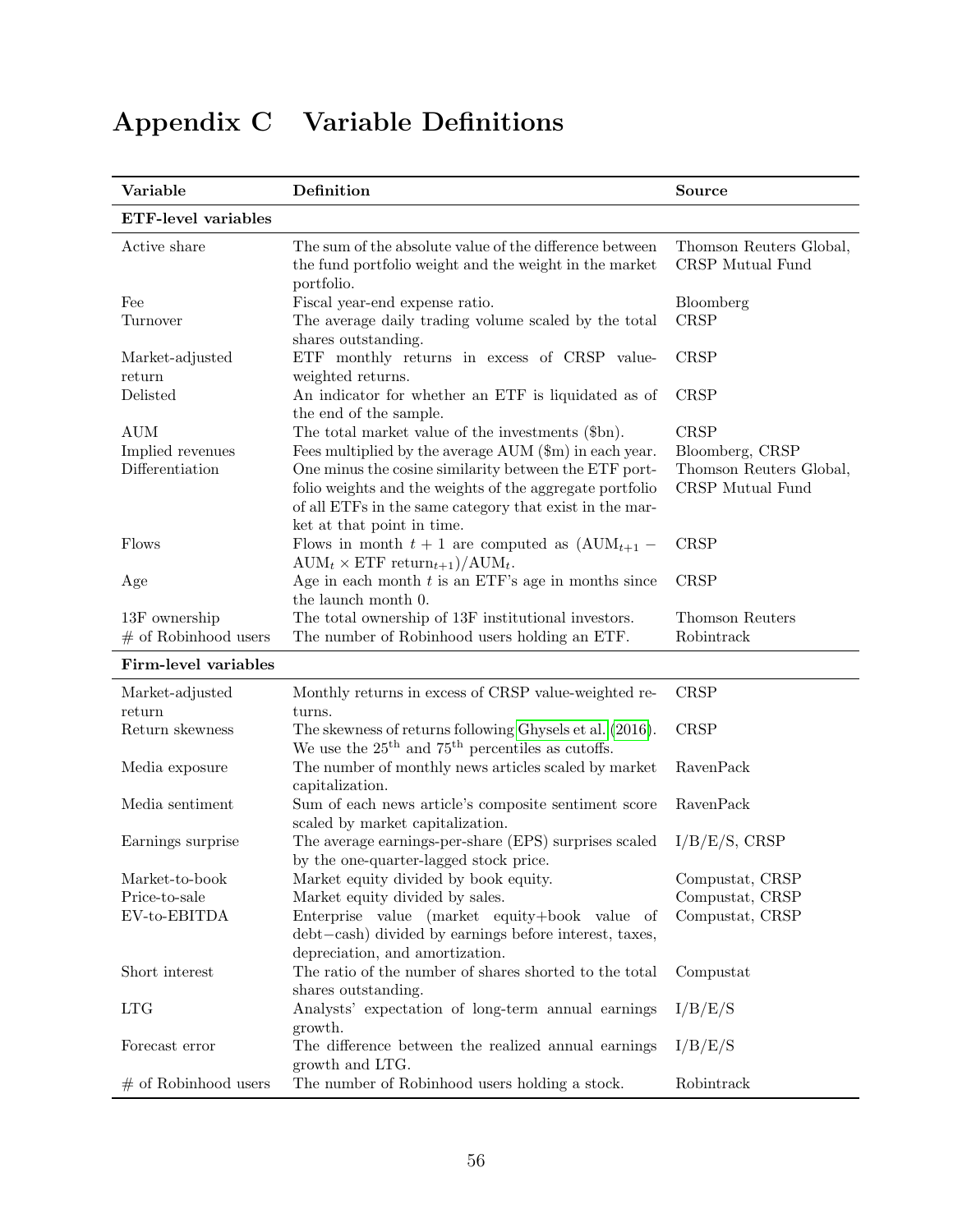| Variable                                          | Definition                                                                                                                                                                                                                                                                                                                | Source                                                                        |
|---------------------------------------------------|---------------------------------------------------------------------------------------------------------------------------------------------------------------------------------------------------------------------------------------------------------------------------------------------------------------------------|-------------------------------------------------------------------------------|
| <b>ETF-level variables</b>                        |                                                                                                                                                                                                                                                                                                                           |                                                                               |
| Active share                                      | The sum of the absolute value of the difference between<br>the fund portfolio weight and the weight in the market<br>portfolio.                                                                                                                                                                                           | Thomson Reuters Global,<br>CRSP Mutual Fund                                   |
| Fee<br>Turnover                                   | Fiscal year-end expense ratio.<br>The average daily trading volume scaled by the total<br>shares outstanding.                                                                                                                                                                                                             | Bloomberg<br><b>CRSP</b>                                                      |
| Market-adjusted<br>return                         | ETF monthly returns in excess of CRSP value-<br>weighted returns.                                                                                                                                                                                                                                                         | <b>CRSP</b>                                                                   |
| Delisted                                          | An indicator for whether an ETF is liquidated as of<br>the end of the sample.                                                                                                                                                                                                                                             | <b>CRSP</b>                                                                   |
| <b>AUM</b><br>Implied revenues<br>Differentiation | The total market value of the investments (\$bn).<br>Fees multiplied by the average AUM (\$m) in each year.<br>One minus the cosine similarity between the ETF port-<br>folio weights and the weights of the aggregate portfolio<br>of all ETFs in the same category that exist in the mar-<br>ket at that point in time. | <b>CRSP</b><br>Bloomberg, CRSP<br>Thomson Reuters Global,<br>CRSP Mutual Fund |
| Flows                                             | Flows in month $t + 1$ are computed as $(AUM_{t+1}$ –<br>$AUM_t \times ETF$ return <sub>t+1</sub> $)/AUM_t$ .                                                                                                                                                                                                             | <b>CRSP</b>                                                                   |
| Age                                               | Age in each month $t$ is an ETF's age in months since<br>the launch month 0.                                                                                                                                                                                                                                              | <b>CRSP</b>                                                                   |
| 13F ownership<br>$#$ of Robinhood users           | The total ownership of 13F institutional investors.<br>The number of Robinhood users holding an ETF.                                                                                                                                                                                                                      | Thomson Reuters<br>Robintrack                                                 |
| Firm-level variables                              |                                                                                                                                                                                                                                                                                                                           |                                                                               |
| Market-adjusted                                   | Monthly returns in excess of CRSP value-weighted re-                                                                                                                                                                                                                                                                      | <b>CRSP</b>                                                                   |
| return<br>Return skewness                         | turns.<br>The skewness of returns following Ghysels et al. (2016).<br>We use the $25^{\text{th}}$ and $75^{\text{th}}$ percentiles as cutoffs.                                                                                                                                                                            | <b>CRSP</b>                                                                   |
| Media exposure                                    | The number of monthly news articles scaled by market<br>capitalization.                                                                                                                                                                                                                                                   | RavenPack                                                                     |
| Media sentiment                                   | Sum of each news article's composite sentiment score<br>scaled by market capitalization.                                                                                                                                                                                                                                  | RavenPack                                                                     |
| Earnings surprise                                 | The average earnings-per-share (EPS) surprises scaled<br>by the one-quarter-lagged stock price.                                                                                                                                                                                                                           | I/B/E/S, CRSP                                                                 |
| Market-to-book                                    | Market equity divided by book equity.                                                                                                                                                                                                                                                                                     | Compustat, CRSP                                                               |
| Price-to-sale<br>EV-to-EBITDA                     | Market equity divided by sales.<br>Enterprise value (market equity+book value of<br>debt-cash) divided by earnings before interest, taxes,<br>depreciation, and amortization.                                                                                                                                             | Compustat, CRSP<br>Compustat, CRSP                                            |
| Short interest                                    | The ratio of the number of shares shorted to the total<br>shares outstanding.                                                                                                                                                                                                                                             | Compustat                                                                     |
| <b>LTG</b>                                        | Analysts' expectation of long-term annual earnings<br>growth.                                                                                                                                                                                                                                                             | I/B/E/S                                                                       |
| Forecast error                                    | The difference between the realized annual earnings<br>growth and LTG.                                                                                                                                                                                                                                                    | I/B/E/S                                                                       |
| $#$ of Robinhood users                            | The number of Robinhood users holding a stock.                                                                                                                                                                                                                                                                            | Robintrack                                                                    |

# Appendix C Variable Definitions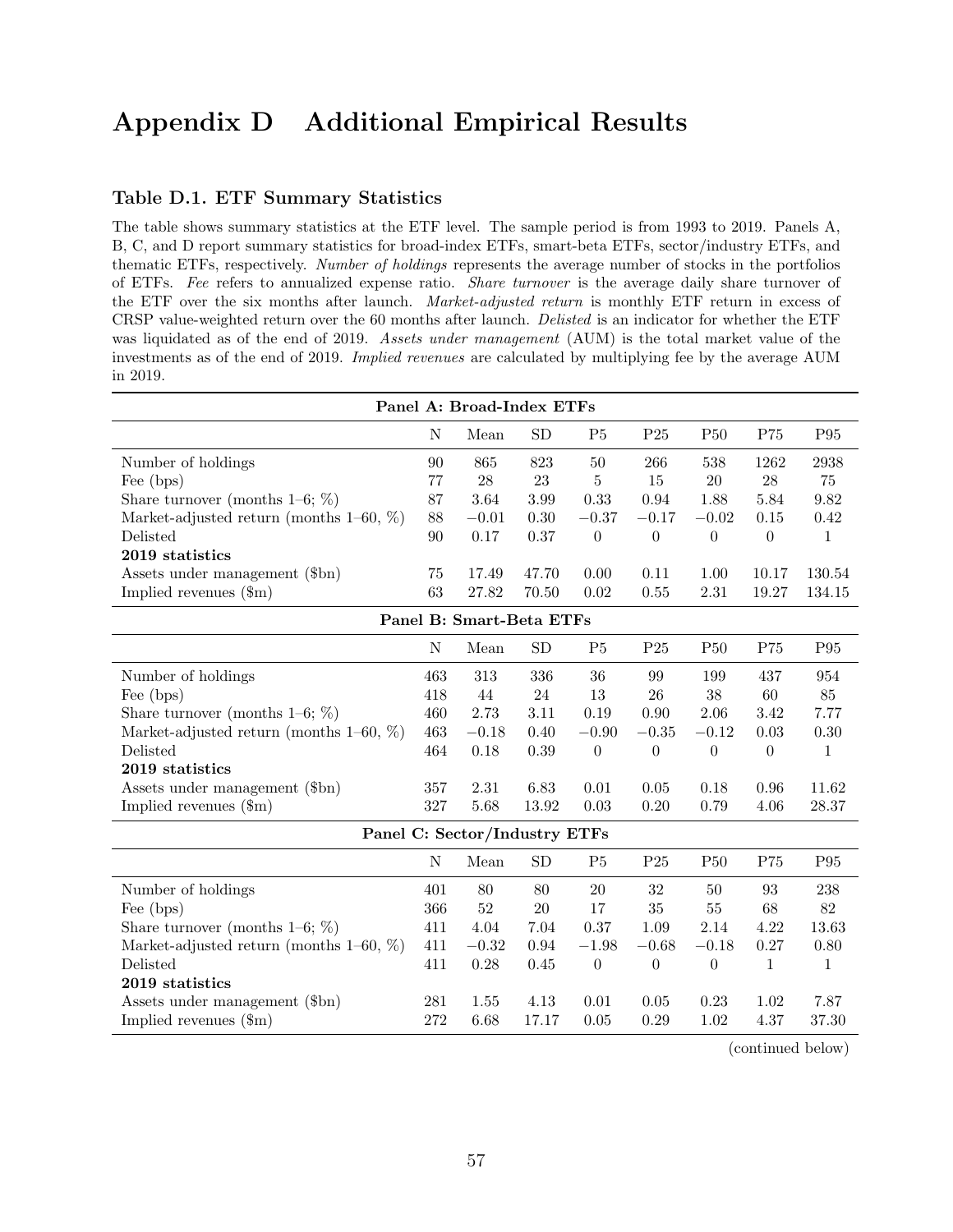# Appendix D Additional Empirical Results

#### Table D.1. ETF Summary Statistics

The table shows summary statistics at the ETF level. The sample period is from 1993 to 2019. Panels A, B, C, and D report summary statistics for broad-index ETFs, smart-beta ETFs, sector/industry ETFs, and thematic ETFs, respectively. Number of holdings represents the average number of stocks in the portfolios of ETFs. Fee refers to annualized expense ratio. Share turnover is the average daily share turnover of the ETF over the six months after launch. Market-adjusted return is monthly ETF return in excess of CRSP value-weighted return over the 60 months after launch. Delisted is an indicator for whether the ETF was liquidated as of the end of 2019. Assets under management (AUM) is the total market value of the investments as of the end of 2019. Implied revenues are calculated by multiplying fee by the average AUM in 2019.

| Panel A: Broad-Index ETFs                  |             |                               |           |                  |                  |                  |                |                 |
|--------------------------------------------|-------------|-------------------------------|-----------|------------------|------------------|------------------|----------------|-----------------|
|                                            | $\mathbf N$ | Mean                          | SD        | P <sub>5</sub>   | P <sub>25</sub>  | P50              | P75            | P95             |
| Number of holdings                         | 90          | 865                           | 823       | 50               | 266              | 538              | 1262           | 2938            |
| Fee (bps)                                  | 77          | $28\,$                        | 23        | $\bf 5$          | 15               | $20\,$           | 28             | 75              |
| Share turnover (months $1-6$ ; %)          | 87          | 3.64                          | 3.99      | 0.33             | 0.94             | 1.88             | 5.84           | 9.82            |
| Market-adjusted return (months $1-60, %$ ) | 88          | $-0.01$                       | 0.30      | $-0.37$          | $-0.17$          | $-0.02$          | $0.15\,$       | 0.42            |
| Delisted                                   | 90          | 0.17                          | 0.37      | $\boldsymbol{0}$ | $\overline{0}$   | $\boldsymbol{0}$ | $\theta$       | $\mathbf{1}$    |
| 2019 statistics                            |             |                               |           |                  |                  |                  |                |                 |
| Assets under management (\$bn)             | 75          | 17.49                         | 47.70     | 0.00             | 0.11             | 1.00             | 10.17          | 130.54          |
| Implied revenues $(\text{\$m})$            | 63          | 27.82                         | 70.50     | 0.02             | 0.55             | $2.31\,$         | 19.27          | 134.15          |
|                                            |             | Panel B: Smart-Beta ETFs      |           |                  |                  |                  |                |                 |
|                                            | N           | Mean                          | <b>SD</b> | P <sub>5</sub>   | P25              | <b>P50</b>       | P75            | P95             |
| Number of holdings                         | 463         | 313                           | 336       | 36               | 99               | 199              | 437            | 954             |
| Fee (bps)                                  | 418         | 44                            | 24        | $13\,$           | $26\,$           | 38               | 60             | 85              |
| Share turnover (months $1-6$ ; %)          | 460         | 2.73                          | 3.11      | 0.19             | 0.90             | 2.06             | $3.42\,$       | 7.77            |
| Market-adjusted return (months $1-60, %$ ) | 463         | $-0.18$                       | 0.40      | $-0.90$          | $-0.35$          | $-0.12$          | 0.03           | 0.30            |
| Delisted                                   | 464         | 0.18                          | 0.39      | $\boldsymbol{0}$ | $\boldsymbol{0}$ | $\boldsymbol{0}$ | $\overline{0}$ | $\mathbf{1}$    |
| 2019 statistics                            |             |                               |           |                  |                  |                  |                |                 |
| Assets under management (\$bn)             | 357         | 2.31                          | 6.83      | 0.01             | 0.05             | 0.18             | 0.96           | 11.62           |
| Implied revenues $(\text{\$m})$            | 327         | 5.68                          | 13.92     | 0.03             | 0.20             | 0.79             | 4.06           | 28.37           |
|                                            |             | Panel C: Sector/Industry ETFs |           |                  |                  |                  |                |                 |
|                                            | N           | Mean                          | <b>SD</b> | P <sub>5</sub>   | P <sub>25</sub>  | <b>P50</b>       | P75            | P <sub>95</sub> |
| Number of holdings                         | 401         | 80                            | 80        | 20               | 32               | 50               | 93             | 238             |
| Fee (bps)                                  | 366         | 52                            | 20        | 17               | $35\,$           | $55\,$           | 68             | 82              |
| Share turnover (months $1-6$ ; %)          | 411         | 4.04                          | 7.04      | 0.37             | 1.09             | 2.14             | 4.22           | 13.63           |
| Market-adjusted return (months $1-60, %$ ) | 411         | $-0.32$                       | 0.94      | $-1.98$          | $-0.68$          | $-0.18$          | 0.27           | 0.80            |
| Delisted                                   | 411         | 0.28                          | 0.45      | $\boldsymbol{0}$ | $\theta$         | $\boldsymbol{0}$ | $\mathbf{1}$   | $\mathbf{1}$    |
| 2019 statistics                            |             |                               |           |                  |                  |                  |                |                 |
| Assets under management (\$bn)             | 281         | 1.55                          | 4.13      | 0.01             | 0.05             | 0.23             | 1.02           | 7.87            |
| Implied revenues $(\text{\$m})$            | 272         | 6.68                          | 17.17     | 0.05             | 0.29             | 1.02             | 4.37           | 37.30           |

(continued below)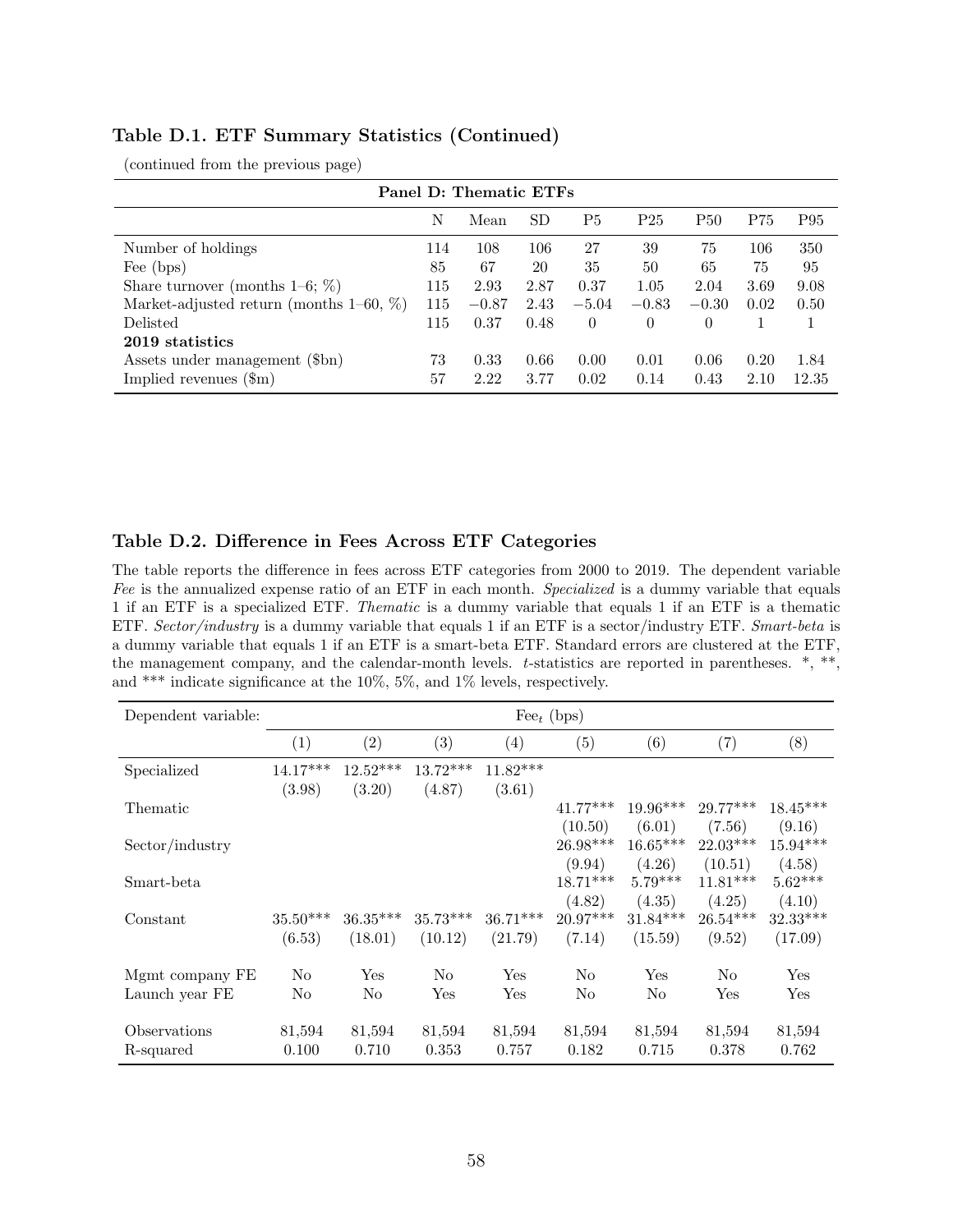| Table D.1. ETF Summary Statistics (Continued) |  |  |  |
|-----------------------------------------------|--|--|--|
|-----------------------------------------------|--|--|--|

| Panel D: Thematic ETFs                     |     |         |           |           |                 |            |      |       |  |
|--------------------------------------------|-----|---------|-----------|-----------|-----------------|------------|------|-------|--|
|                                            | N   | Mean    | <b>SD</b> | <b>P5</b> | P <sub>25</sub> | <b>P50</b> | P75  | P95   |  |
| Number of holdings                         | 114 | 108     | 106       | 27        | 39              | 75         | 106  | 350   |  |
| Fee (bps)                                  | 85  | 67      | 20        | 35        | 50              | 65         | 75   | 95    |  |
| Share turnover (months $1-6$ ; $\%$ )      | 115 | 2.93    | 2.87      | 0.37      | 1.05            | 2.04       | 3.69 | 9.08  |  |
| Market-adjusted return (months $1-60, %$ ) | 115 | $-0.87$ | 2.43      | $-5.04$   | $-0.83$         | $-0.30$    | 0.02 | 0.50  |  |
| Delisted                                   | 115 | 0.37    | 0.48      | $\Omega$  | $\theta$        | $\Omega$   |      |       |  |
| 2019 statistics                            |     |         |           |           |                 |            |      |       |  |
| Assets under management (\$bn)             | 73  | 0.33    | 0.66      | 0.00      | 0.01            | 0.06       | 0.20 | 1.84  |  |
| Implied revenues $(\text{\$m})$            | 57  | 2.22    | 3.77      | 0.02      | 0.14            | 0.43       | 2.10 | 12.35 |  |

(continued from the previous page)

#### Table D.2. Difference in Fees Across ETF Categories

The table reports the difference in fees across ETF categories from 2000 to 2019. The dependent variable Fee is the annualized expense ratio of an ETF in each month. Specialized is a dummy variable that equals 1 if an ETF is a specialized ETF. Thematic is a dummy variable that equals 1 if an ETF is a thematic ETF. Sector/industry is a dummy variable that equals 1 if an ETF is a sector/industry ETF. Smart-beta is a dummy variable that equals 1 if an ETF is a smart-beta ETF. Standard errors are clustered at the ETF, the management company, and the calendar-month levels. t-statistics are reported in parentheses. \*, \*\*, and \*\*\* indicate significance at the 10%, 5%, and 1% levels, respectively.

| Dependent variable: |            | $\text{Fe}e_t$ (bps) |                |                      |            |            |                |                      |  |
|---------------------|------------|----------------------|----------------|----------------------|------------|------------|----------------|----------------------|--|
|                     | (1)        | (2)                  | (3)            | $\left( 4\right)$    | (5)        | (6)        | (7)            | (8)                  |  |
| Specialized         | $14.17***$ | $12.52***$           | $13.72***$     | $11.82***$           |            |            |                |                      |  |
|                     | (3.98)     | (3.20)               | (4.87)         | (3.61)               |            |            |                |                      |  |
| Thematic            |            |                      |                |                      | $41.77***$ | 19.96***   | $29.77***$     | $18.45***$           |  |
|                     |            |                      |                |                      | (10.50)    | (6.01)     | (7.56)         | (9.16)               |  |
| Sector/industry     |            |                      |                |                      | $26.98***$ | $16.65***$ | $22.03***$     | $15.94***$           |  |
|                     |            |                      |                |                      | (9.94)     | (4.26)     | (10.51)        | (4.58)               |  |
| Smart-beta          |            |                      |                |                      | $18.71***$ | $5.79***$  | $11.81***$     | $5.62***$            |  |
|                     |            |                      |                |                      | (4.82)     | (4.35)     | (4.25)         | (4.10)               |  |
| Constant            | $35.50***$ | $36.35***$           | $35.73***$     | $36.71***$           | $20.97***$ | $31.84***$ | $26.54***$     | $32.33***$           |  |
|                     | (6.53)     | (18.01)              | (10.12)        | (21.79)              | (7.14)     | (15.59)    | (9.52)         | (17.09)              |  |
| Mgmt company FE     | No         | Yes                  | N <sub>o</sub> | Yes                  | No         | Yes        | N <sub>o</sub> | Yes                  |  |
|                     | No         | No                   | Yes            | $\operatorname{Yes}$ | No         | No         | Yes            | $\operatorname{Yes}$ |  |
| Launch year FE      |            |                      |                |                      |            |            |                |                      |  |
| Observations        | 81,594     | 81,594               | 81,594         | 81,594               | 81,594     | 81,594     | 81,594         | 81,594               |  |
| R-squared           | 0.100      | 0.710                | 0.353          | 0.757                | 0.182      | 0.715      | 0.378          | 0.762                |  |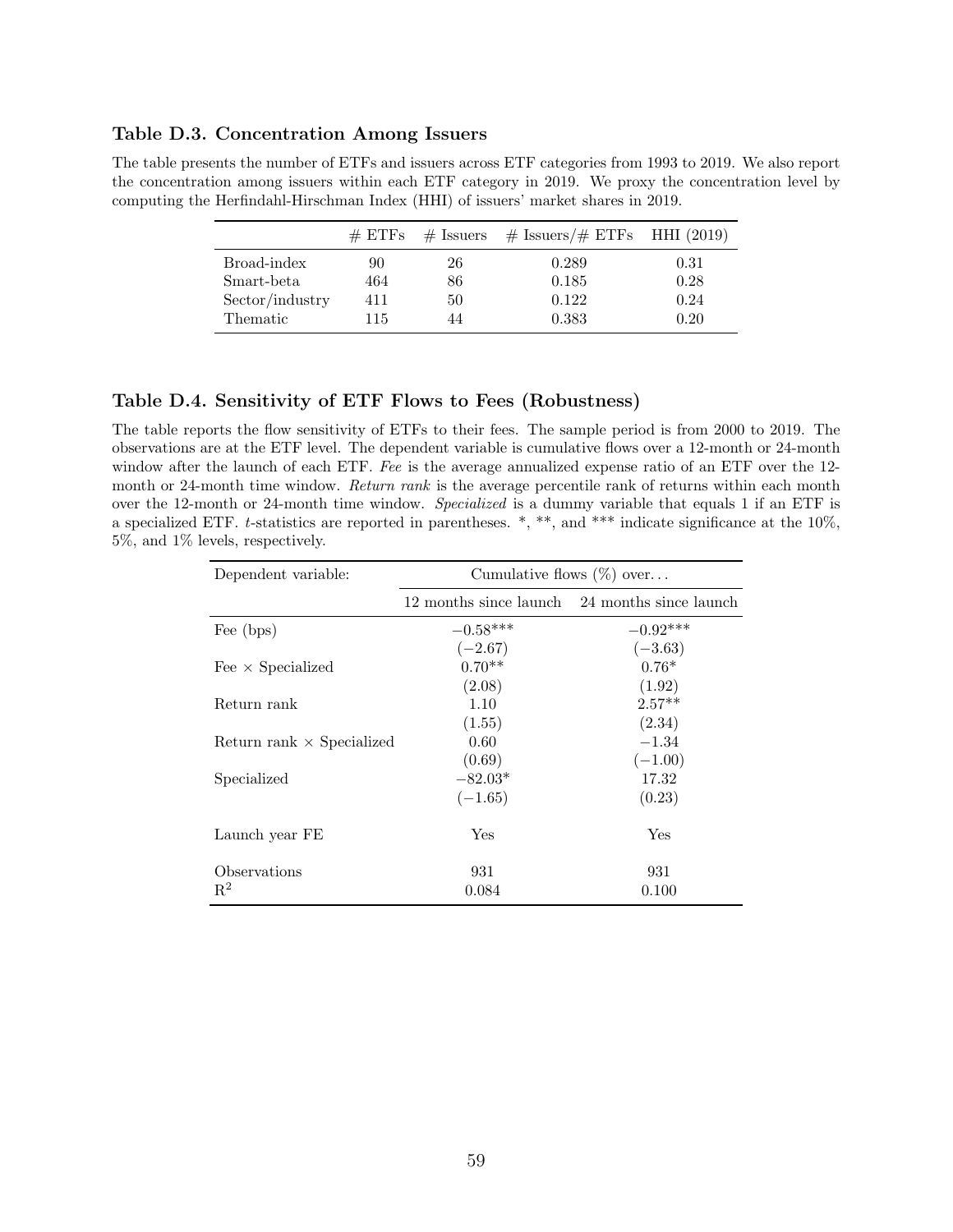#### Table D.3. Concentration Among Issuers

The table presents the number of ETFs and issuers across ETF categories from 1993 to 2019. We also report the concentration among issuers within each ETF category in 2019. We proxy the concentration level by computing the Herfindahl-Hirschman Index (HHI) of issuers' market shares in 2019.

|                 | $\#$ ETFs | $#$ Issuers | $\#$ Issuers/ $\#$ ETFs HHI (2019) |      |
|-----------------|-----------|-------------|------------------------------------|------|
| Broad-index     | 90        | 26          | 0.289                              | 0.31 |
| Smart-beta      | 464       | 86          | 0.185                              | 0.28 |
| Sector/industry | 411       | 50          | 0.122                              | 0.24 |
| Thematic        | 115       | 44          | 0.383                              | 0.20 |

#### Table D.4. Sensitivity of ETF Flows to Fees (Robustness)

The table reports the flow sensitivity of ETFs to their fees. The sample period is from 2000 to 2019. The observations are at the ETF level. The dependent variable is cumulative flows over a 12-month or 24-month window after the launch of each ETF. Fee is the average annualized expense ratio of an ETF over the 12month or 24-month time window. Return rank is the average percentile rank of returns within each month over the 12-month or 24-month time window. Specialized is a dummy variable that equals 1 if an ETF is a specialized ETF. t-statistics are reported in parentheses. \*, \*\*, and \*\*\* indicate significance at the 10%, 5%, and 1% levels, respectively.

| Dependent variable:              | Cumulative flows $(\%)$ over     |                                               |  |  |  |
|----------------------------------|----------------------------------|-----------------------------------------------|--|--|--|
|                                  |                                  | 12 months since launch 24 months since launch |  |  |  |
| Fee (bps)                        | $-0.58***$                       | $-0.92***$                                    |  |  |  |
| Fee $\times$ Specialized         | $(-2.67)$<br>$0.70**$<br>(2.08)  | $(-3.63)$<br>$0.76*$<br>(1.92)                |  |  |  |
| Return rank                      | 1.10<br>(1.55)                   | $2.57**$<br>(2.34)                            |  |  |  |
| Return rank $\times$ Specialized | 0.60                             | $-1.34$                                       |  |  |  |
| Specialized                      | (0.69)<br>$-82.03*$<br>$(-1.65)$ | $(-1.00)$<br>17.32<br>(0.23)                  |  |  |  |
| Launch year FE                   | Yes                              | Yes                                           |  |  |  |
| Observations<br>$R^2$            | 931<br>0.084                     | 931<br>0.100                                  |  |  |  |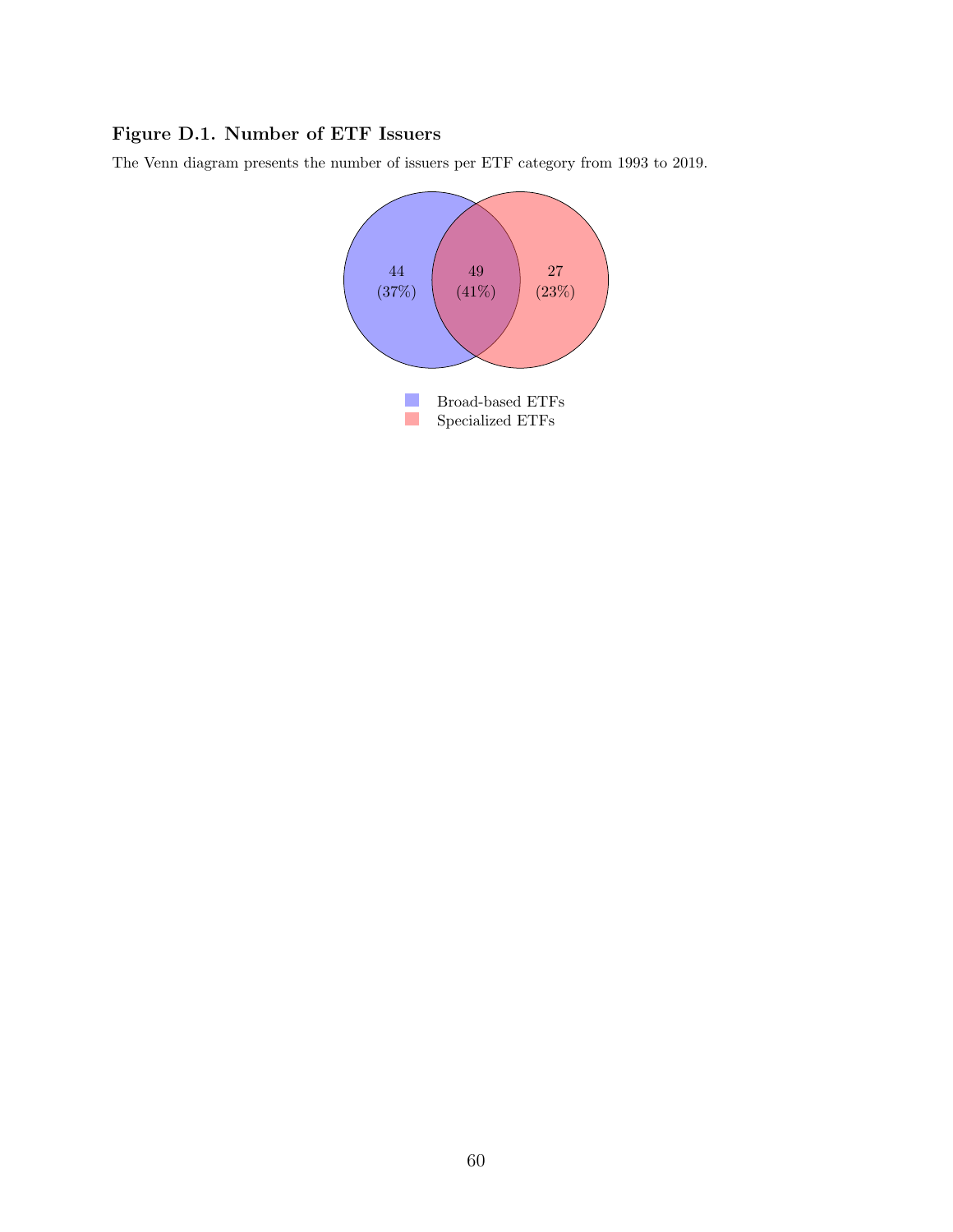## Figure D.1. Number of ETF Issuers

The Venn diagram presents the number of issuers per ETF category from 1993 to 2019.

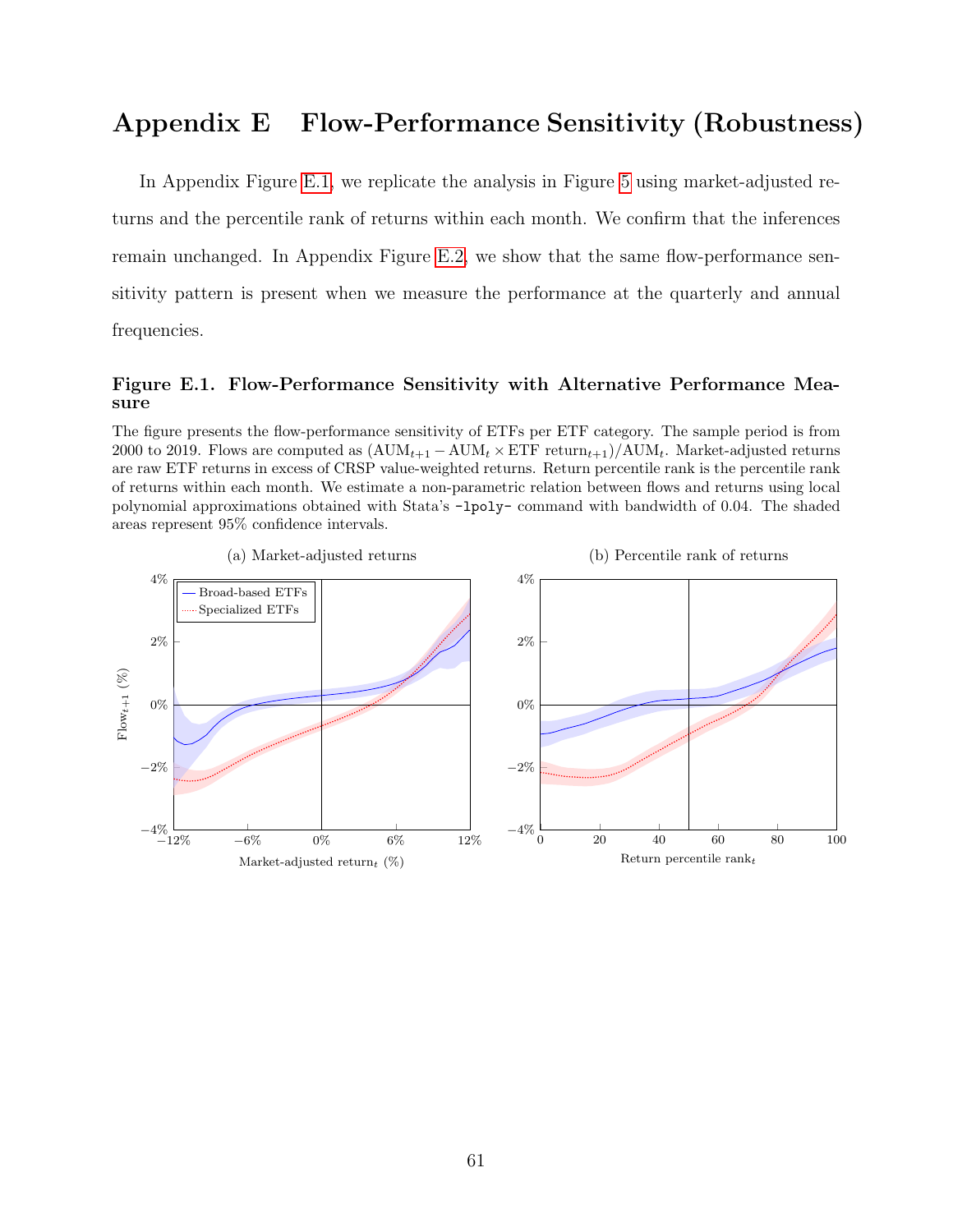# Appendix E Flow-Performance Sensitivity (Robustness)

In Appendix Figure [E.1,](#page-62-0) we replicate the analysis in Figure [5](#page-23-0) using market-adjusted returns and the percentile rank of returns within each month. We confirm that the inferences remain unchanged. In Appendix Figure [E.2,](#page-63-0) we show that the same flow-performance sensitivity pattern is present when we measure the performance at the quarterly and annual frequencies.

## <span id="page-62-0"></span>Figure E.1. Flow-Performance Sensitivity with Alternative Performance Measure

The figure presents the flow-performance sensitivity of ETFs per ETF category. The sample period is from 2000 to 2019. Flows are computed as  $(AUM_{t+1} - AUM_t \times ETF$  return $_{t+1})/AUM_t$ . Market-adjusted returns are raw ETF returns in excess of CRSP value-weighted returns. Return percentile rank is the percentile rank of returns within each month. We estimate a non-parametric relation between flows and returns using local polynomial approximations obtained with Stata's -lpoly- command with bandwidth of 0.04. The shaded areas represent 95% confidence intervals.

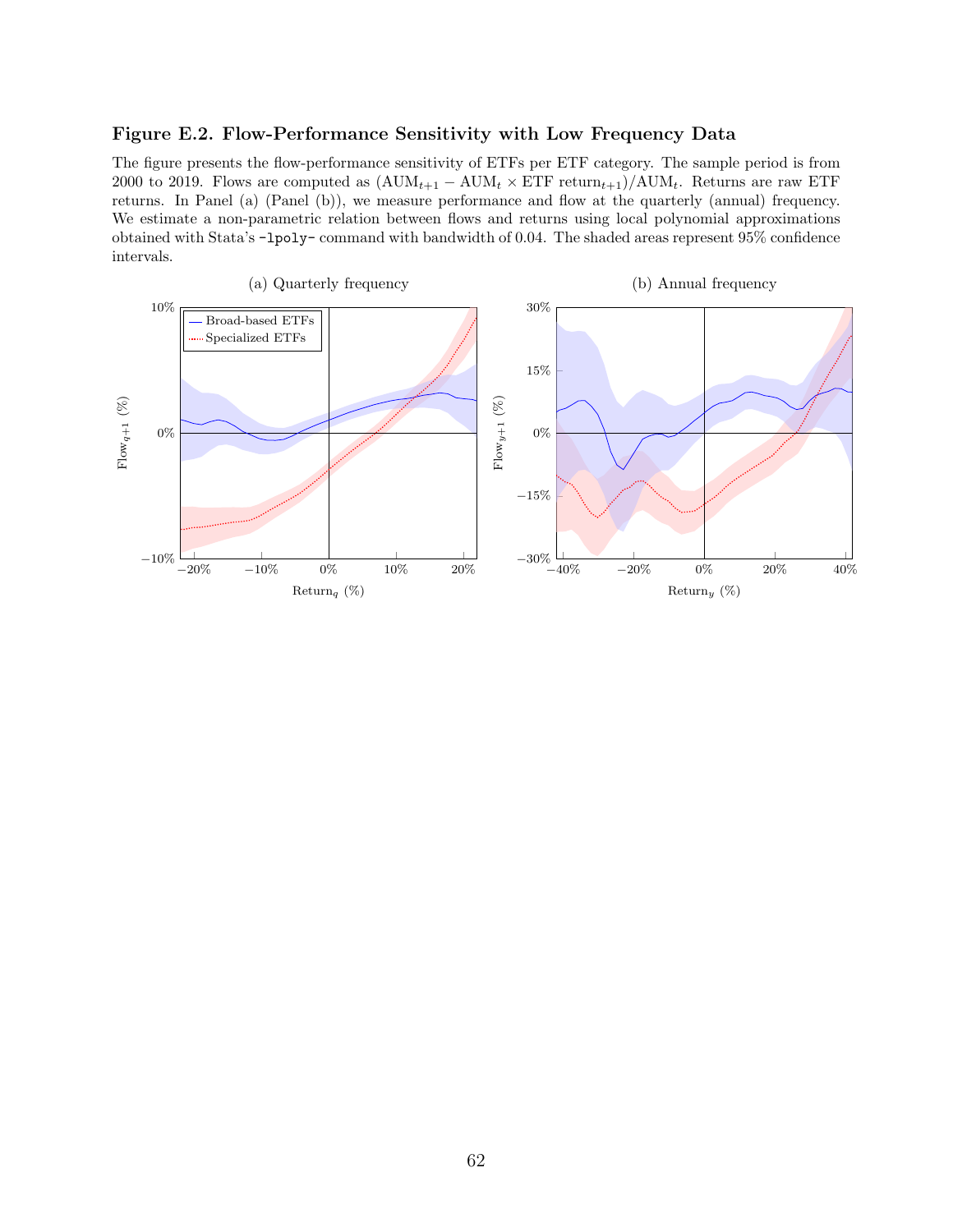#### <span id="page-63-0"></span>Figure E.2. Flow-Performance Sensitivity with Low Frequency Data

The figure presents the flow-performance sensitivity of ETFs per ETF category. The sample period is from 2000 to 2019. Flows are computed as  $(AUM_{t+1} - AUM_t \times ETF \ return_{t+1})/AUM_t$ . Returns are raw ETF returns. In Panel (a) (Panel (b)), we measure performance and flow at the quarterly (annual) frequency. We estimate a non-parametric relation between flows and returns using local polynomial approximations obtained with Stata's -lpoly- command with bandwidth of 0.04. The shaded areas represent 95% confidence intervals.

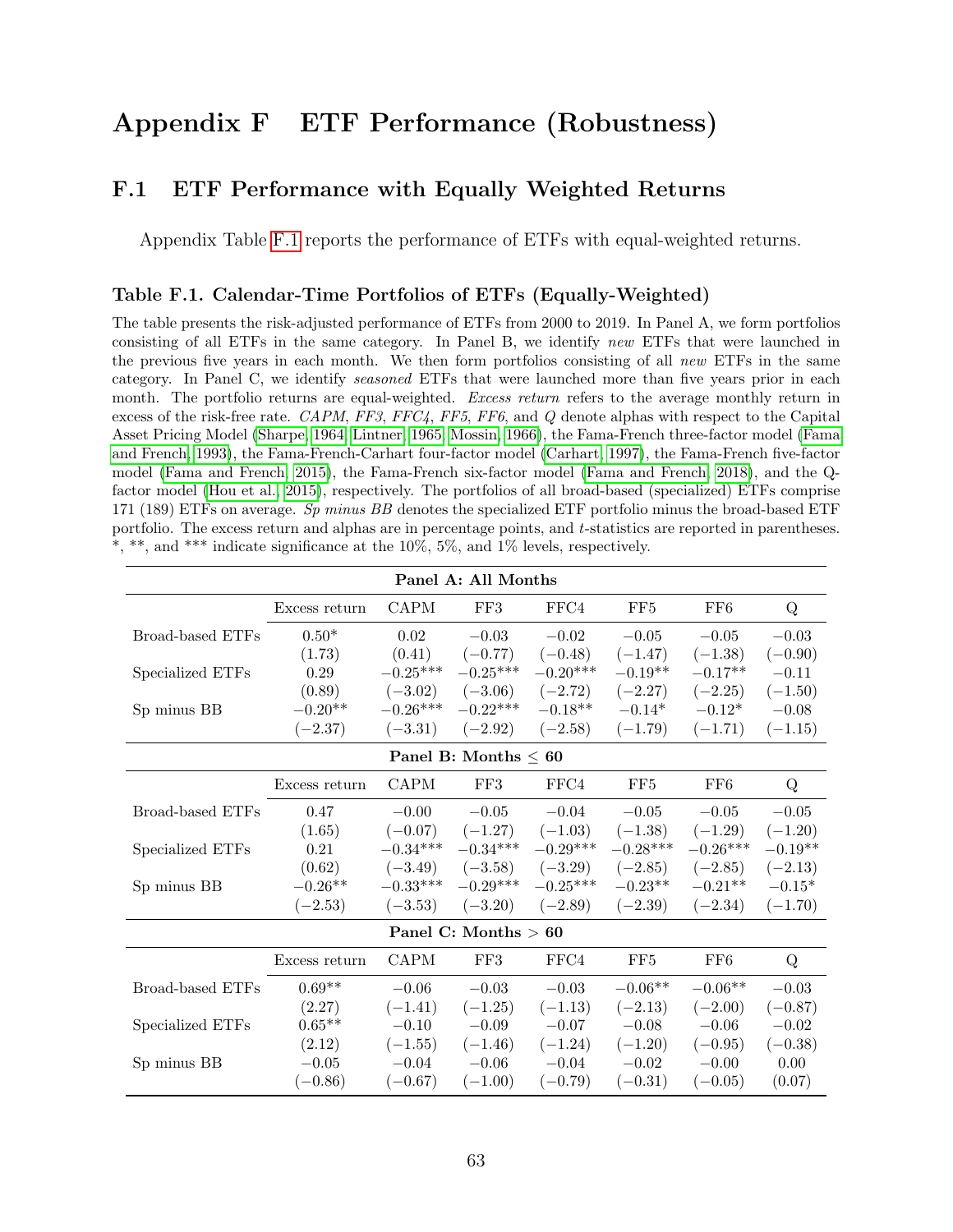# Appendix F ETF Performance (Robustness)

## F.1 ETF Performance with Equally Weighted Returns

Appendix Table [F.1](#page-64-0) reports the performance of ETFs with equal-weighted returns.

#### <span id="page-64-0"></span>Table F.1. Calendar-Time Portfolios of ETFs (Equally-Weighted)

The table presents the risk-adjusted performance of ETFs from 2000 to 2019. In Panel A, we form portfolios consisting of all ETFs in the same category. In Panel B, we identify new ETFs that were launched in the previous five years in each month. We then form portfolios consisting of all new ETFs in the same category. In Panel C, we identify seasoned ETFs that were launched more than five years prior in each month. The portfolio returns are equal-weighted. Excess return refers to the average monthly return in excess of the risk-free rate. CAPM, FF3, FFC4, FF5, FF6, and Q denote alphas with respect to the Capital Asset Pricing Model [\(Sharpe, 1964;](#page-51-4) [Lintner, 1965;](#page-51-5) [Mossin, 1966\)](#page-51-6), the Fama-French three-factor model [\(Fama](#page-49-0) [and French, 1993\)](#page-49-0), the Fama-French-Carhart four-factor model [\(Carhart, 1997\)](#page-48-4), the Fama-French five-factor model [\(Fama and French, 2015\)](#page-49-4), the Fama-French six-factor model [\(Fama and French, 2018\)](#page-49-5), and the Qfactor model [\(Hou et al., 2015\)](#page-50-1), respectively. The portfolios of all broad-based (specialized) ETFs comprise 171 (189) ETFs on average. Sp minus BB denotes the specialized ETF portfolio minus the broad-based ETF portfolio. The excess return and alphas are in percentage points, and t-statistics are reported in parentheses. \*, \*\*, and \*\*\* indicate significance at the 10%, 5%, and 1% levels, respectively.

| Panel A: All Months     |               |             |                           |            |                 |                 |           |
|-------------------------|---------------|-------------|---------------------------|------------|-----------------|-----------------|-----------|
|                         | Excess return | <b>CAPM</b> | FF3                       | FFC4       | FF <sub>5</sub> | FF <sub>6</sub> | Q         |
| Broad-based ETFs        | $0.50*$       | 0.02        | $-0.03$                   | $-0.02$    | $-0.05$         | $-0.05$         | $-0.03$   |
|                         | (1.73)        | (0.41)      | $(-0.77)$                 | $(-0.48)$  | $(-1.47)$       | $(-1.38)$       | $(-0.90)$ |
| Specialized ETFs        | 0.29          | $-0.25***$  | $-0.25***$                | $-0.20***$ | $-0.19**$       | $-0.17**$       | $-0.11$   |
|                         | (0.89)        | $(-3.02)$   | $(-3.06)$                 | $(-2.72)$  | $(-2.27)$       | $(-2.25)$       | $(-1.50)$ |
| Sp minus BB             | $-0.20**$     | $-0.26***$  | $-0.22***$                | $-0.18**$  | $-0.14*$        | $-0.12*$        | $-0.08$   |
|                         | $(-2.37)$     | $(-3.31)$   | $(-2.92)$                 | $(-2.58)$  | $(-1.79)$       | $(-1.71)$       | $(-1.15)$ |
|                         |               |             | Panel B: Months $\leq 60$ |            |                 |                 |           |
|                         | Excess return | <b>CAPM</b> | FF3                       | FFC4       | FF5             | FF <sub>6</sub> | Q         |
| <b>Broad-based ETFs</b> | 0.47          | $-0.00$     | $-0.05$                   | $-0.04$    | $-0.05$         | $-0.05$         | $-0.05$   |
|                         | (1.65)        | $(-0.07)$   | $(-1.27)$                 | $(-1.03)$  | $(-1.38)$       | $(-1.29)$       | $(-1.20)$ |
| Specialized ETFs        | 0.21          | $-0.34***$  | $-0.34***$                | $-0.29***$ | $-0.28***$      | $-0.26***$      | $-0.19**$ |
|                         | (0.62)        | $(-3.49)$   | $(-3.58)$                 | $(-3.29)$  | $(-2.85)$       | $(-2.85)$       | $(-2.13)$ |
| Sp minus BB             | $-0.26**$     | $-0.33***$  | $-0.29***$                | $-0.25***$ | $-0.23**$       | $-0.21**$       | $-0.15*$  |
|                         | $(-2.53)$     | $(-3.53)$   | $(-3.20)$                 | $(-2.89)$  | $(-2.39)$       | $(-2.34)$       | $(-1.70)$ |
|                         |               |             | Panel C: Months $> 60$    |            |                 |                 |           |
|                         | Excess return | <b>CAPM</b> | FF3                       | FFC4       | FF5             | FF6             | Q         |
| Broad-based ETFs        | $0.69**$      | $-0.06$     | $-0.03$                   | $-0.03$    | $-0.06**$       | $-0.06**$       | $-0.03$   |
|                         | (2.27)        | $(-1.41)$   | $(-1.25)$                 | $(-1.13)$  | $(-2.13)$       | $(-2.00)$       | $(-0.87)$ |
| Specialized ETFs        | $0.65**$      | $-0.10$     | $-0.09$                   | $-0.07$    | $-0.08$         | $-0.06$         | $-0.02$   |
|                         | (2.12)        | $(-1.55)$   | $(-1.46)$                 | $(-1.24)$  | $(-1.20)$       | $(-0.95)$       | $(-0.38)$ |
| Sp minus BB             | $-0.05$       | $-0.04$     | $-0.06$                   | $-0.04$    | $-0.02$         | $-0.00$         | 0.00      |
|                         | $(-0.86)$     | $(-0.67)$   | $(-1.00)$                 | $(-0.79)$  | $(-0.31)$       | $(-0.05)$       | (0.07)    |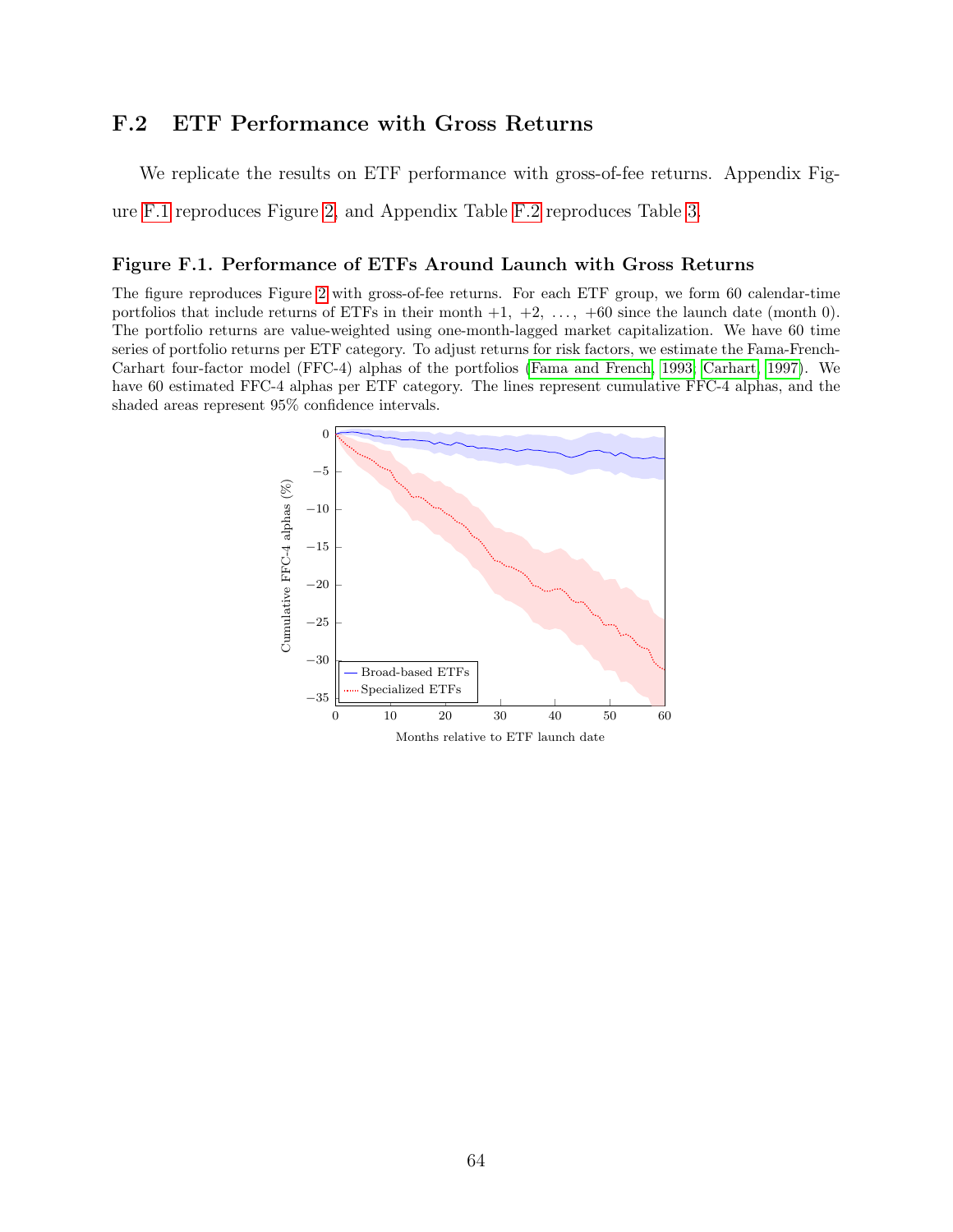## F.2 ETF Performance with Gross Returns

We replicate the results on ETF performance with gross-of-fee returns. Appendix Fig-

ure [F.1](#page-65-0) reproduces Figure [2,](#page-6-0) and Appendix Table [F.2](#page-66-0) reproduces Table [3.](#page-26-0)

#### <span id="page-65-0"></span>Figure F.1. Performance of ETFs Around Launch with Gross Returns

The figure reproduces Figure [2](#page-6-0) with gross-of-fee returns. For each ETF group, we form 60 calendar-time portfolios that include returns of ETFs in their month  $+1$ ,  $+2$ ,  $\ldots$ ,  $+60$  since the launch date (month 0). The portfolio returns are value-weighted using one-month-lagged market capitalization. We have 60 time series of portfolio returns per ETF category. To adjust returns for risk factors, we estimate the Fama-French-Carhart four-factor model (FFC-4) alphas of the portfolios [\(Fama and French, 1993;](#page-49-0) [Carhart, 1997\)](#page-48-4). We have 60 estimated FFC-4 alphas per ETF category. The lines represent cumulative FFC-4 alphas, and the shaded areas represent 95% confidence intervals.

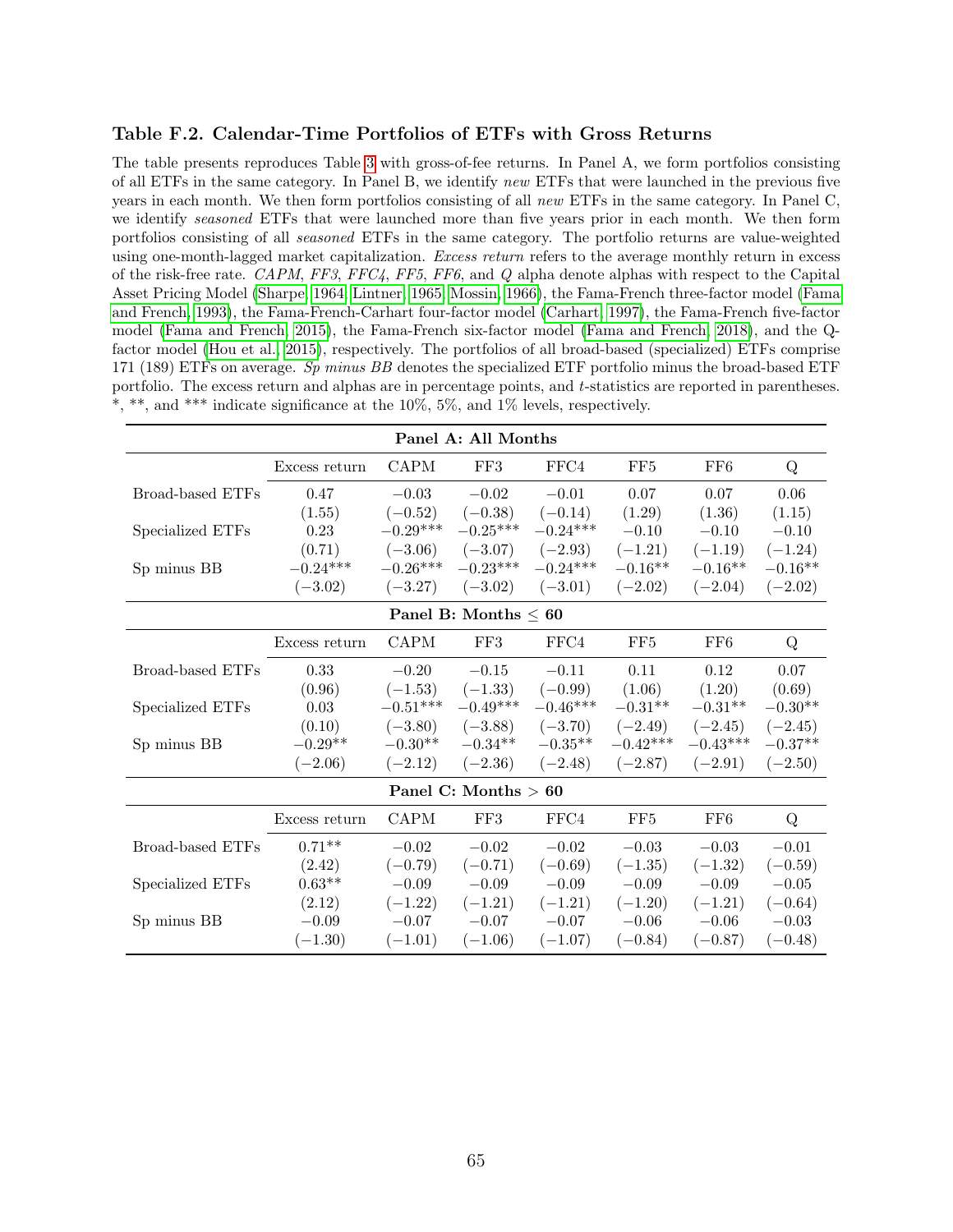#### <span id="page-66-0"></span>Table F.2. Calendar-Time Portfolios of ETFs with Gross Returns

The table presents reproduces Table [3](#page-26-0) with gross-of-fee returns. In Panel A, we form portfolios consisting of all ETFs in the same category. In Panel B, we identify new ETFs that were launched in the previous five years in each month. We then form portfolios consisting of all new ETFs in the same category. In Panel C, we identify seasoned ETFs that were launched more than five years prior in each month. We then form portfolios consisting of all seasoned ETFs in the same category. The portfolio returns are value-weighted using one-month-lagged market capitalization. Excess return refers to the average monthly return in excess of the risk-free rate. CAPM, FF3, FFC4, FF5, FF6, and Q alpha denote alphas with respect to the Capital Asset Pricing Model [\(Sharpe, 1964;](#page-51-4) [Lintner, 1965;](#page-51-5) [Mossin, 1966\)](#page-51-6), the Fama-French three-factor model [\(Fama](#page-49-0) [and French, 1993\)](#page-49-0), the Fama-French-Carhart four-factor model [\(Carhart, 1997\)](#page-48-4), the Fama-French five-factor model [\(Fama and French, 2015\)](#page-49-4), the Fama-French six-factor model [\(Fama and French, 2018\)](#page-49-5), and the Qfactor model [\(Hou et al., 2015\)](#page-50-1), respectively. The portfolios of all broad-based (specialized) ETFs comprise 171 (189) ETFs on average. Sp minus BB denotes the specialized ETF portfolio minus the broad-based ETF portfolio. The excess return and alphas are in percentage points, and t-statistics are reported in parentheses. \*, \*\*, and \*\*\* indicate significance at the 10%, 5%, and 1% levels, respectively.

| Panel A: All Months |               |             |                           |            |            |                 |           |
|---------------------|---------------|-------------|---------------------------|------------|------------|-----------------|-----------|
|                     | Excess return | <b>CAPM</b> | FF3                       | FFC4       | FF5        | FF <sub>6</sub> | Q         |
| Broad-based ETFs    | 0.47          | $-0.03$     | $-0.02$                   | $-0.01$    | 0.07       | 0.07            | 0.06      |
|                     | (1.55)        | $(-0.52)$   | $(-0.38)$                 | $(-0.14)$  | (1.29)     | (1.36)          | (1.15)    |
| Specialized ETFs    | 0.23          | $-0.29***$  | $-0.25***$                | $-0.24***$ | $-0.10$    | $-0.10$         | $-0.10$   |
|                     | (0.71)        | $(-3.06)$   | $(-3.07)$                 | $(-2.93)$  | $(-1.21)$  | $(-1.19)$       | $(-1.24)$ |
| Sp minus BB         | $-0.24***$    | $-0.26***$  | $-0.23***$                | $-0.24***$ | $-0.16**$  | $-0.16**$       | $-0.16**$ |
|                     | $(-3.02)$     | $(-3.27)$   | $(-3.02)$                 | $(-3.01)$  | $(-2.02)$  | $(-2.04)$       | $(-2.02)$ |
|                     |               |             | Panel B: Months $\leq 60$ |            |            |                 |           |
|                     | Excess return | <b>CAPM</b> | FF3                       | FFC4       | FF5        | FF <sub>6</sub> | Q         |
| Broad-based ETFs    | 0.33          | $-0.20$     | $-0.15$                   | $-0.11$    | 0.11       | 0.12            | 0.07      |
|                     | (0.96)        | $(-1.53)$   | $(-1.33)$                 | $(-0.99)$  | (1.06)     | (1.20)          | (0.69)    |
| Specialized ETFs    | 0.03          | $-0.51***$  | $-0.49***$                | $-0.46***$ | $-0.31**$  | $-0.31**$       | $-0.30**$ |
|                     | (0.10)        | $(-3.80)$   | $(-3.88)$                 | $(-3.70)$  | $(-2.49)$  | $(-2.45)$       | $(-2.45)$ |
| Sp minus BB         | $-0.29**$     | $-0.30**$   | $-0.34**$                 | $-0.35**$  | $-0.42***$ | $-0.43***$      | $-0.37**$ |
|                     | $(-2.06)$     | $(-2.12)$   | $(-2.36)$                 | $(-2.48)$  | $(-2.87)$  | $(-2.91)$       | $(-2.50)$ |
|                     |               |             | Panel C: Months $> 60$    |            |            |                 |           |
|                     | Excess return | <b>CAPM</b> | FF3                       | FFC4       | FF5        | FF6             | Q         |
| Broad-based ETFs    | $0.71**$      | $-0.02$     | $-0.02$                   | $-0.02$    | $-0.03$    | $-0.03$         | $-0.01$   |
|                     | (2.42)        | $(-0.79)$   | $(-0.71)$                 | $(-0.69)$  | $(-1.35)$  | $(-1.32)$       | $(-0.59)$ |
| Specialized ETFs    | $0.63**$      | $-0.09$     | $-0.09$                   | $-0.09$    | $-0.09$    | $-0.09$         | $-0.05$   |
|                     | (2.12)        | $(-1.22)$   | $(-1.21)$                 | $(-1.21)$  | $(-1.20)$  | $(-1.21)$       | $(-0.64)$ |
| Sp minus BB         | $-0.09$       | $-0.07$     | $-0.07$                   | $-0.07$    | $-0.06$    | $-0.06$         | $-0.03$   |
|                     | $(-1.30)$     | $(-1.01)$   | $(-1.06)$                 | $(-1.07)$  | $(-0.84)$  | $(-0.87)$       | $(-0.48)$ |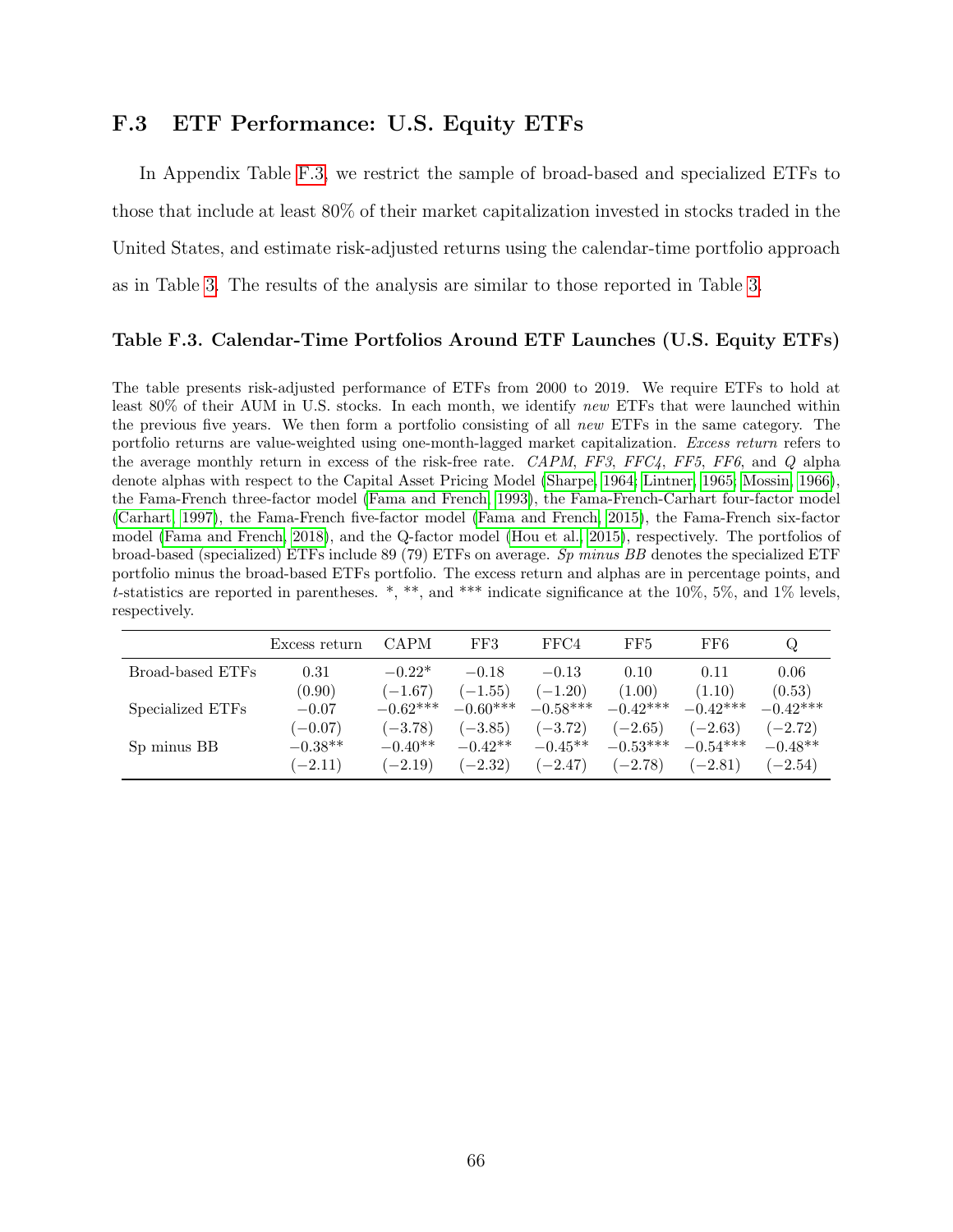## F.3 ETF Performance: U.S. Equity ETFs

In Appendix Table [F.3,](#page-67-0) we restrict the sample of broad-based and specialized ETFs to those that include at least 80% of their market capitalization invested in stocks traded in the United States, and estimate risk-adjusted returns using the calendar-time portfolio approach as in Table [3.](#page-26-0) The results of the analysis are similar to those reported in Table [3.](#page-26-0)

#### <span id="page-67-0"></span>Table F.3. Calendar-Time Portfolios Around ETF Launches (U.S. Equity ETFs)

The table presents risk-adjusted performance of ETFs from 2000 to 2019. We require ETFs to hold at least 80% of their AUM in U.S. stocks. In each month, we identify new ETFs that were launched within the previous five years. We then form a portfolio consisting of all new ETFs in the same category. The portfolio returns are value-weighted using one-month-lagged market capitalization. Excess return refers to the average monthly return in excess of the risk-free rate. CAPM, FF3, FFC4, FF5, FF6, and Q alpha denote alphas with respect to the Capital Asset Pricing Model [\(Sharpe, 1964;](#page-51-4) [Lintner, 1965;](#page-51-5) [Mossin, 1966\)](#page-51-6), the Fama-French three-factor model [\(Fama and French, 1993\)](#page-49-0), the Fama-French-Carhart four-factor model [\(Carhart, 1997\)](#page-48-4), the Fama-French five-factor model [\(Fama and French, 2015\)](#page-49-4), the Fama-French six-factor model [\(Fama and French, 2018\)](#page-49-5), and the Q-factor model [\(Hou et al., 2015\)](#page-50-1), respectively. The portfolios of broad-based (specialized) ETFs include 89 (79) ETFs on average. Sp minus BB denotes the specialized ETF portfolio minus the broad-based ETFs portfolio. The excess return and alphas are in percentage points, and t-statistics are reported in parentheses. \*, \*\*, and \*\*\* indicate significance at the  $10\%$ , 5%, and 1% levels, respectively.

|                  | Excess return | <b>CAPM</b> | FF3        | FFC4       | FF5        | FF6        | Q.         |
|------------------|---------------|-------------|------------|------------|------------|------------|------------|
| Broad-based ETFs | 0.31          | $-0.22*$    | $-0.18$    | $-0.13$    | 0.10       | 0.11       | 0.06       |
|                  | (0.90)        | $(-1.67)$   | $(-1.55)$  | $(-1.20)$  | (1.00)     | (1.10)     | (0.53)     |
| Specialized ETFs | $-0.07$       | $-0.62***$  | $-0.60***$ | $-0.58***$ | $-0.42***$ | $-0.42***$ | $-0.42***$ |
|                  | $(-0.07)$     | $(-3.78)$   | $(-3.85)$  | $(-3.72)$  | $(-2.65)$  | $(-2.63)$  | $(-2.72)$  |
| Sp minus BB      | $-0.38**$     | $-0.40**$   | $-0.42**$  | $-0.45**$  | $-0.53***$ | $-0.54***$ | $-0.48**$  |
|                  | $(-2.11)$     | $(-2.19)$   | $(-2.32)$  | $(-2.47)$  | $(-2.78)$  | $(-2.81)$  | $(-2.54)$  |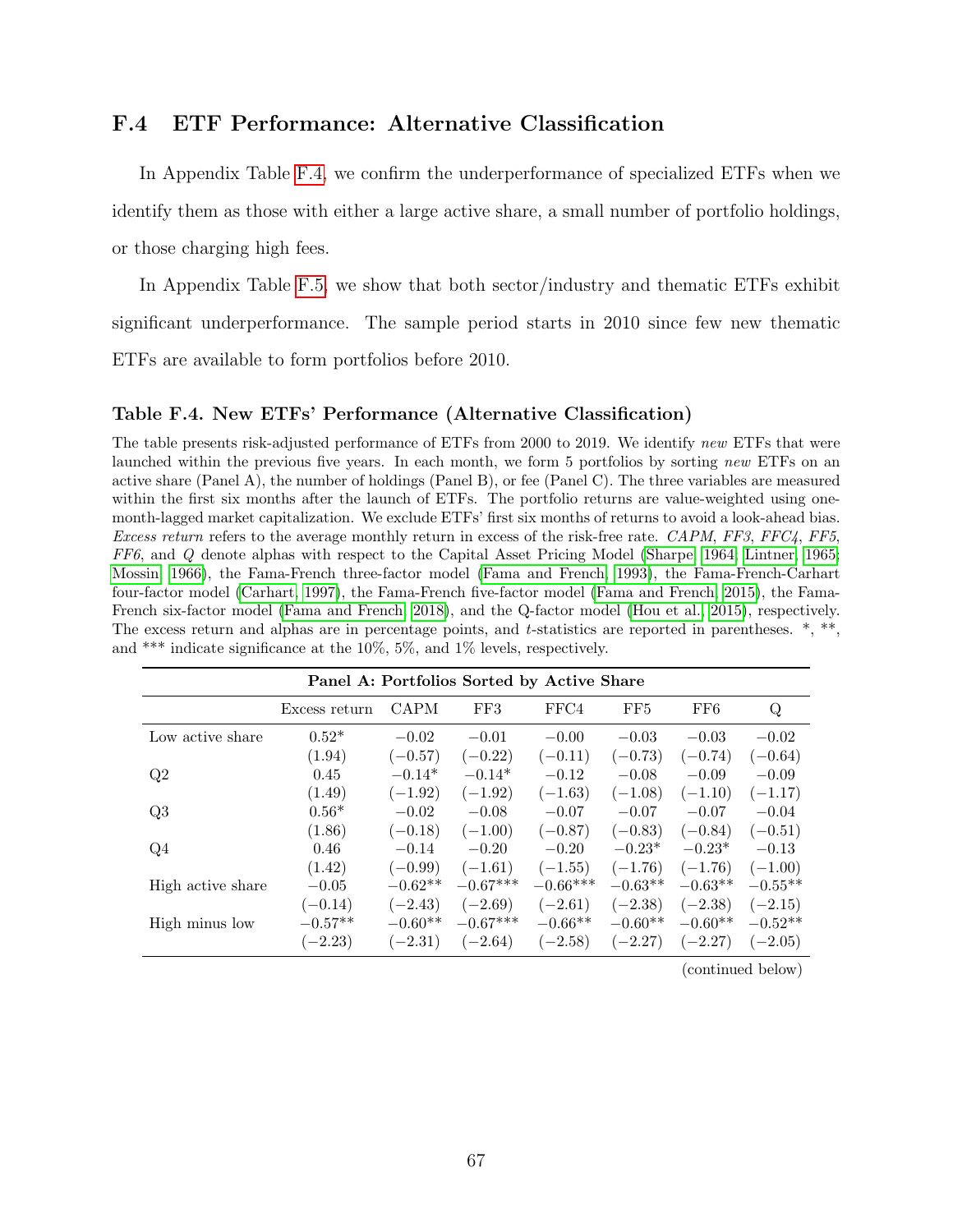## F.4 ETF Performance: Alternative Classification

In Appendix Table [F.4,](#page-68-0) we confirm the underperformance of specialized ETFs when we identify them as those with either a large active share, a small number of portfolio holdings, or those charging high fees.

In Appendix Table [F.5,](#page-70-0) we show that both sector/industry and thematic ETFs exhibit significant underperformance. The sample period starts in 2010 since few new thematic ETFs are available to form portfolios before 2010.

#### <span id="page-68-0"></span>Table F.4. New ETFs' Performance (Alternative Classification)

The table presents risk-adjusted performance of ETFs from 2000 to 2019. We identify new ETFs that were launched within the previous five years. In each month, we form 5 portfolios by sorting new ETFs on an active share (Panel A), the number of holdings (Panel B), or fee (Panel C). The three variables are measured within the first six months after the launch of ETFs. The portfolio returns are value-weighted using onemonth-lagged market capitalization. We exclude ETFs' first six months of returns to avoid a look-ahead bias. Excess return refers to the average monthly return in excess of the risk-free rate. CAPM, FF3, FFC4, FF5, FF6, and Q denote alphas with respect to the Capital Asset Pricing Model [\(Sharpe, 1964;](#page-51-4) [Lintner, 1965;](#page-51-5) [Mossin, 1966\)](#page-51-6), the Fama-French three-factor model [\(Fama and French, 1993\)](#page-49-0), the Fama-French-Carhart four-factor model [\(Carhart, 1997\)](#page-48-4), the Fama-French five-factor model [\(Fama and French, 2015\)](#page-49-4), the Fama-French six-factor model [\(Fama and French, 2018\)](#page-49-5), and the Q-factor model [\(Hou et al., 2015\)](#page-50-1), respectively. The excess return and alphas are in percentage points, and t-statistics are reported in parentheses. \*, \*\*, and \*\*\* indicate significance at the 10%, 5%, and 1% levels, respectively.

| Panel A: Portfolios Sorted by Active Share |               |             |            |            |           |           |           |  |
|--------------------------------------------|---------------|-------------|------------|------------|-----------|-----------|-----------|--|
|                                            | Excess return | <b>CAPM</b> | FF3        | FFC4       | FF5       | FF6       | Q         |  |
| Low active share                           | $0.52*$       | $-0.02$     | $-0.01$    | $-0.00$    | $-0.03$   | $-0.03$   | $-0.02$   |  |
|                                            | (1.94)        | $(-0.57)$   | $(-0.22)$  | $(-0.11)$  | $(-0.73)$ | $(-0.74)$ | $(-0.64)$ |  |
| Q2                                         | 0.45          | $-0.14*$    | $-0.14*$   | $-0.12$    | $-0.08$   | $-0.09$   | $-0.09$   |  |
|                                            | (1.49)        | $(-1.92)$   | $(-1.92)$  | $(-1.63)$  | $(-1.08)$ | $(-1.10)$ | $(-1.17)$ |  |
| Q3                                         | $0.56*$       | $-0.02$     | $-0.08$    | $-0.07$    | $-0.07$   | $-0.07$   | $-0.04$   |  |
|                                            | (1.86)        | $(-0.18)$   | $(-1.00)$  | $(-0.87)$  | $(-0.83)$ | $(-0.84)$ | $(-0.51)$ |  |
| Q4                                         | 0.46          | $-0.14$     | $-0.20$    | $-0.20$    | $-0.23*$  | $-0.23*$  | $-0.13$   |  |
|                                            | (1.42)        | $(-0.99)$   | $(-1.61)$  | $(-1.55)$  | $(-1.76)$ | $(-1.76)$ | $(-1.00)$ |  |
| High active share                          | $-0.05$       | $-0.62**$   | $-0.67***$ | $-0.66***$ | $-0.63**$ | $-0.63**$ | $-0.55**$ |  |
|                                            | $(-0.14)$     | $(-2.43)$   | $(-2.69)$  | $(-2.61)$  | $(-2.38)$ | $(-2.38)$ | $(-2.15)$ |  |
| High minus low                             | $-0.57**$     | $-0.60**$   | $-0.67***$ | $-0.66**$  | $-0.60**$ | $-0.60**$ | $-0.52**$ |  |
|                                            | $(-2.23)$     | $(-2.31)$   | $(-2.64)$  | $(-2.58)$  | $(-2.27)$ | $(-2.27)$ | $(-2.05)$ |  |

(continued below)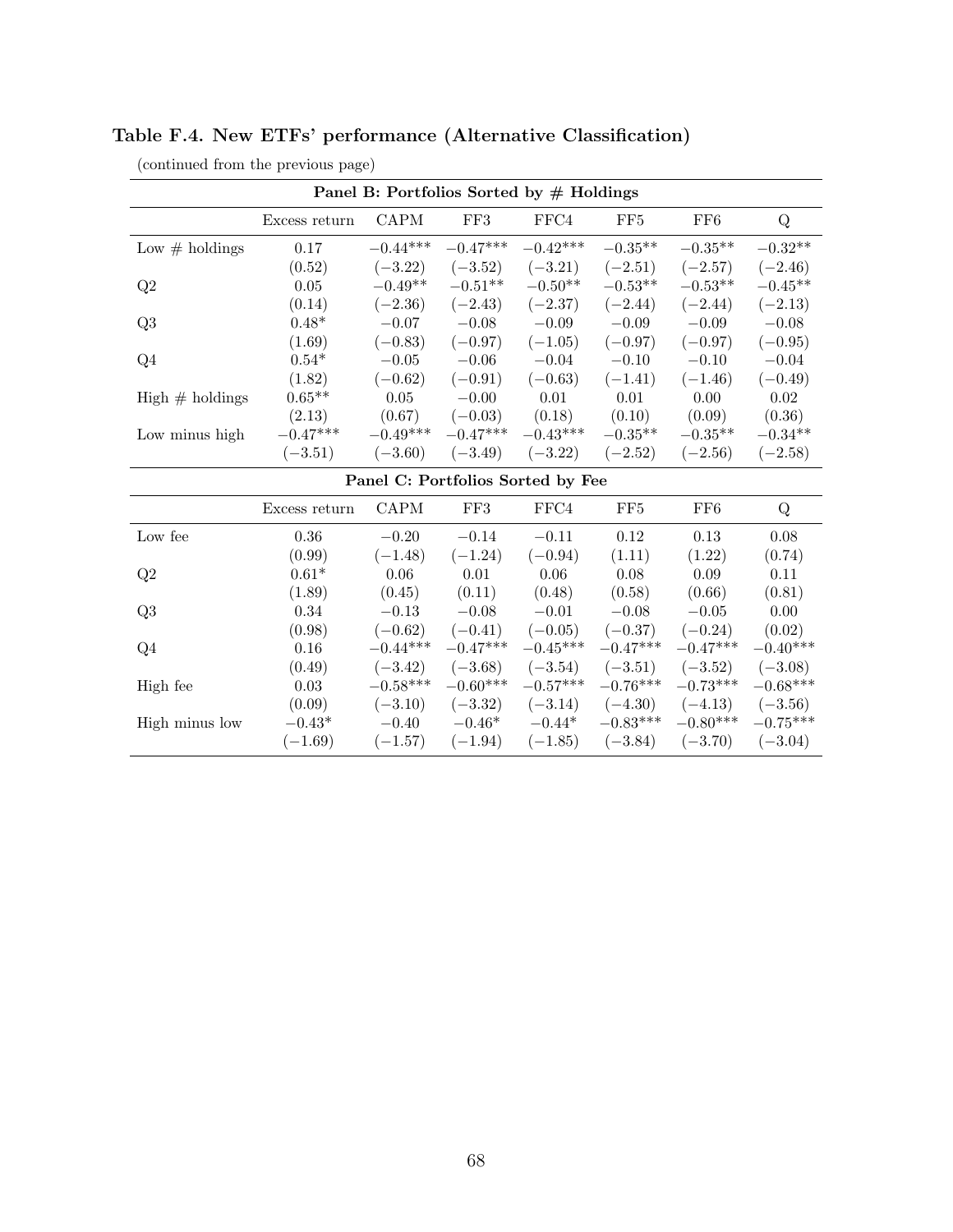| Panel B: Portfolios Sorted by $#$ Holdings |               |             |             |            |                 |                 |            |  |
|--------------------------------------------|---------------|-------------|-------------|------------|-----------------|-----------------|------------|--|
|                                            | Excess return | <b>CAPM</b> | ${\rm FF3}$ | FFC4       | FF <sub>5</sub> | FF <sub>6</sub> | Q          |  |
| Low $#$ holdings                           | 0.17          | $-0.44***$  | $-0.47***$  | $-0.42***$ | $-0.35**$       | $-0.35**$       | $-0.32**$  |  |
|                                            | (0.52)        | $(-3.22)$   | $(-3.52)$   | $(-3.21)$  | $(-2.51)$       | $(-2.57)$       | $(-2.46)$  |  |
| Q2                                         | $0.05\,$      | $-0.49**$   | $-0.51**$   | $-0.50**$  | $-0.53**$       | $-0.53**$       | $-0.45**$  |  |
|                                            | (0.14)        | $(-2.36)$   | $(-2.43)$   | $(-2.37)$  | $(-2.44)$       | $(-2.44)$       | $(-2.13)$  |  |
| Q3                                         | $0.48*$       | $-0.07$     | $-0.08$     | $-0.09$    | $-0.09$         | $-0.09$         | $-0.08$    |  |
|                                            | (1.69)        | $(-0.83)$   | $(-0.97)$   | $(-1.05)$  | $(-0.97)$       | $(-0.97)$       | $(-0.95)$  |  |
| Q4                                         | $0.54*$       | $-0.05$     | $-0.06$     | $-0.04$    | $-0.10$         | $-0.10$         | $-0.04$    |  |
|                                            | (1.82)        | $(-0.62)$   | $(-0.91)$   | $(-0.63)$  | $(-1.41)$       | $(-1.46)$       | $(-0.49)$  |  |
| $High \# holdings$                         | $0.65**$      | 0.05        | $-0.00$     | 0.01       | 0.01            | 0.00            | 0.02       |  |
|                                            | (2.13)        | (0.67)      | $(-0.03)$   | (0.18)     | (0.10)          | (0.09)          | (0.36)     |  |
| Low minus high                             | $-0.47***$    | $-0.49***$  | $-0.47***$  | $-0.43***$ | $-0.35***$      | $-0.35**$       | $-0.34**$  |  |
|                                            | $(-3.51)$     | $(-3.60)$   | $(-3.49)$   | $(-3.22)$  | $(-2.52)$       | $(-2.56)$       | $(-2.58)$  |  |
| Panel C: Portfolios Sorted by Fee          |               |             |             |            |                 |                 |            |  |
|                                            | Excess return | <b>CAPM</b> | FF3         | FFC4       | FF <sub>5</sub> | FF <sub>6</sub> | Q          |  |
| Low fee                                    | 0.36          | $-0.20$     | $-0.14$     | $-0.11$    | 0.12            | 0.13            | 0.08       |  |
|                                            | (0.99)        | $(-1.48)$   | $(-1.24)$   | $(-0.94)$  | (1.11)          | (1.22)          | (0.74)     |  |
| Q2                                         | $0.61*$       | 0.06        | 0.01        | 0.06       | 0.08            | 0.09            | 0.11       |  |
|                                            | (1.89)        | (0.45)      | (0.11)      | (0.48)     | (0.58)          | (0.66)          | (0.81)     |  |
| Q3                                         | 0.34          | $-0.13$     | $-0.08$     | $-0.01$    | $-0.08$         | $-0.05$         | 0.00       |  |
|                                            | (0.98)        | $(-0.62)$   | $(-0.41)$   | $(-0.05)$  | $(-0.37)$       | $(-0.24)$       | (0.02)     |  |
| Q4                                         | $0.16\,$      | $-0.44***$  | $-0.47***$  | $-0.45***$ | $-0.47***$      | $-0.47***$      | $-0.40***$ |  |
|                                            | (0.49)        | $(-3.42)$   | $(-3.68)$   | $(-3.54)$  | $(-3.51)$       | $(-3.52)$       | $(-3.08)$  |  |
| High fee                                   | 0.03          | $-0.58***$  | $-0.60***$  | $-0.57***$ | $-0.76***$      | $-0.73***$      | $-0.68***$ |  |
|                                            | (0.09)        | $(-3.10)$   | $(-3.32)$   | $(-3.14)$  | $(-4.30)$       | $(-4.13)$       | $(-3.56)$  |  |
| High minus low                             | $-0.43*$      | $-0.40$     | $-0.46*$    | $-0.44*$   | $-0.83***$      | $-0.80***$      | $-0.75***$ |  |
|                                            | $(-1.69)$     | $(-1.57)$   | $(-1.94)$   | $(-1.85)$  | $(-3.84)$       | $(-3.70)$       | $(-3.04)$  |  |

Table F.4. New ETFs' performance (Alternative Classification)

(continued from the previous page)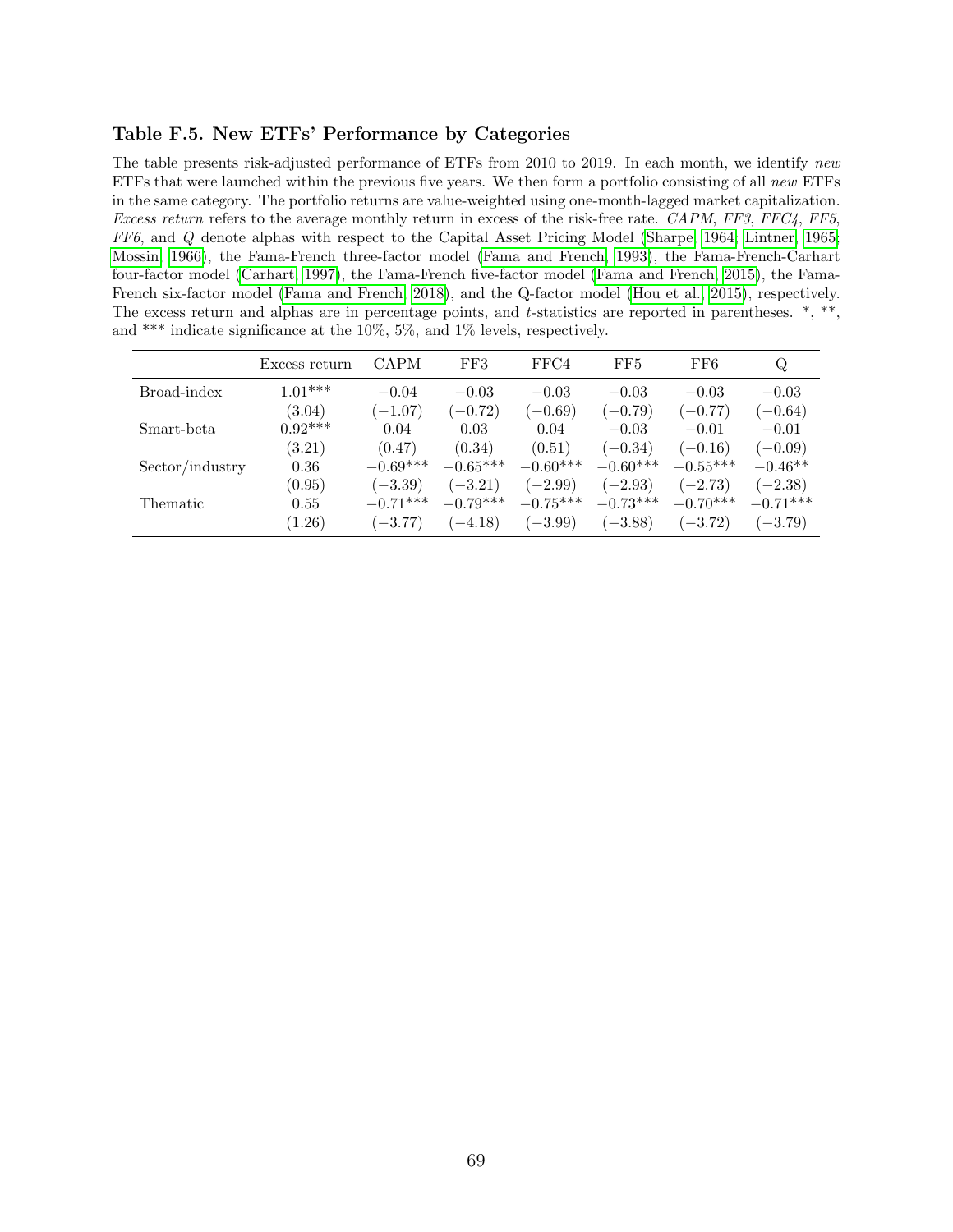#### <span id="page-70-0"></span>Table F.5. New ETFs' Performance by Categories

The table presents risk-adjusted performance of ETFs from 2010 to 2019. In each month, we identify new ETFs that were launched within the previous five years. We then form a portfolio consisting of all new ETFs in the same category. The portfolio returns are value-weighted using one-month-lagged market capitalization. Excess return refers to the average monthly return in excess of the risk-free rate. CAPM, FF3, FFC4, FF5, FF6, and Q denote alphas with respect to the Capital Asset Pricing Model [\(Sharpe, 1964;](#page-51-4) [Lintner, 1965;](#page-51-5) [Mossin, 1966\)](#page-51-6), the Fama-French three-factor model [\(Fama and French, 1993\)](#page-49-0), the Fama-French-Carhart four-factor model [\(Carhart, 1997\)](#page-48-4), the Fama-French five-factor model [\(Fama and French, 2015\)](#page-49-4), the Fama-French six-factor model [\(Fama and French, 2018\)](#page-49-5), and the Q-factor model [\(Hou et al., 2015\)](#page-50-1), respectively. The excess return and alphas are in percentage points, and t-statistics are reported in parentheses.  $*, **$ , and \*\*\* indicate significance at the 10%, 5%, and 1% levels, respectively.

|                 | Excess return | CAPM       | FF3        | FFC4       | FF5        | FF6        | Q          |
|-----------------|---------------|------------|------------|------------|------------|------------|------------|
| Broad-index     | $1.01***$     | $-0.04$    | $-0.03$    | $-0.03$    | $-0.03$    | $-0.03$    | $-0.03$    |
|                 | (3.04)        | $(-1.07)$  | $(-0.72)$  | $(-0.69)$  | $(-0.79)$  | $(-0.77)$  | $(-0.64)$  |
| Smart-beta      | $0.92***$     | 0.04       | 0.03       | 0.04       | $-0.03$    | $-0.01$    | $-0.01$    |
|                 | (3.21)        | (0.47)     | (0.34)     | (0.51)     | $(-0.34)$  | $(-0.16)$  | $(-0.09)$  |
| Sector/industry | 0.36          | $-0.69***$ | $-0.65***$ | $-0.60***$ | $-0.60***$ | $-0.55***$ | $-0.46**$  |
|                 | (0.95)        | $(-3.39)$  | $(-3.21)$  | $(-2.99)$  | $(-2.93)$  | $(-2.73)$  | $(-2.38)$  |
| Thematic        | 0.55          | $-0.71***$ | $-0.79***$ | $-0.75***$ | $-0.73***$ | $-0.70***$ | $-0.71***$ |
|                 | (1.26)        | $(-3.77)$  | $(-4.18)$  | $(-3.99)$  | $(-3.88)$  | $(-3.72)$  | $(-3.79)$  |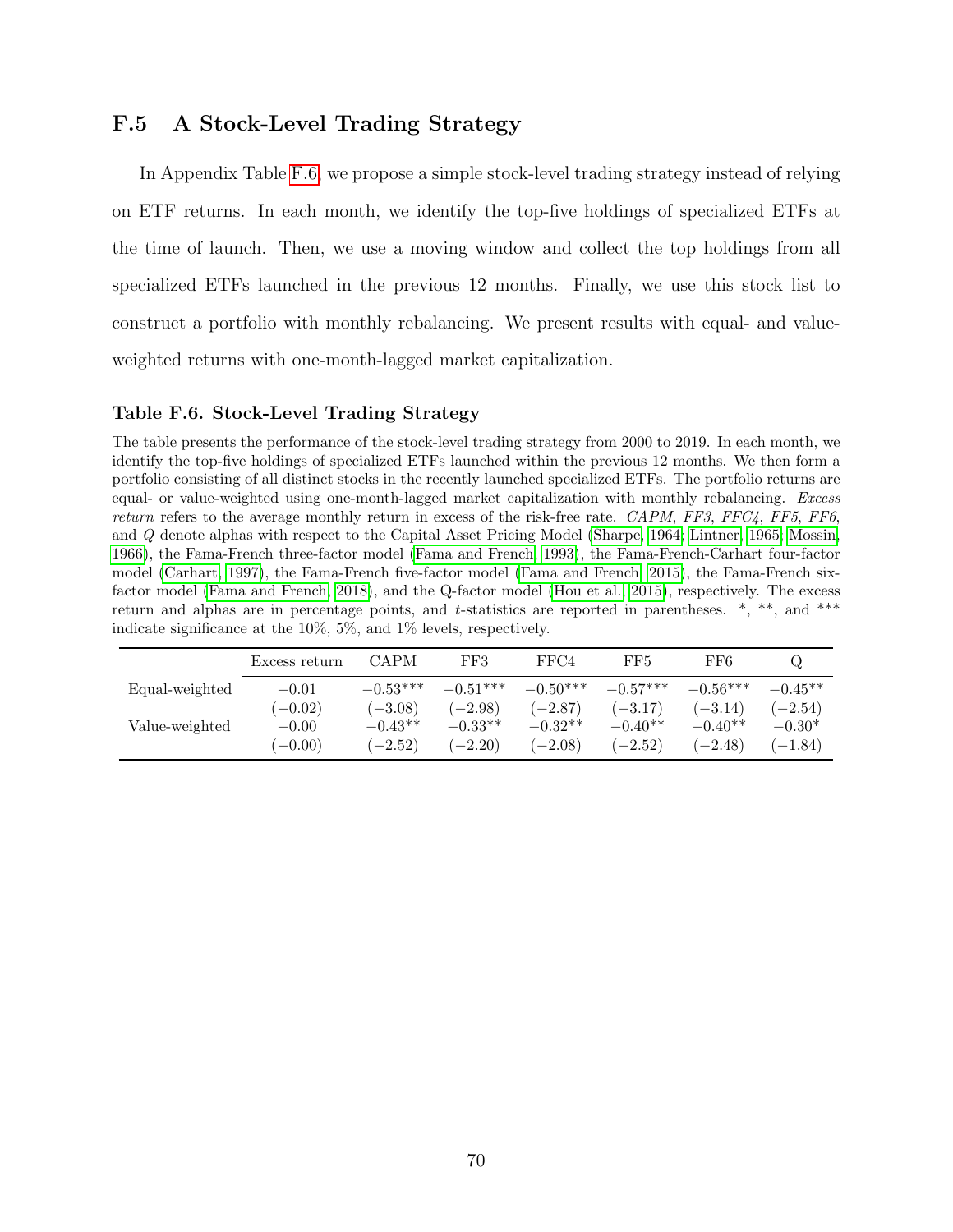## F.5 A Stock-Level Trading Strategy

In Appendix Table [F.6,](#page-71-0) we propose a simple stock-level trading strategy instead of relying on ETF returns. In each month, we identify the top-five holdings of specialized ETFs at the time of launch. Then, we use a moving window and collect the top holdings from all specialized ETFs launched in the previous 12 months. Finally, we use this stock list to construct a portfolio with monthly rebalancing. We present results with equal- and valueweighted returns with one-month-lagged market capitalization.

#### <span id="page-71-0"></span>Table F.6. Stock-Level Trading Strategy

The table presents the performance of the stock-level trading strategy from 2000 to 2019. In each month, we identify the top-five holdings of specialized ETFs launched within the previous 12 months. We then form a portfolio consisting of all distinct stocks in the recently launched specialized ETFs. The portfolio returns are equal- or value-weighted using one-month-lagged market capitalization with monthly rebalancing. Excess return refers to the average monthly return in excess of the risk-free rate. CAPM, FF3, FFC4, FF5, FF6, and Q denote alphas with respect to the Capital Asset Pricing Model [\(Sharpe, 1964;](#page-51-4) [Lintner, 1965;](#page-51-5) [Mossin,](#page-51-6) [1966\)](#page-51-6), the Fama-French three-factor model [\(Fama and French, 1993\)](#page-49-0), the Fama-French-Carhart four-factor model [\(Carhart, 1997\)](#page-48-4), the Fama-French five-factor model [\(Fama and French, 2015\)](#page-49-4), the Fama-French sixfactor model [\(Fama and French, 2018\)](#page-49-5), and the Q-factor model [\(Hou et al., 2015\)](#page-50-1), respectively. The excess return and alphas are in percentage points, and t-statistics are reported in parentheses.  $*, **$ , and  $***$ indicate significance at the 10%, 5%, and 1% levels, respectively.

|                | Excess return | <b>CAPM</b> | FF3        | FFC4       | FF5        | FF6        |           |
|----------------|---------------|-------------|------------|------------|------------|------------|-----------|
| Equal-weighted | $-0.01$       | $-0.53***$  | $-0.51***$ | $-0.50***$ | $-0.57***$ | $-0.56***$ | $-0.45**$ |
|                | $-0.02)$      | $(-3.08)$   | $(-2.98)$  | $(-2.87)$  | $(-3.17)$  | $(-3.14)$  | $-2.54)$  |
| Value-weighted | $-0.00$       | $-0.43**$   | $-0.33**$  | $-0.32**$  | $-0.40**$  | $-0.40**$  | $-0.30*$  |
|                | $(-0.00)$     | $(-2.52)$   | $(-2.20)$  | $(-2.08)$  | $(-2.52)$  | $(-2.48)$  | $(-1.84)$ |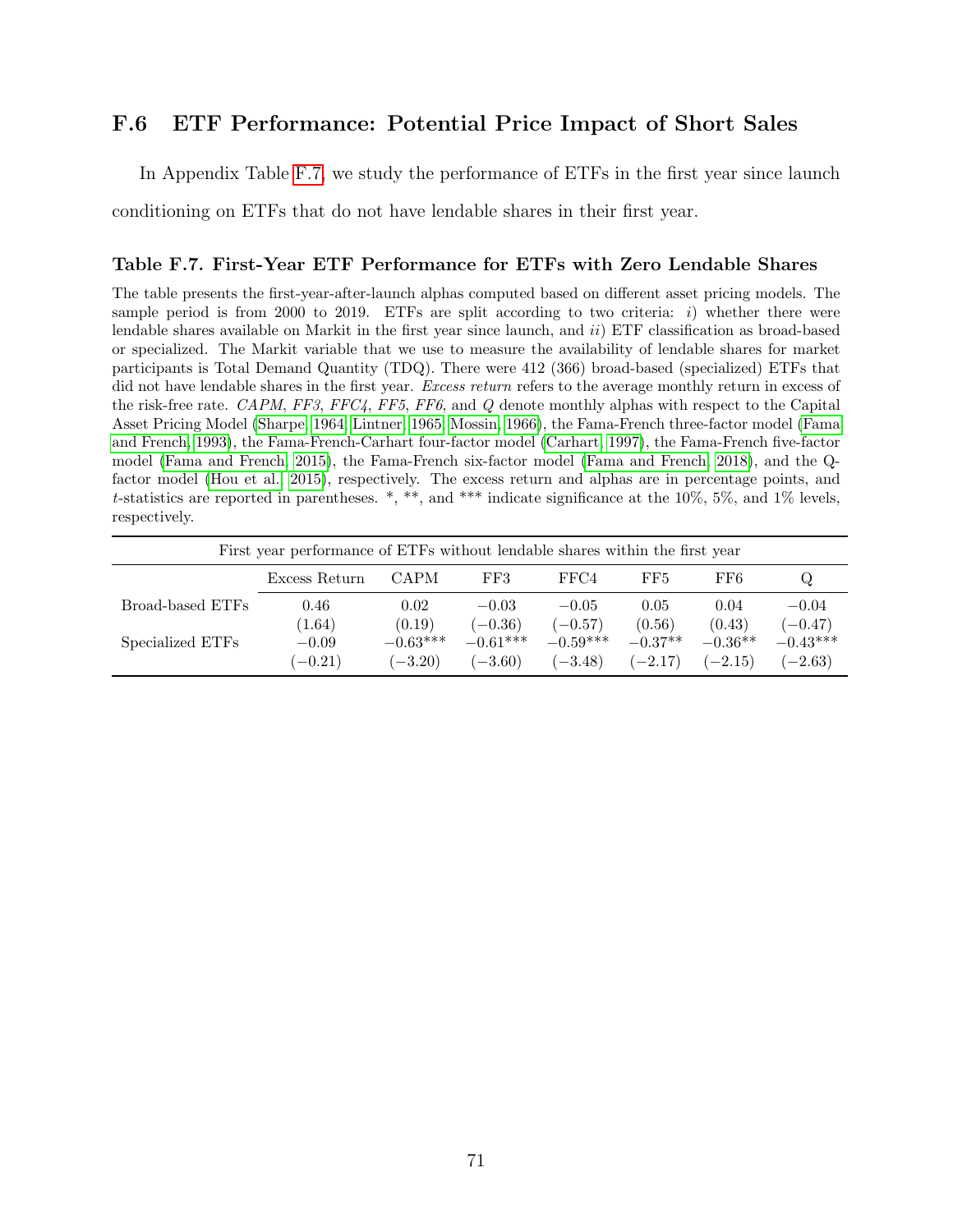## F.6 ETF Performance: Potential Price Impact of Short Sales

In Appendix Table [F.7,](#page-72-0) we study the performance of ETFs in the first year since launch

conditioning on ETFs that do not have lendable shares in their first year.

#### <span id="page-72-0"></span>Table F.7. First-Year ETF Performance for ETFs with Zero Lendable Shares

The table presents the first-year-after-launch alphas computed based on different asset pricing models. The sample period is from 2000 to 2019. ETFs are split according to two criteria:  $i$ ) whether there were lendable shares available on Markit in the first year since launch, and ii) ETF classification as broad-based or specialized. The Markit variable that we use to measure the availability of lendable shares for market participants is Total Demand Quantity (TDQ). There were 412 (366) broad-based (specialized) ETFs that did not have lendable shares in the first year. Excess return refers to the average monthly return in excess of the risk-free rate. CAPM, FF3, FFC4, FF5, FF6, and Q denote monthly alphas with respect to the Capital Asset Pricing Model [\(Sharpe, 1964;](#page-51-0) [Lintner, 1965;](#page-51-1) [Mossin, 1966\)](#page-51-2), the Fama-French three-factor model [\(Fama](#page-49-0) [and French, 1993\)](#page-49-0), the Fama-French-Carhart four-factor model [\(Carhart, 1997\)](#page-48-0), the Fama-French five-factor model [\(Fama and French, 2015\)](#page-49-1), the Fama-French six-factor model [\(Fama and French, 2018\)](#page-49-2), and the Qfactor model [\(Hou et al., 2015\)](#page-50-0), respectively. The excess return and alphas are in percentage points, and t-statistics are reported in parentheses. \*, \*\*, and \*\*\* indicate significance at the  $10\%$ , 5%, and 1% levels, respectively.

| First year performance of ETFs without lendable shares within the first year |                   |                      |                         |                         |                     |                     |                         |
|------------------------------------------------------------------------------|-------------------|----------------------|-------------------------|-------------------------|---------------------|---------------------|-------------------------|
|                                                                              | Excess Return     | <b>CAPM</b>          | FF3                     | FFC4                    | FF5                 | FF6                 | Q                       |
| Broad-based ETFs                                                             | 0.46              | 0.02                 | $-0.03$                 | $-0.05$                 | 0.05                | 0.04                | $-0.04$                 |
| Specialized ETFs                                                             | (1.64)<br>$-0.09$ | (0.19)<br>$-0.63***$ | $(-0.36)$<br>$-0.61***$ | $(-0.57)$<br>$-0.59***$ | (0.56)<br>$-0.37**$ | (0.43)<br>$-0.36**$ | $(-0.47)$<br>$-0.43***$ |
|                                                                              | $(-0.21)$         | $(-3.20)$            | $(-3.60)$               | $(-3.48)$               | $(-2.17)$           | $(-2.15)$           | $(-2.63)$               |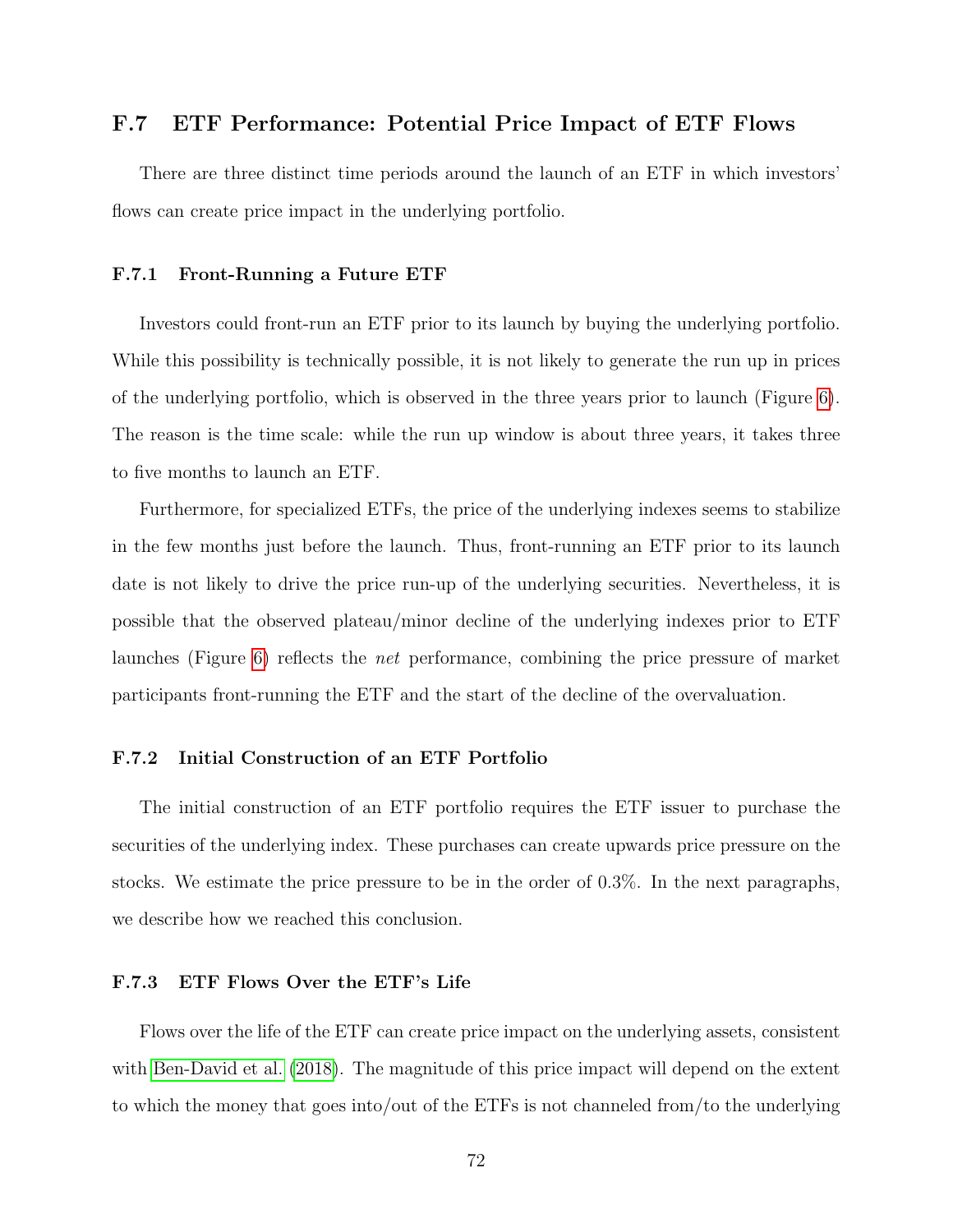## F.7 ETF Performance: Potential Price Impact of ETF Flows

There are three distinct time periods around the launch of an ETF in which investors' flows can create price impact in the underlying portfolio.

#### F.7.1 Front-Running a Future ETF

Investors could front-run an ETF prior to its launch by buying the underlying portfolio. While this possibility is technically possible, it is not likely to generate the run up in prices of the underlying portfolio, which is observed in the three years prior to launch (Figure [6\)](#page-28-0). The reason is the time scale: while the run up window is about three years, it takes three to five months to launch an ETF.

Furthermore, for specialized ETFs, the price of the underlying indexes seems to stabilize in the few months just before the launch. Thus, front-running an ETF prior to its launch date is not likely to drive the price run-up of the underlying securities. Nevertheless, it is possible that the observed plateau/minor decline of the underlying indexes prior to ETF launches (Figure [6\)](#page-28-0) reflects the net performance, combining the price pressure of market participants front-running the ETF and the start of the decline of the overvaluation.

#### F.7.2 Initial Construction of an ETF Portfolio

The initial construction of an ETF portfolio requires the ETF issuer to purchase the securities of the underlying index. These purchases can create upwards price pressure on the stocks. We estimate the price pressure to be in the order of 0.3%. In the next paragraphs, we describe how we reached this conclusion.

#### F.7.3 ETF Flows Over the ETF's Life

Flows over the life of the ETF can create price impact on the underlying assets, consistent with [Ben-David et al.](#page-47-0) [\(2018\)](#page-47-0). The magnitude of this price impact will depend on the extent to which the money that goes into/out of the ETFs is not channeled from/to the underlying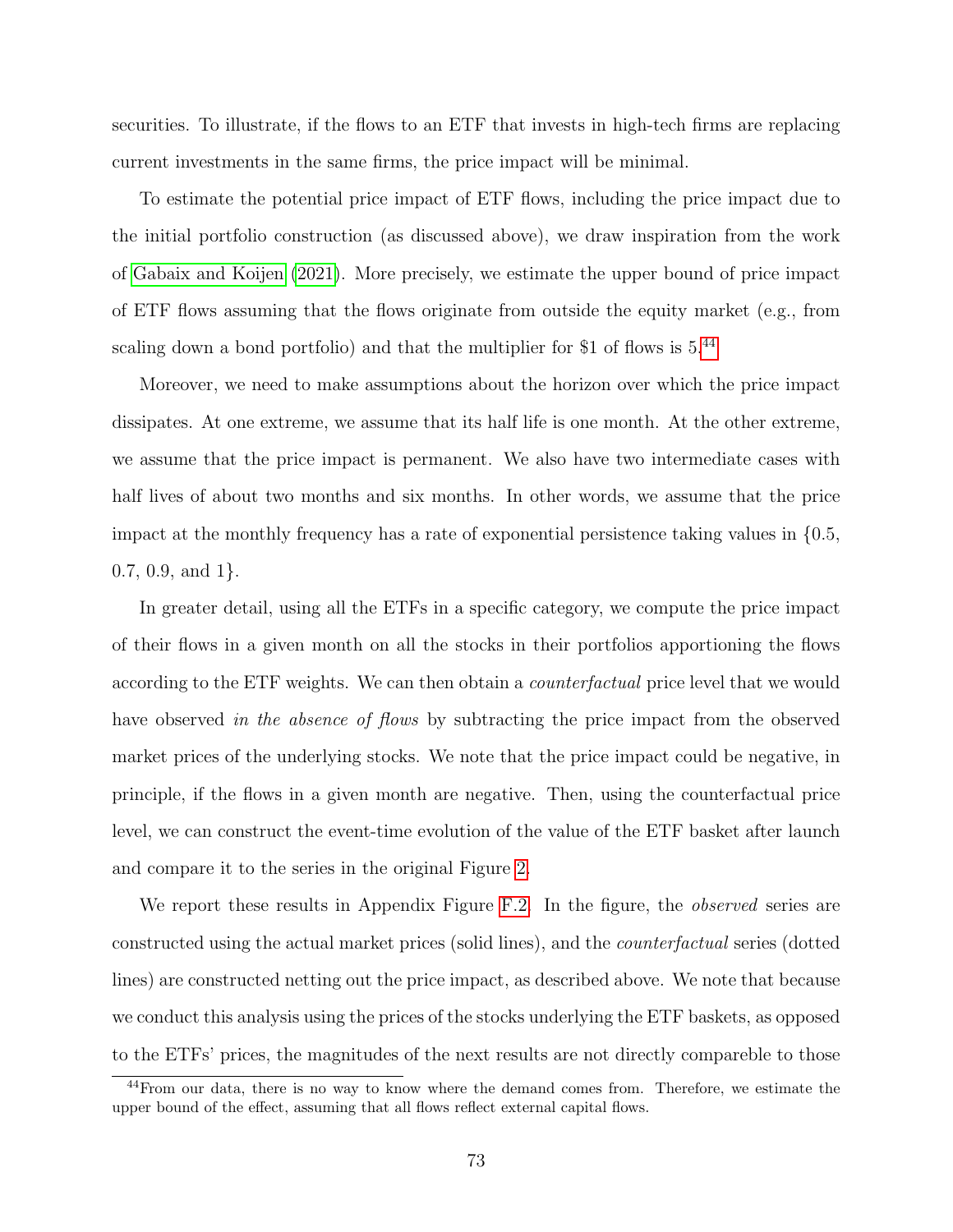securities. To illustrate, if the flows to an ETF that invests in high-tech firms are replacing current investments in the same firms, the price impact will be minimal.

To estimate the potential price impact of ETF flows, including the price impact due to the initial portfolio construction (as discussed above), we draw inspiration from the work of [Gabaix and Koijen](#page-49-3) [\(2021\)](#page-49-3). More precisely, we estimate the upper bound of price impact of ETF flows assuming that the flows originate from outside the equity market (e.g., from scaling down a bond portfolio) and that the multiplier for \$1 of flows is  $5.^{44}$  $5.^{44}$  $5.^{44}$ 

Moreover, we need to make assumptions about the horizon over which the price impact dissipates. At one extreme, we assume that its half life is one month. At the other extreme, we assume that the price impact is permanent. We also have two intermediate cases with half lives of about two months and six months. In other words, we assume that the price impact at the monthly frequency has a rate of exponential persistence taking values in  $\{0.5$ ,  $0.7, 0.9, \text{ and } 1$ .

In greater detail, using all the ETFs in a specific category, we compute the price impact of their flows in a given month on all the stocks in their portfolios apportioning the flows according to the ETF weights. We can then obtain a counterfactual price level that we would have observed in the absence of flows by subtracting the price impact from the observed market prices of the underlying stocks. We note that the price impact could be negative, in principle, if the flows in a given month are negative. Then, using the counterfactual price level, we can construct the event-time evolution of the value of the ETF basket after launch and compare it to the series in the original Figure [2.](#page-6-0)

We report these results in Appendix Figure [F.2.](#page-75-0) In the figure, the *observed* series are constructed using the actual market prices (solid lines), and the counterfactual series (dotted lines) are constructed netting out the price impact, as described above. We note that because we conduct this analysis using the prices of the stocks underlying the ETF baskets, as opposed to the ETFs' prices, the magnitudes of the next results are not directly compareble to those

<span id="page-74-0"></span><sup>&</sup>lt;sup>44</sup>From our data, there is no way to know where the demand comes from. Therefore, we estimate the upper bound of the effect, assuming that all flows reflect external capital flows.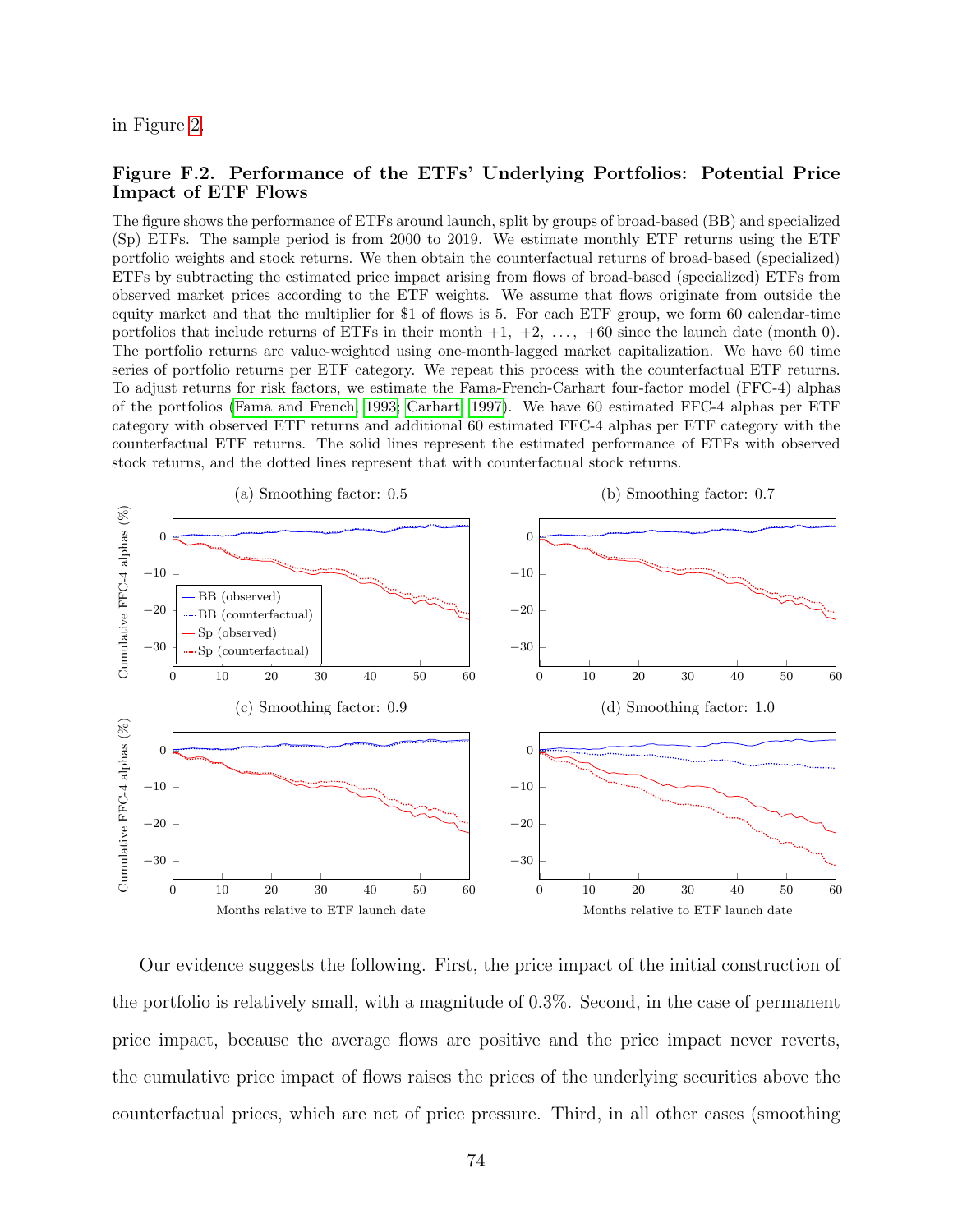<span id="page-75-0"></span>in Figure [2.](#page-6-0)

#### Figure F.2. Performance of the ETFs' Underlying Portfolios: Potential Price Impact of ETF Flows

The figure shows the performance of ETFs around launch, split by groups of broad-based (BB) and specialized (Sp) ETFs. The sample period is from 2000 to 2019. We estimate monthly ETF returns using the ETF portfolio weights and stock returns. We then obtain the counterfactual returns of broad-based (specialized) ETFs by subtracting the estimated price impact arising from flows of broad-based (specialized) ETFs from observed market prices according to the ETF weights. We assume that flows originate from outside the equity market and that the multiplier for \$1 of flows is 5. For each ETF group, we form 60 calendar-time portfolios that include returns of ETFs in their month  $+1$ ,  $+2$ ,  $\ldots$ ,  $+60$  since the launch date (month 0). The portfolio returns are value-weighted using one-month-lagged market capitalization. We have 60 time series of portfolio returns per ETF category. We repeat this process with the counterfactual ETF returns. To adjust returns for risk factors, we estimate the Fama-French-Carhart four-factor model (FFC-4) alphas of the portfolios [\(Fama and French, 1993;](#page-49-0) [Carhart, 1997\)](#page-48-0). We have 60 estimated FFC-4 alphas per ETF category with observed ETF returns and additional 60 estimated FFC-4 alphas per ETF category with the counterfactual ETF returns. The solid lines represent the estimated performance of ETFs with observed stock returns, and the dotted lines represent that with counterfactual stock returns.



Our evidence suggests the following. First, the price impact of the initial construction of the portfolio is relatively small, with a magnitude of 0.3%. Second, in the case of permanent price impact, because the average flows are positive and the price impact never reverts, the cumulative price impact of flows raises the prices of the underlying securities above the counterfactual prices, which are net of price pressure. Third, in all other cases (smoothing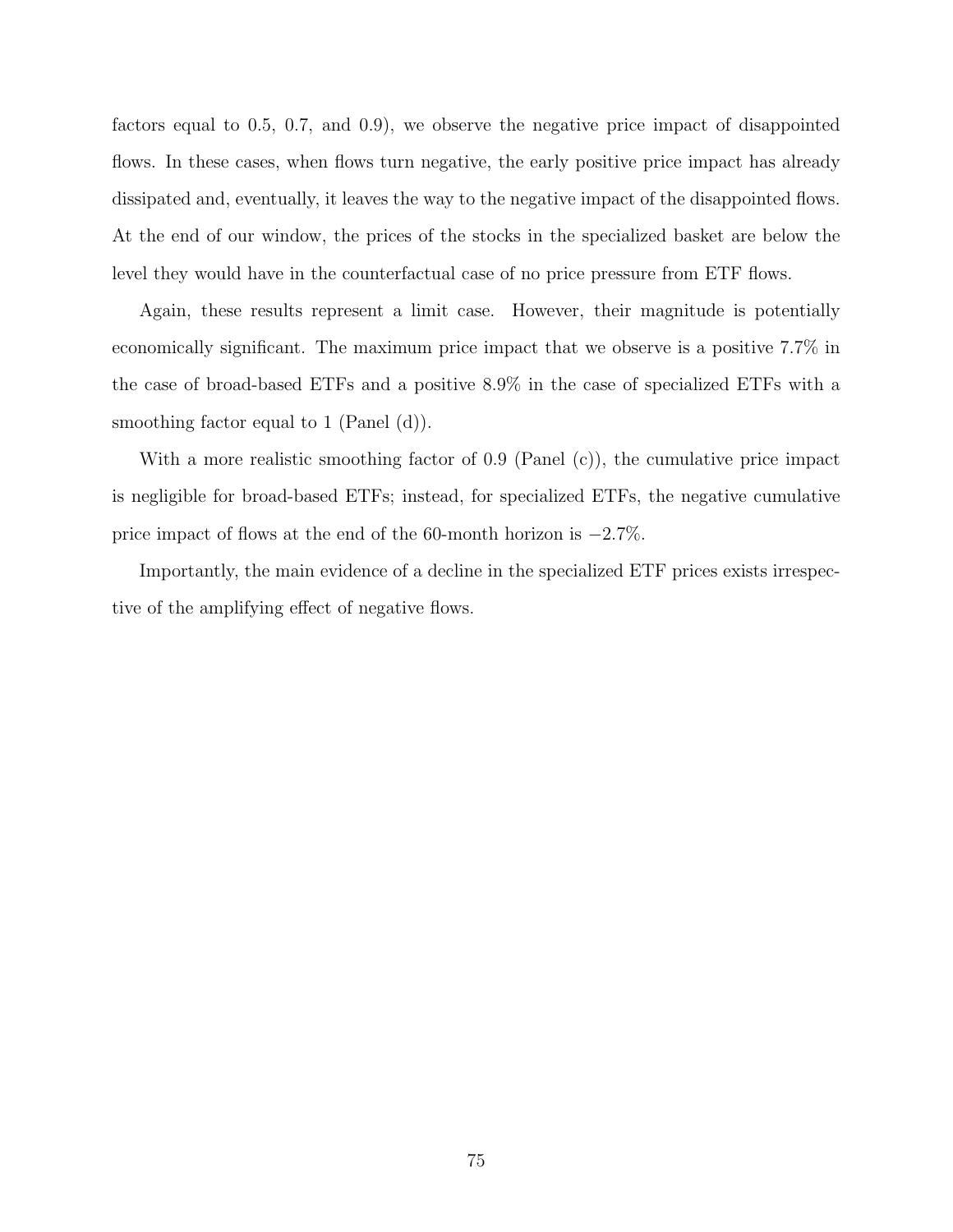factors equal to 0.5, 0.7, and 0.9), we observe the negative price impact of disappointed flows. In these cases, when flows turn negative, the early positive price impact has already dissipated and, eventually, it leaves the way to the negative impact of the disappointed flows. At the end of our window, the prices of the stocks in the specialized basket are below the level they would have in the counterfactual case of no price pressure from ETF flows.

Again, these results represent a limit case. However, their magnitude is potentially economically significant. The maximum price impact that we observe is a positive 7.7% in the case of broad-based ETFs and a positive 8.9% in the case of specialized ETFs with a smoothing factor equal to 1 (Panel (d)).

With a more realistic smoothing factor of 0.9 (Panel (c)), the cumulative price impact is negligible for broad-based ETFs; instead, for specialized ETFs, the negative cumulative price impact of flows at the end of the 60-month horizon is −2.7%.

Importantly, the main evidence of a decline in the specialized ETF prices exists irrespective of the amplifying effect of negative flows.